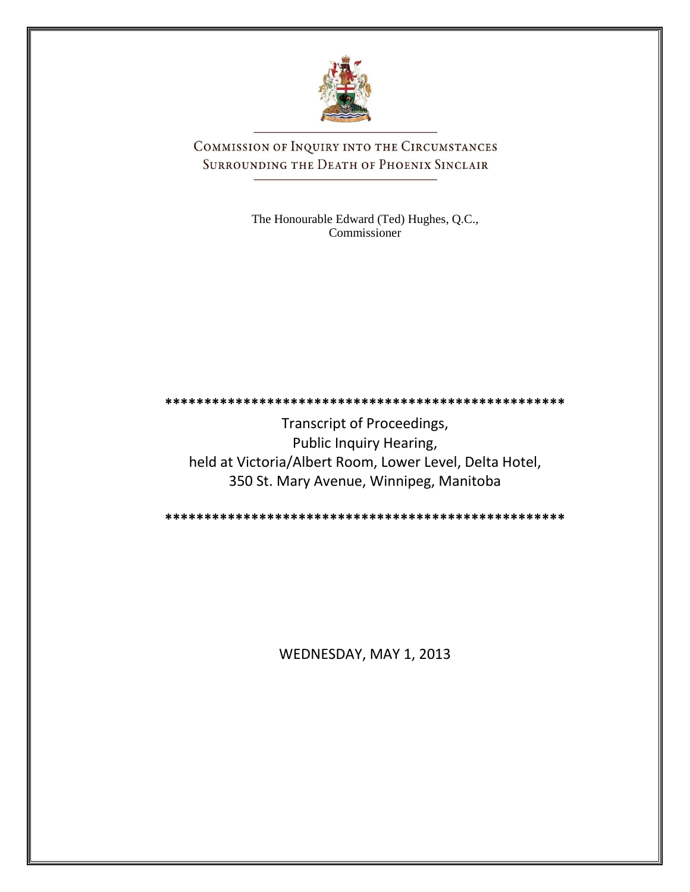

COMMISSION OF INQUIRY INTO THE CIRCUMSTANCES SURROUNDING THE DEATH OF PHOENIX SINCLAIR

> The Honourable Edward (Ted) Hughes, Q.C., Commissioner

**\*\*\*\*\*\*\*\*\*\*\*\*\*\*\*\*\*\*\*\*\*\*\*\*\*\*\*\*\*\*\*\*\*\*\*\*\*\*\*\*\*\*\*\*\*\*\*\*\*\*\***

Transcript of Proceedings, Public Inquiry Hearing, held at Victoria/Albert Room, Lower Level, Delta Hotel, 350 St. Mary Avenue, Winnipeg, Manitoba

**\*\*\*\*\*\*\*\*\*\*\*\*\*\*\*\*\*\*\*\*\*\*\*\*\*\*\*\*\*\*\*\*\*\*\*\*\*\*\*\*\*\*\*\*\*\*\*\*\*\*\***

WEDNESDAY, MAY 1, 2013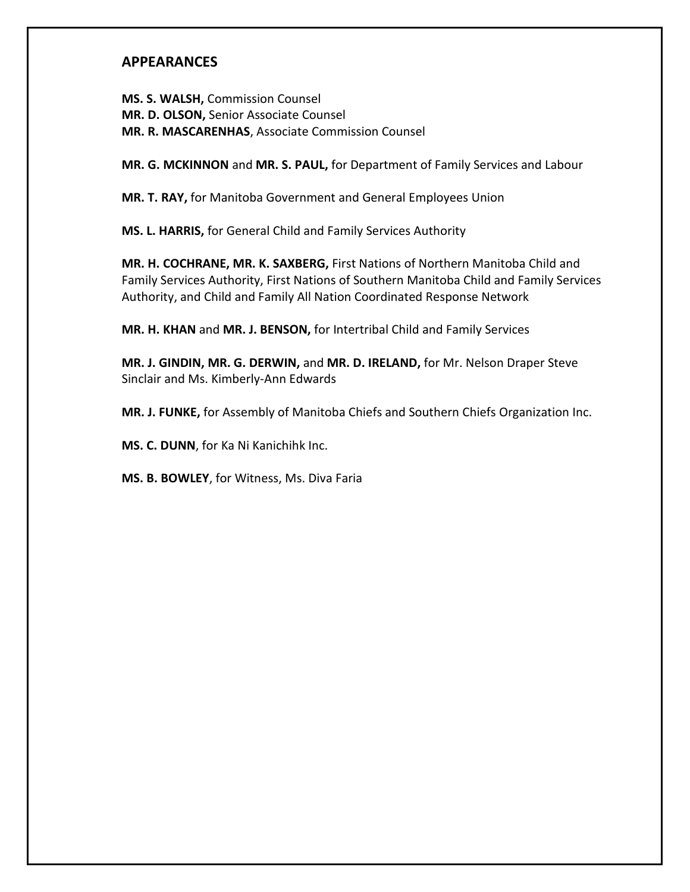## **APPEARANCES**

**MS. S. WALSH,** Commission Counsel **MR. D. OLSON,** Senior Associate Counsel **MR. R. MASCARENHAS**, Associate Commission Counsel

**MR. G. MCKINNON** and **MR. S. PAUL,** for Department of Family Services and Labour

**MR. T. RAY,** for Manitoba Government and General Employees Union

**MS. L. HARRIS,** for General Child and Family Services Authority

**MR. H. COCHRANE, MR. K. SAXBERG,** First Nations of Northern Manitoba Child and Family Services Authority, First Nations of Southern Manitoba Child and Family Services Authority, and Child and Family All Nation Coordinated Response Network

**MR. H. KHAN** and **MR. J. BENSON,** for Intertribal Child and Family Services

**MR. J. GINDIN, MR. G. DERWIN,** and **MR. D. IRELAND,** for Mr. Nelson Draper Steve Sinclair and Ms. Kimberly-Ann Edwards

**MR. J. FUNKE,** for Assembly of Manitoba Chiefs and Southern Chiefs Organization Inc.

**MS. C. DUNN**, for Ka Ni Kanichihk Inc.

**MS. B. BOWLEY**, for Witness, Ms. Diva Faria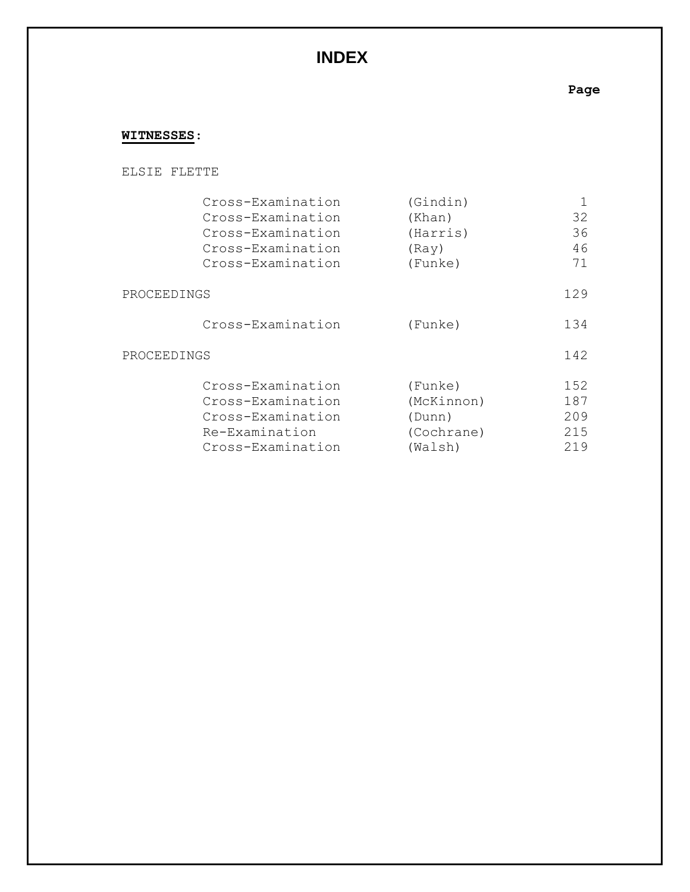# **INDEX**

**Page**

## **WITNESSES**:

#### ELSIE FLETTE

|             | Cross-Examination | (Gindin)   |     |
|-------------|-------------------|------------|-----|
|             | Cross-Examination | (Khan)     | 32  |
|             | Cross-Examination | (Harris)   | 36  |
|             | Cross-Examination | (Ray)      | 46  |
|             | Cross-Examination | (Funke)    | 71  |
| PROCEEDINGS |                   |            | 129 |
|             | Cross-Examination | (Funke)    | 134 |
| PROCEEDINGS |                   |            | 142 |
|             | Cross-Examination | (Funke)    | 152 |
|             | Cross-Examination | (McKinnon) | 187 |
|             | Cross-Examination | (Dunn)     | 209 |
|             | Re-Examination    | (Cochrane) | 215 |
|             | Cross-Examination | (Walsh)    | 219 |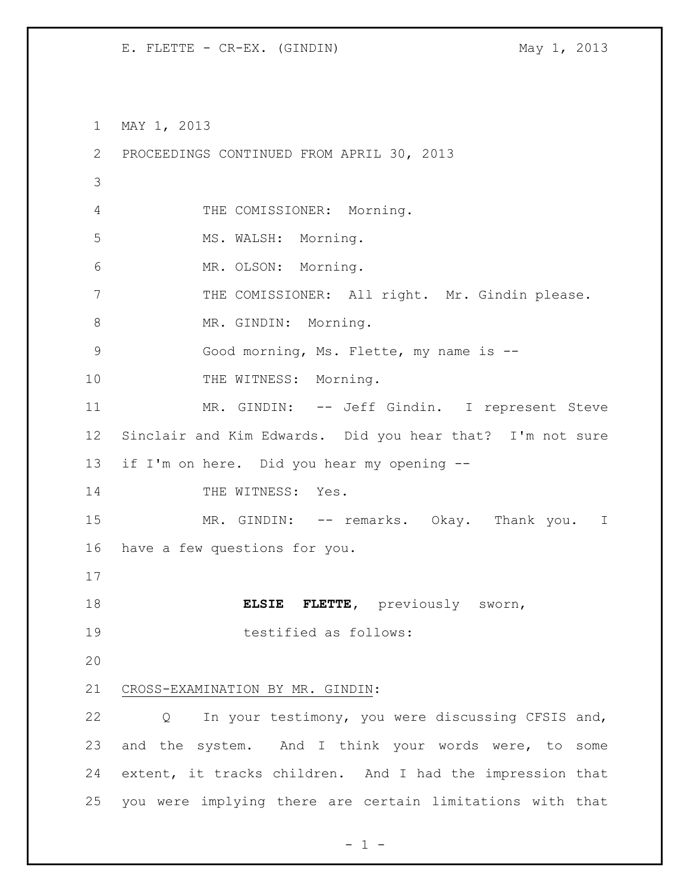MAY 1, 2013 PROCEEDINGS CONTINUED FROM APRIL 30, 2013 THE COMISSIONER: Morning. MS. WALSH: Morning. MR. OLSON: Morning. THE COMISSIONER: All right. Mr. Gindin please. 8 MR. GINDIN: Morning. Good morning, Ms. Flette, my name is -- 10 THE WITNESS: Morning. 11 MR. GINDIN: -- Jeff Gindin. I represent Steve Sinclair and Kim Edwards. Did you hear that? I'm not sure if I'm on here. Did you hear my opening -- 14 THE WITNESS: Yes. 15 MR. GINDIN: -- remarks. Okay. Thank you. I have a few questions for you. **ELSIE FLETTE,** previously sworn, testified as follows: CROSS-EXAMINATION BY MR. GINDIN: Q In your testimony, you were discussing CFSIS and, 23 and the system. And I think your words were, to some extent, it tracks children. And I had the impression that you were implying there are certain limitations with that

 $- 1 -$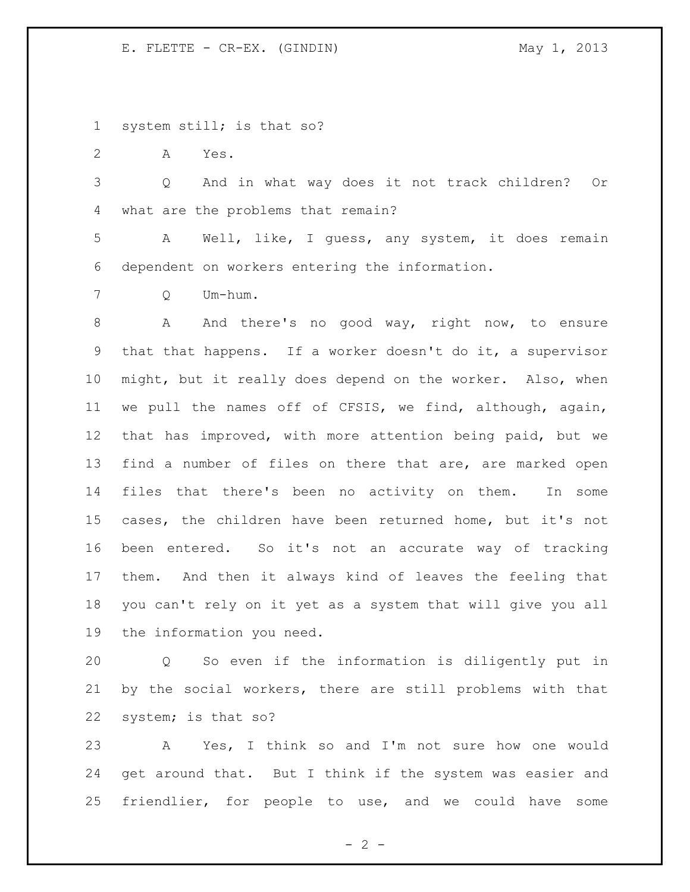system still; is that so?

A Yes.

 Q And in what way does it not track children? Or what are the problems that remain?

 A Well, like, I guess, any system, it does remain dependent on workers entering the information.

Q Um-hum.

 A And there's no good way, right now, to ensure that that happens. If a worker doesn't do it, a supervisor might, but it really does depend on the worker. Also, when we pull the names off of CFSIS, we find, although, again, that has improved, with more attention being paid, but we find a number of files on there that are, are marked open files that there's been no activity on them. In some cases, the children have been returned home, but it's not been entered. So it's not an accurate way of tracking them. And then it always kind of leaves the feeling that you can't rely on it yet as a system that will give you all the information you need.

 Q So even if the information is diligently put in by the social workers, there are still problems with that system; is that so?

 A Yes, I think so and I'm not sure how one would get around that. But I think if the system was easier and friendlier, for people to use, and we could have some

 $- 2 -$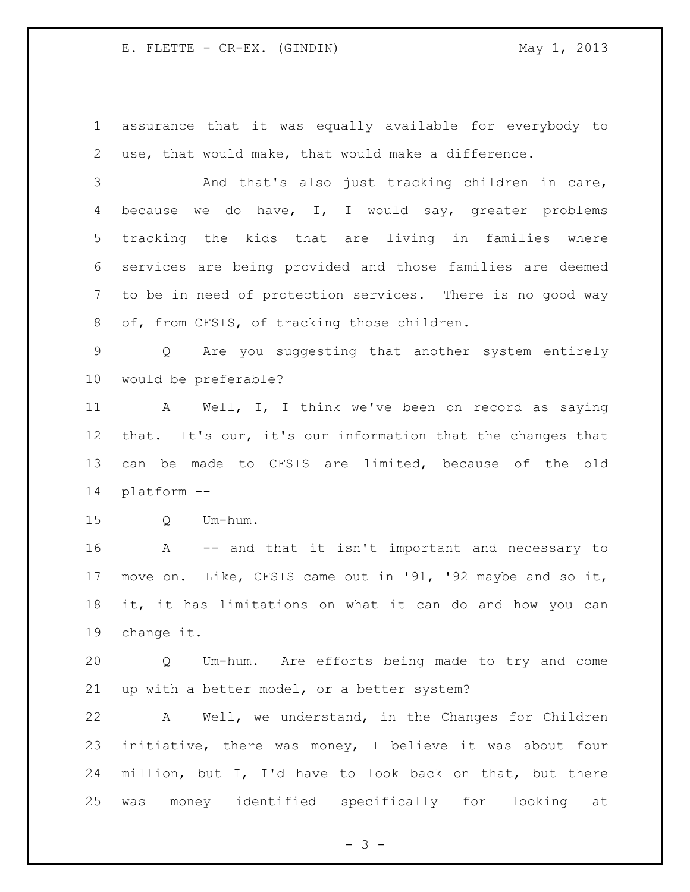assurance that it was equally available for everybody to use, that would make, that would make a difference.

 And that's also just tracking children in care, because we do have, I, I would say, greater problems tracking the kids that are living in families where services are being provided and those families are deemed to be in need of protection services. There is no good way 8 of, from CFSIS, of tracking those children.

 Q Are you suggesting that another system entirely would be preferable?

 A Well, I, I think we've been on record as saying that. It's our, it's our information that the changes that can be made to CFSIS are limited, because of the old platform --

Q Um-hum.

 A -- and that it isn't important and necessary to move on. Like, CFSIS came out in '91, '92 maybe and so it, it, it has limitations on what it can do and how you can change it.

 Q Um-hum. Are efforts being made to try and come up with a better model, or a better system?

 A Well, we understand, in the Changes for Children initiative, there was money, I believe it was about four million, but I, I'd have to look back on that, but there was money identified specifically for looking at

 $- 3 -$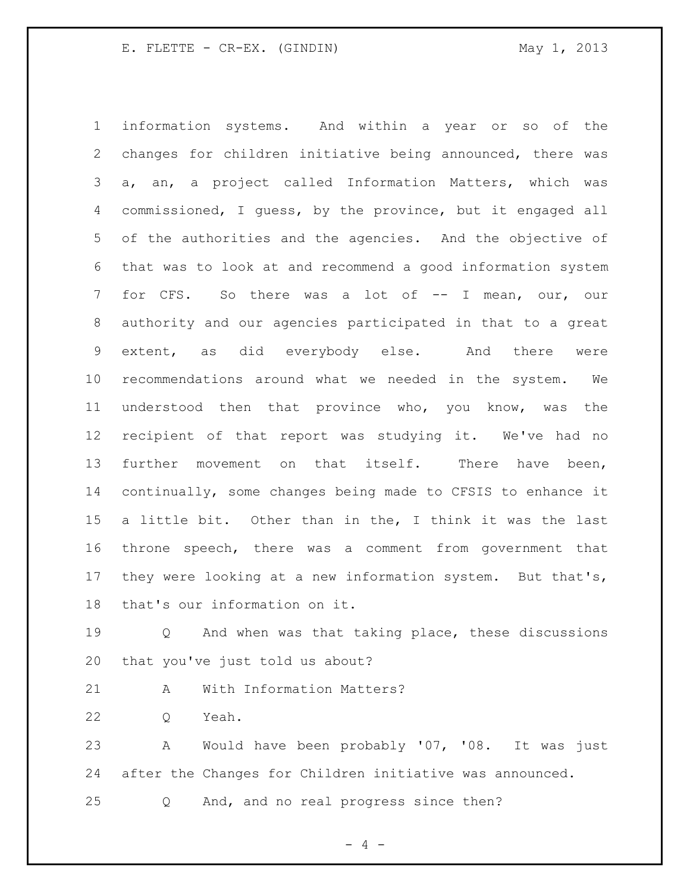information systems. And within a year or so of the changes for children initiative being announced, there was a, an, a project called Information Matters, which was commissioned, I guess, by the province, but it engaged all of the authorities and the agencies. And the objective of that was to look at and recommend a good information system for CFS. So there was a lot of -- I mean, our, our authority and our agencies participated in that to a great extent, as did everybody else. And there were recommendations around what we needed in the system. We understood then that province who, you know, was the recipient of that report was studying it. We've had no further movement on that itself. There have been, continually, some changes being made to CFSIS to enhance it a little bit. Other than in the, I think it was the last throne speech, there was a comment from government that 17 they were looking at a new information system. But that's, that's our information on it.

 Q And when was that taking place, these discussions that you've just told us about?

A With Information Matters?

Q Yeah.

 A Would have been probably '07, '08. It was just after the Changes for Children initiative was announced.

Q And, and no real progress since then?

 $- 4 -$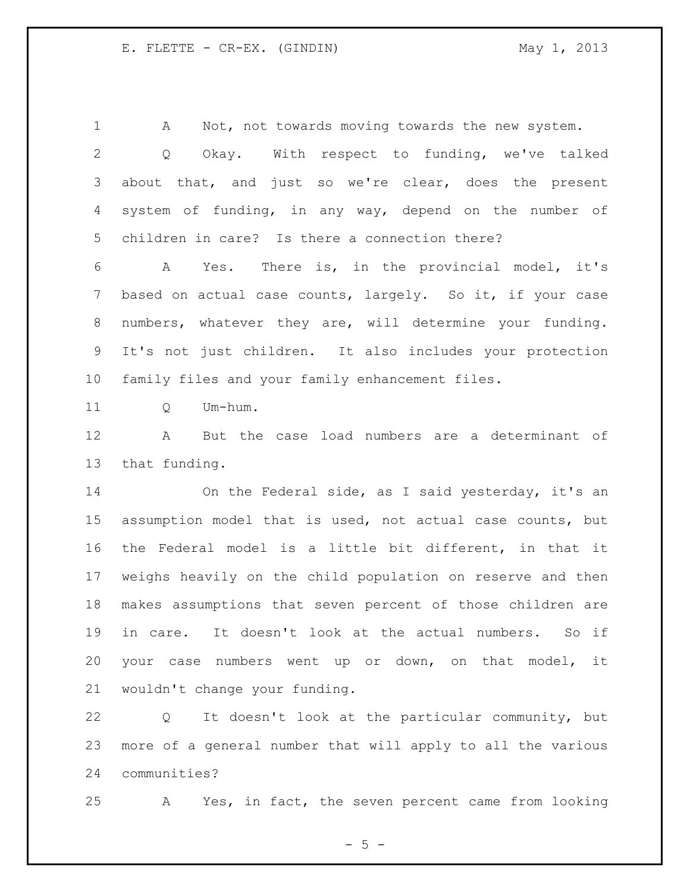1 A Not, not towards moving towards the new system. Q Okay. With respect to funding, we've talked about that, and just so we're clear, does the present system of funding, in any way, depend on the number of children in care? Is there a connection there?

 A Yes. There is, in the provincial model, it's based on actual case counts, largely. So it, if your case numbers, whatever they are, will determine your funding. It's not just children. It also includes your protection family files and your family enhancement files.

11 O Um-hum.

 A But the case load numbers are a determinant of that funding.

 On the Federal side, as I said yesterday, it's an assumption model that is used, not actual case counts, but the Federal model is a little bit different, in that it weighs heavily on the child population on reserve and then makes assumptions that seven percent of those children are in care. It doesn't look at the actual numbers. So if your case numbers went up or down, on that model, it wouldn't change your funding.

 Q It doesn't look at the particular community, but more of a general number that will apply to all the various communities?

A Yes, in fact, the seven percent came from looking

 $- 5 -$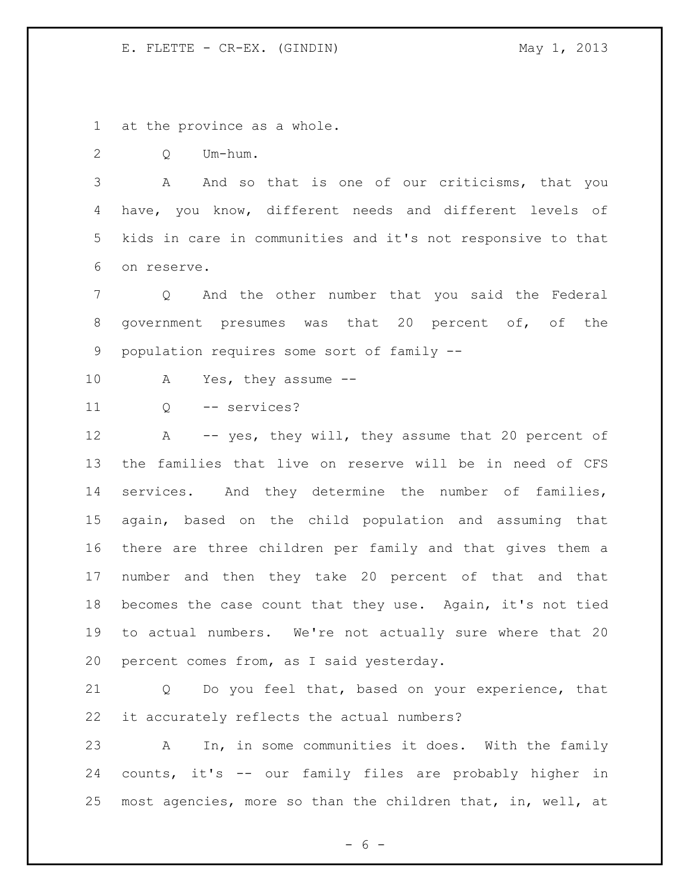at the province as a whole.

Q Um-hum.

3 A And so that is one of our criticisms, that you have, you know, different needs and different levels of kids in care in communities and it's not responsive to that on reserve.

 Q And the other number that you said the Federal government presumes was that 20 percent of, of the population requires some sort of family --

A Yes, they assume --

Q -- services?

12 A -- yes, they will, they assume that 20 percent of the families that live on reserve will be in need of CFS 14 services. And they determine the number of families, again, based on the child population and assuming that there are three children per family and that gives them a number and then they take 20 percent of that and that becomes the case count that they use. Again, it's not tied to actual numbers. We're not actually sure where that 20 percent comes from, as I said yesterday.

 Q Do you feel that, based on your experience, that it accurately reflects the actual numbers?

 A In, in some communities it does. With the family counts, it's -- our family files are probably higher in most agencies, more so than the children that, in, well, at

 $- 6 -$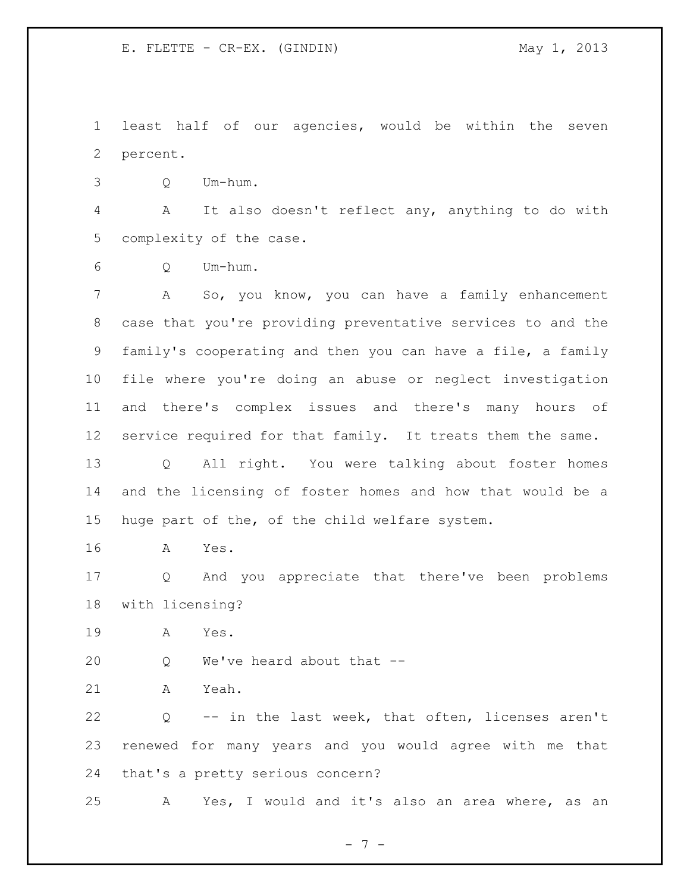least half of our agencies, would be within the seven percent.

Q Um-hum.

 A It also doesn't reflect any, anything to do with complexity of the case.

Q Um-hum.

 A So, you know, you can have a family enhancement case that you're providing preventative services to and the family's cooperating and then you can have a file, a family file where you're doing an abuse or neglect investigation and there's complex issues and there's many hours of service required for that family. It treats them the same. Q All right. You were talking about foster homes

 and the licensing of foster homes and how that would be a huge part of the, of the child welfare system.

A Yes.

 Q And you appreciate that there've been problems with licensing?

A Yes.

Q We've heard about that --

A Yeah.

 Q -- in the last week, that often, licenses aren't renewed for many years and you would agree with me that that's a pretty serious concern?

A Yes, I would and it's also an area where, as an

- 7 -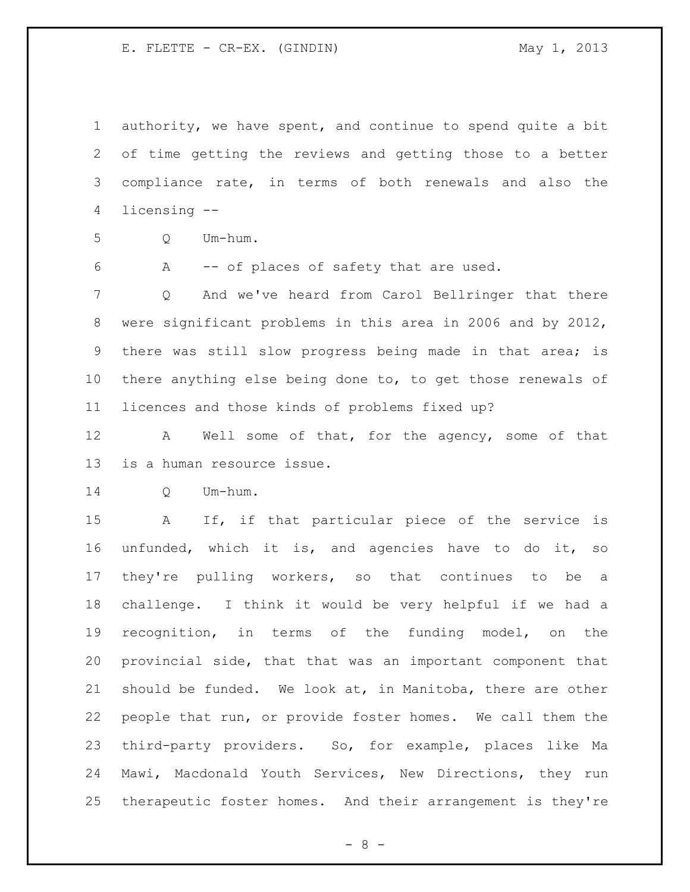authority, we have spent, and continue to spend quite a bit of time getting the reviews and getting those to a better compliance rate, in terms of both renewals and also the licensing --

- Q Um-hum.
	-

A -- of places of safety that are used.

 Q And we've heard from Carol Bellringer that there were significant problems in this area in 2006 and by 2012, there was still slow progress being made in that area; is there anything else being done to, to get those renewals of licences and those kinds of problems fixed up?

 A Well some of that, for the agency, some of that is a human resource issue.

Q Um-hum.

 A If, if that particular piece of the service is unfunded, which it is, and agencies have to do it, so they're pulling workers, so that continues to be a challenge. I think it would be very helpful if we had a recognition, in terms of the funding model, on the provincial side, that that was an important component that should be funded. We look at, in Manitoba, there are other people that run, or provide foster homes. We call them the third-party providers. So, for example, places like Ma Mawi, Macdonald Youth Services, New Directions, they run therapeutic foster homes. And their arrangement is they're

- 8 -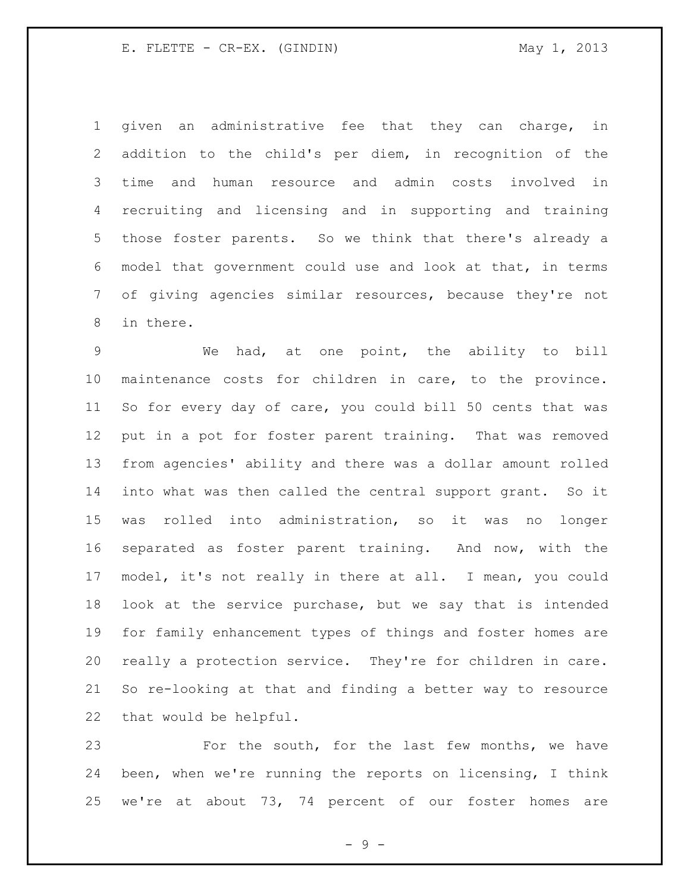given an administrative fee that they can charge, in addition to the child's per diem, in recognition of the time and human resource and admin costs involved in recruiting and licensing and in supporting and training those foster parents. So we think that there's already a model that government could use and look at that, in terms of giving agencies similar resources, because they're not in there.

 We had, at one point, the ability to bill maintenance costs for children in care, to the province. So for every day of care, you could bill 50 cents that was put in a pot for foster parent training. That was removed from agencies' ability and there was a dollar amount rolled into what was then called the central support grant. So it was rolled into administration, so it was no longer separated as foster parent training. And now, with the model, it's not really in there at all. I mean, you could look at the service purchase, but we say that is intended for family enhancement types of things and foster homes are really a protection service. They're for children in care. So re-looking at that and finding a better way to resource that would be helpful.

 For the south, for the last few months, we have been, when we're running the reports on licensing, I think we're at about 73, 74 percent of our foster homes are

 $-9 -$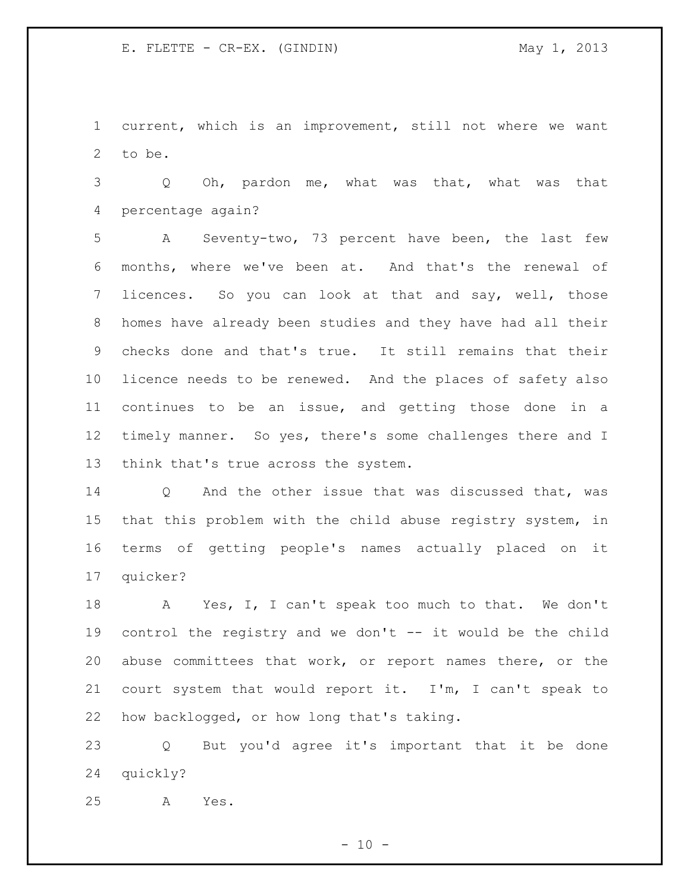current, which is an improvement, still not where we want to be.

 Q Oh, pardon me, what was that, what was that percentage again?

 A Seventy-two, 73 percent have been, the last few months, where we've been at. And that's the renewal of licences. So you can look at that and say, well, those homes have already been studies and they have had all their checks done and that's true. It still remains that their licence needs to be renewed. And the places of safety also continues to be an issue, and getting those done in a 12 timely manner. So yes, there's some challenges there and I think that's true across the system.

 Q And the other issue that was discussed that, was that this problem with the child abuse registry system, in terms of getting people's names actually placed on it quicker?

 A Yes, I, I can't speak too much to that. We don't control the registry and we don't -- it would be the child abuse committees that work, or report names there, or the court system that would report it. I'm, I can't speak to how backlogged, or how long that's taking.

 Q But you'd agree it's important that it be done quickly?

A Yes.

 $- 10 -$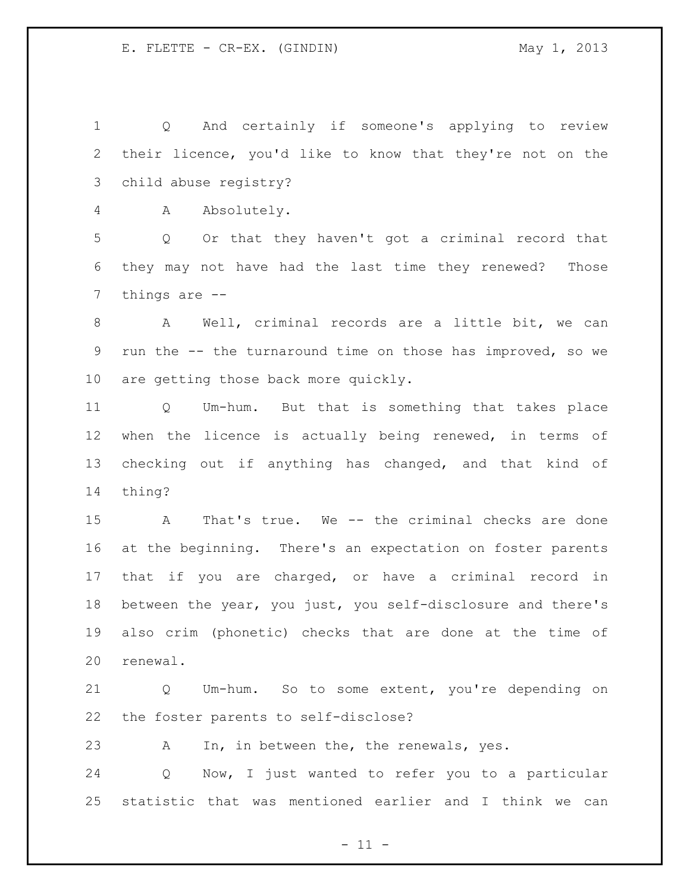Q And certainly if someone's applying to review their licence, you'd like to know that they're not on the child abuse registry?

A Absolutely.

 Q Or that they haven't got a criminal record that they may not have had the last time they renewed? Those things are --

 A Well, criminal records are a little bit, we can run the -- the turnaround time on those has improved, so we are getting those back more quickly.

 Q Um-hum. But that is something that takes place when the licence is actually being renewed, in terms of checking out if anything has changed, and that kind of thing?

 A That's true. We -- the criminal checks are done at the beginning. There's an expectation on foster parents that if you are charged, or have a criminal record in between the year, you just, you self-disclosure and there's also crim (phonetic) checks that are done at the time of renewal.

 Q Um-hum. So to some extent, you're depending on the foster parents to self-disclose?

A In, in between the, the renewals, yes.

 Q Now, I just wanted to refer you to a particular statistic that was mentioned earlier and I think we can

 $-11 -$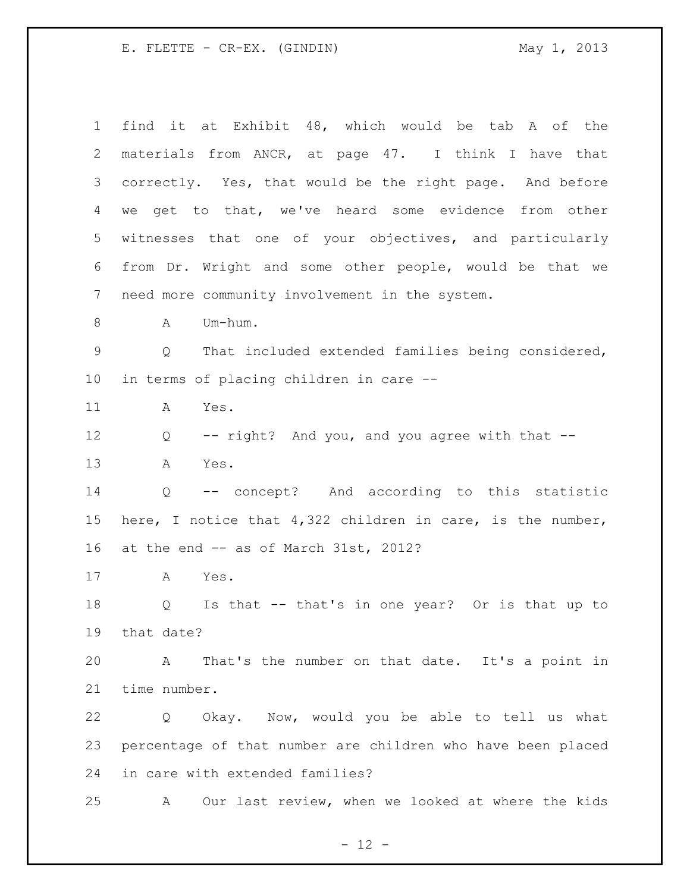| $\mathbf 1$ | find it at Exhibit 48, which would be tab A of the           |
|-------------|--------------------------------------------------------------|
| 2           | materials from ANCR, at page 47. I think I have that         |
| 3           | correctly. Yes, that would be the right page. And before     |
| 4           | we get to that, we've heard some evidence from other         |
| 5           | witnesses that one of your objectives, and particularly      |
| 6           | from Dr. Wright and some other people, would be that we      |
| 7           | need more community involvement in the system.               |
| 8           | Um-hum.<br>A                                                 |
| $\mathsf 9$ | That included extended families being considered,<br>Q       |
| $10 \,$     | in terms of placing children in care --                      |
| 11          | Yes.<br>А                                                    |
| 12          | -- right? And you, and you agree with that --<br>Q           |
| 13          | Α<br>Yes.                                                    |
| 14          | -- concept? And according to this statistic<br>Q             |
| 15          | here, I notice that $4,322$ children in care, is the number, |
| 16          | at the end -- as of March 31st, 2012?                        |
| 17          | Yes.<br>A                                                    |
| 18          | Is that -- that's in one year? Or is that up to<br>Q         |
| 19          | that date?                                                   |
| 20          | That's the number on that date. It's a point in<br>A         |
| 21          | time number.                                                 |
| 22          | Okay. Now, would you be able to tell us what<br>Q            |
| 23          | percentage of that number are children who have been placed  |
| 24          | in care with extended families?                              |
| 25          | Our last review, when we looked at where the kids<br>A       |

- 12 -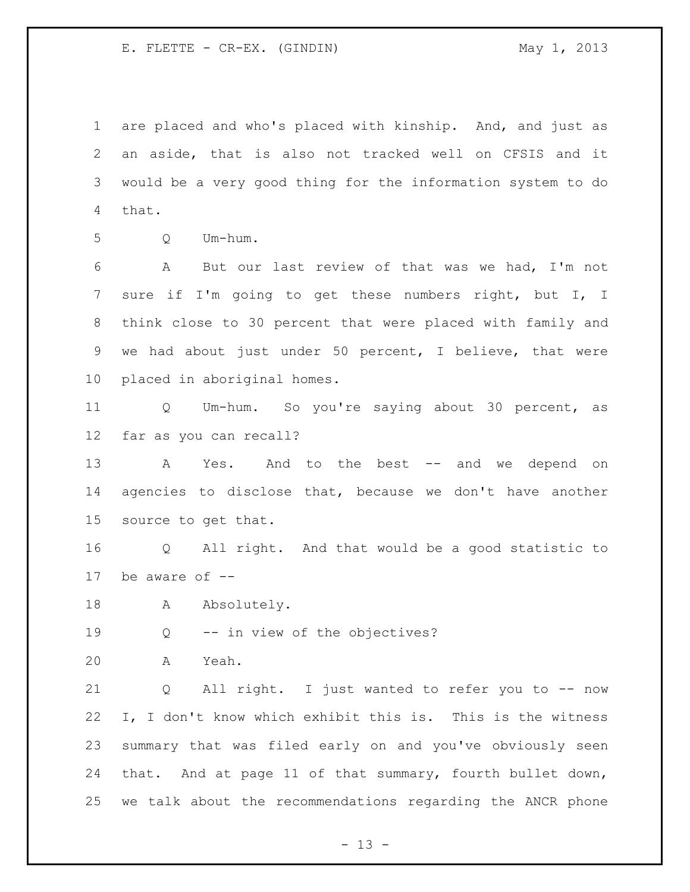are placed and who's placed with kinship. And, and just as an aside, that is also not tracked well on CFSIS and it would be a very good thing for the information system to do that.

Q Um-hum.

 A But our last review of that was we had, I'm not sure if I'm going to get these numbers right, but I, I think close to 30 percent that were placed with family and we had about just under 50 percent, I believe, that were placed in aboriginal homes.

 Q Um-hum. So you're saying about 30 percent, as far as you can recall?

13 A Yes. And to the best -- and we depend on agencies to disclose that, because we don't have another source to get that.

 Q All right. And that would be a good statistic to be aware of --

18 A Absolutely.

Q -- in view of the objectives?

A Yeah.

 Q All right. I just wanted to refer you to -- now I, I don't know which exhibit this is. This is the witness summary that was filed early on and you've obviously seen that. And at page 11 of that summary, fourth bullet down, we talk about the recommendations regarding the ANCR phone

 $- 13 -$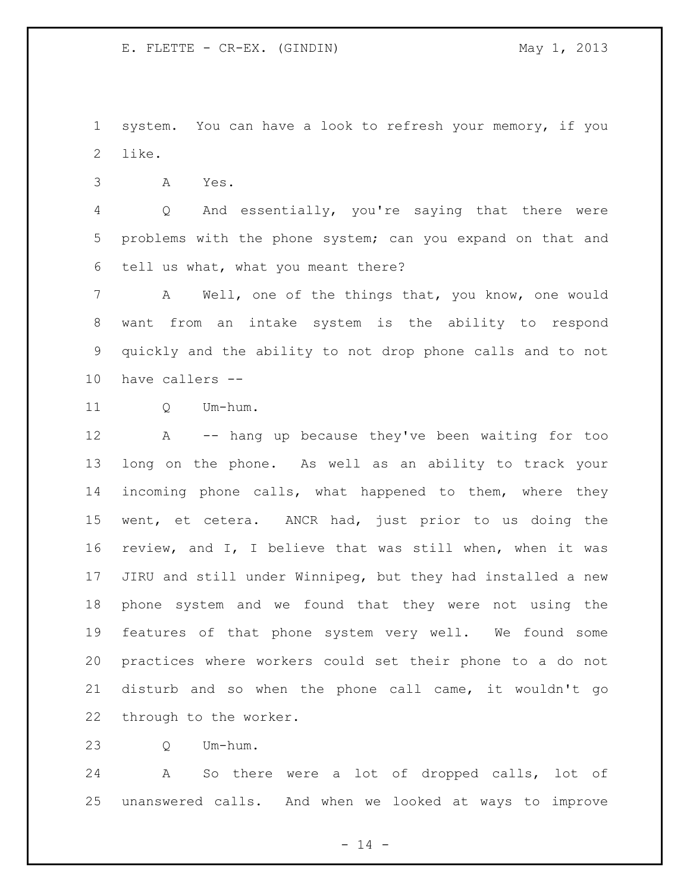system. You can have a look to refresh your memory, if you like.

A Yes.

 Q And essentially, you're saying that there were problems with the phone system; can you expand on that and tell us what, what you meant there?

 A Well, one of the things that, you know, one would want from an intake system is the ability to respond quickly and the ability to not drop phone calls and to not have callers --

11 O Um-hum.

 A -- hang up because they've been waiting for too long on the phone. As well as an ability to track your incoming phone calls, what happened to them, where they went, et cetera. ANCR had, just prior to us doing the review, and I, I believe that was still when, when it was JIRU and still under Winnipeg, but they had installed a new phone system and we found that they were not using the features of that phone system very well. We found some practices where workers could set their phone to a do not disturb and so when the phone call came, it wouldn't go through to the worker.

Q Um-hum.

 A So there were a lot of dropped calls, lot of unanswered calls. And when we looked at ways to improve

- 14 -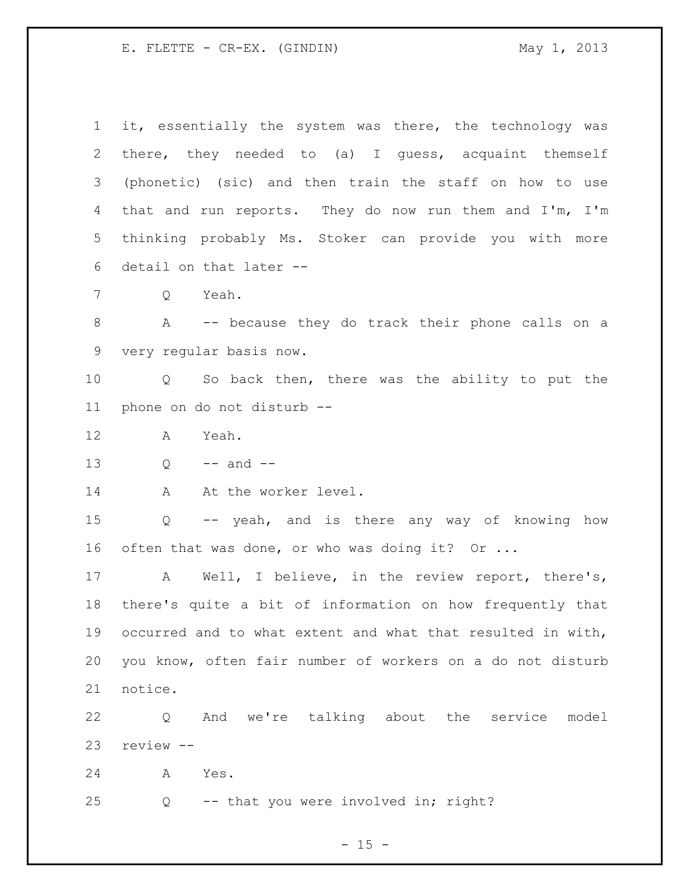it, essentially the system was there, the technology was there, they needed to (a) I guess, acquaint themself (phonetic) (sic) and then train the staff on how to use that and run reports. They do now run them and I'm, I'm thinking probably Ms. Stoker can provide you with more detail on that later -- Q Yeah. A -- because they do track their phone calls on a very regular basis now. Q So back then, there was the ability to put the phone on do not disturb -- A Yeah.  $Q \rightarrow -$  and  $-$ 14 A At the worker level. Q -- yeah, and is there any way of knowing how 16 often that was done, or who was doing it? Or ... A Well, I believe, in the review report, there's, there's quite a bit of information on how frequently that occurred and to what extent and what that resulted in with, you know, often fair number of workers on a do not disturb notice. Q And we're talking about the service model review -- A Yes. Q -- that you were involved in; right?

 $- 15 -$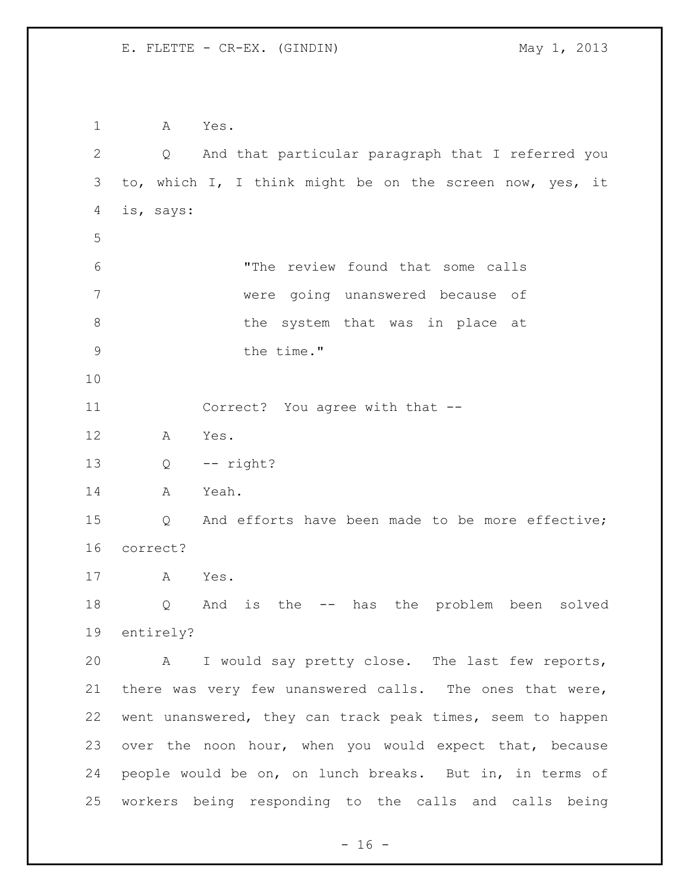A Yes. Q And that particular paragraph that I referred you to, which I, I think might be on the screen now, yes, it is, says: "The review found that some calls were going unanswered because of 8 b the system that was in place at 9 the time." Correct? You agree with that -- A Yes. Q -- right? A Yeah. Q And efforts have been made to be more effective; correct? A Yes. Q And is the -- has the problem been solved entirely? A I would say pretty close. The last few reports, there was very few unanswered calls. The ones that were, went unanswered, they can track peak times, seem to happen over the noon hour, when you would expect that, because people would be on, on lunch breaks. But in, in terms of workers being responding to the calls and calls being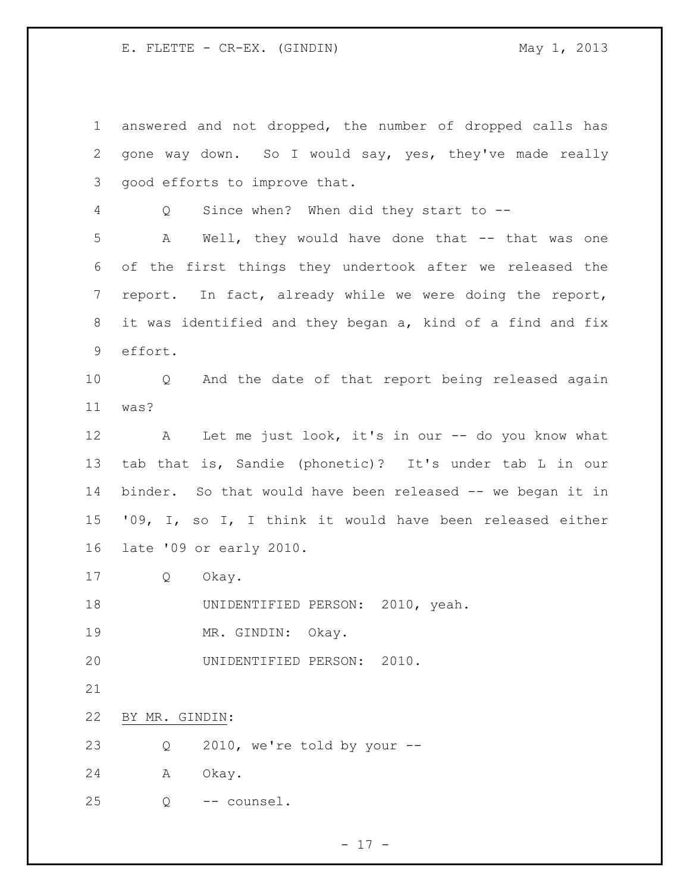answered and not dropped, the number of dropped calls has gone way down. So I would say, yes, they've made really good efforts to improve that. Q Since when? When did they start to -- A Well, they would have done that -- that was one of the first things they undertook after we released the report. In fact, already while we were doing the report, it was identified and they began a, kind of a find and fix effort. Q And the date of that report being released again was? 12 A Let me just look, it's in our -- do you know what tab that is, Sandie (phonetic)? It's under tab L in our binder. So that would have been released -- we began it in '09, I, so I, I think it would have been released either late '09 or early 2010. Q Okay. UNIDENTIFIED PERSON: 2010, yeah. MR. GINDIN: Okay. UNIDENTIFIED PERSON: 2010. BY MR. GINDIN: Q 2010, we're told by your -- A Okay. Q -- counsel.

- 17 -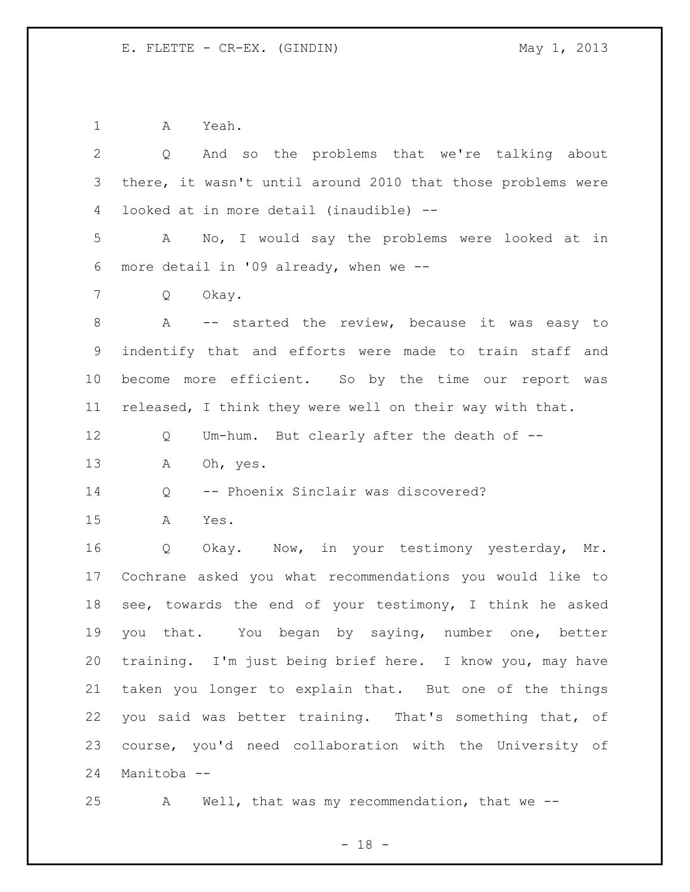A Yeah.

| $\overline{2}$ | And so the problems that we're talking about<br>Q           |
|----------------|-------------------------------------------------------------|
| 3              | there, it wasn't until around 2010 that those problems were |
| 4              | looked at in more detail (inaudible) --                     |
| 5              | A No, I would say the problems were looked at in            |
| 6              | more detail in '09 already, when we --                      |
| 7              | Okay.<br>Q                                                  |
| 8              | A -- started the review, because it was easy to             |
| 9              | indentify that and efforts were made to train staff and     |
| 10             | become more efficient. So by the time our report was        |
| 11             | released, I think they were well on their way with that.    |
| 12             | Um-hum. But clearly after the death of --<br>Q              |
| 13             | Oh, yes.<br>A                                               |
| 14             | -- Phoenix Sinclair was discovered?<br>Q                    |
| 15             | A<br>Yes.                                                   |
| 16             | Okay. Now, in your testimony yesterday, Mr.<br>Q            |
| 17             | Cochrane asked you what recommendations you would like to   |
| 18             | see, towards the end of your testimony, I think he asked    |
| 19             | that. You began by saying, number one, better<br>you        |
| 20             | training. I'm just being brief here. I know you, may have   |
| 21             | taken you longer to explain that. But one of the things     |
| 22             | you said was better training. That's something that, of     |
| 23             | course, you'd need collaboration with the University of     |
| 24             | Manitoba --                                                 |

A Well, that was my recommendation, that we --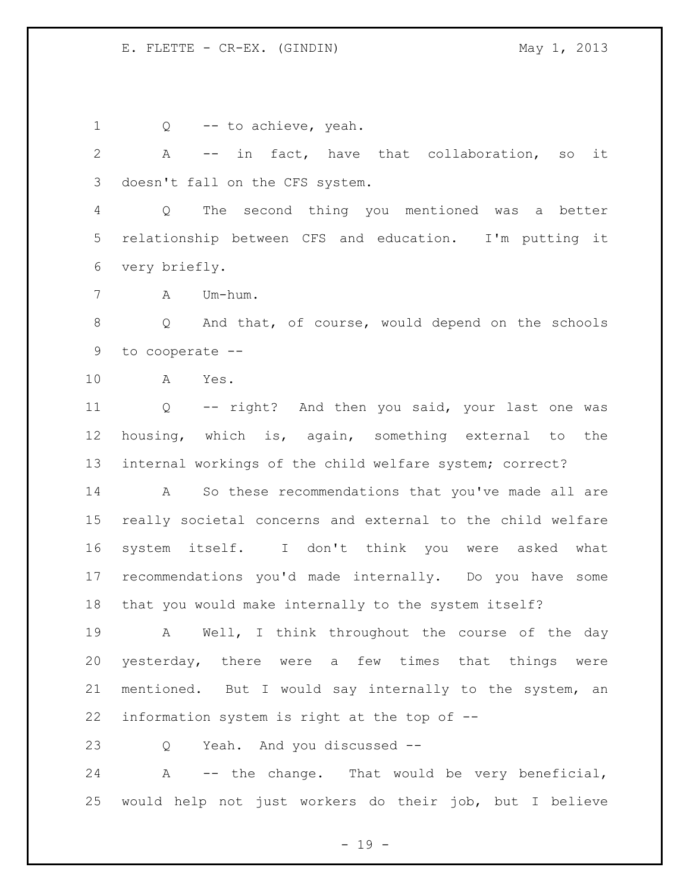1 Q -- to achieve, yeah. A -- in fact, have that collaboration, so it doesn't fall on the CFS system. Q The second thing you mentioned was a better relationship between CFS and education. I'm putting it very briefly. A Um-hum. Q And that, of course, would depend on the schools to cooperate -- A Yes. Q -- right? And then you said, your last one was housing, which is, again, something external to the internal workings of the child welfare system; correct? A So these recommendations that you've made all are really societal concerns and external to the child welfare system itself. I don't think you were asked what recommendations you'd made internally. Do you have some that you would make internally to the system itself? A Well, I think throughout the course of the day yesterday, there were a few times that things were mentioned. But I would say internally to the system, an information system is right at the top of -- Q Yeah. And you discussed -- A -- the change. That would be very beneficial,

 $- 19 -$ 

would help not just workers do their job, but I believe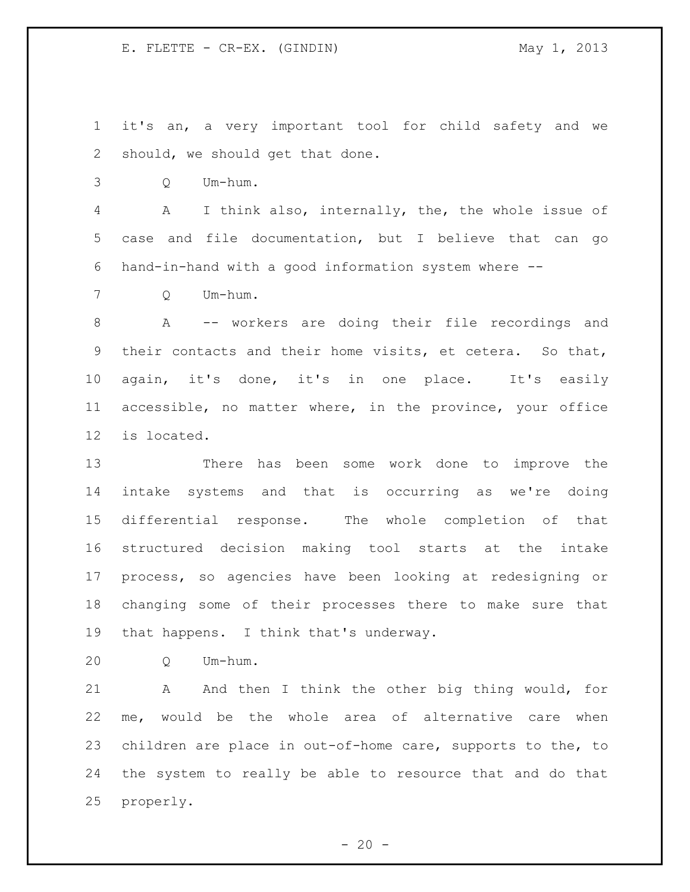it's an, a very important tool for child safety and we should, we should get that done.

Q Um-hum.

 A I think also, internally, the, the whole issue of case and file documentation, but I believe that can go hand-in-hand with a good information system where --

Q Um-hum.

 A -- workers are doing their file recordings and their contacts and their home visits, et cetera. So that, again, it's done, it's in one place. It's easily accessible, no matter where, in the province, your office is located.

 There has been some work done to improve the intake systems and that is occurring as we're doing differential response. The whole completion of that structured decision making tool starts at the intake process, so agencies have been looking at redesigning or changing some of their processes there to make sure that that happens. I think that's underway.

Q Um-hum.

21 A And then I think the other big thing would, for me, would be the whole area of alternative care when children are place in out-of-home care, supports to the, to the system to really be able to resource that and do that properly.

 $- 20 -$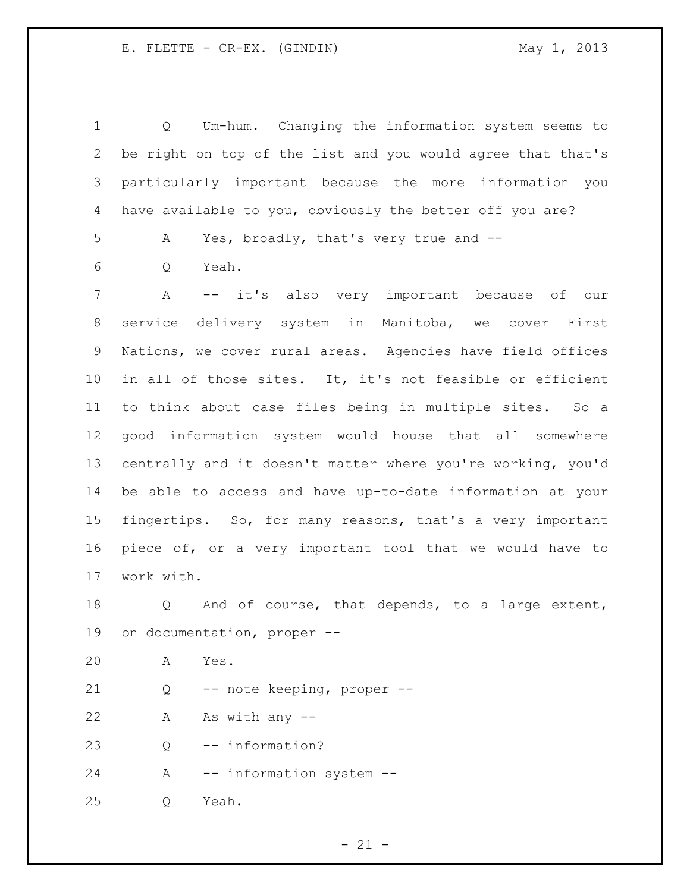| $\mathbf 1$    | Um-hum. Changing the information system seems to<br>Q       |
|----------------|-------------------------------------------------------------|
| $\overline{2}$ | be right on top of the list and you would agree that that's |
| 3              | particularly important because the more information you     |
| 4              | have available to you, obviously the better off you are?    |
| 5              | Yes, broadly, that's very true and --<br>A                  |
| 6              | Yeah.<br>Q                                                  |
| 7              | -- it's also very important because of our<br>$\mathbb A$   |
| 8              | delivery system in Manitoba, we cover First<br>service      |
| $\mathsf 9$    | Nations, we cover rural areas. Agencies have field offices  |
| 10             | in all of those sites. It, it's not feasible or efficient   |
| 11             | to think about case files being in multiple sites. So a     |
| 12             | good information system would house that all somewhere      |
| 13             | centrally and it doesn't matter where you're working, you'd |
| 14             | be able to access and have up-to-date information at your   |
| 15             | fingertips. So, for many reasons, that's a very important   |
| 16             | piece of, or a very important tool that we would have to    |
| 17             | work with.                                                  |
| 18             | And of course, that depends, to a large extent,<br>Q        |
| 19             | on documentation, proper --                                 |
| 20             | Yes.<br>Α                                                   |
| 21             | -- note keeping, proper --<br>Q                             |
| 22             | As with any --<br>Α                                         |
| 23             | -- information?<br>Q                                        |
| 24             | -- information system --<br>Α                               |
| 25             | Yeah.<br>Q                                                  |

- 21 -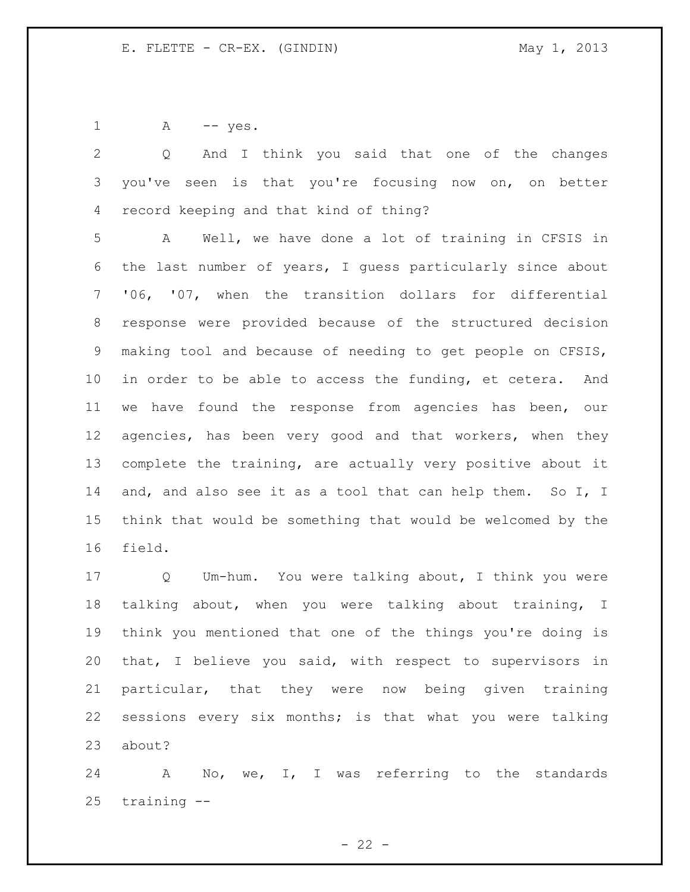1 A -- yes.

 Q And I think you said that one of the changes you've seen is that you're focusing now on, on better record keeping and that kind of thing? A Well, we have done a lot of training in CFSIS in

 the last number of years, I guess particularly since about '06, '07, when the transition dollars for differential response were provided because of the structured decision making tool and because of needing to get people on CFSIS, in order to be able to access the funding, et cetera. And we have found the response from agencies has been, our 12 agencies, has been very good and that workers, when they complete the training, are actually very positive about it 14 and, and also see it as a tool that can help them. So I, I think that would be something that would be welcomed by the field.

 Q Um-hum. You were talking about, I think you were talking about, when you were talking about training, I think you mentioned that one of the things you're doing is that, I believe you said, with respect to supervisors in particular, that they were now being given training sessions every six months; is that what you were talking about?

 A No, we, I, I was referring to the standards training --

 $- 22 -$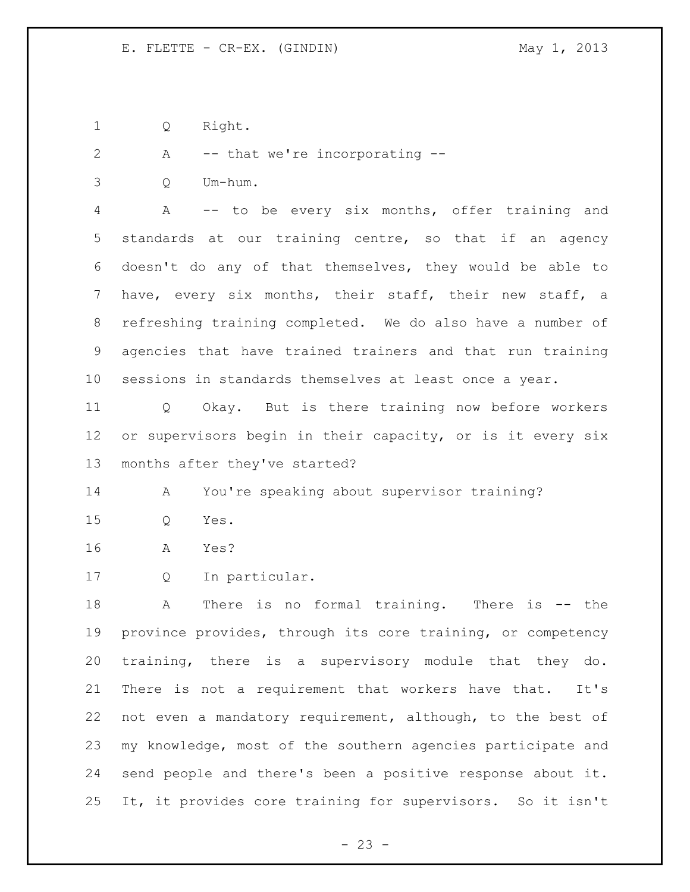Q Right.

2 A -- that we're incorporating --

Q Um-hum.

 A -- to be every six months, offer training and standards at our training centre, so that if an agency doesn't do any of that themselves, they would be able to have, every six months, their staff, their new staff, a refreshing training completed. We do also have a number of agencies that have trained trainers and that run training sessions in standards themselves at least once a year.

 Q Okay. But is there training now before workers or supervisors begin in their capacity, or is it every six months after they've started?

A You're speaking about supervisor training?

Q Yes.

- A Yes?
- Q In particular.

 A There is no formal training. There is -- the province provides, through its core training, or competency training, there is a supervisory module that they do. There is not a requirement that workers have that. It's not even a mandatory requirement, although, to the best of my knowledge, most of the southern agencies participate and send people and there's been a positive response about it. It, it provides core training for supervisors. So it isn't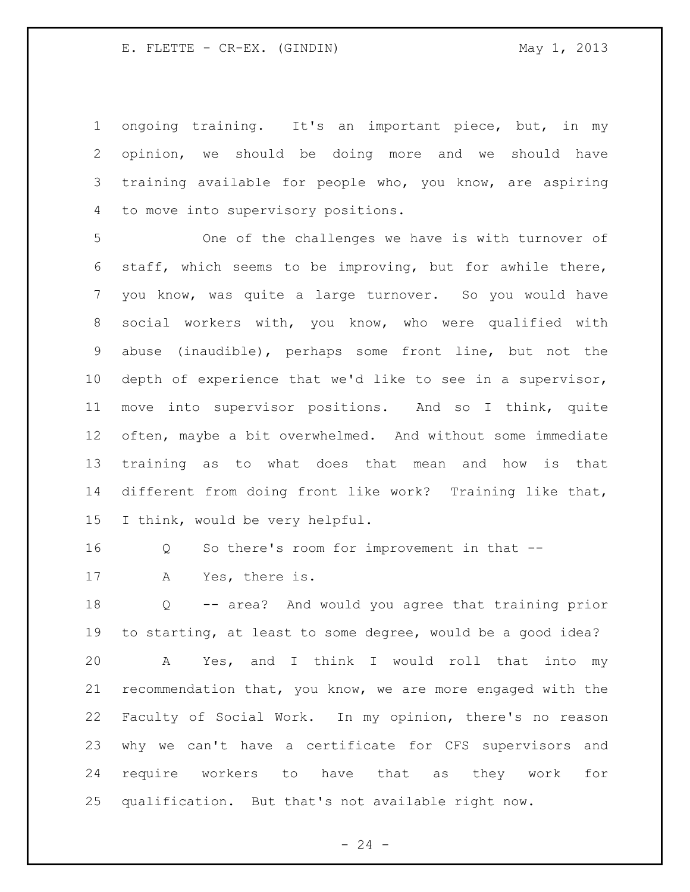ongoing training. It's an important piece, but, in my opinion, we should be doing more and we should have training available for people who, you know, are aspiring to move into supervisory positions.

 One of the challenges we have is with turnover of staff, which seems to be improving, but for awhile there, you know, was quite a large turnover. So you would have social workers with, you know, who were qualified with abuse (inaudible), perhaps some front line, but not the depth of experience that we'd like to see in a supervisor, move into supervisor positions. And so I think, quite often, maybe a bit overwhelmed. And without some immediate training as to what does that mean and how is that different from doing front like work? Training like that, I think, would be very helpful.

Q So there's room for improvement in that --

A Yes, there is.

 Q -- area? And would you agree that training prior to starting, at least to some degree, would be a good idea? A Yes, and I think I would roll that into my recommendation that, you know, we are more engaged with the Faculty of Social Work. In my opinion, there's no reason why we can't have a certificate for CFS supervisors and require workers to have that as they work for qualification. But that's not available right now.

 $- 24 -$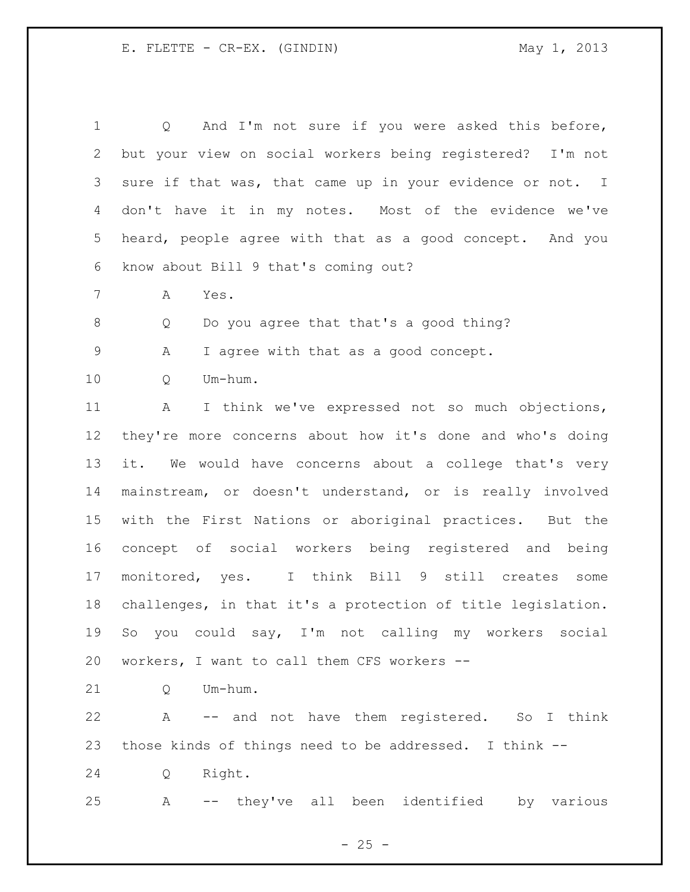Q And I'm not sure if you were asked this before, but your view on social workers being registered? I'm not sure if that was, that came up in your evidence or not. I don't have it in my notes. Most of the evidence we've heard, people agree with that as a good concept. And you know about Bill 9 that's coming out? A Yes. Q Do you agree that that's a good thing? A I agree with that as a good concept. Q Um-hum. A I think we've expressed not so much objections, they're more concerns about how it's done and who's doing it. We would have concerns about a college that's very mainstream, or doesn't understand, or is really involved with the First Nations or aboriginal practices. But the concept of social workers being registered and being monitored, yes. I think Bill 9 still creates some challenges, in that it's a protection of title legislation. So you could say, I'm not calling my workers social workers, I want to call them CFS workers -- 21 O Um-hum. A -- and not have them registered. So I think those kinds of things need to be addressed. I think --

Q Right.

A -- they've all been identified by various

 $- 25 -$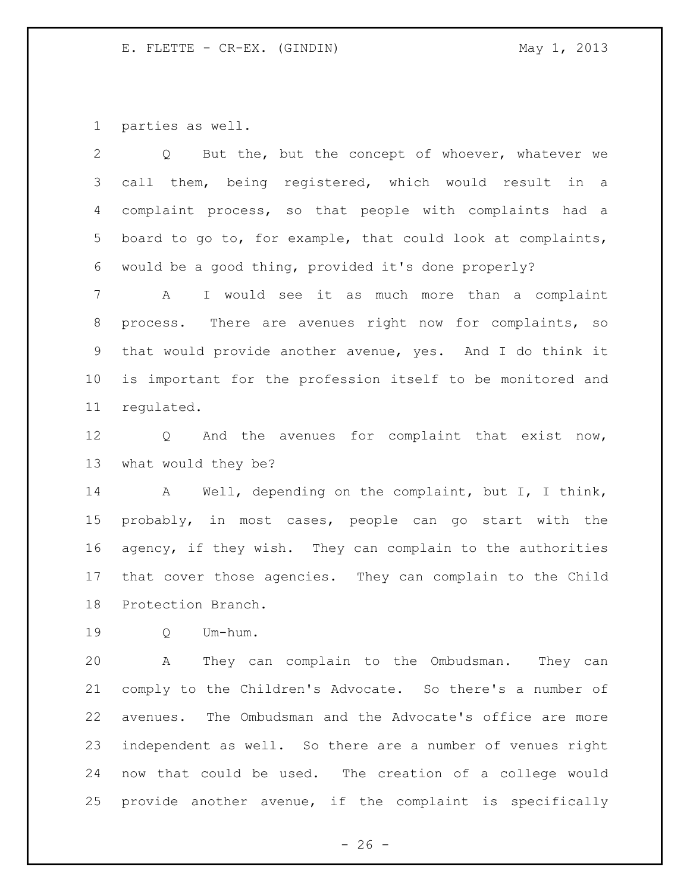parties as well.

| $\overline{2}$ | But the, but the concept of whoever, whatever we<br>$Q \qquad \qquad$ |
|----------------|-----------------------------------------------------------------------|
| 3              | call them, being registered, which would result in a                  |
| 4              | complaint process, so that people with complaints had a               |
| 5              | board to go to, for example, that could look at complaints,           |
| 6              | would be a good thing, provided it's done properly?                   |
| $\overline{7}$ | I would see it as much more than a complaint<br>$\mathsf{A}$          |
| 8              | process. There are avenues right now for complaints, so               |
| 9              | that would provide another avenue, yes. And I do think it             |
| 10             | is important for the profession itself to be monitored and            |
| 11             | regulated.                                                            |
| 12             | And the avenues for complaint that exist now,<br>$Q \qquad \qquad$    |
| 13             | what would they be?                                                   |
| 14             | Well, depending on the complaint, but I, I think,<br>A                |

 probably, in most cases, people can go start with the agency, if they wish. They can complain to the authorities that cover those agencies. They can complain to the Child Protection Branch.

Q Um-hum.

 A They can complain to the Ombudsman. They can comply to the Children's Advocate. So there's a number of avenues. The Ombudsman and the Advocate's office are more independent as well. So there are a number of venues right now that could be used. The creation of a college would provide another avenue, if the complaint is specifically

 $- 26 -$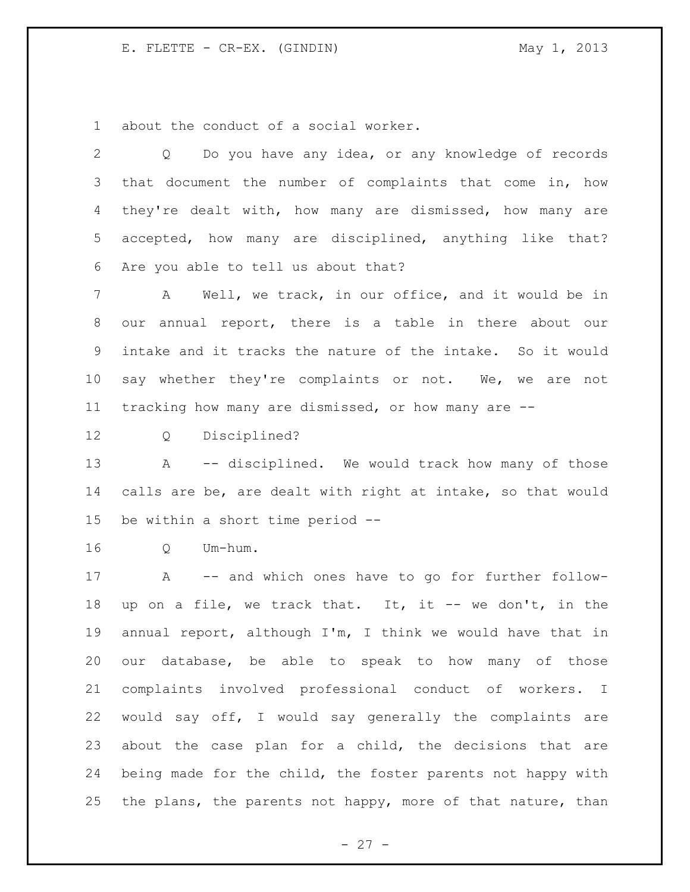about the conduct of a social worker.

| 2               | Do you have any idea, or any knowledge of records<br>$Q \qquad \qquad$ |
|-----------------|------------------------------------------------------------------------|
| 3               | that document the number of complaints that come in, how               |
| 4               | they're dealt with, how many are dismissed, how many are               |
| 5 <sup>5</sup>  | accepted, how many are disciplined, anything like that?                |
| 6               | Are you able to tell us about that?                                    |
| 7               | Well, we track, in our office, and it would be in<br>A                 |
| 8               | our annual report, there is a table in there about our                 |
| 9               | intake and it tracks the nature of the intake. So it would             |
| 10 <sub>o</sub> | say whether they're complaints or not. We, we are not                  |
| 11              | tracking how many are dismissed, or how many are --                    |
| 12              | Disciplined?<br>$Q \qquad \qquad$                                      |
| 13              | -- disciplined. We would track how many of those<br>A                  |
| 14              | calls are be, are dealt with right at intake, so that would            |
| 15              | be within a short time period --                                       |
| 16              | Um-hum.<br>$Q \qquad \qquad$                                           |
| 17              | A -- and which ones have to go for further follow-                     |
| 18              | up on a file, we track that. It, it -- we don't, in the                |
| 19              | annual report, although I'm, I think we would have that in             |
| 20              | our database, be able to speak to how many of those                    |
| 21              | complaints involved professional conduct of workers. I                 |
| 22              | would say off, I would say generally the complaints are                |
| 23              | about the case plan for a child, the decisions that are                |
| 24              | being made for the child, the foster parents not happy with            |

the plans, the parents not happy, more of that nature, than

- 27 -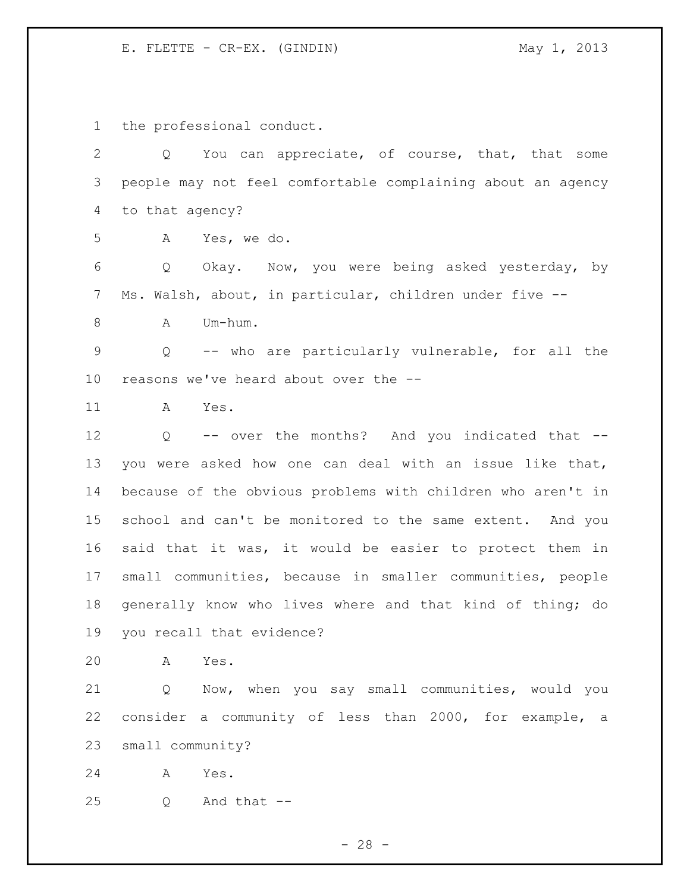the professional conduct.

 Q You can appreciate, of course, that, that some people may not feel comfortable complaining about an agency to that agency?

A Yes, we do.

 Q Okay. Now, you were being asked yesterday, by Ms. Walsh, about, in particular, children under five --

8 A Um-hum.

 Q -- who are particularly vulnerable, for all the reasons we've heard about over the --

A Yes.

 Q -- over the months? And you indicated that -- you were asked how one can deal with an issue like that, because of the obvious problems with children who aren't in school and can't be monitored to the same extent. And you said that it was, it would be easier to protect them in small communities, because in smaller communities, people generally know who lives where and that kind of thing; do you recall that evidence?

A Yes.

 Q Now, when you say small communities, would you consider a community of less than 2000, for example, a small community?

A Yes.

Q And that  $-$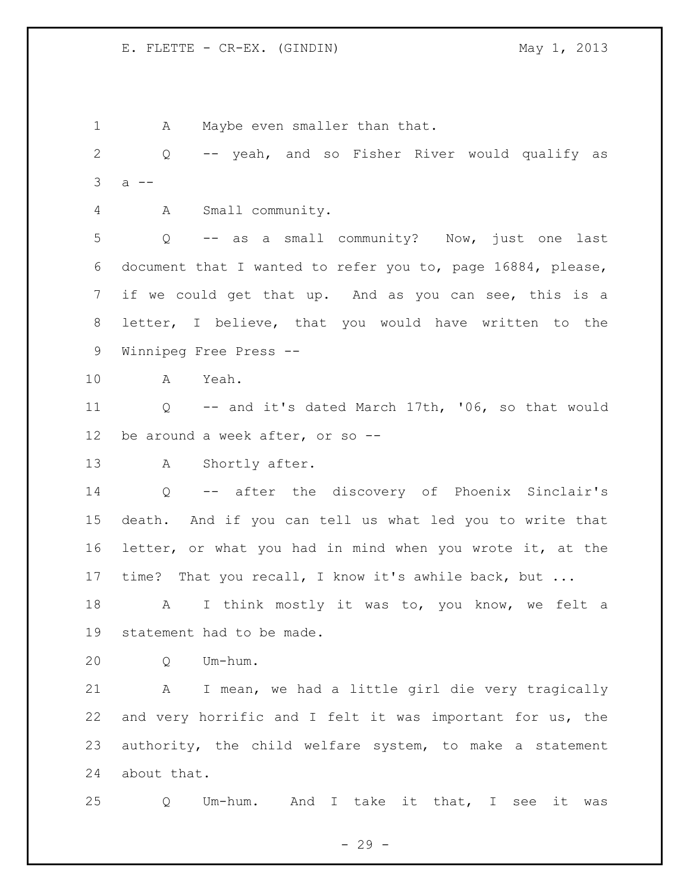1 A Maybe even smaller than that. Q -- yeah, and so Fisher River would qualify as a  $-$  A Small community. Q -- as a small community? Now, just one last document that I wanted to refer you to, page 16884, please, if we could get that up. And as you can see, this is a letter, I believe, that you would have written to the Winnipeg Free Press -- A Yeah. Q -- and it's dated March 17th, '06, so that would be around a week after, or so -- 13 A Shortly after. Q -- after the discovery of Phoenix Sinclair's death. And if you can tell us what led you to write that letter, or what you had in mind when you wrote it, at the time? That you recall, I know it's awhile back, but ... 18 A I think mostly it was to, you know, we felt a statement had to be made. Q Um-hum. A I mean, we had a little girl die very tragically and very horrific and I felt it was important for us, the authority, the child welfare system, to make a statement about that. Q Um-hum. And I take it that, I see it was

- 29 -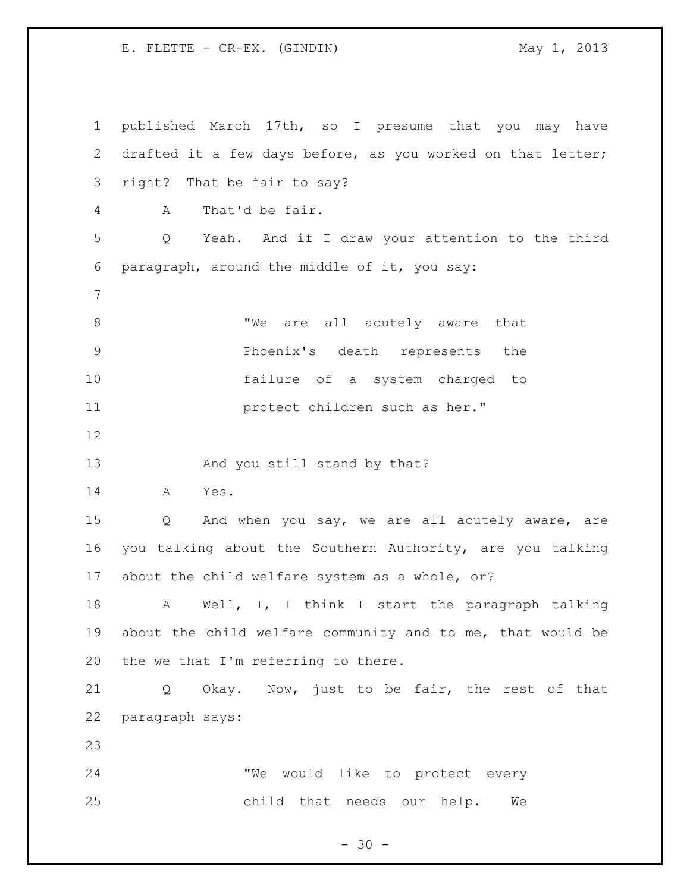published March 17th, so I presume that you may have drafted it a few days before, as you worked on that letter; right? That be fair to say? A That'd be fair. Q Yeah. And if I draw your attention to the third paragraph, around the middle of it, you say: 8 TWe are all acutely aware that Phoenix's death represents the failure of a system charged to **11** protect children such as her." 13 And you still stand by that? A Yes. Q And when you say, we are all acutely aware, are you talking about the Southern Authority, are you talking about the child welfare system as a whole, or? A Well, I, I think I start the paragraph talking about the child welfare community and to me, that would be the we that I'm referring to there. Q Okay. Now, just to be fair, the rest of that paragraph says: "We would like to protect every child that needs our help. We

 $- 30 -$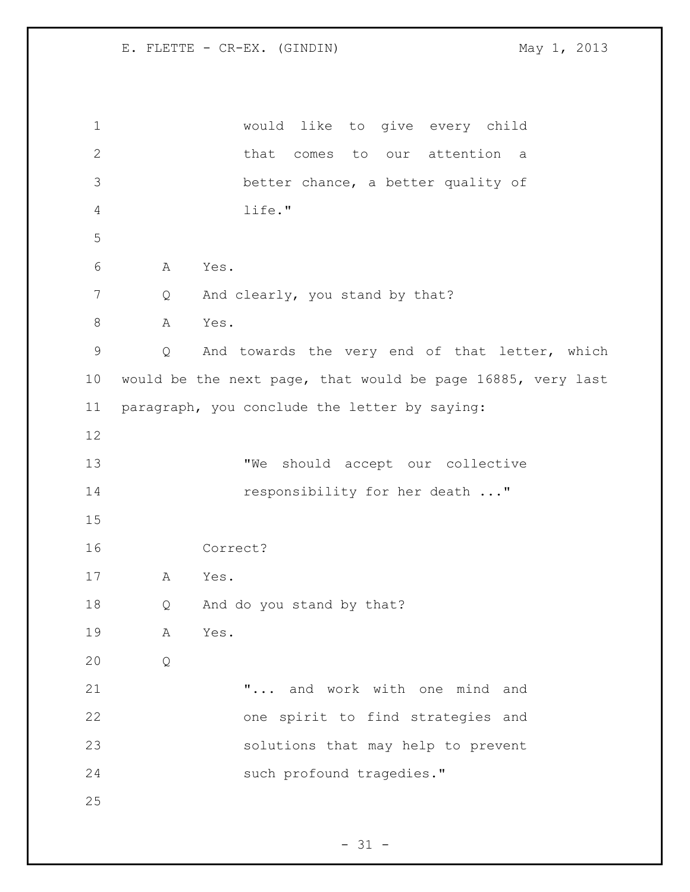would like to give every child that comes to our attention a better chance, a better quality of life." A Yes. 7 Q And clearly, you stand by that? 8 A Yes. Q And towards the very end of that letter, which would be the next page, that would be page 16885, very last paragraph, you conclude the letter by saying: 13 TWe should accept our collective 14 responsibility for her death ..." Correct? A Yes. Q And do you stand by that? A Yes. Q "... and work with one mind and one spirit to find strategies and solutions that may help to prevent 24 such profound tragedies."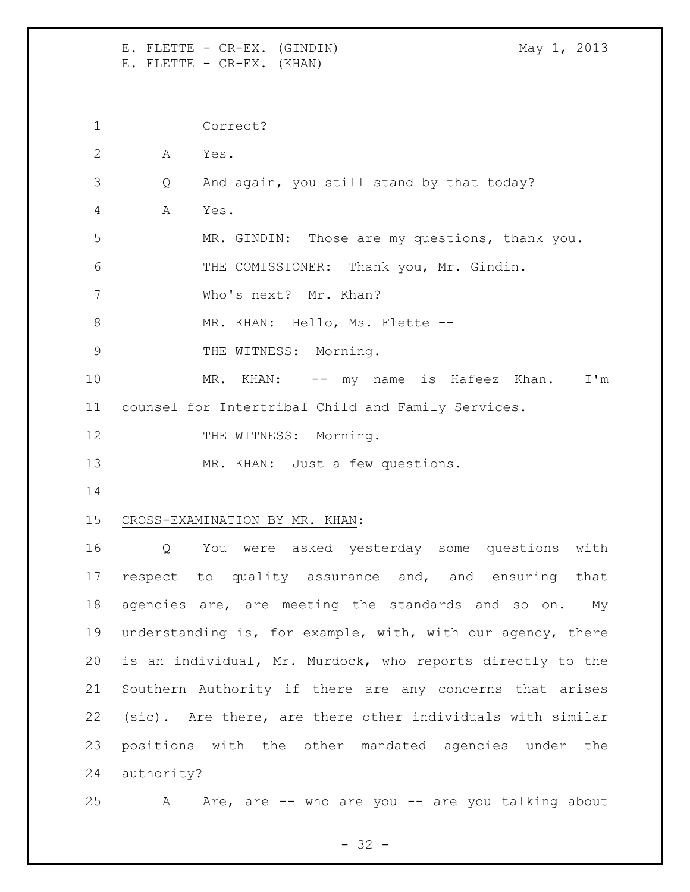E. FLETTE - CR-EX. (GINDIN) May 1, 2013 E. FLETTE - CR-EX. (KHAN)

 Correct? A Yes. Q And again, you still stand by that today? A Yes. MR. GINDIN: Those are my questions, thank you. THE COMISSIONER: Thank you, Mr. Gindin. Who's next? Mr. Khan? 8 MR. KHAN: Hello, Ms. Flette --9 THE WITNESS: Morning. 10 MR. KHAN: -- my name is Hafeez Khan. I'm counsel for Intertribal Child and Family Services. 12 THE WITNESS: Morning. MR. KHAN: Just a few questions. CROSS-EXAMINATION BY MR. KHAN: Q You were asked yesterday some questions with respect to quality assurance and, and ensuring that 18 agencies are, are meeting the standards and so on. My understanding is, for example, with, with our agency, there is an individual, Mr. Murdock, who reports directly to the Southern Authority if there are any concerns that arises (sic). Are there, are there other individuals with similar positions with the other mandated agencies under the authority?

25 A Are, are -- who are you -- are you talking about

- 32 -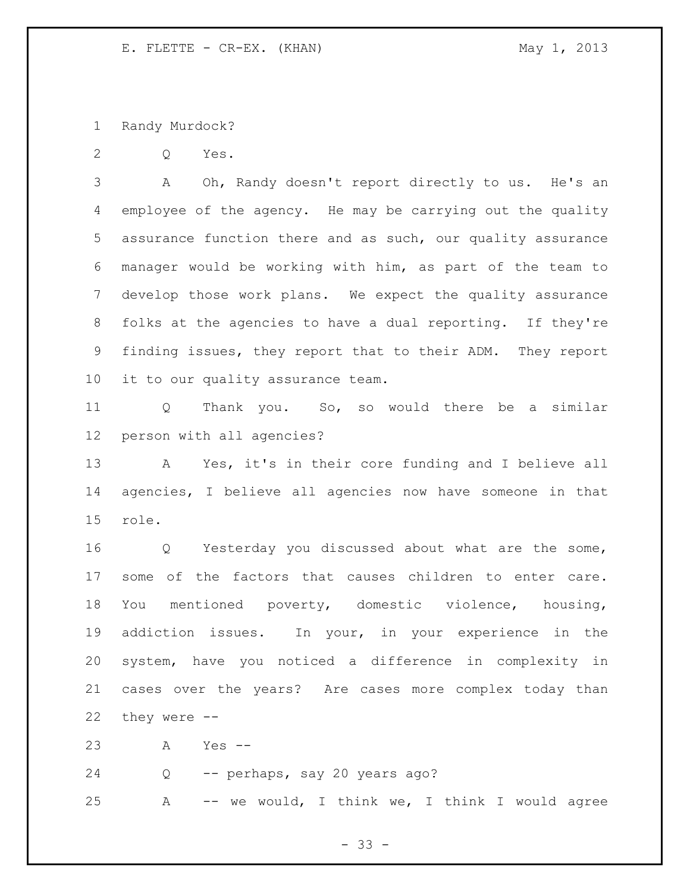Randy Murdock?

Q Yes.

 A Oh, Randy doesn't report directly to us. He's an employee of the agency. He may be carrying out the quality assurance function there and as such, our quality assurance manager would be working with him, as part of the team to develop those work plans. We expect the quality assurance folks at the agencies to have a dual reporting. If they're finding issues, they report that to their ADM. They report it to our quality assurance team.

 Q Thank you. So, so would there be a similar person with all agencies?

 A Yes, it's in their core funding and I believe all agencies, I believe all agencies now have someone in that role.

 Q Yesterday you discussed about what are the some, some of the factors that causes children to enter care. You mentioned poverty, domestic violence, housing, addiction issues. In your, in your experience in the system, have you noticed a difference in complexity in cases over the years? Are cases more complex today than they were --

A Yes --

Q -- perhaps, say 20 years ago?

A -- we would, I think we, I think I would agree

 $- 33 -$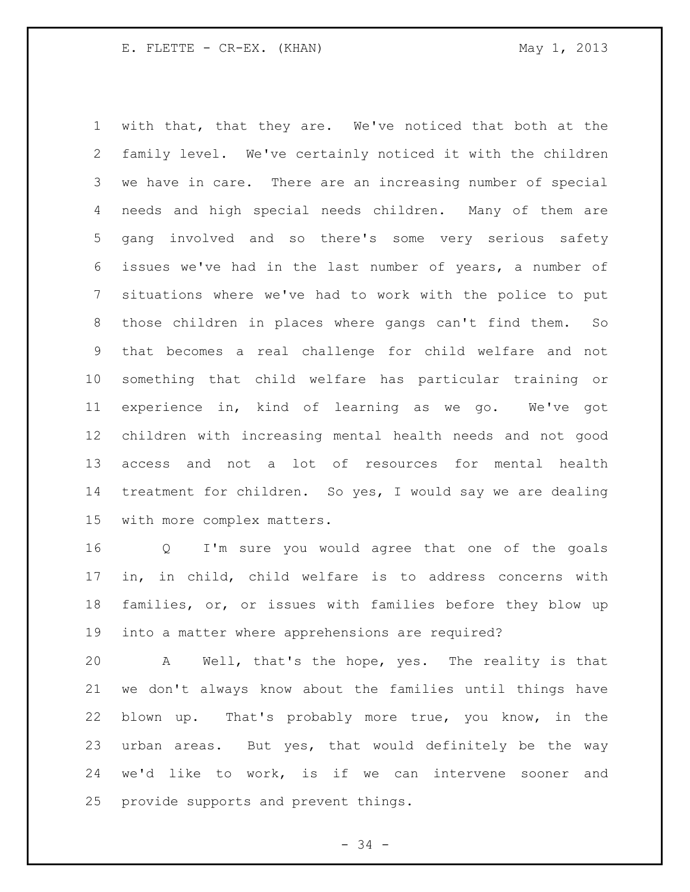with that, that they are. We've noticed that both at the family level. We've certainly noticed it with the children we have in care. There are an increasing number of special needs and high special needs children. Many of them are gang involved and so there's some very serious safety issues we've had in the last number of years, a number of situations where we've had to work with the police to put those children in places where gangs can't find them. So that becomes a real challenge for child welfare and not something that child welfare has particular training or experience in, kind of learning as we go. We've got children with increasing mental health needs and not good access and not a lot of resources for mental health treatment for children. So yes, I would say we are dealing with more complex matters.

 Q I'm sure you would agree that one of the goals in, in child, child welfare is to address concerns with families, or, or issues with families before they blow up into a matter where apprehensions are required?

 A Well, that's the hope, yes. The reality is that we don't always know about the families until things have blown up. That's probably more true, you know, in the urban areas. But yes, that would definitely be the way we'd like to work, is if we can intervene sooner and provide supports and prevent things.

 $-34 -$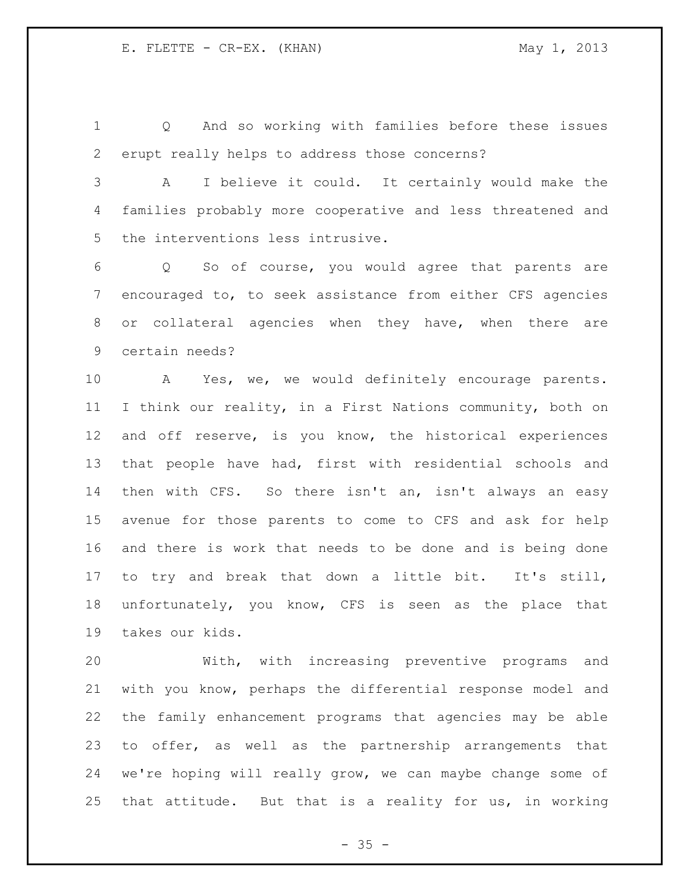Q And so working with families before these issues erupt really helps to address those concerns?

 A I believe it could. It certainly would make the families probably more cooperative and less threatened and the interventions less intrusive.

 Q So of course, you would agree that parents are encouraged to, to seek assistance from either CFS agencies or collateral agencies when they have, when there are certain needs?

 A Yes, we, we would definitely encourage parents. I think our reality, in a First Nations community, both on and off reserve, is you know, the historical experiences that people have had, first with residential schools and then with CFS. So there isn't an, isn't always an easy avenue for those parents to come to CFS and ask for help and there is work that needs to be done and is being done to try and break that down a little bit. It's still, unfortunately, you know, CFS is seen as the place that takes our kids.

 With, with increasing preventive programs and with you know, perhaps the differential response model and the family enhancement programs that agencies may be able to offer, as well as the partnership arrangements that we're hoping will really grow, we can maybe change some of that attitude. But that is a reality for us, in working

 $- 35 -$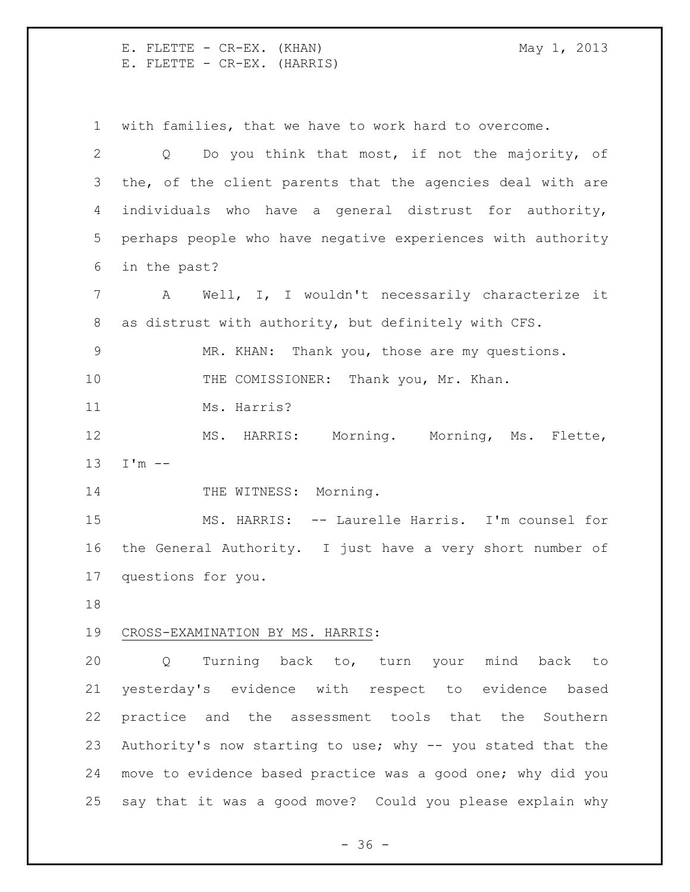E. FLETTE - CR-EX. (KHAN) May 1, 2013 E. FLETTE - CR-EX. (HARRIS)

with families, that we have to work hard to overcome.

 Q Do you think that most, if not the majority, of the, of the client parents that the agencies deal with are individuals who have a general distrust for authority, perhaps people who have negative experiences with authority in the past? A Well, I, I wouldn't necessarily characterize it as distrust with authority, but definitely with CFS. MR. KHAN: Thank you, those are my questions. 10 THE COMISSIONER: Thank you, Mr. Khan. Ms. Harris? MS. HARRIS: Morning. Morning, Ms. Flette, I'm -- 14 THE WITNESS: Morning. MS. HARRIS: -- Laurelle Harris. I'm counsel for the General Authority. I just have a very short number of questions for you. CROSS-EXAMINATION BY MS. HARRIS: Q Turning back to, turn your mind back to yesterday's evidence with respect to evidence based practice and the assessment tools that the Southern Authority's now starting to use; why -- you stated that the move to evidence based practice was a good one; why did you say that it was a good move? Could you please explain why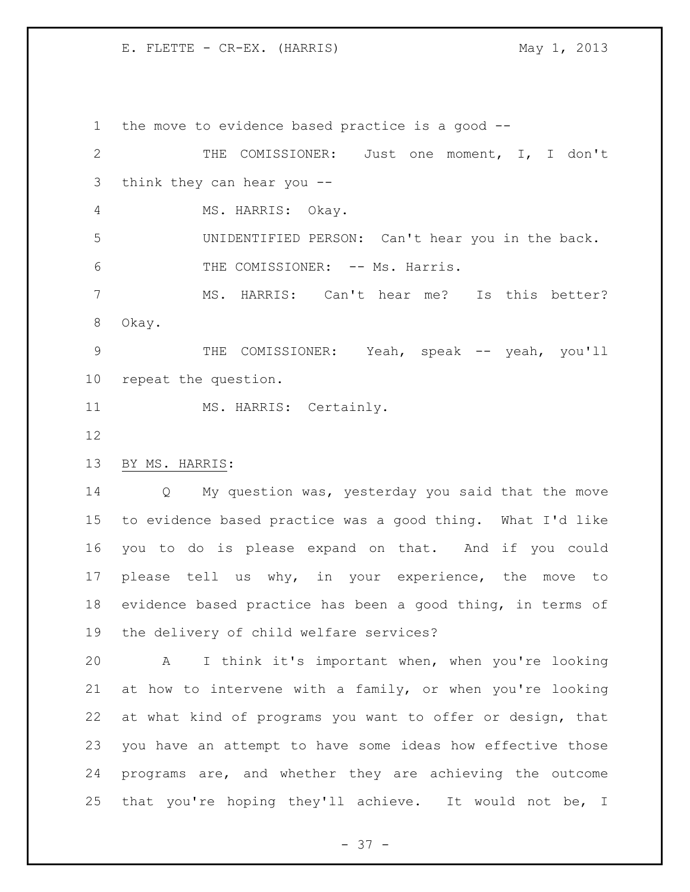E. FLETTE - CR-EX. (HARRIS) May 1, 2013

 the move to evidence based practice is a good -- THE COMISSIONER: Just one moment, I, I don't think they can hear you -- MS. HARRIS: Okay. UNIDENTIFIED PERSON: Can't hear you in the back. 6 THE COMISSIONER: -- Ms. Harris. MS. HARRIS: Can't hear me? Is this better? Okay. THE COMISSIONER: Yeah, speak -- yeah, you'll repeat the question. 11 MS. HARRIS: Certainly. BY MS. HARRIS: Q My question was, yesterday you said that the move to evidence based practice was a good thing. What I'd like you to do is please expand on that. And if you could 17 please tell us why, in your experience, the move to evidence based practice has been a good thing, in terms of the delivery of child welfare services? A I think it's important when, when you're looking at how to intervene with a family, or when you're looking at what kind of programs you want to offer or design, that you have an attempt to have some ideas how effective those programs are, and whether they are achieving the outcome that you're hoping they'll achieve. It would not be, I

 $- 37 -$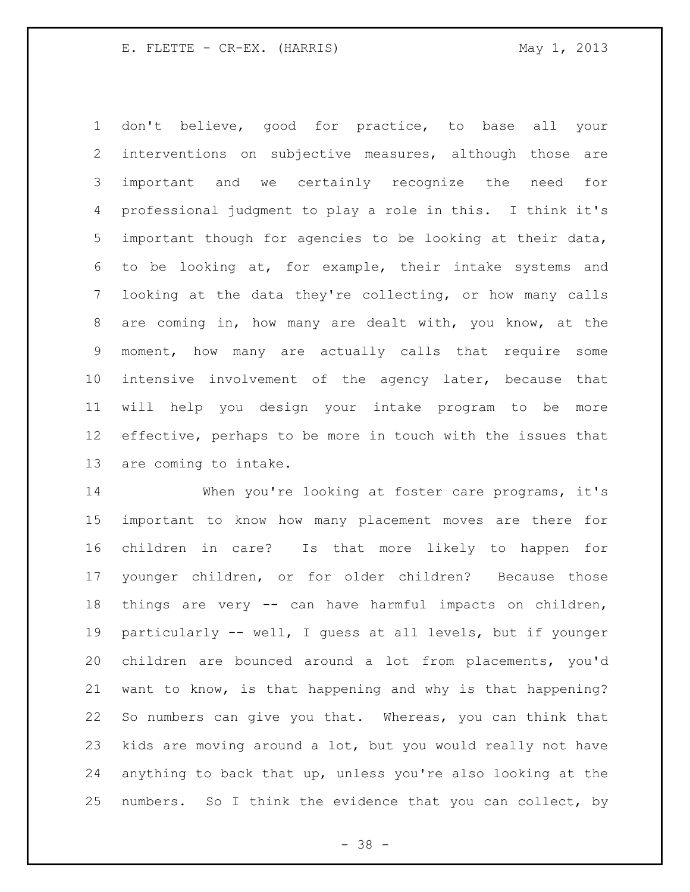don't believe, good for practice, to base all your interventions on subjective measures, although those are important and we certainly recognize the need for professional judgment to play a role in this. I think it's important though for agencies to be looking at their data, to be looking at, for example, their intake systems and looking at the data they're collecting, or how many calls are coming in, how many are dealt with, you know, at the moment, how many are actually calls that require some intensive involvement of the agency later, because that will help you design your intake program to be more effective, perhaps to be more in touch with the issues that are coming to intake.

 When you're looking at foster care programs, it's important to know how many placement moves are there for children in care? Is that more likely to happen for younger children, or for older children? Because those things are very -- can have harmful impacts on children, particularly -- well, I guess at all levels, but if younger children are bounced around a lot from placements, you'd want to know, is that happening and why is that happening? So numbers can give you that. Whereas, you can think that kids are moving around a lot, but you would really not have anything to back that up, unless you're also looking at the numbers. So I think the evidence that you can collect, by

- 38 -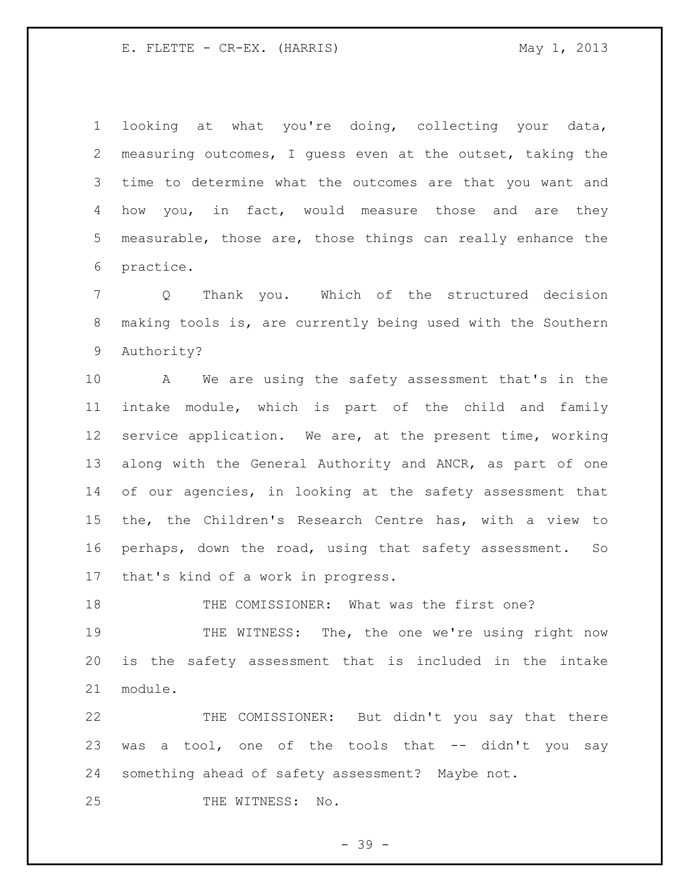E. FLETTE - CR-EX. (HARRIS) May 1, 2013

 looking at what you're doing, collecting your data, measuring outcomes, I guess even at the outset, taking the time to determine what the outcomes are that you want and how you, in fact, would measure those and are they measurable, those are, those things can really enhance the practice.

 Q Thank you. Which of the structured decision making tools is, are currently being used with the Southern Authority?

 A We are using the safety assessment that's in the intake module, which is part of the child and family service application. We are, at the present time, working along with the General Authority and ANCR, as part of one of our agencies, in looking at the safety assessment that the, the Children's Research Centre has, with a view to perhaps, down the road, using that safety assessment. So that's kind of a work in progress.

18 THE COMISSIONER: What was the first one?

 THE WITNESS: The, the one we're using right now is the safety assessment that is included in the intake module.

 THE COMISSIONER: But didn't you say that there 23 was a tool, one of the tools that -- didn't you say something ahead of safety assessment? Maybe not.

25 THE WITNESS: No.

 $- 39 -$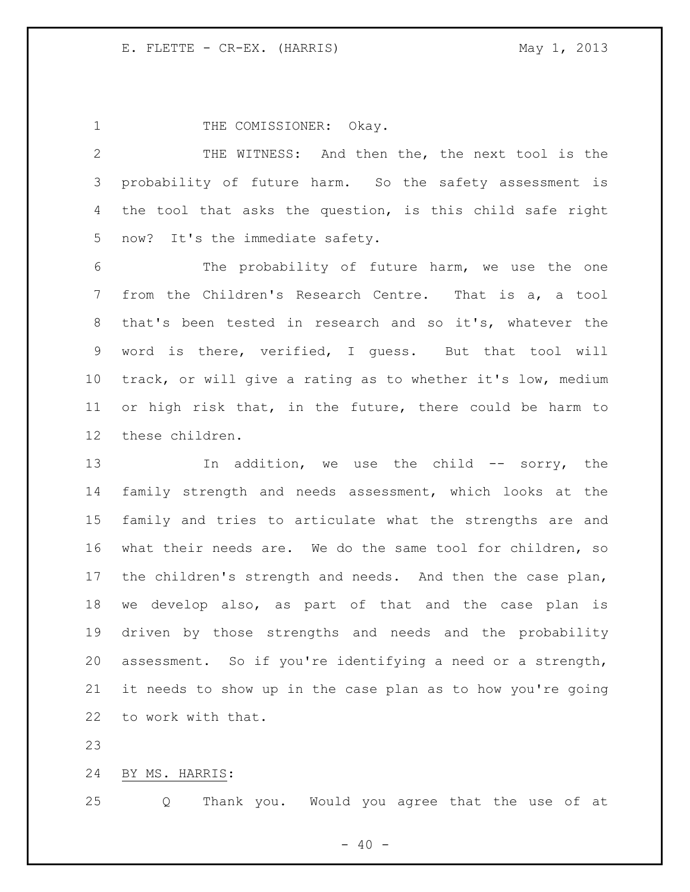1 THE COMISSIONER: Okay.

 THE WITNESS: And then the, the next tool is the probability of future harm. So the safety assessment is the tool that asks the question, is this child safe right now? It's the immediate safety.

 The probability of future harm, we use the one from the Children's Research Centre. That is a, a tool that's been tested in research and so it's, whatever the word is there, verified, I guess. But that tool will track, or will give a rating as to whether it's low, medium or high risk that, in the future, there could be harm to these children.

13 In addition, we use the child -- sorry, the family strength and needs assessment, which looks at the family and tries to articulate what the strengths are and what their needs are. We do the same tool for children, so the children's strength and needs. And then the case plan, we develop also, as part of that and the case plan is driven by those strengths and needs and the probability assessment. So if you're identifying a need or a strength, it needs to show up in the case plan as to how you're going to work with that.

BY MS. HARRIS:

Q Thank you. Would you agree that the use of at

 $- 40 -$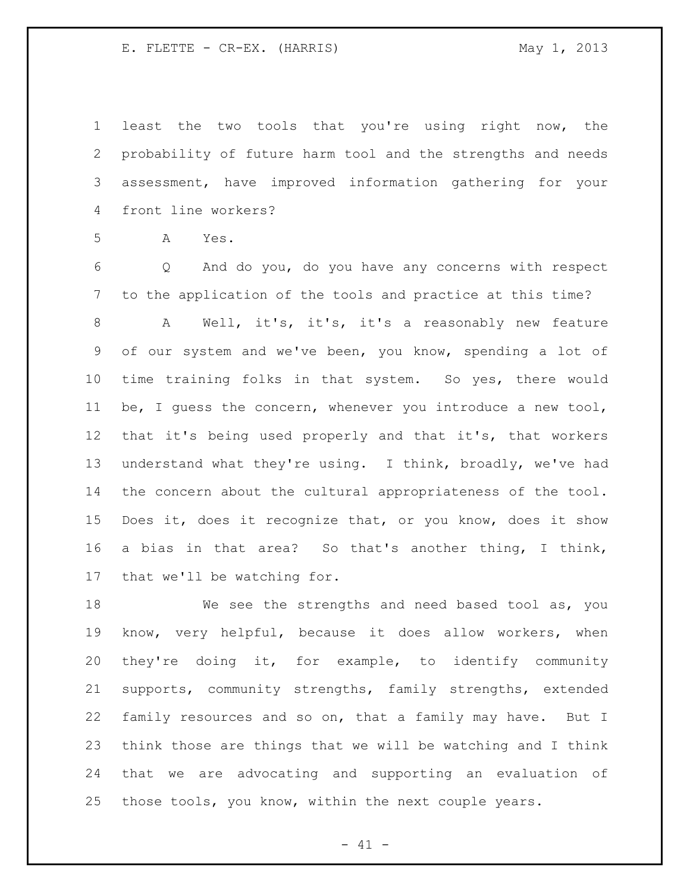E. FLETTE - CR-EX. (HARRIS) May 1, 2013

 least the two tools that you're using right now, the probability of future harm tool and the strengths and needs assessment, have improved information gathering for your front line workers?

A Yes.

 Q And do you, do you have any concerns with respect to the application of the tools and practice at this time?

 A Well, it's, it's, it's a reasonably new feature of our system and we've been, you know, spending a lot of time training folks in that system. So yes, there would be, I guess the concern, whenever you introduce a new tool, that it's being used properly and that it's, that workers understand what they're using. I think, broadly, we've had the concern about the cultural appropriateness of the tool. Does it, does it recognize that, or you know, does it show a bias in that area? So that's another thing, I think, that we'll be watching for.

 We see the strengths and need based tool as, you know, very helpful, because it does allow workers, when they're doing it, for example, to identify community supports, community strengths, family strengths, extended family resources and so on, that a family may have. But I think those are things that we will be watching and I think that we are advocating and supporting an evaluation of those tools, you know, within the next couple years.

 $- 41 -$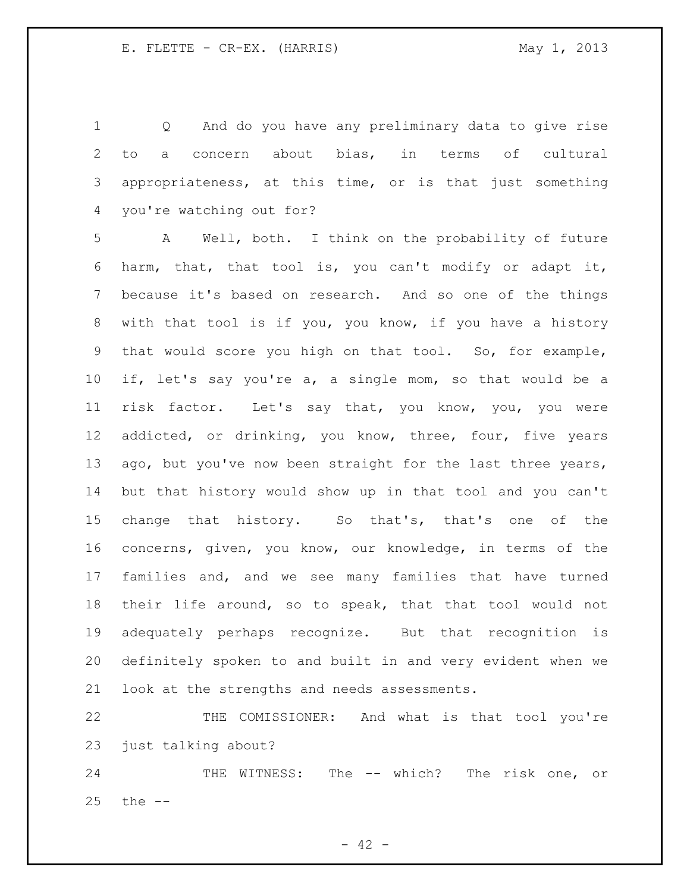Q And do you have any preliminary data to give rise to a concern about bias, in terms of cultural appropriateness, at this time, or is that just something you're watching out for?

 A Well, both. I think on the probability of future harm, that, that tool is, you can't modify or adapt it, because it's based on research. And so one of the things with that tool is if you, you know, if you have a history that would score you high on that tool. So, for example, if, let's say you're a, a single mom, so that would be a risk factor. Let's say that, you know, you, you were addicted, or drinking, you know, three, four, five years 13 ago, but you've now been straight for the last three years, but that history would show up in that tool and you can't change that history. So that's, that's one of the concerns, given, you know, our knowledge, in terms of the families and, and we see many families that have turned their life around, so to speak, that that tool would not adequately perhaps recognize. But that recognition is definitely spoken to and built in and very evident when we look at the strengths and needs assessments.

 THE COMISSIONER: And what is that tool you're just talking about?

24 THE WITNESS: The -- which? The risk one, or the --

 $- 42 -$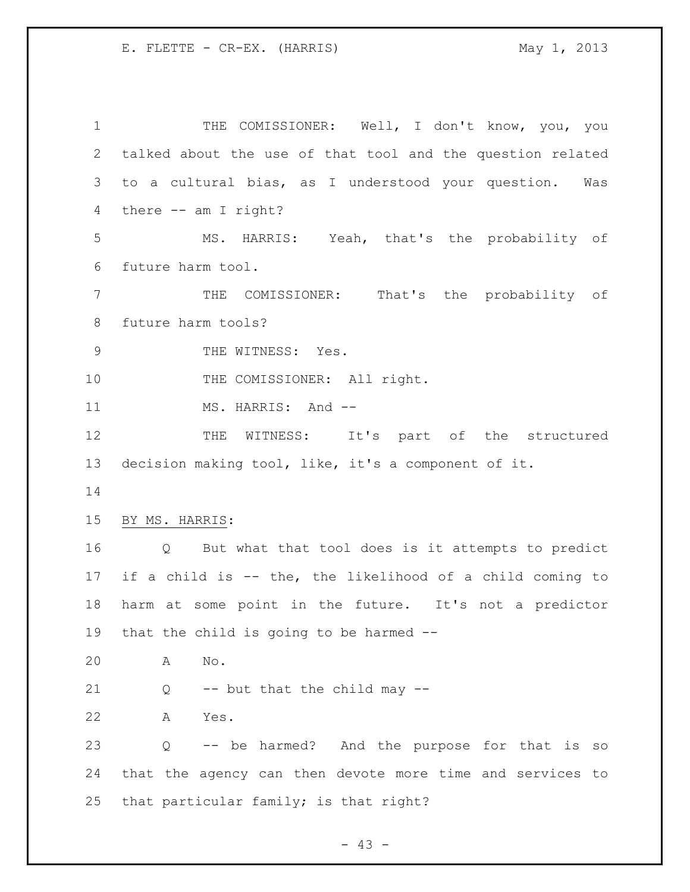1 THE COMISSIONER: Well, I don't know, you, you talked about the use of that tool and the question related to a cultural bias, as I understood your question. Was there -- am I right? MS. HARRIS: Yeah, that's the probability of future harm tool. THE COMISSIONER: That's the probability of future harm tools? 9 THE WITNESS: Yes. 10 THE COMISSIONER: All right. 11 MS. HARRIS: And --12 THE WITNESS: It's part of the structured decision making tool, like, it's a component of it. BY MS. HARRIS: Q But what that tool does is it attempts to predict if a child is -- the, the likelihood of a child coming to harm at some point in the future. It's not a predictor that the child is going to be harmed -- A No.  $Q$  -- but that the child may  $-$  A Yes. Q -- be harmed? And the purpose for that is so that the agency can then devote more time and services to that particular family; is that right?

 $- 43 -$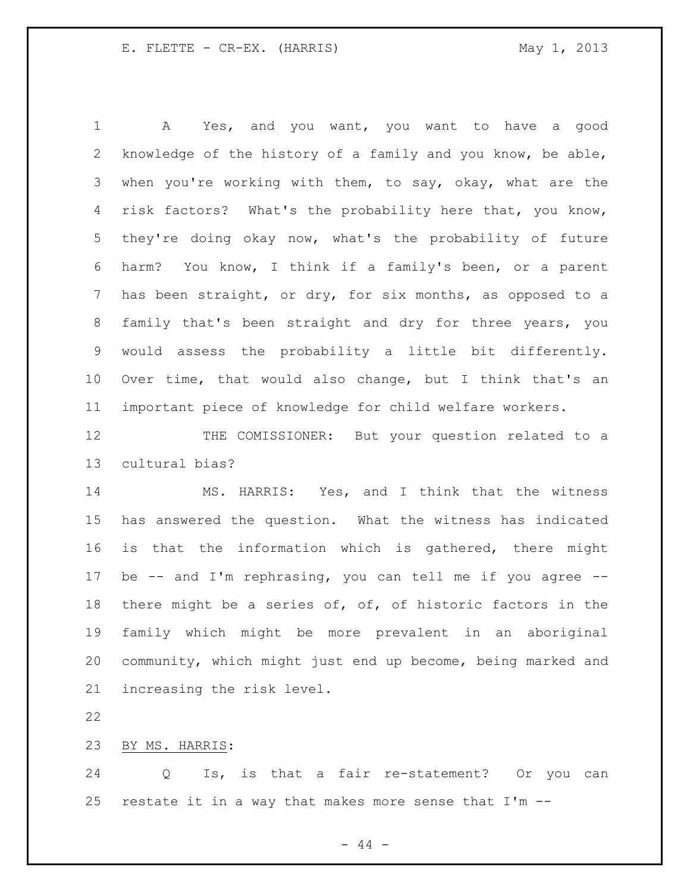A Yes, and you want, you want to have a good knowledge of the history of a family and you know, be able, when you're working with them, to say, okay, what are the risk factors? What's the probability here that, you know, they're doing okay now, what's the probability of future harm? You know, I think if a family's been, or a parent has been straight, or dry, for six months, as opposed to a family that's been straight and dry for three years, you would assess the probability a little bit differently. Over time, that would also change, but I think that's an important piece of knowledge for child welfare workers.

12 THE COMISSIONER: But your question related to a cultural bias?

 MS. HARRIS: Yes, and I think that the witness has answered the question. What the witness has indicated is that the information which is gathered, there might be -- and I'm rephrasing, you can tell me if you agree -- there might be a series of, of, of historic factors in the family which might be more prevalent in an aboriginal community, which might just end up become, being marked and increasing the risk level.

BY MS. HARRIS:

 Q Is, is that a fair re-statement? Or you can restate it in a way that makes more sense that I'm --

 $-44 -$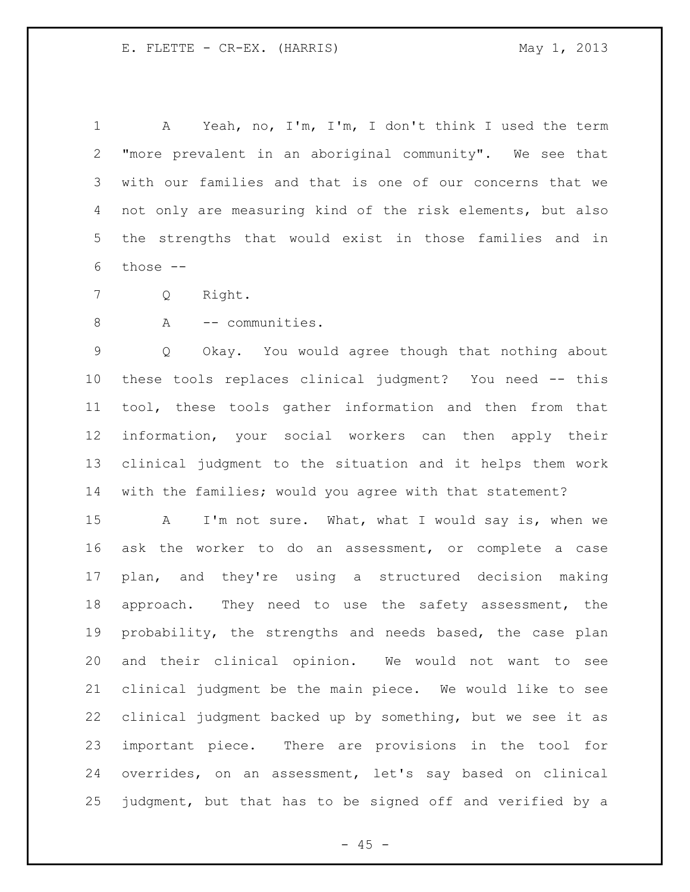A Yeah, no, I'm, I'm, I don't think I used the term "more prevalent in an aboriginal community". We see that with our families and that is one of our concerns that we not only are measuring kind of the risk elements, but also the strengths that would exist in those families and in those --

Q Right.

8 A -- communities.

 Q Okay. You would agree though that nothing about these tools replaces clinical judgment? You need -- this tool, these tools gather information and then from that information, your social workers can then apply their clinical judgment to the situation and it helps them work with the families; would you agree with that statement?

 A I'm not sure. What, what I would say is, when we ask the worker to do an assessment, or complete a case plan, and they're using a structured decision making 18 approach. They need to use the safety assessment, the probability, the strengths and needs based, the case plan and their clinical opinion. We would not want to see clinical judgment be the main piece. We would like to see clinical judgment backed up by something, but we see it as important piece. There are provisions in the tool for overrides, on an assessment, let's say based on clinical judgment, but that has to be signed off and verified by a

 $- 45 -$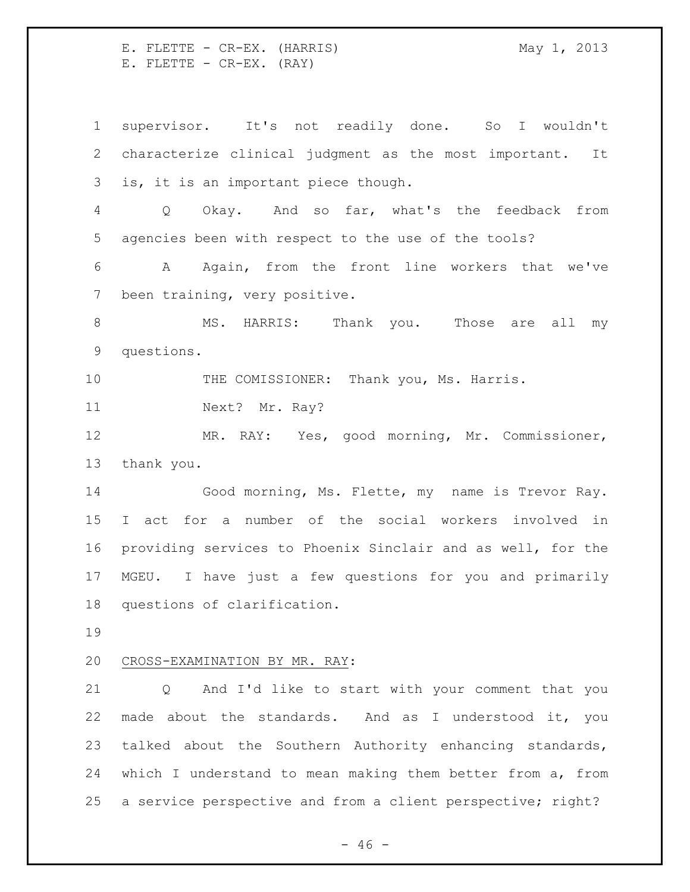E. FLETTE - CR-EX. (HARRIS) May 1, 2013 E. FLETTE - CR-EX. (RAY)

 supervisor. It's not readily done. So I wouldn't characterize clinical judgment as the most important. It is, it is an important piece though. Q Okay. And so far, what's the feedback from agencies been with respect to the use of the tools? A Again, from the front line workers that we've been training, very positive. 8 MS. HARRIS: Thank you. Those are all my questions. THE COMISSIONER: Thank you, Ms. Harris. 11 Next? Mr. Ray? MR. RAY: Yes, good morning, Mr. Commissioner, thank you. Good morning, Ms. Flette, my name is Trevor Ray. I act for a number of the social workers involved in providing services to Phoenix Sinclair and as well, for the MGEU. I have just a few questions for you and primarily questions of clarification. CROSS-EXAMINATION BY MR. RAY: Q And I'd like to start with your comment that you made about the standards. And as I understood it, you talked about the Southern Authority enhancing standards, which I understand to mean making them better from a, from a service perspective and from a client perspective; right?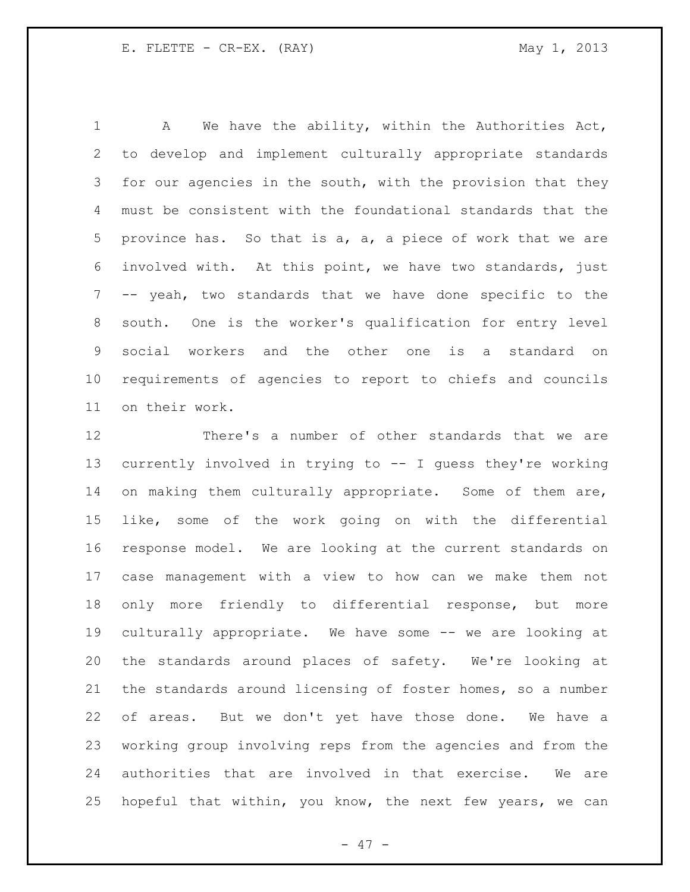A We have the ability, within the Authorities Act, to develop and implement culturally appropriate standards 3 for our agencies in the south, with the provision that they must be consistent with the foundational standards that the province has. So that is a, a, a piece of work that we are involved with. At this point, we have two standards, just -- yeah, two standards that we have done specific to the south. One is the worker's qualification for entry level social workers and the other one is a standard on requirements of agencies to report to chiefs and councils on their work.

 There's a number of other standards that we are currently involved in trying to -- I guess they're working 14 on making them culturally appropriate. Some of them are, like, some of the work going on with the differential response model. We are looking at the current standards on case management with a view to how can we make them not only more friendly to differential response, but more culturally appropriate. We have some -- we are looking at the standards around places of safety. We're looking at the standards around licensing of foster homes, so a number of areas. But we don't yet have those done. We have a working group involving reps from the agencies and from the authorities that are involved in that exercise. We are hopeful that within, you know, the next few years, we can

- 47 -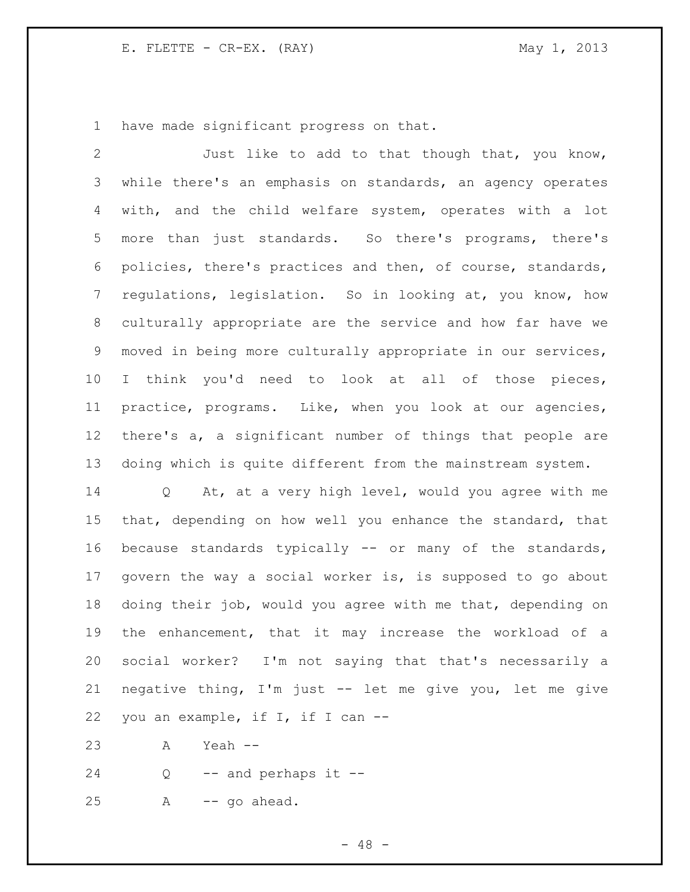have made significant progress on that.

 Just like to add to that though that, you know, while there's an emphasis on standards, an agency operates with, and the child welfare system, operates with a lot more than just standards. So there's programs, there's policies, there's practices and then, of course, standards, regulations, legislation. So in looking at, you know, how culturally appropriate are the service and how far have we moved in being more culturally appropriate in our services, I think you'd need to look at all of those pieces, practice, programs. Like, when you look at our agencies, there's a, a significant number of things that people are doing which is quite different from the mainstream system. Q At, at a very high level, would you agree with me

 that, depending on how well you enhance the standard, that because standards typically -- or many of the standards, govern the way a social worker is, is supposed to go about doing their job, would you agree with me that, depending on the enhancement, that it may increase the workload of a social worker? I'm not saying that that's necessarily a negative thing, I'm just -- let me give you, let me give you an example, if I, if I can --

A Yeah --

Q -- and perhaps it --

A -- go ahead.

 $- 48 -$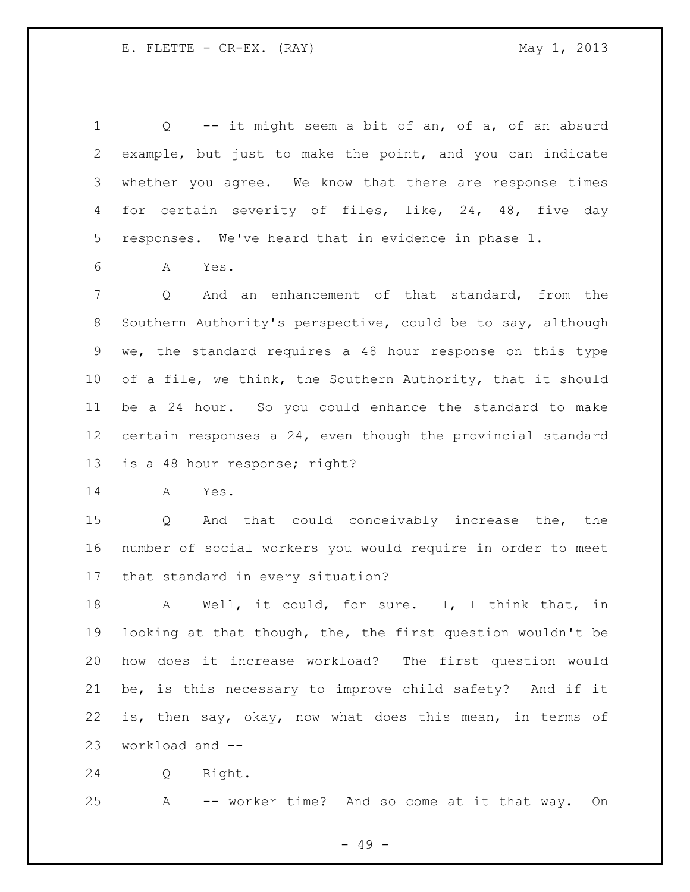Q -- it might seem a bit of an, of a, of an absurd example, but just to make the point, and you can indicate whether you agree. We know that there are response times for certain severity of files, like, 24, 48, five day responses. We've heard that in evidence in phase 1.

A Yes.

 Q And an enhancement of that standard, from the Southern Authority's perspective, could be to say, although we, the standard requires a 48 hour response on this type of a file, we think, the Southern Authority, that it should be a 24 hour. So you could enhance the standard to make certain responses a 24, even though the provincial standard is a 48 hour response; right?

A Yes.

 Q And that could conceivably increase the, the number of social workers you would require in order to meet that standard in every situation?

18 A Well, it could, for sure. I, I think that, in looking at that though, the, the first question wouldn't be how does it increase workload? The first question would be, is this necessary to improve child safety? And if it is, then say, okay, now what does this mean, in terms of workload and --

Q Right.

A -- worker time? And so come at it that way. On

- 49 -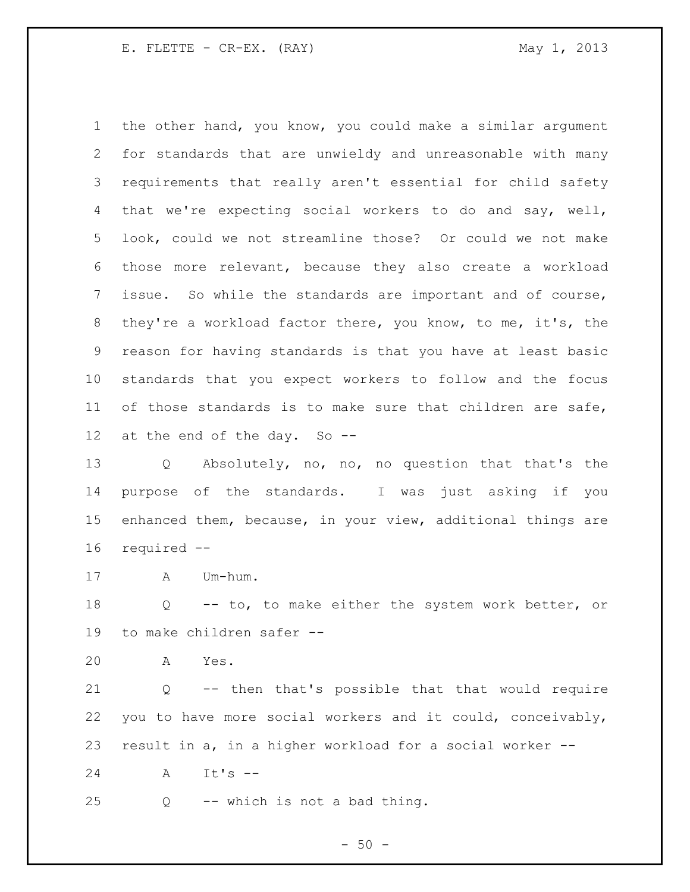the other hand, you know, you could make a similar argument for standards that are unwieldy and unreasonable with many requirements that really aren't essential for child safety that we're expecting social workers to do and say, well, look, could we not streamline those? Or could we not make those more relevant, because they also create a workload issue. So while the standards are important and of course, they're a workload factor there, you know, to me, it's, the reason for having standards is that you have at least basic standards that you expect workers to follow and the focus of those standards is to make sure that children are safe, at the end of the day. So --

 Q Absolutely, no, no, no question that that's the purpose of the standards. I was just asking if you enhanced them, because, in your view, additional things are required --

A Um-hum.

 Q -- to, to make either the system work better, or to make children safer --

A Yes.

 Q -- then that's possible that that would require you to have more social workers and it could, conceivably, result in a, in a higher workload for a social worker --

A It's --

Q  $-$  which is not a bad thing.

 $-50 -$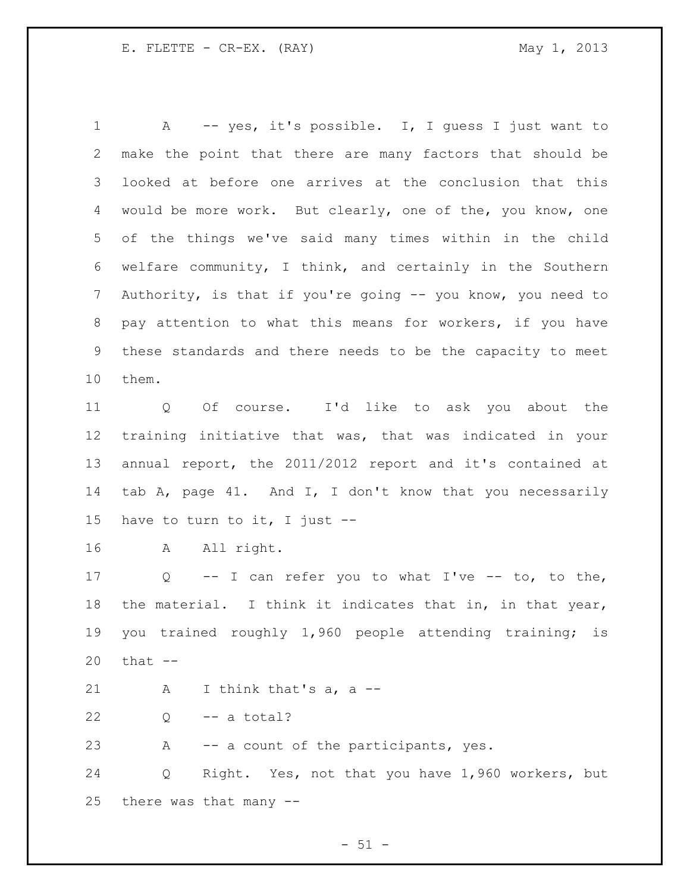A -- yes, it's possible. I, I guess I just want to make the point that there are many factors that should be looked at before one arrives at the conclusion that this would be more work. But clearly, one of the, you know, one of the things we've said many times within in the child welfare community, I think, and certainly in the Southern Authority, is that if you're going -- you know, you need to pay attention to what this means for workers, if you have these standards and there needs to be the capacity to meet them.

 Q Of course. I'd like to ask you about the training initiative that was, that was indicated in your annual report, the 2011/2012 report and it's contained at tab A, page 41. And I, I don't know that you necessarily have to turn to it, I just --

A All right.

 Q -- I can refer you to what I've -- to, to the, the material. I think it indicates that in, in that year, you trained roughly 1,960 people attending training; is that --

A I think that's a, a --

 $22 \qquad Q \qquad -- \qquad a \text{ total?}$ 

A -- a count of the participants, yes.

 Q Right. Yes, not that you have 1,960 workers, but there was that many --

 $-51 -$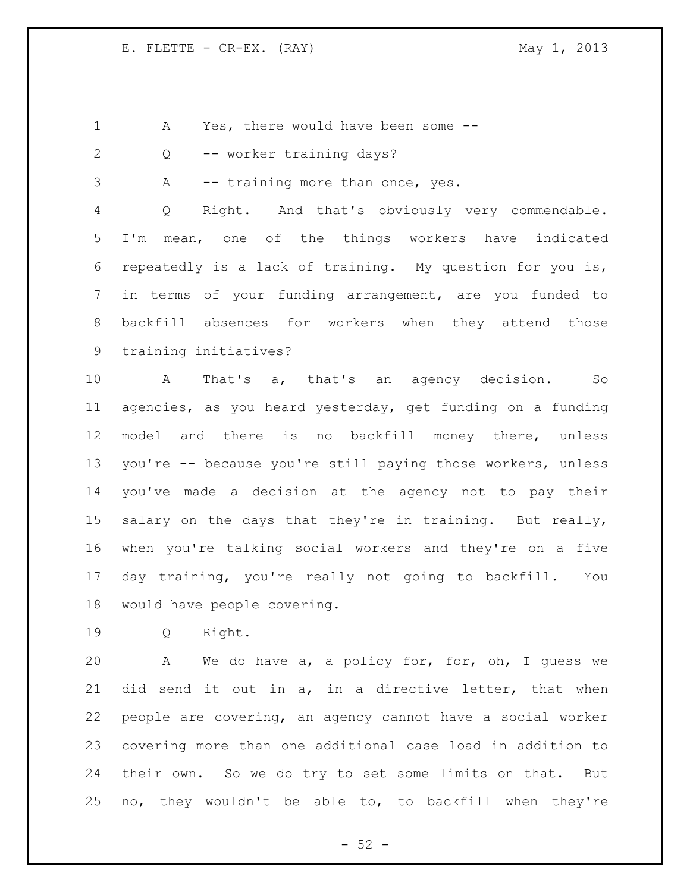A Yes, there would have been some --

Q -- worker training days?

A -- training more than once, yes.

 Q Right. And that's obviously very commendable. I'm mean, one of the things workers have indicated repeatedly is a lack of training. My question for you is, in terms of your funding arrangement, are you funded to backfill absences for workers when they attend those training initiatives?

 A That's a, that's an agency decision. So agencies, as you heard yesterday, get funding on a funding model and there is no backfill money there, unless you're -- because you're still paying those workers, unless you've made a decision at the agency not to pay their 15 salary on the days that they're in training. But really, when you're talking social workers and they're on a five day training, you're really not going to backfill. You would have people covering.

Q Right.

 A We do have a, a policy for, for, oh, I guess we did send it out in a, in a directive letter, that when people are covering, an agency cannot have a social worker covering more than one additional case load in addition to their own. So we do try to set some limits on that. But no, they wouldn't be able to, to backfill when they're

 $-52 -$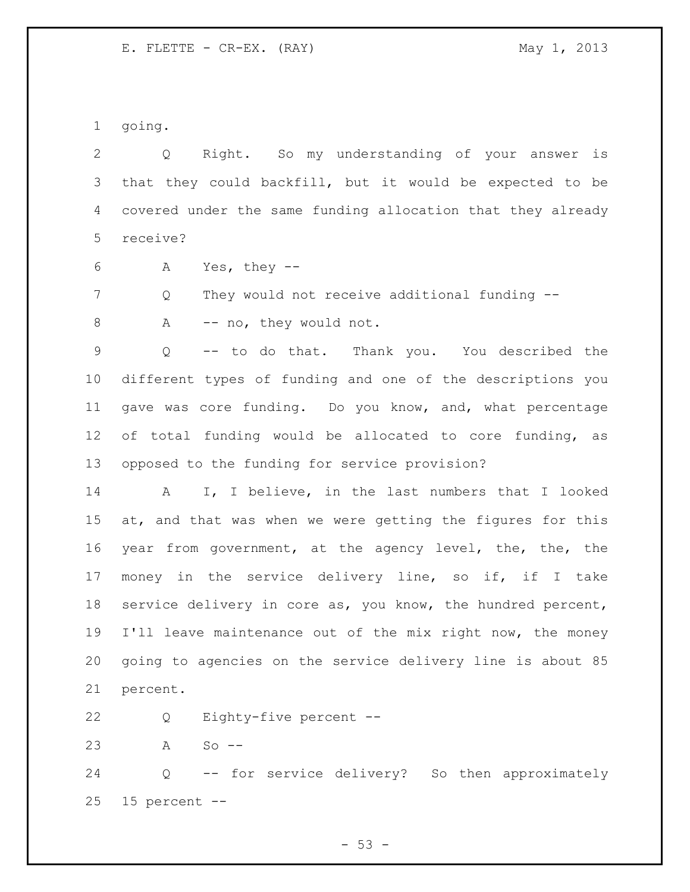going.

 Q Right. So my understanding of your answer is that they could backfill, but it would be expected to be covered under the same funding allocation that they already receive?

A Yes, they --

Q They would not receive additional funding --

8 A -- no, they would not.

 Q -- to do that. Thank you. You described the different types of funding and one of the descriptions you gave was core funding. Do you know, and, what percentage of total funding would be allocated to core funding, as opposed to the funding for service provision?

 A I, I believe, in the last numbers that I looked at, and that was when we were getting the figures for this year from government, at the agency level, the, the, the money in the service delivery line, so if, if I take service delivery in core as, you know, the hundred percent, I'll leave maintenance out of the mix right now, the money going to agencies on the service delivery line is about 85 percent.

Q Eighty-five percent --

A So --

 Q -- for service delivery? So then approximately 15 percent --

 $-53 -$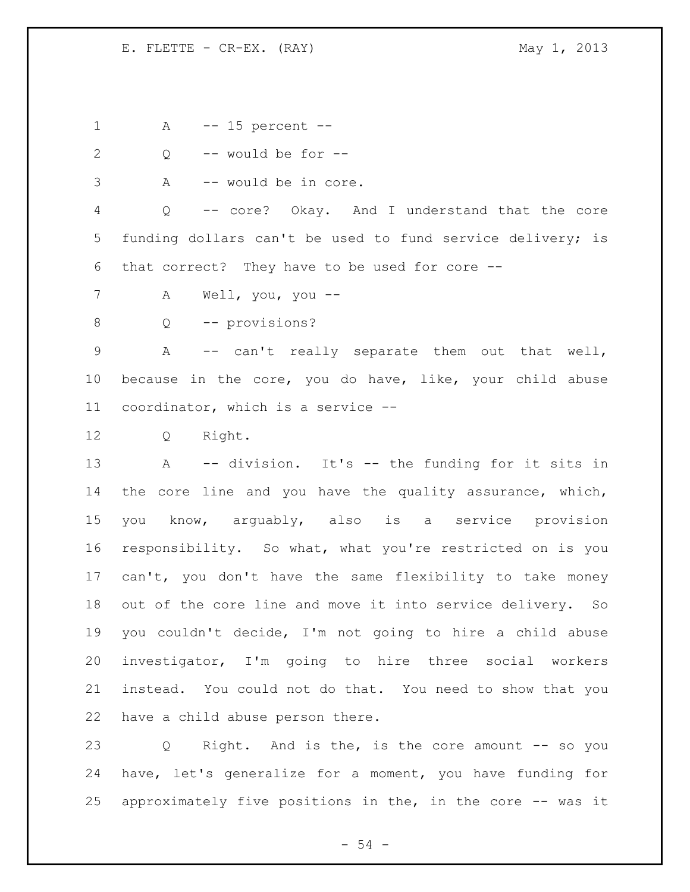A -- 15 percent --

Q -- would be for --

A -- would be in core.

 Q -- core? Okay. And I understand that the core funding dollars can't be used to fund service delivery; is that correct? They have to be used for core --

A Well, you, you --

8 Q -- provisions?

 A -- can't really separate them out that well, because in the core, you do have, like, your child abuse coordinator, which is a service --

Q Right.

 A -- division. It's -- the funding for it sits in the core line and you have the quality assurance, which, you know, arguably, also is a service provision responsibility. So what, what you're restricted on is you can't, you don't have the same flexibility to take money out of the core line and move it into service delivery. So you couldn't decide, I'm not going to hire a child abuse investigator, I'm going to hire three social workers instead. You could not do that. You need to show that you have a child abuse person there.

 Q Right. And is the, is the core amount -- so you have, let's generalize for a moment, you have funding for approximately five positions in the, in the core -- was it

- 54 -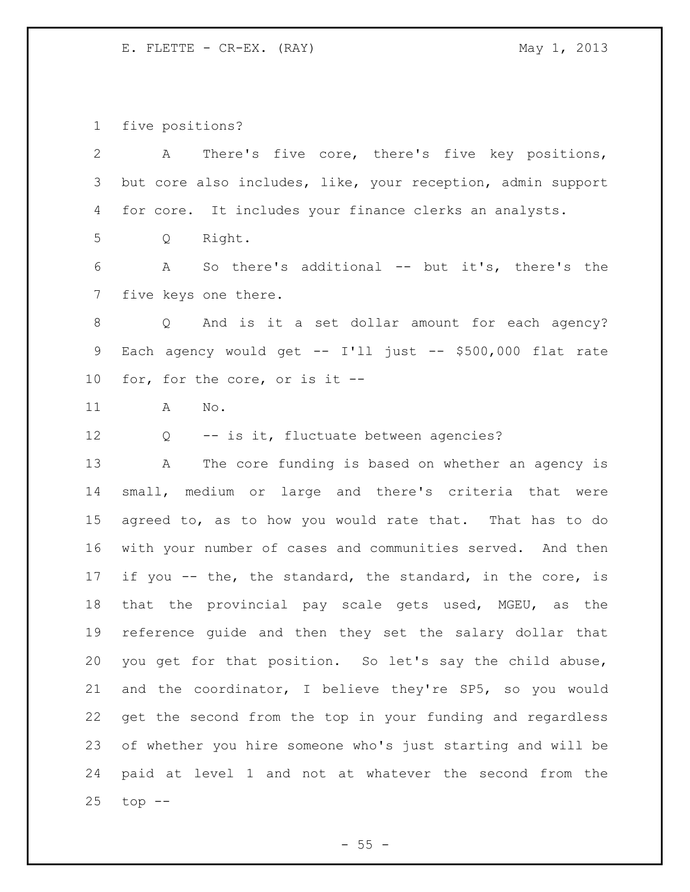five positions?

| $\overline{2}$ | There's five core, there's five key positions,<br>A         |
|----------------|-------------------------------------------------------------|
| 3              | but core also includes, like, your reception, admin support |
| 4              | for core. It includes your finance clerks an analysts.      |
| 5              | Right.<br>Q                                                 |
| 6              | So there's additional -- but it's, there's the<br>A         |
| $7\phantom{.}$ | five keys one there.                                        |
| 8              | Q And is it a set dollar amount for each agency?            |
| 9              | Each agency would get -- I'll just -- \$500,000 flat rate   |
| 10             | for, for the core, or is it --                              |
| 11             | No.<br>A                                                    |
| 12             | -- is it, fluctuate between agencies?<br>Q                  |
| 13             | The core funding is based on whether an agency is<br>Α      |
| 14             | small, medium or large and there's criteria that were       |
| 15             | agreed to, as to how you would rate that. That has to do    |
| 16             | with your number of cases and communities served. And then  |
| 17             | if you -- the, the standard, the standard, in the core, is  |
| 18             | that the provincial pay scale gets used, MGEU, as the       |
| 19             | reference guide and then they set the salary dollar that    |
| 20             | you get for that position. So let's say the child abuse,    |
| 21             | and the coordinator, I believe they're SP5, so you would    |
| 22             | get the second from the top in your funding and regardless  |
| 23             | of whether you hire someone who's just starting and will be |
| 24             | paid at level 1 and not at whatever the second from the     |
| 25             | $top$ $--$                                                  |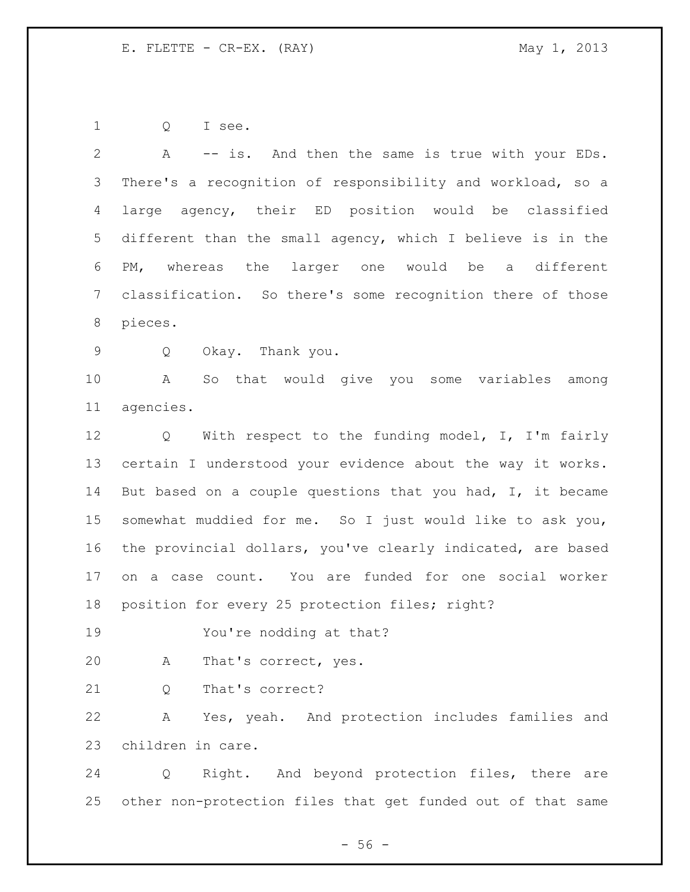Q I see.

 A -- is. And then the same is true with your EDs. There's a recognition of responsibility and workload, so a large agency, their ED position would be classified different than the small agency, which I believe is in the PM, whereas the larger one would be a different classification. So there's some recognition there of those pieces. Q Okay. Thank you. A So that would give you some variables among agencies. Q With respect to the funding model, I, I'm fairly certain I understood your evidence about the way it works. 14 But based on a couple questions that you had, I, it became somewhat muddied for me. So I just would like to ask you, the provincial dollars, you've clearly indicated, are based on a case count. You are funded for one social worker 18 position for every 25 protection files; right? You're nodding at that? A That's correct, yes. 21 0 That's correct? A Yes, yeah. And protection includes families and children in care. Q Right. And beyond protection files, there are other non-protection files that get funded out of that same

 $-56 -$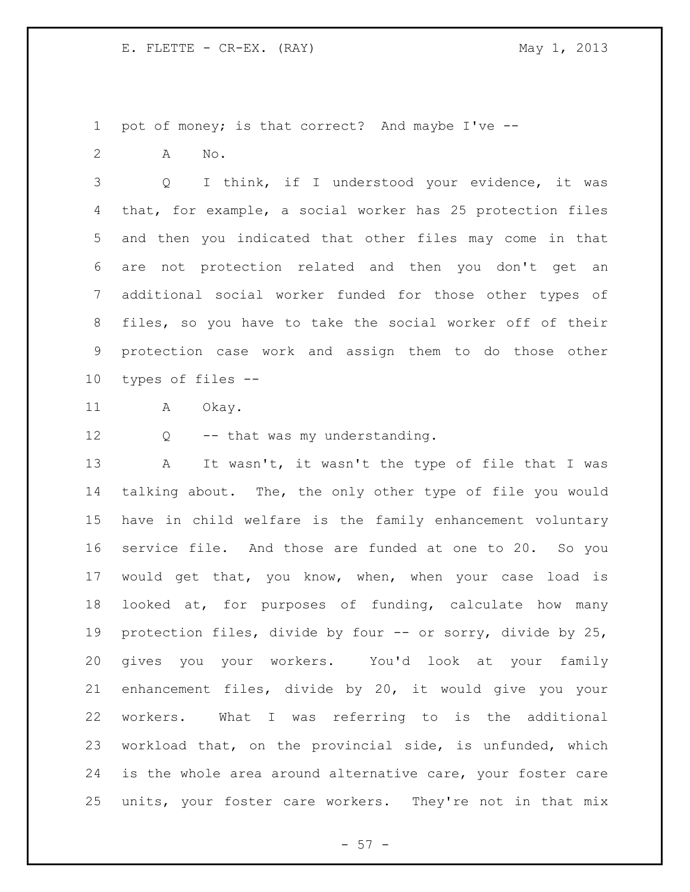pot of money; is that correct? And maybe I've --

A No.

 Q I think, if I understood your evidence, it was that, for example, a social worker has 25 protection files and then you indicated that other files may come in that are not protection related and then you don't get an additional social worker funded for those other types of files, so you have to take the social worker off of their protection case work and assign them to do those other types of files --

11 A Okay.

Q -- that was my understanding.

13 A It wasn't, it wasn't the type of file that I was talking about. The, the only other type of file you would have in child welfare is the family enhancement voluntary service file. And those are funded at one to 20. So you would get that, you know, when, when your case load is looked at, for purposes of funding, calculate how many protection files, divide by four -- or sorry, divide by 25, gives you your workers. You'd look at your family enhancement files, divide by 20, it would give you your workers. What I was referring to is the additional workload that, on the provincial side, is unfunded, which is the whole area around alternative care, your foster care units, your foster care workers. They're not in that mix

 $- 57 -$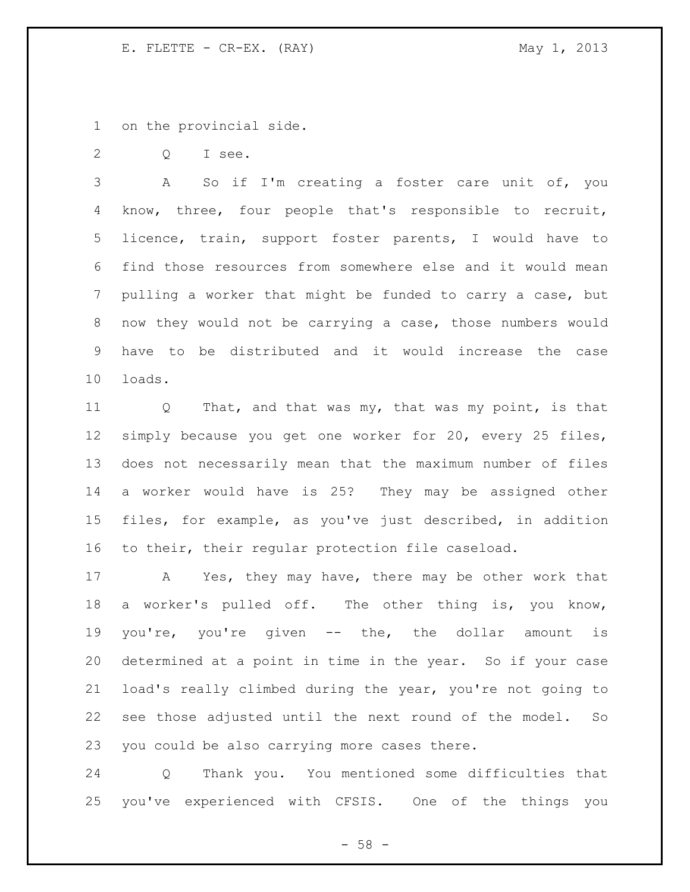on the provincial side.

Q I see.

 A So if I'm creating a foster care unit of, you know, three, four people that's responsible to recruit, licence, train, support foster parents, I would have to find those resources from somewhere else and it would mean pulling a worker that might be funded to carry a case, but now they would not be carrying a case, those numbers would have to be distributed and it would increase the case loads.

11 Q That, and that was my, that was my point, is that simply because you get one worker for 20, every 25 files, does not necessarily mean that the maximum number of files a worker would have is 25? They may be assigned other files, for example, as you've just described, in addition to their, their regular protection file caseload.

 A Yes, they may have, there may be other work that a worker's pulled off. The other thing is, you know, you're, you're given -- the, the dollar amount is determined at a point in time in the year. So if your case load's really climbed during the year, you're not going to see those adjusted until the next round of the model. So you could be also carrying more cases there.

 Q Thank you. You mentioned some difficulties that you've experienced with CFSIS. One of the things you

 $- 58 -$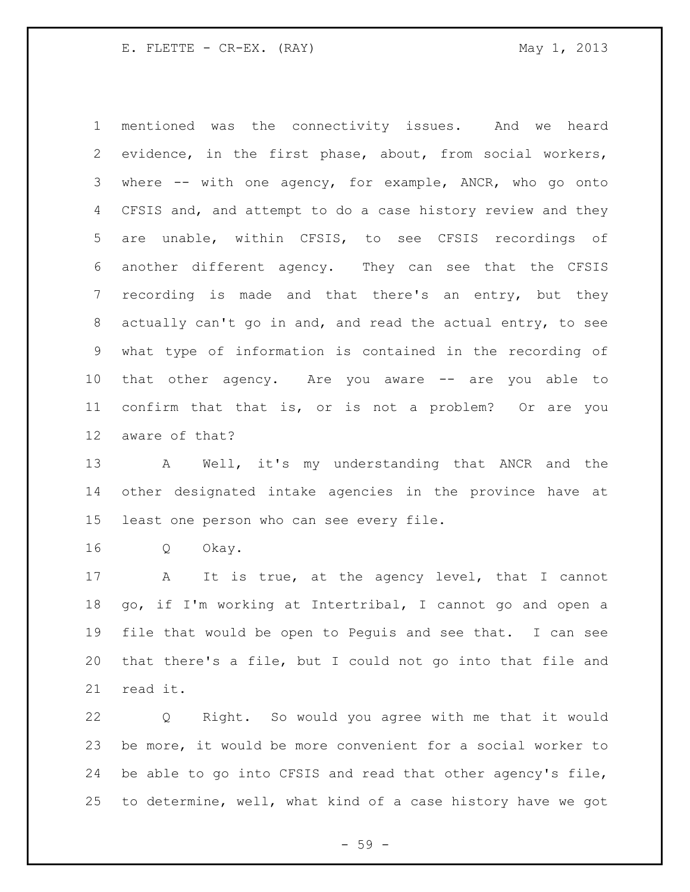mentioned was the connectivity issues. And we heard evidence, in the first phase, about, from social workers, where -- with one agency, for example, ANCR, who go onto CFSIS and, and attempt to do a case history review and they are unable, within CFSIS, to see CFSIS recordings of another different agency. They can see that the CFSIS recording is made and that there's an entry, but they actually can't go in and, and read the actual entry, to see what type of information is contained in the recording of that other agency. Are you aware -- are you able to confirm that that is, or is not a problem? Or are you aware of that?

13 A Well, it's my understanding that ANCR and the other designated intake agencies in the province have at least one person who can see every file.

Q Okay.

 A It is true, at the agency level, that I cannot go, if I'm working at Intertribal, I cannot go and open a file that would be open to Peguis and see that. I can see that there's a file, but I could not go into that file and read it.

 Q Right. So would you agree with me that it would be more, it would be more convenient for a social worker to be able to go into CFSIS and read that other agency's file, to determine, well, what kind of a case history have we got

- 59 -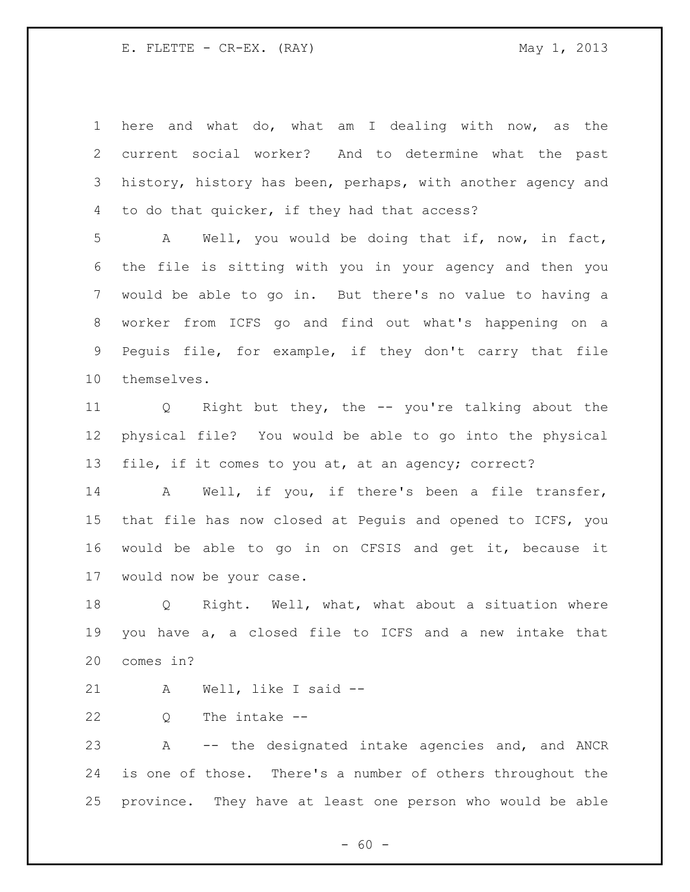| 1 here and what do, what am I dealing with now, as the        |
|---------------------------------------------------------------|
| 2 current social worker? And to determine what the past       |
| 3 history, history has been, perhaps, with another agency and |
| 4 to do that quicker, if they had that access?                |

 A Well, you would be doing that if, now, in fact, the file is sitting with you in your agency and then you would be able to go in. But there's no value to having a worker from ICFS go and find out what's happening on a Peguis file, for example, if they don't carry that file themselves.

 Q Right but they, the -- you're talking about the physical file? You would be able to go into the physical file, if it comes to you at, at an agency; correct?

 A Well, if you, if there's been a file transfer, that file has now closed at Peguis and opened to ICFS, you would be able to go in on CFSIS and get it, because it would now be your case.

 Q Right. Well, what, what about a situation where you have a, a closed file to ICFS and a new intake that comes in?

A Well, like I said --

Q The intake --

 A -- the designated intake agencies and, and ANCR is one of those. There's a number of others throughout the province. They have at least one person who would be able

 $- 60 -$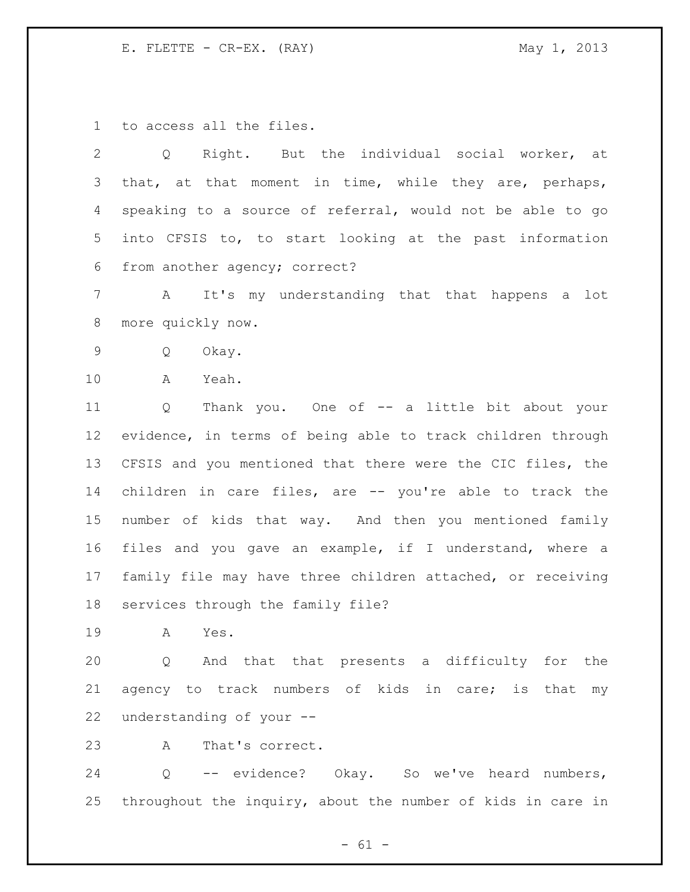to access all the files.

 Q Right. But the individual social worker, at 3 that, at that moment in time, while they are, perhaps, speaking to a source of referral, would not be able to go into CFSIS to, to start looking at the past information from another agency; correct?

 A It's my understanding that that happens a lot more quickly now.

Q Okay.

A Yeah.

 Q Thank you. One of -- a little bit about your evidence, in terms of being able to track children through CFSIS and you mentioned that there were the CIC files, the children in care files, are -- you're able to track the number of kids that way. And then you mentioned family files and you gave an example, if I understand, where a family file may have three children attached, or receiving services through the family file?

A Yes.

 Q And that that presents a difficulty for the agency to track numbers of kids in care; is that my understanding of your --

A That's correct.

 Q -- evidence? Okay. So we've heard numbers, throughout the inquiry, about the number of kids in care in

 $- 61 -$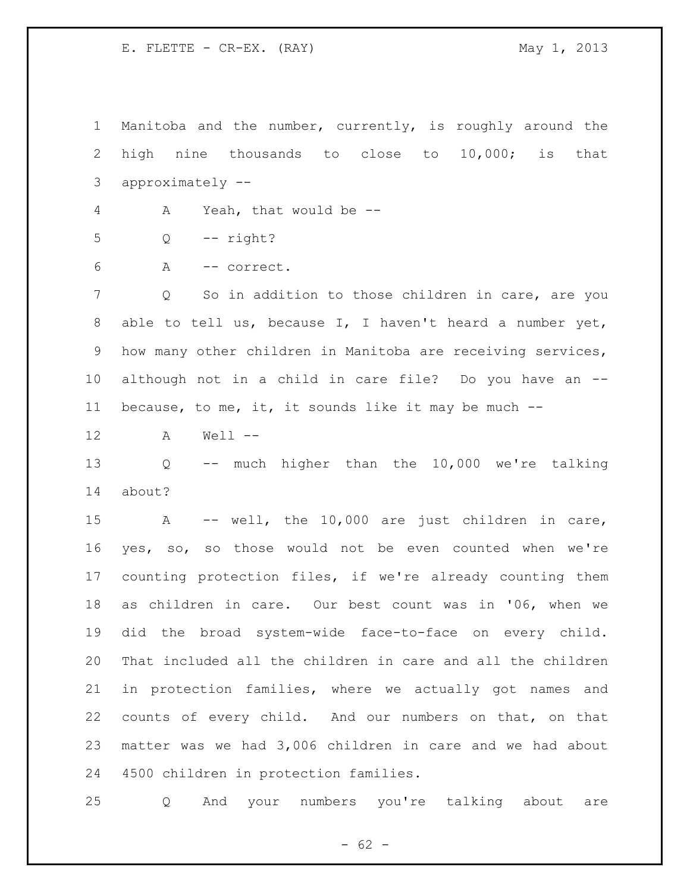Manitoba and the number, currently, is roughly around the high nine thousands to close to 10,000; is that approximately -- A Yeah, that would be -- Q -- right? A -- correct. Q So in addition to those children in care, are you able to tell us, because I, I haven't heard a number yet, how many other children in Manitoba are receiving services, although not in a child in care file? Do you have an -- because, to me, it, it sounds like it may be much -- A Well -- Q -- much higher than the 10,000 we're talking about? A -- well, the 10,000 are just children in care, yes, so, so those would not be even counted when we're counting protection files, if we're already counting them as children in care. Our best count was in '06, when we did the broad system-wide face-to-face on every child. That included all the children in care and all the children in protection families, where we actually got names and counts of every child. And our numbers on that, on that matter was we had 3,006 children in care and we had about 4500 children in protection families.

Q And your numbers you're talking about are

 $- 62 -$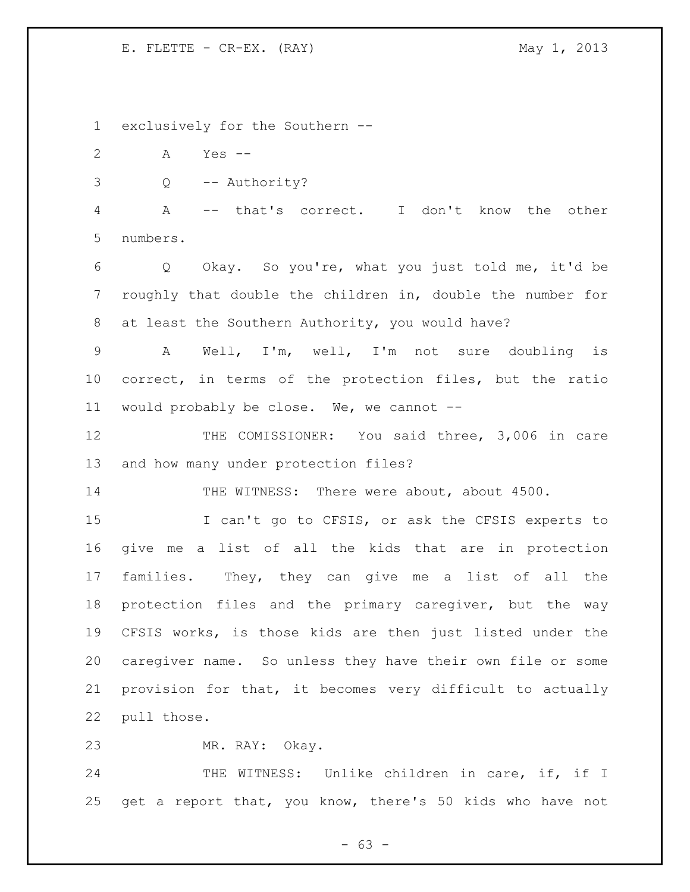exclusively for the Southern -- A Yes -- Q -- Authority? A -- that's correct. I don't know the other numbers. Q Okay. So you're, what you just told me, it'd be roughly that double the children in, double the number for at least the Southern Authority, you would have? A Well, I'm, well, I'm not sure doubling is correct, in terms of the protection files, but the ratio would probably be close. We, we cannot -- THE COMISSIONER: You said three, 3,006 in care and how many under protection files? 14 THE WITNESS: There were about, about 4500. I can't go to CFSIS, or ask the CFSIS experts to give me a list of all the kids that are in protection families. They, they can give me a list of all the protection files and the primary caregiver, but the way CFSIS works, is those kids are then just listed under the caregiver name. So unless they have their own file or some provision for that, it becomes very difficult to actually pull those. MR. RAY: Okay. 24 THE WITNESS: Unlike children in care, if, if I get a report that, you know, there's 50 kids who have not

- 63 -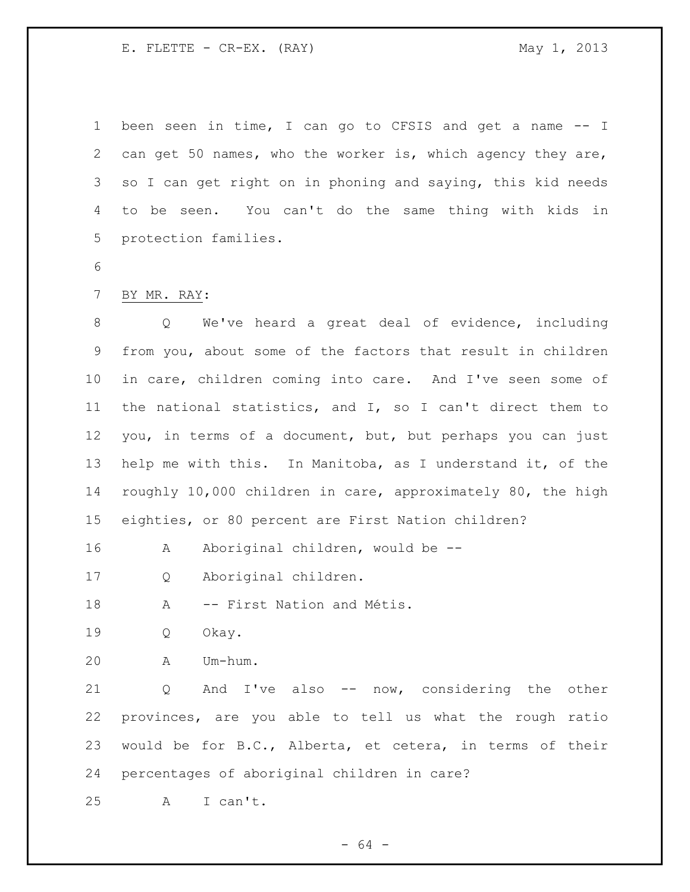been seen in time, I can go to CFSIS and get a name -- I can get 50 names, who the worker is, which agency they are, so I can get right on in phoning and saying, this kid needs to be seen. You can't do the same thing with kids in protection families.

- 
- BY MR. RAY:

 Q We've heard a great deal of evidence, including from you, about some of the factors that result in children in care, children coming into care. And I've seen some of the national statistics, and I, so I can't direct them to you, in terms of a document, but, but perhaps you can just help me with this. In Manitoba, as I understand it, of the roughly 10,000 children in care, approximately 80, the high eighties, or 80 percent are First Nation children?

16 A Aboriginal children, would be --

Q Aboriginal children.

18 A -- First Nation and Métis.

Q Okay.

A Um-hum.

 Q And I've also -- now, considering the other provinces, are you able to tell us what the rough ratio would be for B.C., Alberta, et cetera, in terms of their percentages of aboriginal children in care?

A I can't.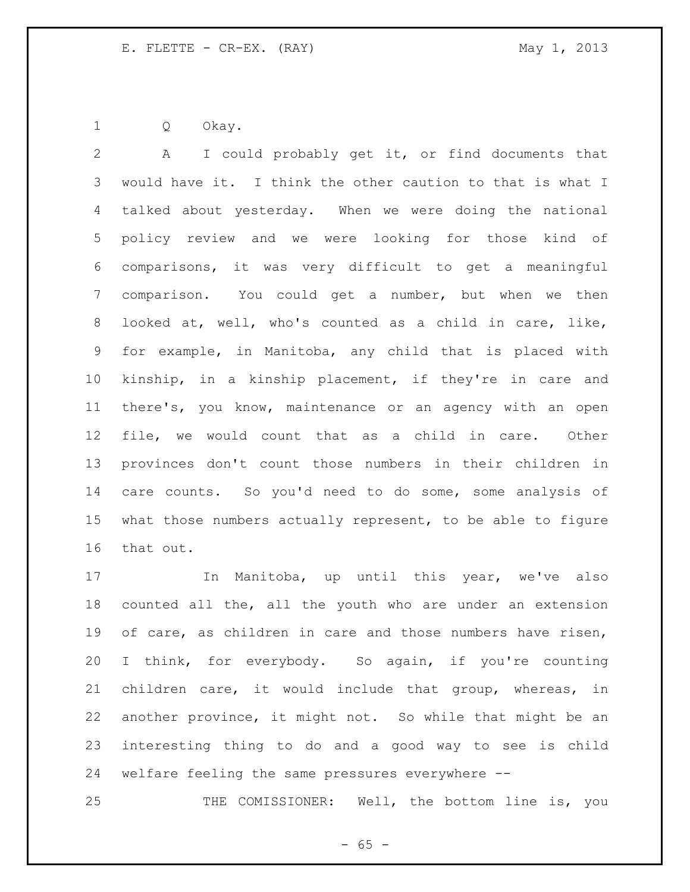Q Okay.

 A I could probably get it, or find documents that would have it. I think the other caution to that is what I talked about yesterday. When we were doing the national policy review and we were looking for those kind of comparisons, it was very difficult to get a meaningful comparison. You could get a number, but when we then looked at, well, who's counted as a child in care, like, for example, in Manitoba, any child that is placed with kinship, in a kinship placement, if they're in care and there's, you know, maintenance or an agency with an open file, we would count that as a child in care. Other provinces don't count those numbers in their children in care counts. So you'd need to do some, some analysis of what those numbers actually represent, to be able to figure that out.

 In Manitoba, up until this year, we've also counted all the, all the youth who are under an extension 19 of care, as children in care and those numbers have risen, I think, for everybody. So again, if you're counting children care, it would include that group, whereas, in another province, it might not. So while that might be an interesting thing to do and a good way to see is child welfare feeling the same pressures everywhere --

THE COMISSIONER: Well, the bottom line is, you

 $- 65 -$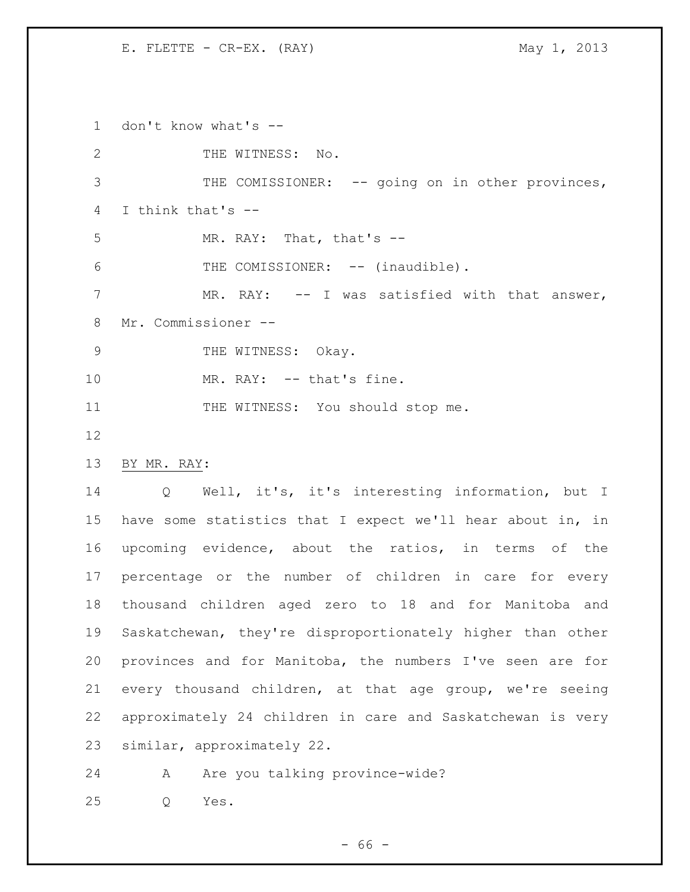don't know what's -- 2 THE WITNESS: No. 3 THE COMISSIONER: -- going on in other provinces, I think that's -- MR. RAY: That, that's -- 6 THE COMISSIONER: -- (inaudible). 7 MR. RAY: -- I was satisfied with that answer, Mr. Commissioner -- 9 THE WITNESS: Okay. 10 MR. RAY: -- that's fine. 11 THE WITNESS: You should stop me. BY MR. RAY: Q Well, it's, it's interesting information, but I have some statistics that I expect we'll hear about in, in upcoming evidence, about the ratios, in terms of the percentage or the number of children in care for every thousand children aged zero to 18 and for Manitoba and Saskatchewan, they're disproportionately higher than other provinces and for Manitoba, the numbers I've seen are for every thousand children, at that age group, we're seeing approximately 24 children in care and Saskatchewan is very similar, approximately 22. 24 A Are you talking province-wide?

Q Yes.

 $- 66 -$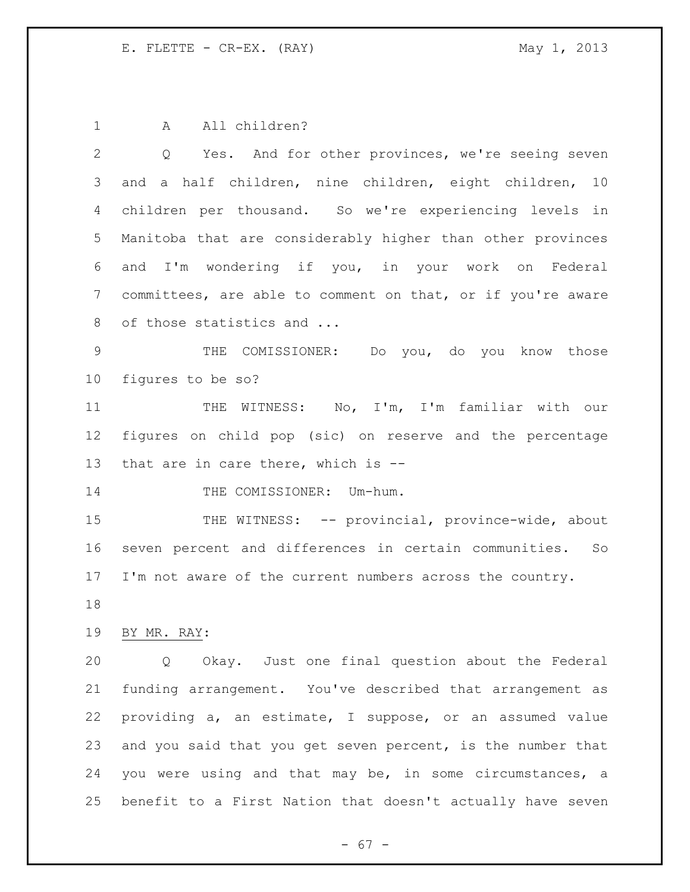1 A All children?

 Q Yes. And for other provinces, we're seeing seven and a half children, nine children, eight children, 10 children per thousand. So we're experiencing levels in Manitoba that are considerably higher than other provinces and I'm wondering if you, in your work on Federal committees, are able to comment on that, or if you're aware 8 of those statistics and ... THE COMISSIONER: Do you, do you know those figures to be so? THE WITNESS: No, I'm, I'm familiar with our figures on child pop (sic) on reserve and the percentage that are in care there, which is -- 14 THE COMISSIONER: Um-hum. 15 THE WITNESS: -- provincial, province-wide, about seven percent and differences in certain communities. So I'm not aware of the current numbers across the country. BY MR. RAY: Q Okay. Just one final question about the Federal funding arrangement. You've described that arrangement as providing a, an estimate, I suppose, or an assumed value and you said that you get seven percent, is the number that you were using and that may be, in some circumstances, a benefit to a First Nation that doesn't actually have seven

- 67 -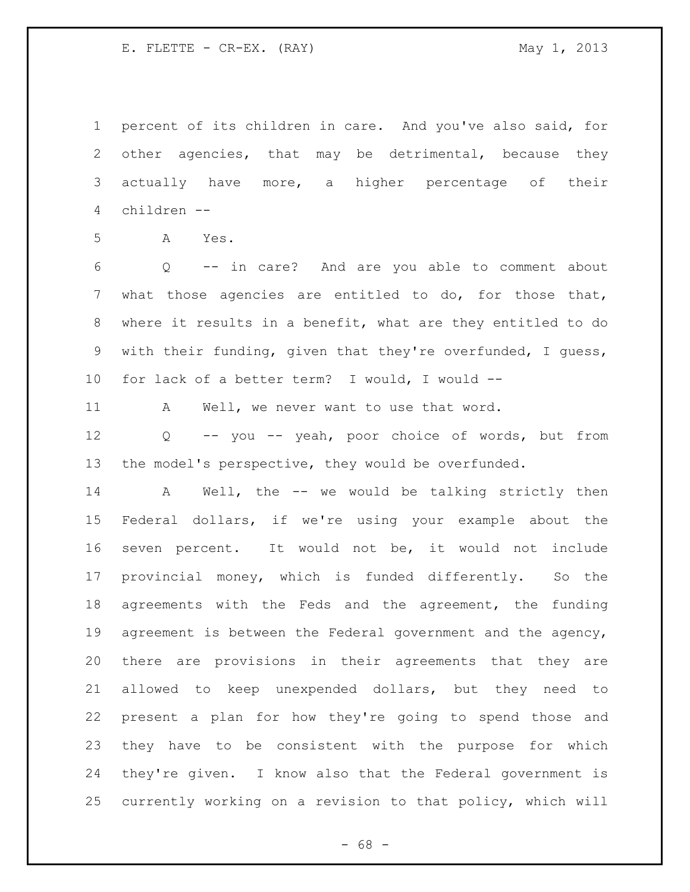percent of its children in care. And you've also said, for other agencies, that may be detrimental, because they actually have more, a higher percentage of their children --

A Yes.

 Q -- in care? And are you able to comment about what those agencies are entitled to do, for those that, where it results in a benefit, what are they entitled to do with their funding, given that they're overfunded, I guess, for lack of a better term? I would, I would --

11 A Well, we never want to use that word.

 Q -- you -- yeah, poor choice of words, but from the model's perspective, they would be overfunded.

14 A Well, the -- we would be talking strictly then Federal dollars, if we're using your example about the seven percent. It would not be, it would not include provincial money, which is funded differently. So the agreements with the Feds and the agreement, the funding agreement is between the Federal government and the agency, there are provisions in their agreements that they are allowed to keep unexpended dollars, but they need to present a plan for how they're going to spend those and they have to be consistent with the purpose for which they're given. I know also that the Federal government is currently working on a revision to that policy, which will

 $- 68 -$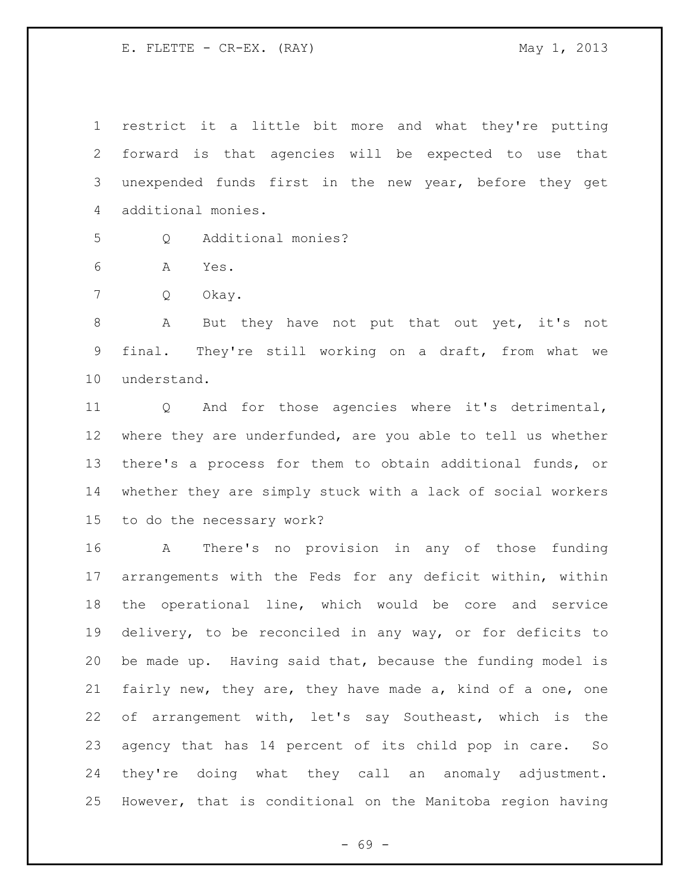restrict it a little bit more and what they're putting forward is that agencies will be expected to use that unexpended funds first in the new year, before they get additional monies.

Q Additional monies?

A Yes.

Q Okay.

 A But they have not put that out yet, it's not final. They're still working on a draft, from what we understand.

 Q And for those agencies where it's detrimental, where they are underfunded, are you able to tell us whether there's a process for them to obtain additional funds, or whether they are simply stuck with a lack of social workers to do the necessary work?

 A There's no provision in any of those funding arrangements with the Feds for any deficit within, within the operational line, which would be core and service delivery, to be reconciled in any way, or for deficits to be made up. Having said that, because the funding model is fairly new, they are, they have made a, kind of a one, one of arrangement with, let's say Southeast, which is the agency that has 14 percent of its child pop in care. So they're doing what they call an anomaly adjustment. However, that is conditional on the Manitoba region having

- 69 -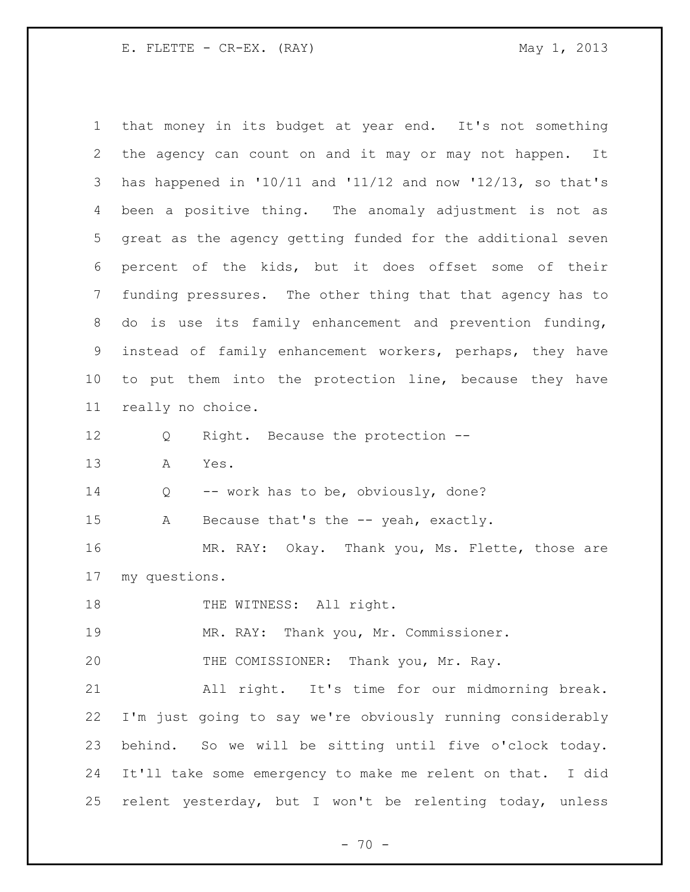E. FLETTE - CR-EX. (RAY) May 1, 2013

| $\mathbf 1$     | that money in its budget at year end. It's not something        |
|-----------------|-----------------------------------------------------------------|
| 2               | the agency can count on and it may or may not happen. It        |
| 3               | has happened in $10/11$ and $11/12$ and now $12/13$ , so that's |
| 4               | been a positive thing. The anomaly adjustment is not as         |
| 5               | great as the agency getting funded for the additional seven     |
| 6               | percent of the kids, but it does offset some of their           |
| $7\phantom{.0}$ | funding pressures. The other thing that that agency has to      |
| 8               | do is use its family enhancement and prevention funding,        |
| 9               | instead of family enhancement workers, perhaps, they have       |
| 10 <sub>o</sub> | to put them into the protection line, because they have         |
| 11              | really no choice.                                               |
| 12              | Right. Because the protection --<br>Q                           |
| 13              | Α<br>Yes.                                                       |
| 14              | -- work has to be, obviously, done?<br>Q                        |
| 15              | Because that's the -- yeah, exactly.<br>Α                       |
| 16              | MR. RAY: Okay. Thank you, Ms. Flette, those are                 |
| 17              | my questions.                                                   |
| 18              | THE WITNESS: All right.                                         |
| 19              | MR. RAY: Thank you, Mr. Commissioner.                           |
| 20              | THE COMISSIONER: Thank you, Mr. Ray.                            |
| 21              | All right. It's time for our midmorning break.                  |
| 22              | I'm just going to say we're obviously running considerably      |
| 23              | behind. So we will be sitting until five o'clock today.         |
| 24              | It'll take some emergency to make me relent on that. I did      |
| 25              | relent yesterday, but I won't be relenting today, unless        |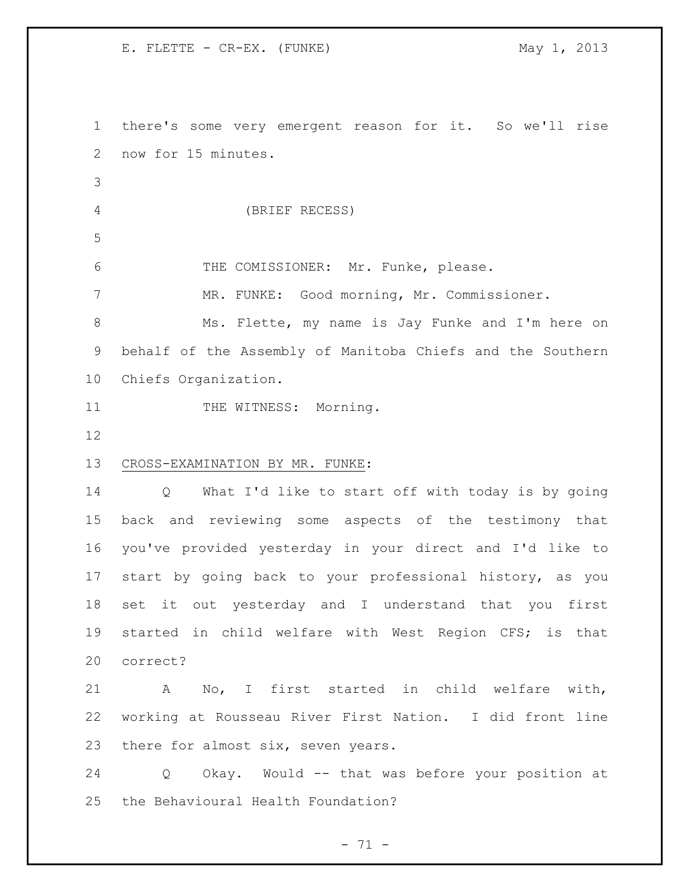there's some very emergent reason for it. So we'll rise now for 15 minutes. (BRIEF RECESS) THE COMISSIONER: Mr. Funke, please. MR. FUNKE: Good morning, Mr. Commissioner. Ms. Flette, my name is Jay Funke and I'm here on behalf of the Assembly of Manitoba Chiefs and the Southern Chiefs Organization. 11 THE WITNESS: Morning. CROSS-EXAMINATION BY MR. FUNKE: Q What I'd like to start off with today is by going back and reviewing some aspects of the testimony that you've provided yesterday in your direct and I'd like to start by going back to your professional history, as you set it out yesterday and I understand that you first started in child welfare with West Region CFS; is that correct? A No, I first started in child welfare with, working at Rousseau River First Nation. I did front line 23 there for almost six, seven years. Q Okay. Would -- that was before your position at the Behavioural Health Foundation?

 $- 71 -$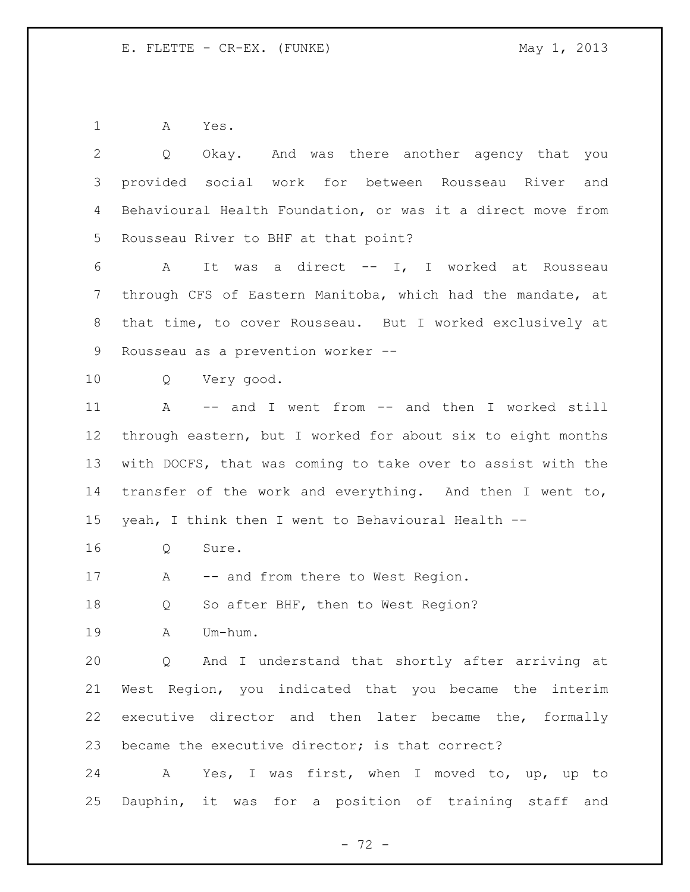A Yes.

| 2               | Okay. And was there another agency that you<br>$Q \qquad \qquad$ |
|-----------------|------------------------------------------------------------------|
| 3               | provided social work for between Rousseau River and              |
| 4               | Behavioural Health Foundation, or was it a direct move from      |
| 5               | Rousseau River to BHF at that point?                             |
| 6               | It was a direct -- I, I worked at Rousseau<br>A                  |
| 7               | through CFS of Eastern Manitoba, which had the mandate, at       |
| 8               | that time, to cover Rousseau. But I worked exclusively at        |
| 9               | Rousseau as a prevention worker --                               |
| 10 <sub>o</sub> | Very good.<br>Q                                                  |
| 11              | -- and I went from -- and then I worked still<br>A               |
| 12              | through eastern, but I worked for about six to eight months      |
| 13              | with DOCFS, that was coming to take over to assist with the      |
| 14              | transfer of the work and everything. And then I went to,         |
| 15              | yeah, I think then I went to Behavioural Health --               |
| 16              | Sure.<br>Q                                                       |
| 17              | -- and from there to West Region.<br>A                           |
| 18              | So after BHF, then to West Region?<br>Q                          |
| 19              | Um-hum.<br>Α                                                     |
| 20              | Q And I understand that shortly after arriving at                |
| 21              | West Region, you indicated that you became the interim           |
| 22              | executive director and then later became the, formally           |
| 23              | became the executive director; is that correct?                  |
| 24              | A Yes, I was first, when I moved to, up, up to                   |
| 25              | Dauphin, it was for a position of training staff and             |

- 72 -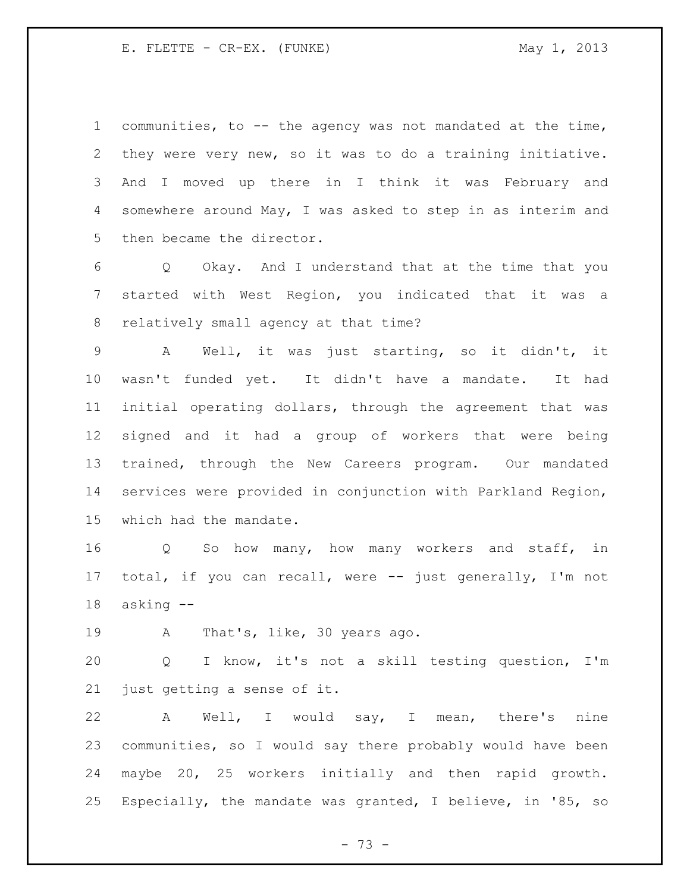communities, to -- the agency was not mandated at the time, they were very new, so it was to do a training initiative. And I moved up there in I think it was February and somewhere around May, I was asked to step in as interim and then became the director.

 Q Okay. And I understand that at the time that you started with West Region, you indicated that it was a relatively small agency at that time?

 A Well, it was just starting, so it didn't, it wasn't funded yet. It didn't have a mandate. It had initial operating dollars, through the agreement that was signed and it had a group of workers that were being trained, through the New Careers program. Our mandated services were provided in conjunction with Parkland Region, which had the mandate.

 Q So how many, how many workers and staff, in total, if you can recall, were -- just generally, I'm not asking --

A That's, like, 30 years ago.

 Q I know, it's not a skill testing question, I'm just getting a sense of it.

 A Well, I would say, I mean, there's nine communities, so I would say there probably would have been maybe 20, 25 workers initially and then rapid growth. Especially, the mandate was granted, I believe, in '85, so

 $- 73 -$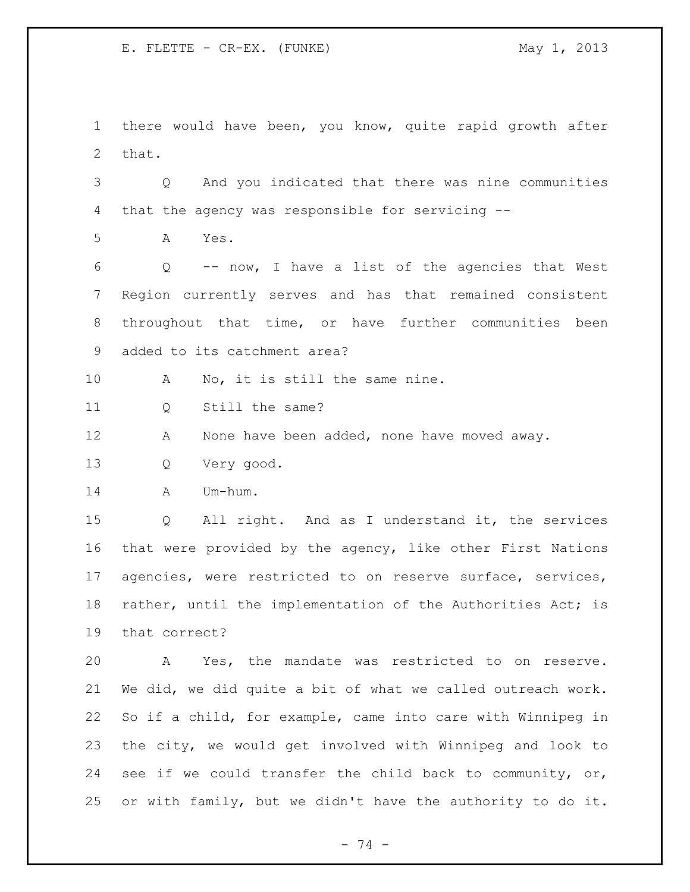there would have been, you know, quite rapid growth after that.

 Q And you indicated that there was nine communities that the agency was responsible for servicing --

A Yes.

 Q -- now, I have a list of the agencies that West Region currently serves and has that remained consistent throughout that time, or have further communities been added to its catchment area?

10 A No, it is still the same nine.

11 0 Still the same?

12 A None have been added, none have moved away.

Q Very good.

A Um-hum.

 Q All right. And as I understand it, the services that were provided by the agency, like other First Nations agencies, were restricted to on reserve surface, services, rather, until the implementation of the Authorities Act; is that correct?

 A Yes, the mandate was restricted to on reserve. We did, we did quite a bit of what we called outreach work. So if a child, for example, came into care with Winnipeg in the city, we would get involved with Winnipeg and look to see if we could transfer the child back to community, or, or with family, but we didn't have the authority to do it.

- 74 -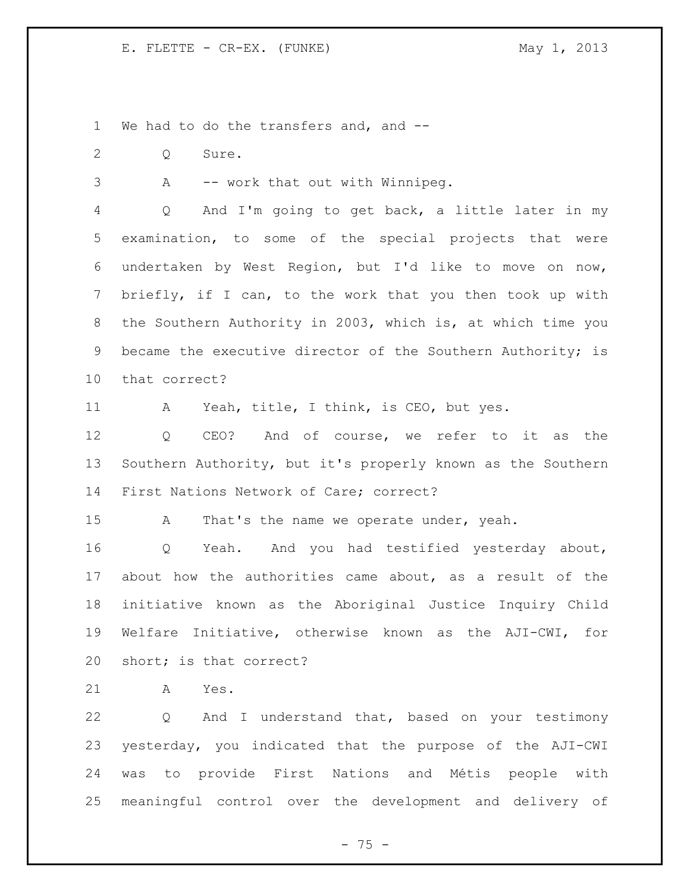We had to do the transfers and, and --

- Q Sure.
- 

A -- work that out with Winnipeg.

 Q And I'm going to get back, a little later in my examination, to some of the special projects that were undertaken by West Region, but I'd like to move on now, briefly, if I can, to the work that you then took up with the Southern Authority in 2003, which is, at which time you 9 became the executive director of the Southern Authority; is that correct?

A Yeah, title, I think, is CEO, but yes.

 Q CEO? And of course, we refer to it as the Southern Authority, but it's properly known as the Southern First Nations Network of Care; correct?

15 A That's the name we operate under, yeah.

 Q Yeah. And you had testified yesterday about, about how the authorities came about, as a result of the initiative known as the Aboriginal Justice Inquiry Child Welfare Initiative, otherwise known as the AJI-CWI, for short; is that correct?

A Yes.

 Q And I understand that, based on your testimony yesterday, you indicated that the purpose of the AJI-CWI was to provide First Nations and Métis people with meaningful control over the development and delivery of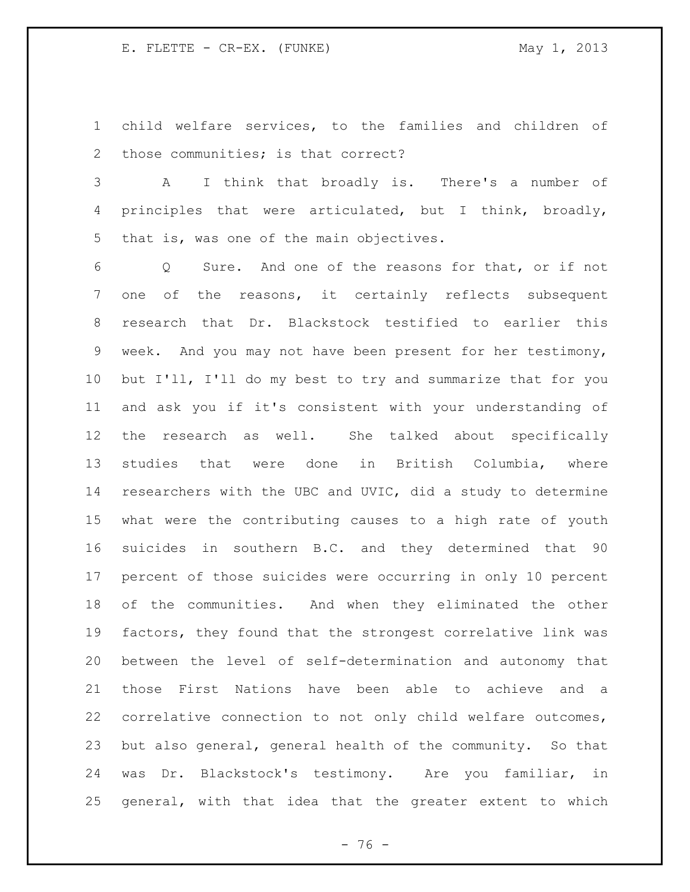child welfare services, to the families and children of those communities; is that correct?

 A I think that broadly is. There's a number of principles that were articulated, but I think, broadly, that is, was one of the main objectives.

 Q Sure. And one of the reasons for that, or if not one of the reasons, it certainly reflects subsequent research that Dr. Blackstock testified to earlier this week. And you may not have been present for her testimony, but I'll, I'll do my best to try and summarize that for you and ask you if it's consistent with your understanding of the research as well. She talked about specifically studies that were done in British Columbia, where researchers with the UBC and UVIC, did a study to determine what were the contributing causes to a high rate of youth suicides in southern B.C. and they determined that 90 percent of those suicides were occurring in only 10 percent of the communities. And when they eliminated the other factors, they found that the strongest correlative link was between the level of self-determination and autonomy that those First Nations have been able to achieve and a correlative connection to not only child welfare outcomes, but also general, general health of the community. So that was Dr. Blackstock's testimony. Are you familiar, in general, with that idea that the greater extent to which

 $- 76 -$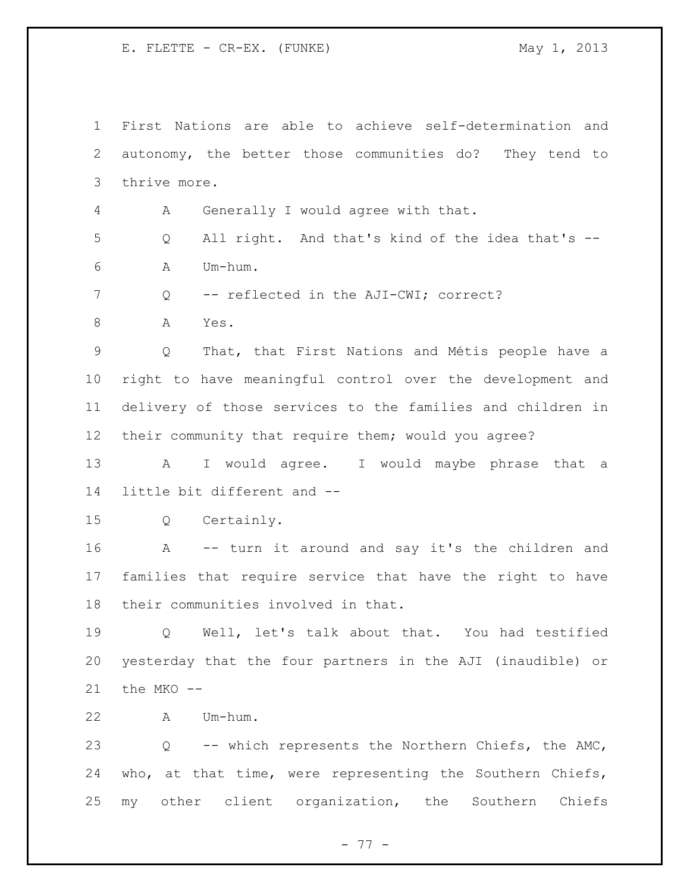First Nations are able to achieve self-determination and autonomy, the better those communities do? They tend to thrive more. A Generally I would agree with that. Q All right. And that's kind of the idea that's -- A Um-hum. 7 0 -- reflected in the AJI-CWI; correct? A Yes. Q That, that First Nations and Métis people have a right to have meaningful control over the development and delivery of those services to the families and children in their community that require them; would you agree? A I would agree. I would maybe phrase that a little bit different and -- Q Certainly. A -- turn it around and say it's the children and families that require service that have the right to have their communities involved in that. Q Well, let's talk about that. You had testified yesterday that the four partners in the AJI (inaudible) or the MKO -- A Um-hum. Q -- which represents the Northern Chiefs, the AMC, who, at that time, were representing the Southern Chiefs, my other client organization, the Southern Chiefs

- 77 -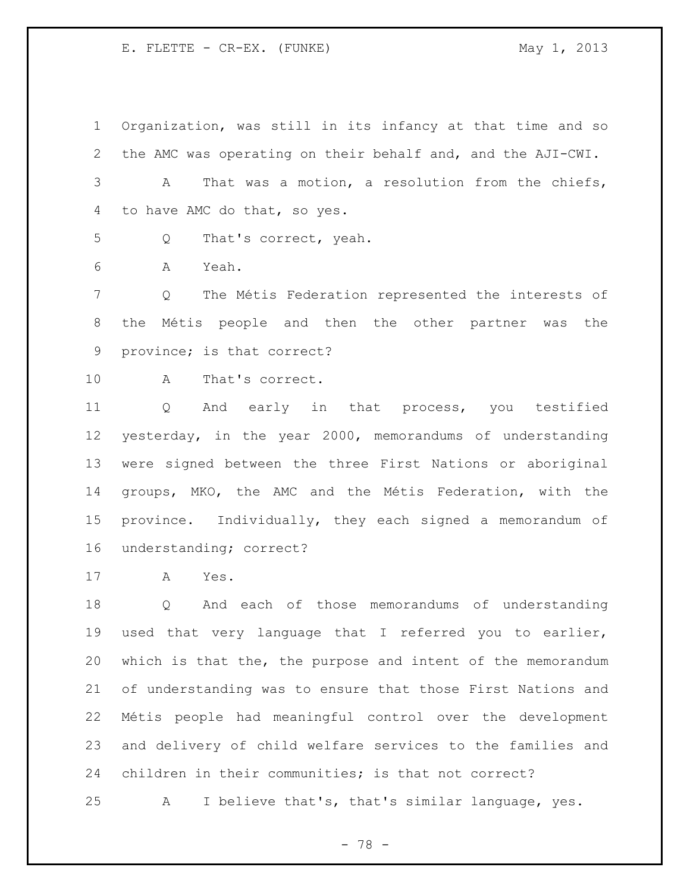Organization, was still in its infancy at that time and so the AMC was operating on their behalf and, and the AJI-CWI.

 A That was a motion, a resolution from the chiefs, to have AMC do that, so yes.

Q That's correct, yeah.

A Yeah.

 Q The Métis Federation represented the interests of the Métis people and then the other partner was the province; is that correct?

A That's correct.

 Q And early in that process, you testified yesterday, in the year 2000, memorandums of understanding were signed between the three First Nations or aboriginal groups, MKO, the AMC and the Métis Federation, with the province. Individually, they each signed a memorandum of understanding; correct?

A Yes.

 Q And each of those memorandums of understanding used that very language that I referred you to earlier, which is that the, the purpose and intent of the memorandum of understanding was to ensure that those First Nations and Métis people had meaningful control over the development and delivery of child welfare services to the families and children in their communities; is that not correct?

A I believe that's, that's similar language, yes.

- 78 -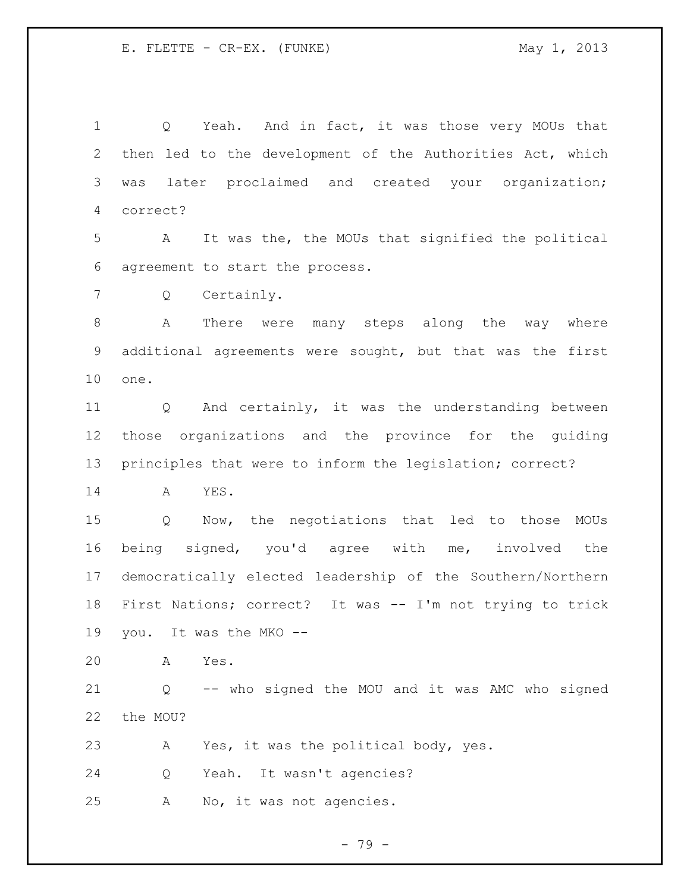1 Q Yeah. And in fact, it was those very MOUs that then led to the development of the Authorities Act, which was later proclaimed and created your organization; correct?

 A It was the, the MOUs that signified the political agreement to start the process.

Q Certainly.

 A There were many steps along the way where additional agreements were sought, but that was the first one.

 Q And certainly, it was the understanding between those organizations and the province for the guiding principles that were to inform the legislation; correct?

A YES.

 Q Now, the negotiations that led to those MOUs being signed, you'd agree with me, involved the democratically elected leadership of the Southern/Northern First Nations; correct? It was -- I'm not trying to trick you. It was the MKO --

A Yes.

 Q -- who signed the MOU and it was AMC who signed the MOU?

A Yes, it was the political body, yes.

Q Yeah. It wasn't agencies?

A No, it was not agencies.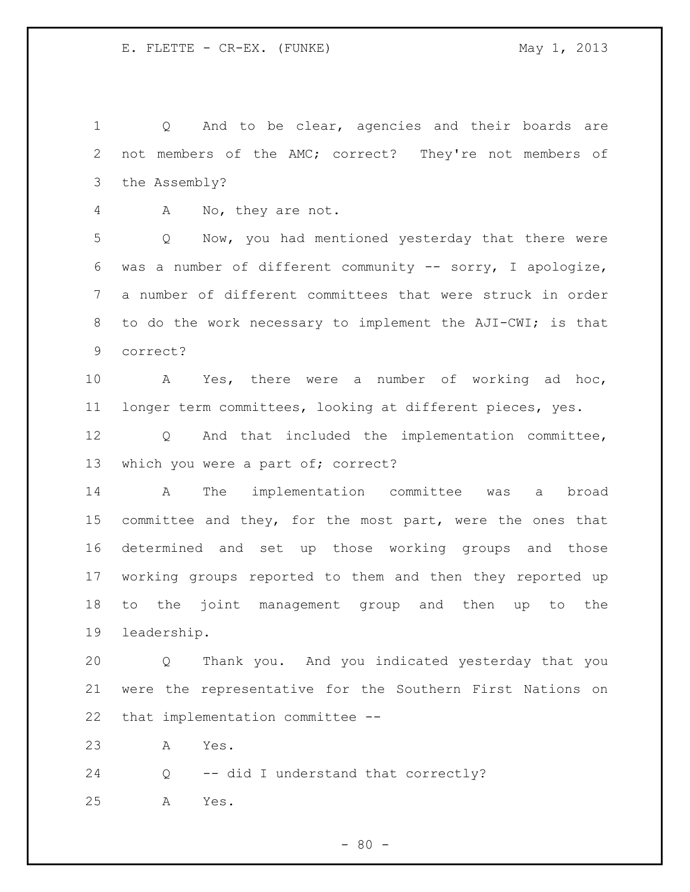1 Q And to be clear, agencies and their boards are not members of the AMC; correct? They're not members of the Assembly?

A No, they are not.

 Q Now, you had mentioned yesterday that there were was a number of different community -- sorry, I apologize, a number of different committees that were struck in order 8 to do the work necessary to implement the AJI-CWI; is that correct?

 A Yes, there were a number of working ad hoc, longer term committees, looking at different pieces, yes.

 Q And that included the implementation committee, 13 which you were a part of; correct?

 A The implementation committee was a broad 15 committee and they, for the most part, were the ones that determined and set up those working groups and those working groups reported to them and then they reported up to the joint management group and then up to the leadership.

 Q Thank you. And you indicated yesterday that you were the representative for the Southern First Nations on that implementation committee --

A Yes.

Q -- did I understand that correctly?

A Yes.

 $- 80 -$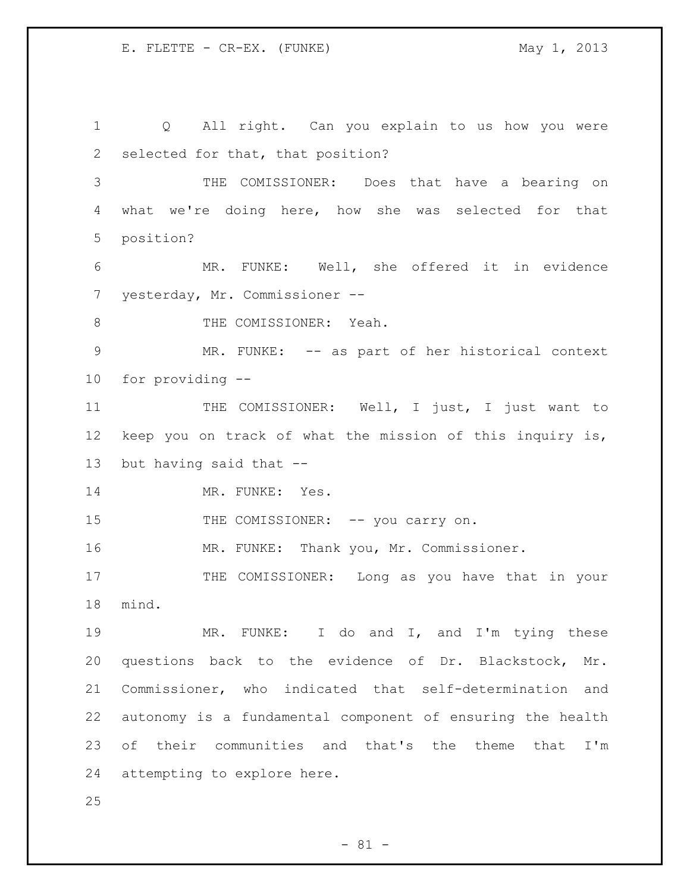Q All right. Can you explain to us how you were selected for that, that position? THE COMISSIONER: Does that have a bearing on what we're doing here, how she was selected for that position? MR. FUNKE: Well, she offered it in evidence yesterday, Mr. Commissioner -- 8 THE COMISSIONER: Yeah. MR. FUNKE: -- as part of her historical context for providing -- 11 THE COMISSIONER: Well, I just, I just want to keep you on track of what the mission of this inquiry is, but having said that -- 14 MR. FUNKE: Yes. 15 THE COMISSIONER: -- you carry on. MR. FUNKE: Thank you, Mr. Commissioner. 17 THE COMISSIONER: Long as you have that in your mind. 19 MR. FUNKE: I do and I, and I'm tying these questions back to the evidence of Dr. Blackstock, Mr. Commissioner, who indicated that self-determination and autonomy is a fundamental component of ensuring the health of their communities and that's the theme that I'm attempting to explore here. 

 $- 81 -$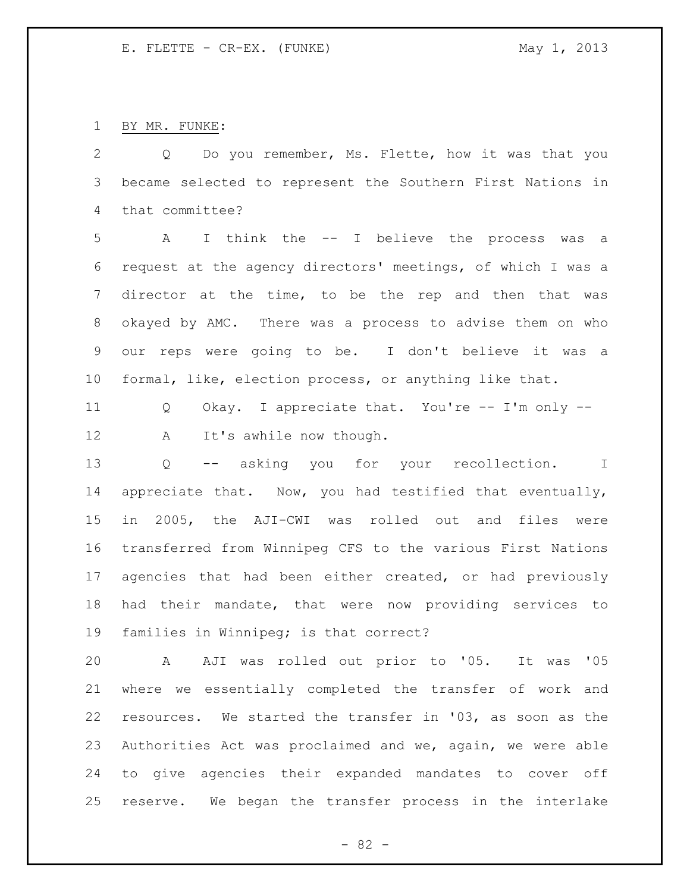BY MR. FUNKE:

 Q Do you remember, Ms. Flette, how it was that you became selected to represent the Southern First Nations in that committee? A I think the -- I believe the process was a request at the agency directors' meetings, of which I was a director at the time, to be the rep and then that was okayed by AMC. There was a process to advise them on who our reps were going to be. I don't believe it was a formal, like, election process, or anything like that. Q Okay. I appreciate that. You're -- I'm only -- 12 A It's awhile now though. Q -- asking you for your recollection. I appreciate that. Now, you had testified that eventually, in 2005, the AJI-CWI was rolled out and files were transferred from Winnipeg CFS to the various First Nations agencies that had been either created, or had previously had their mandate, that were now providing services to families in Winnipeg; is that correct? A AJI was rolled out prior to '05. It was '05 where we essentially completed the transfer of work and resources. We started the transfer in '03, as soon as the Authorities Act was proclaimed and we, again, we were able to give agencies their expanded mandates to cover off

reserve. We began the transfer process in the interlake

 $- 82 -$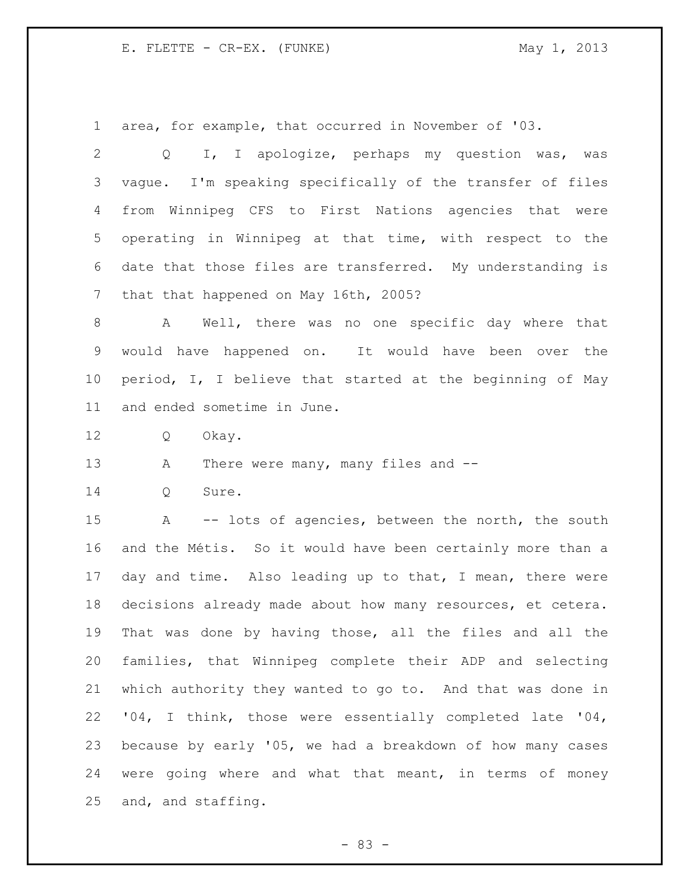area, for example, that occurred in November of '03.

 Q I, I apologize, perhaps my question was, was vague. I'm speaking specifically of the transfer of files from Winnipeg CFS to First Nations agencies that were operating in Winnipeg at that time, with respect to the date that those files are transferred. My understanding is that that happened on May 16th, 2005?

 A Well, there was no one specific day where that would have happened on. It would have been over the period, I, I believe that started at the beginning of May and ended sometime in June.

Q Okay.

13 A There were many, many files and --

Q Sure.

 A -- lots of agencies, between the north, the south and the Métis. So it would have been certainly more than a day and time. Also leading up to that, I mean, there were decisions already made about how many resources, et cetera. That was done by having those, all the files and all the families, that Winnipeg complete their ADP and selecting which authority they wanted to go to. And that was done in '04, I think, those were essentially completed late '04, because by early '05, we had a breakdown of how many cases were going where and what that meant, in terms of money and, and staffing.

- 83 -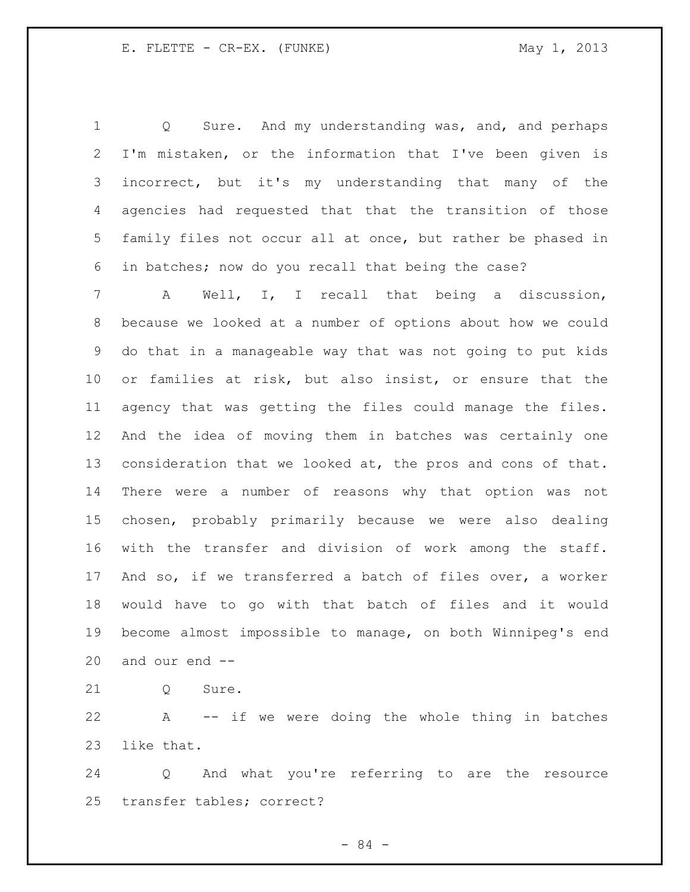Q Sure. And my understanding was, and, and perhaps I'm mistaken, or the information that I've been given is incorrect, but it's my understanding that many of the agencies had requested that that the transition of those family files not occur all at once, but rather be phased in in batches; now do you recall that being the case?

 A Well, I, I recall that being a discussion, because we looked at a number of options about how we could do that in a manageable way that was not going to put kids or families at risk, but also insist, or ensure that the agency that was getting the files could manage the files. And the idea of moving them in batches was certainly one consideration that we looked at, the pros and cons of that. There were a number of reasons why that option was not chosen, probably primarily because we were also dealing with the transfer and division of work among the staff. And so, if we transferred a batch of files over, a worker would have to go with that batch of files and it would become almost impossible to manage, on both Winnipeg's end and our end --

21 0 Sure.

 A -- if we were doing the whole thing in batches like that.

 Q And what you're referring to are the resource transfer tables; correct?

- 84 -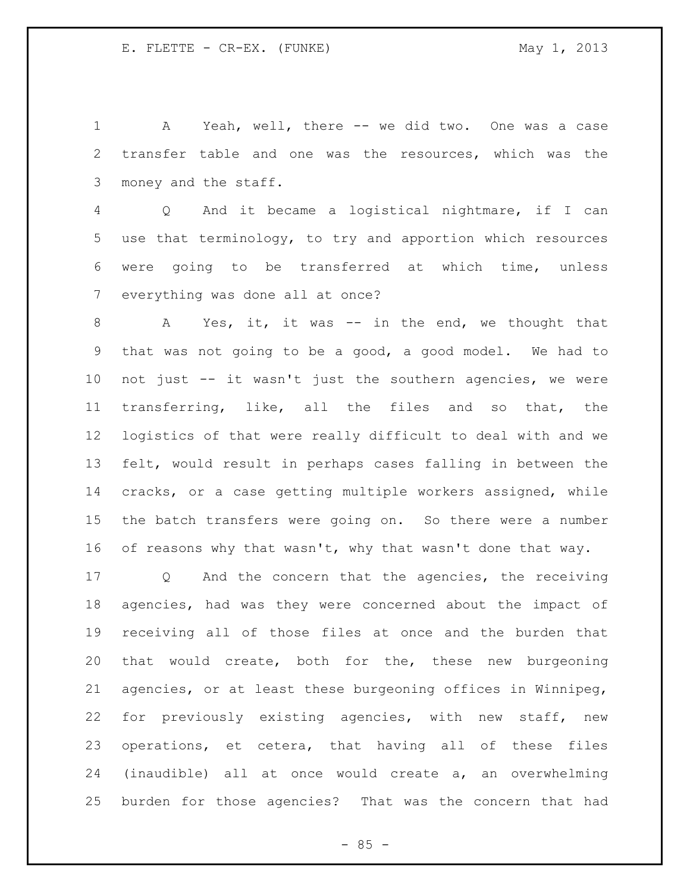A Yeah, well, there -- we did two. One was a case transfer table and one was the resources, which was the money and the staff.

 Q And it became a logistical nightmare, if I can use that terminology, to try and apportion which resources were going to be transferred at which time, unless everything was done all at once?

8 A Yes, it, it was -- in the end, we thought that that was not going to be a good, a good model. We had to not just -- it wasn't just the southern agencies, we were transferring, like, all the files and so that, the logistics of that were really difficult to deal with and we felt, would result in perhaps cases falling in between the cracks, or a case getting multiple workers assigned, while the batch transfers were going on. So there were a number 16 of reasons why that wasn't, why that wasn't done that way.

 Q And the concern that the agencies, the receiving agencies, had was they were concerned about the impact of receiving all of those files at once and the burden that that would create, both for the, these new burgeoning agencies, or at least these burgeoning offices in Winnipeg, for previously existing agencies, with new staff, new operations, et cetera, that having all of these files (inaudible) all at once would create a, an overwhelming burden for those agencies? That was the concern that had

 $- 85 -$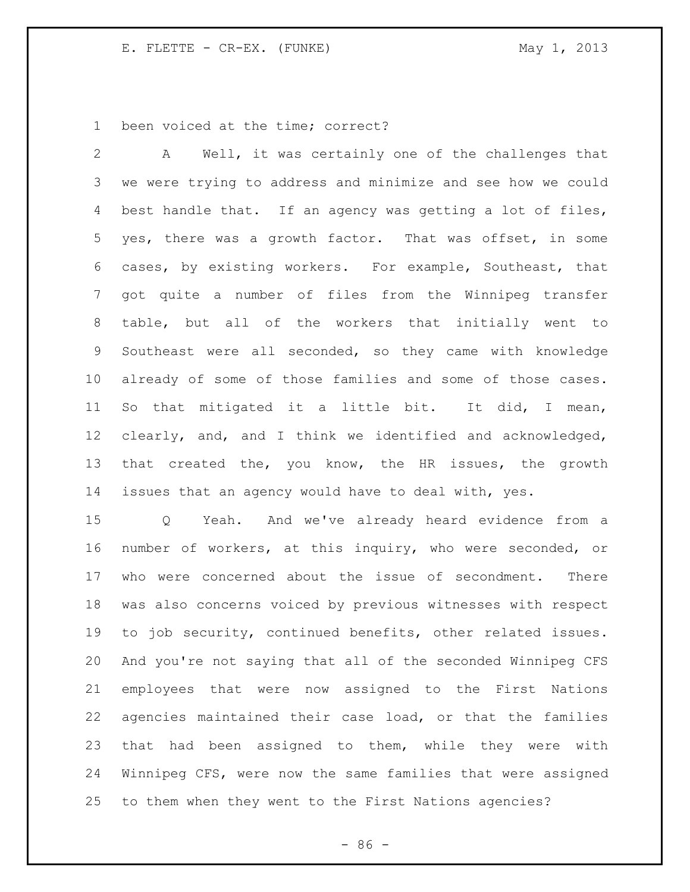been voiced at the time; correct?

 A Well, it was certainly one of the challenges that we were trying to address and minimize and see how we could best handle that. If an agency was getting a lot of files, yes, there was a growth factor. That was offset, in some cases, by existing workers. For example, Southeast, that got quite a number of files from the Winnipeg transfer table, but all of the workers that initially went to Southeast were all seconded, so they came with knowledge already of some of those families and some of those cases. So that mitigated it a little bit. It did, I mean, clearly, and, and I think we identified and acknowledged, that created the, you know, the HR issues, the growth issues that an agency would have to deal with, yes.

 Q Yeah. And we've already heard evidence from a number of workers, at this inquiry, who were seconded, or who were concerned about the issue of secondment. There was also concerns voiced by previous witnesses with respect to job security, continued benefits, other related issues. And you're not saying that all of the seconded Winnipeg CFS employees that were now assigned to the First Nations agencies maintained their case load, or that the families that had been assigned to them, while they were with Winnipeg CFS, were now the same families that were assigned to them when they went to the First Nations agencies?

 $-86 -$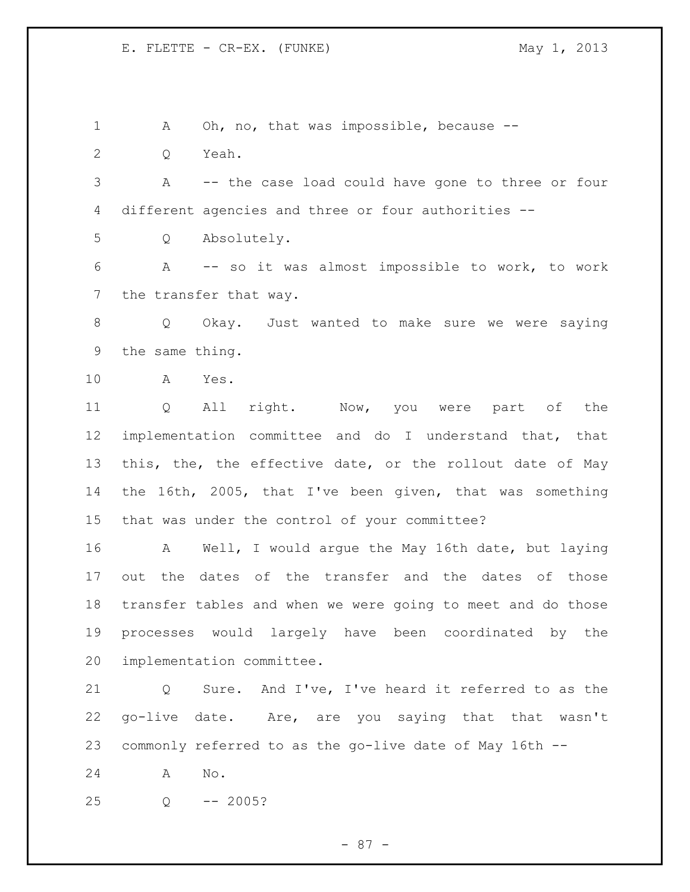- 87 - 1 A Oh, no, that was impossible, because -- Q Yeah. A -- the case load could have gone to three or four different agencies and three or four authorities -- Q Absolutely. A -- so it was almost impossible to work, to work the transfer that way. 8 Q Okay. Just wanted to make sure we were saying the same thing. A Yes. Q All right. Now, you were part of the implementation committee and do I understand that, that this, the, the effective date, or the rollout date of May the 16th, 2005, that I've been given, that was something that was under the control of your committee? A Well, I would argue the May 16th date, but laying out the dates of the transfer and the dates of those transfer tables and when we were going to meet and do those processes would largely have been coordinated by the implementation committee. Q Sure. And I've, I've heard it referred to as the go-live date. Are, are you saying that that wasn't commonly referred to as the go-live date of May 16th -- A No. Q -- 2005?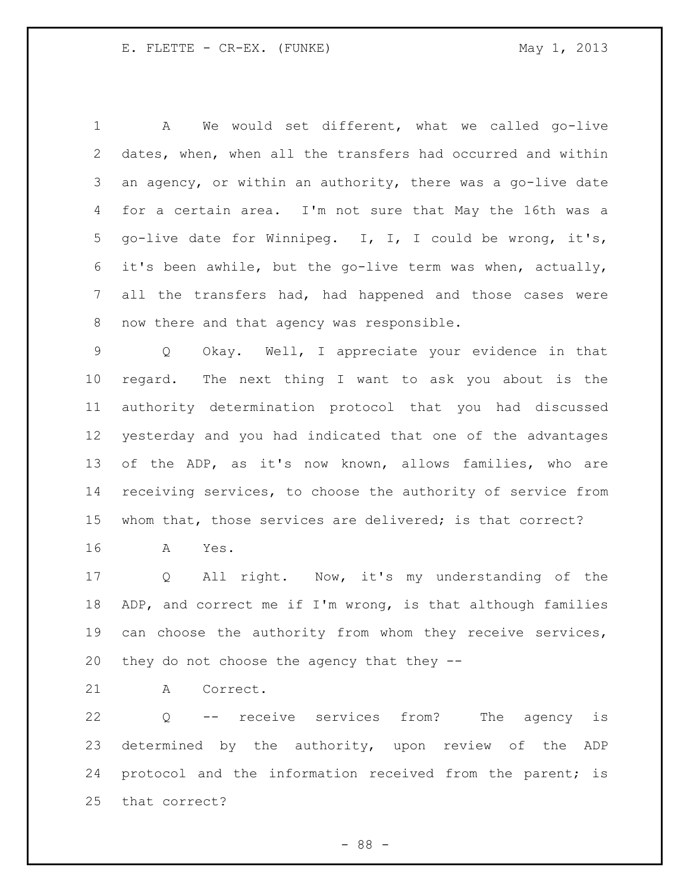A We would set different, what we called go-live dates, when, when all the transfers had occurred and within an agency, or within an authority, there was a go-live date for a certain area. I'm not sure that May the 16th was a go-live date for Winnipeg. I, I, I could be wrong, it's, it's been awhile, but the go-live term was when, actually, all the transfers had, had happened and those cases were now there and that agency was responsible.

 Q Okay. Well, I appreciate your evidence in that regard. The next thing I want to ask you about is the authority determination protocol that you had discussed yesterday and you had indicated that one of the advantages of the ADP, as it's now known, allows families, who are receiving services, to choose the authority of service from whom that, those services are delivered; is that correct?

A Yes.

 Q All right. Now, it's my understanding of the ADP, and correct me if I'm wrong, is that although families can choose the authority from whom they receive services, they do not choose the agency that they --

A Correct.

 Q -- receive services from? The agency is determined by the authority, upon review of the ADP protocol and the information received from the parent; is that correct?

- 88 -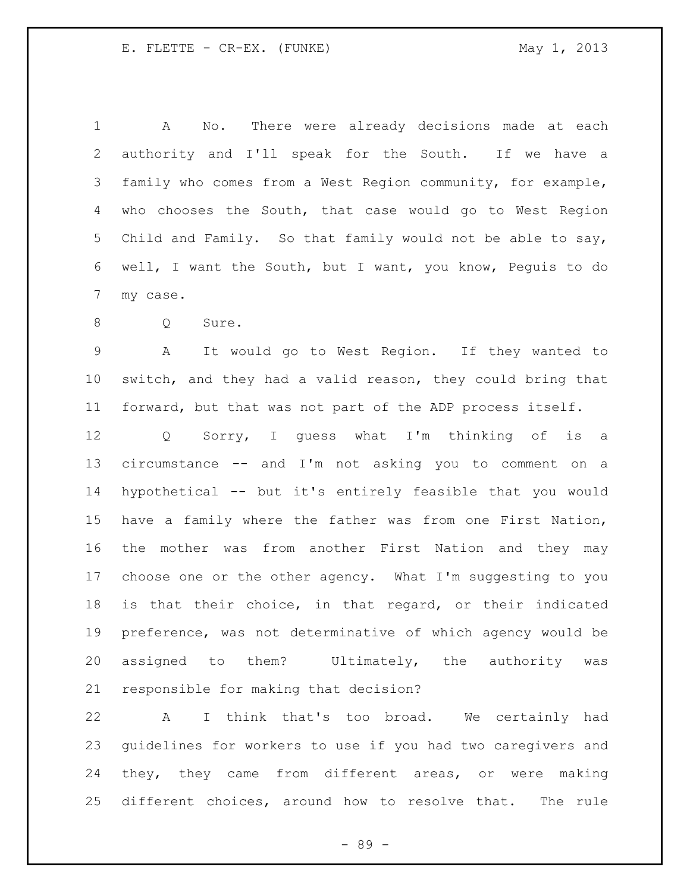A No. There were already decisions made at each authority and I'll speak for the South. If we have a family who comes from a West Region community, for example, who chooses the South, that case would go to West Region Child and Family. So that family would not be able to say, well, I want the South, but I want, you know, Peguis to do my case.

Q Sure.

 A It would go to West Region. If they wanted to switch, and they had a valid reason, they could bring that forward, but that was not part of the ADP process itself.

 Q Sorry, I guess what I'm thinking of is a circumstance -- and I'm not asking you to comment on a hypothetical -- but it's entirely feasible that you would have a family where the father was from one First Nation, the mother was from another First Nation and they may choose one or the other agency. What I'm suggesting to you is that their choice, in that regard, or their indicated preference, was not determinative of which agency would be assigned to them? Ultimately, the authority was responsible for making that decision?

 A I think that's too broad. We certainly had guidelines for workers to use if you had two caregivers and they, they came from different areas, or were making different choices, around how to resolve that. The rule

- 89 -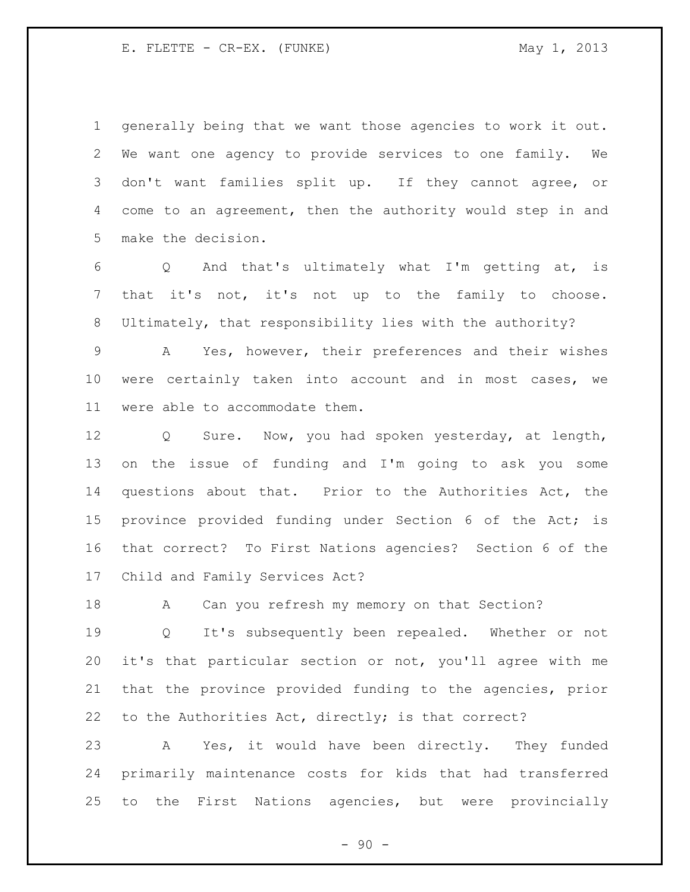generally being that we want those agencies to work it out. We want one agency to provide services to one family. We don't want families split up. If they cannot agree, or come to an agreement, then the authority would step in and make the decision.

 Q And that's ultimately what I'm getting at, is that it's not, it's not up to the family to choose. Ultimately, that responsibility lies with the authority?

 A Yes, however, their preferences and their wishes were certainly taken into account and in most cases, we were able to accommodate them.

 Q Sure. Now, you had spoken yesterday, at length, on the issue of funding and I'm going to ask you some questions about that. Prior to the Authorities Act, the province provided funding under Section 6 of the Act; is that correct? To First Nations agencies? Section 6 of the Child and Family Services Act?

18 A Can you refresh my memory on that Section?

 Q It's subsequently been repealed. Whether or not it's that particular section or not, you'll agree with me that the province provided funding to the agencies, prior to the Authorities Act, directly; is that correct?

 A Yes, it would have been directly. They funded primarily maintenance costs for kids that had transferred to the First Nations agencies, but were provincially

 $-90 -$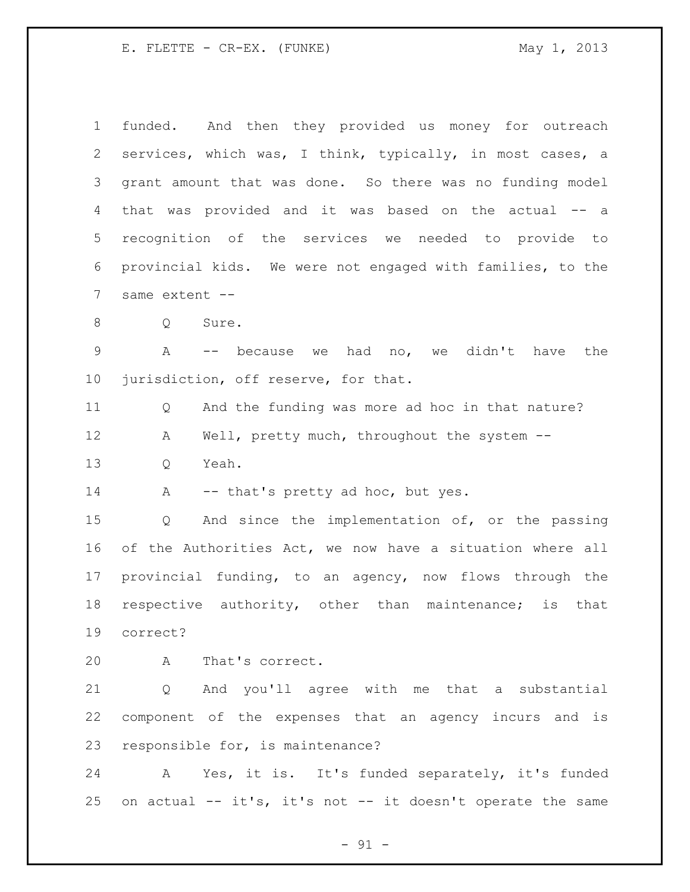funded. And then they provided us money for outreach services, which was, I think, typically, in most cases, a grant amount that was done. So there was no funding model that was provided and it was based on the actual -- a recognition of the services we needed to provide to provincial kids. We were not engaged with families, to the same extent -- 8 Q Sure. A -- because we had no, we didn't have the jurisdiction, off reserve, for that. Q And the funding was more ad hoc in that nature? 12 A Well, pretty much, throughout the system -- Q Yeah. 14 A -- that's pretty ad hoc, but yes. Q And since the implementation of, or the passing of the Authorities Act, we now have a situation where all provincial funding, to an agency, now flows through the respective authority, other than maintenance; is that correct? A That's correct. Q And you'll agree with me that a substantial component of the expenses that an agency incurs and is responsible for, is maintenance? A Yes, it is. It's funded separately, it's funded

on actual -- it's, it's not -- it doesn't operate the same

 $-91 -$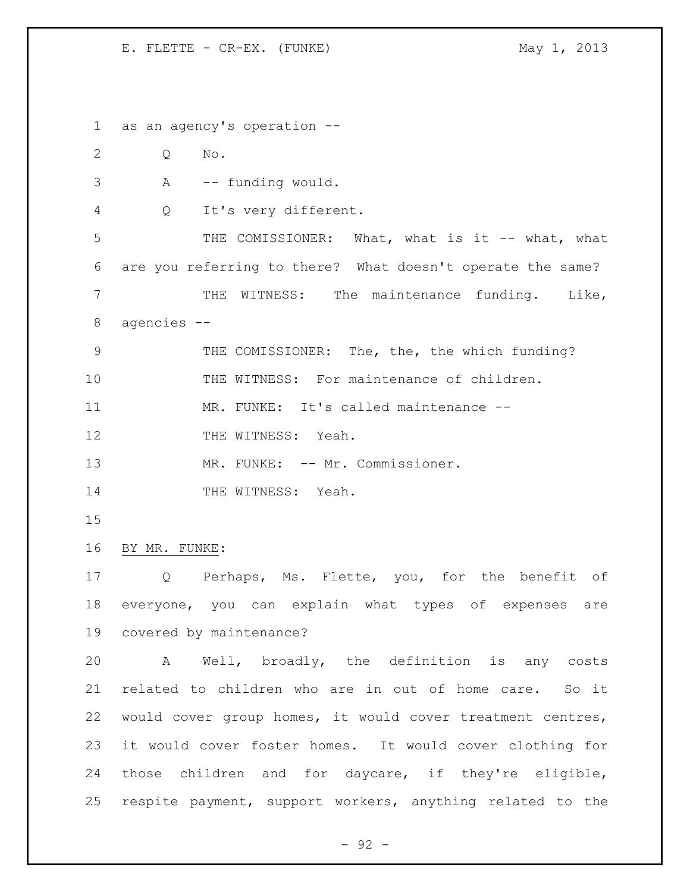as an agency's operation -- Q No. A -- funding would. Q It's very different. 5 THE COMISSIONER: What, what is it -- what, what are you referring to there? What doesn't operate the same? THE WITNESS: The maintenance funding. Like, agencies -- THE COMISSIONER: The, the, the which funding? THE WITNESS: For maintenance of children. 11 MR. FUNKE: It's called maintenance --12 THE WITNESS: Yeah. 13 MR. FUNKE: -- Mr. Commissioner. 14 THE WITNESS: Yeah. BY MR. FUNKE: Q Perhaps, Ms. Flette, you, for the benefit of everyone, you can explain what types of expenses are covered by maintenance? A Well, broadly, the definition is any costs related to children who are in out of home care. So it would cover group homes, it would cover treatment centres, it would cover foster homes. It would cover clothing for those children and for daycare, if they're eligible,

 $-92 -$ 

respite payment, support workers, anything related to the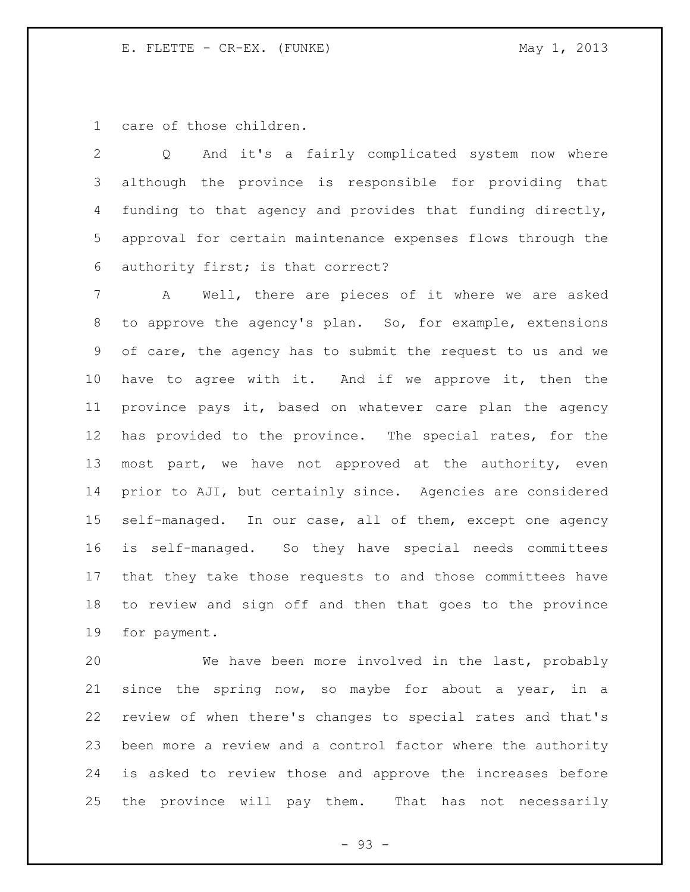care of those children.

 Q And it's a fairly complicated system now where although the province is responsible for providing that funding to that agency and provides that funding directly, approval for certain maintenance expenses flows through the authority first; is that correct?

 A Well, there are pieces of it where we are asked to approve the agency's plan. So, for example, extensions of care, the agency has to submit the request to us and we have to agree with it. And if we approve it, then the province pays it, based on whatever care plan the agency has provided to the province. The special rates, for the most part, we have not approved at the authority, even prior to AJI, but certainly since. Agencies are considered self-managed. In our case, all of them, except one agency is self-managed. So they have special needs committees that they take those requests to and those committees have to review and sign off and then that goes to the province for payment.

 We have been more involved in the last, probably since the spring now, so maybe for about a year, in a review of when there's changes to special rates and that's been more a review and a control factor where the authority is asked to review those and approve the increases before the province will pay them. That has not necessarily

- 93 -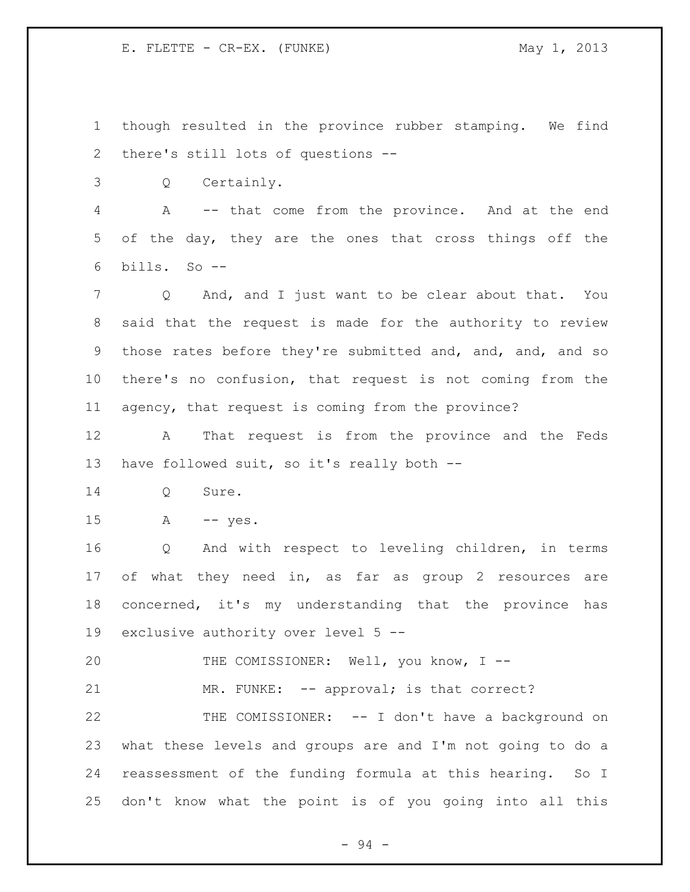though resulted in the province rubber stamping. We find there's still lots of questions --

Q Certainly.

 A -- that come from the province. And at the end of the day, they are the ones that cross things off the bills. So --

 Q And, and I just want to be clear about that. You said that the request is made for the authority to review those rates before they're submitted and, and, and, and so there's no confusion, that request is not coming from the agency, that request is coming from the province?

 A That request is from the province and the Feds 13 have followed suit, so it's really both --

Q Sure.

A -- yes.

 Q And with respect to leveling children, in terms of what they need in, as far as group 2 resources are concerned, it's my understanding that the province has exclusive authority over level 5 --

THE COMISSIONER: Well, you know, I --

21 MR. FUNKE: -- approval; is that correct?

 THE COMISSIONER: -- I don't have a background on what these levels and groups are and I'm not going to do a reassessment of the funding formula at this hearing. So I don't know what the point is of you going into all this

- 94 -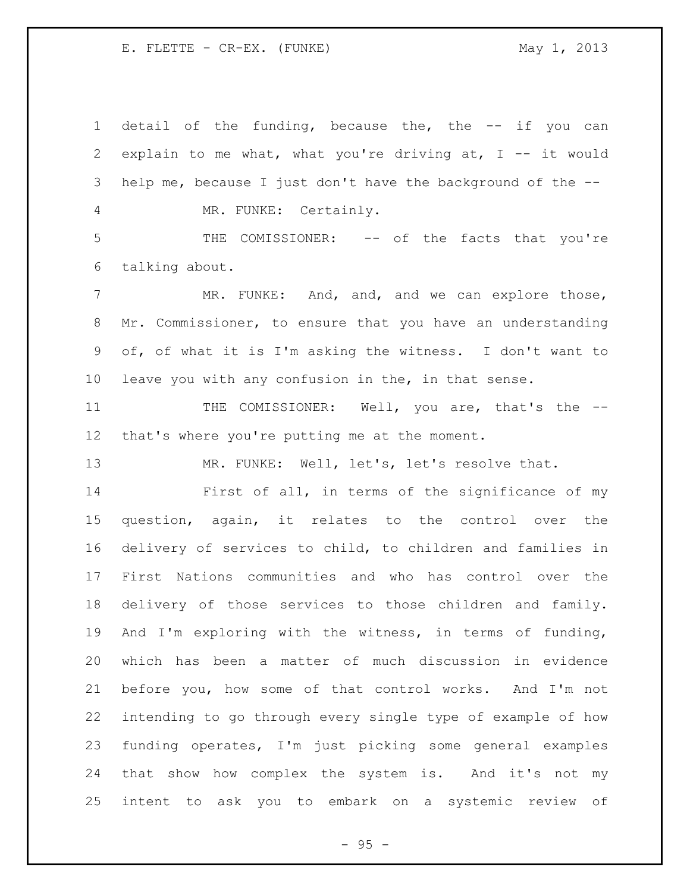2 explain to me what, what you're driving at,  $I$  -- it would help me, because I just don't have the background of the -- MR. FUNKE: Certainly. THE COMISSIONER: -- of the facts that you're talking about. 7 MR. FUNKE: And, and, and we can explore those, Mr. Commissioner, to ensure that you have an understanding of, of what it is I'm asking the witness. I don't want to leave you with any confusion in the, in that sense. 11 THE COMISSIONER: Well, you are, that's the -- that's where you're putting me at the moment. MR. FUNKE: Well, let's, let's resolve that. First of all, in terms of the significance of my question, again, it relates to the control over the delivery of services to child, to children and families in First Nations communities and who has control over the delivery of those services to those children and family. And I'm exploring with the witness, in terms of funding, which has been a matter of much discussion in evidence before you, how some of that control works. And I'm not intending to go through every single type of example of how funding operates, I'm just picking some general examples that show how complex the system is. And it's not my intent to ask you to embark on a systemic review of

detail of the funding, because the, the -- if you can

 $- 95 -$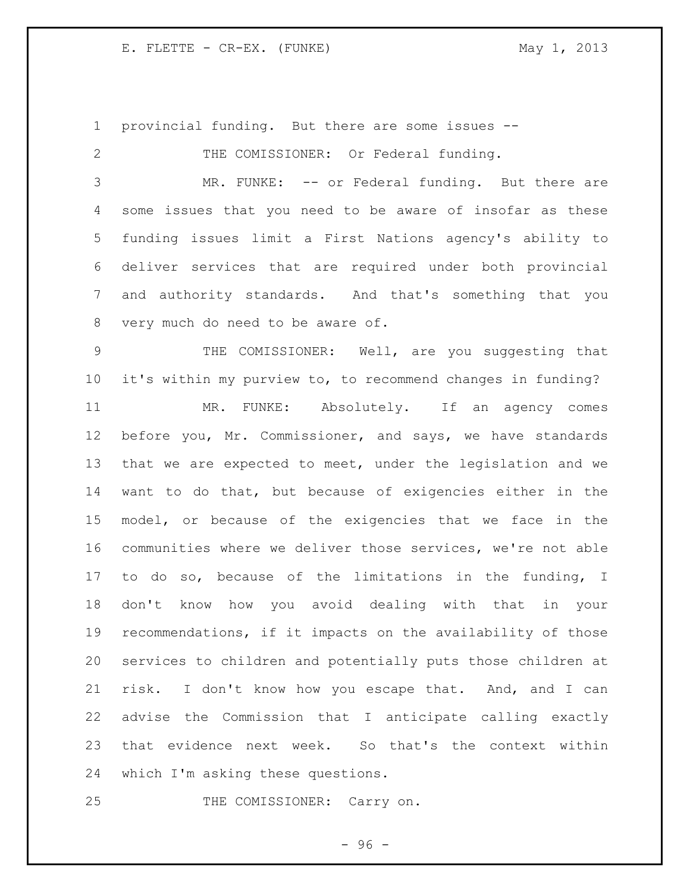provincial funding. But there are some issues -- 2 THE COMISSIONER: Or Federal funding. MR. FUNKE: -- or Federal funding. But there are some issues that you need to be aware of insofar as these funding issues limit a First Nations agency's ability to deliver services that are required under both provincial and authority standards. And that's something that you very much do need to be aware of. THE COMISSIONER: Well, are you suggesting that it's within my purview to, to recommend changes in funding? MR. FUNKE: Absolutely. If an agency comes before you, Mr. Commissioner, and says, we have standards that we are expected to meet, under the legislation and we want to do that, but because of exigencies either in the

 model, or because of the exigencies that we face in the communities where we deliver those services, we're not able to do so, because of the limitations in the funding, I don't know how you avoid dealing with that in your recommendations, if it impacts on the availability of those services to children and potentially puts those children at risk. I don't know how you escape that. And, and I can advise the Commission that I anticipate calling exactly that evidence next week. So that's the context within which I'm asking these questions.

THE COMISSIONER: Carry on.

 $-96 -$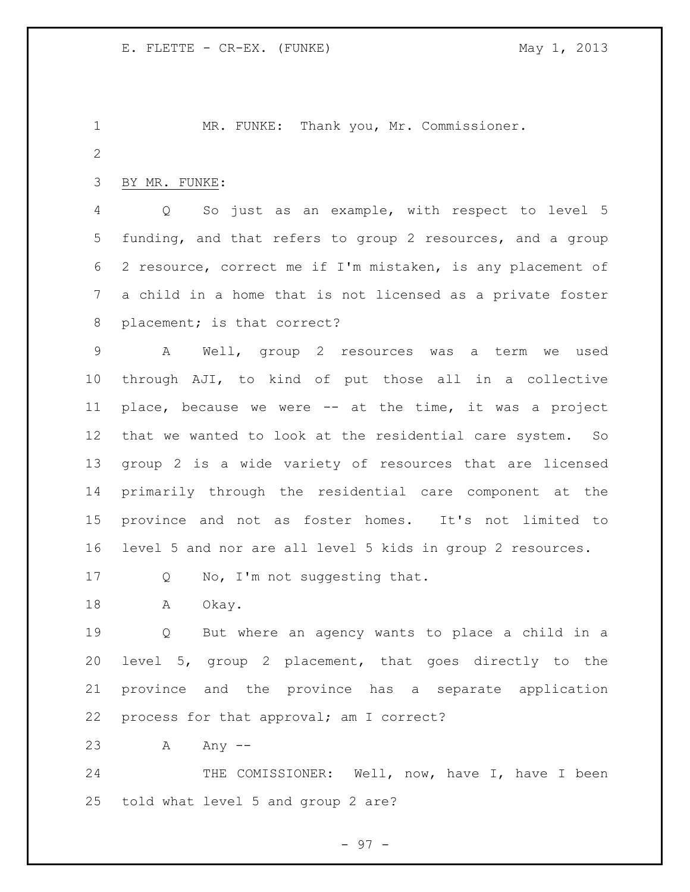MR. FUNKE: Thank you, Mr. Commissioner. BY MR. FUNKE: Q So just as an example, with respect to level 5 funding, and that refers to group 2 resources, and a group 2 resource, correct me if I'm mistaken, is any placement of a child in a home that is not licensed as a private foster 8 placement; is that correct? A Well, group 2 resources was a term we used through AJI, to kind of put those all in a collective place, because we were -- at the time, it was a project that we wanted to look at the residential care system. So

 group 2 is a wide variety of resources that are licensed primarily through the residential care component at the province and not as foster homes. It's not limited to level 5 and nor are all level 5 kids in group 2 resources.

17 Q No, I'm not suggesting that.

18 A Okay.

 Q But where an agency wants to place a child in a level 5, group 2 placement, that goes directly to the province and the province has a separate application process for that approval; am I correct?

23 A Any --

24 THE COMISSIONER: Well, now, have I, have I been told what level 5 and group 2 are?

- 97 -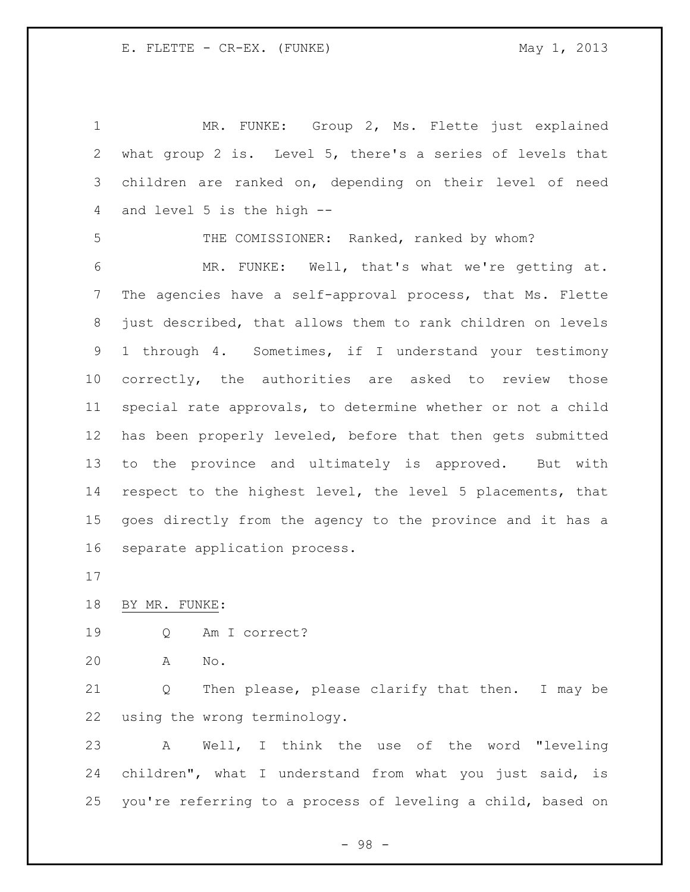MR. FUNKE: Group 2, Ms. Flette just explained what group 2 is. Level 5, there's a series of levels that children are ranked on, depending on their level of need and level 5 is the high -- THE COMISSIONER: Ranked, ranked by whom? MR. FUNKE: Well, that's what we're getting at. The agencies have a self-approval process, that Ms. Flette just described, that allows them to rank children on levels 1 through 4. Sometimes, if I understand your testimony correctly, the authorities are asked to review those special rate approvals, to determine whether or not a child has been properly leveled, before that then gets submitted to the province and ultimately is approved. But with respect to the highest level, the level 5 placements, that goes directly from the agency to the province and it has a separate application process.

BY MR. FUNKE:

Q Am I correct?

A No.

 Q Then please, please clarify that then. I may be using the wrong terminology.

 A Well, I think the use of the word "leveling children", what I understand from what you just said, is you're referring to a process of leveling a child, based on

- 98 -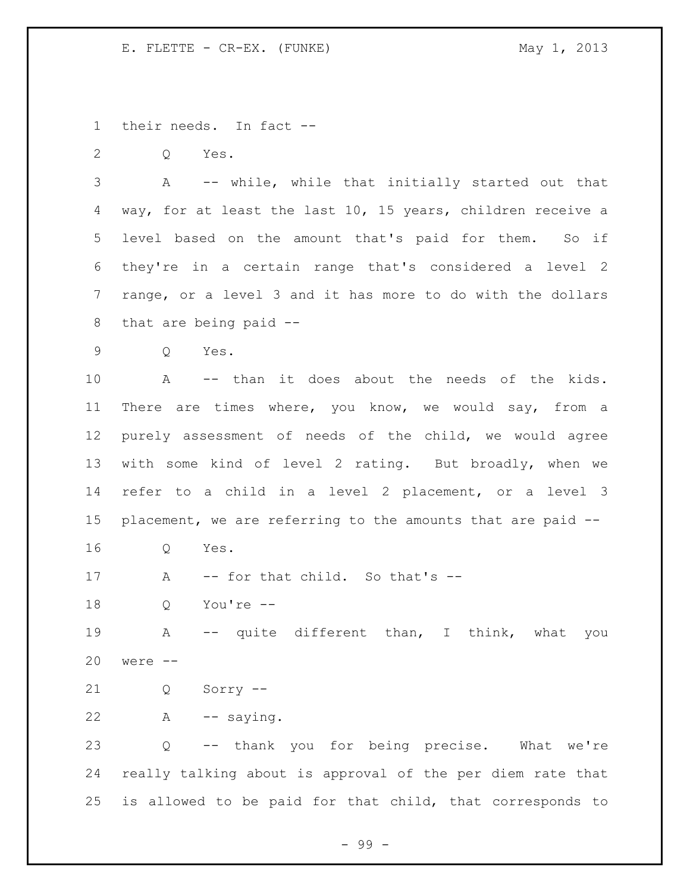their needs. In fact --

Q Yes.

 A -- while, while that initially started out that way, for at least the last 10, 15 years, children receive a level based on the amount that's paid for them. So if they're in a certain range that's considered a level 2 range, or a level 3 and it has more to do with the dollars that are being paid --

Q Yes.

 A -- than it does about the needs of the kids. There are times where, you know, we would say, from a purely assessment of needs of the child, we would agree with some kind of level 2 rating. But broadly, when we refer to a child in a level 2 placement, or a level 3 placement, we are referring to the amounts that are paid --

Q Yes.

17 A -- for that child. So that's --

Q You're --

 A -- quite different than, I think, what you were --

Q Sorry --

A -- saying.

 Q -- thank you for being precise. What we're really talking about is approval of the per diem rate that is allowed to be paid for that child, that corresponds to

- 99 -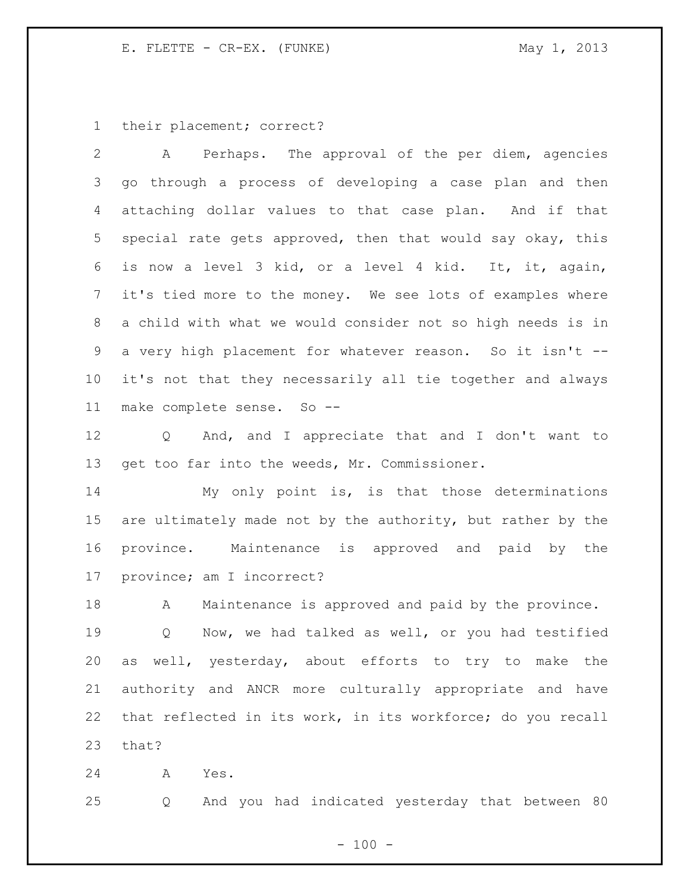their placement; correct?

 A Perhaps. The approval of the per diem, agencies go through a process of developing a case plan and then attaching dollar values to that case plan. And if that special rate gets approved, then that would say okay, this is now a level 3 kid, or a level 4 kid. It, it, again, it's tied more to the money. We see lots of examples where a child with what we would consider not so high needs is in a very high placement for whatever reason. So it isn't -- it's not that they necessarily all tie together and always make complete sense. So --

 Q And, and I appreciate that and I don't want to get too far into the weeds, Mr. Commissioner.

 My only point is, is that those determinations are ultimately made not by the authority, but rather by the province. Maintenance is approved and paid by the province; am I incorrect?

 A Maintenance is approved and paid by the province. Q Now, we had talked as well, or you had testified as well, yesterday, about efforts to try to make the authority and ANCR more culturally appropriate and have that reflected in its work, in its workforce; do you recall that?

A Yes.

Q And you had indicated yesterday that between 80

 $- 100 -$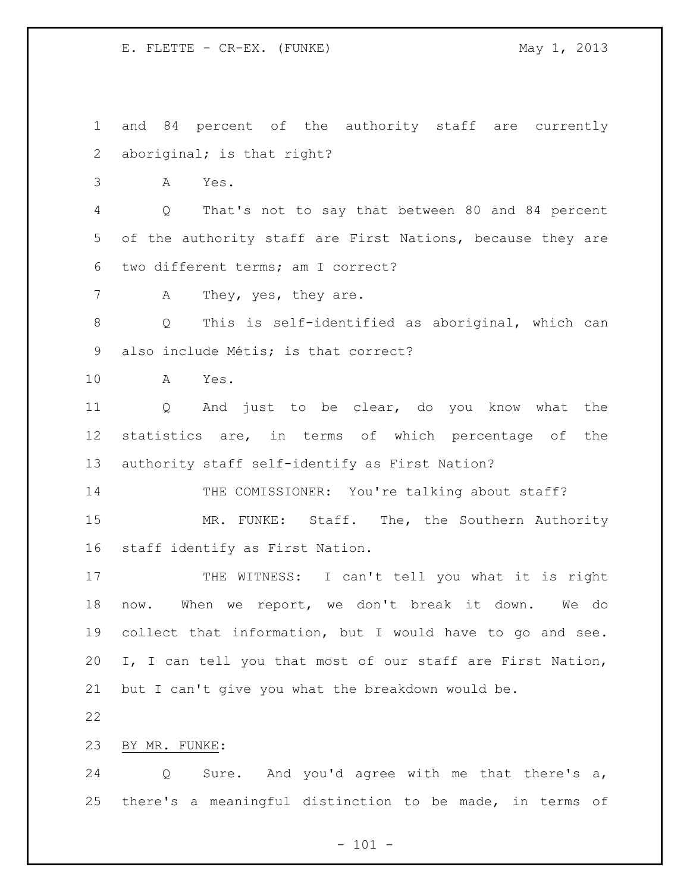and 84 percent of the authority staff are currently aboriginal; is that right?

A Yes.

 Q That's not to say that between 80 and 84 percent of the authority staff are First Nations, because they are two different terms; am I correct?

7 A They, yes, they are.

 Q This is self-identified as aboriginal, which can also include Métis; is that correct?

A Yes.

 Q And just to be clear, do you know what the statistics are, in terms of which percentage of the authority staff self-identify as First Nation?

14 THE COMISSIONER: You're talking about staff?

15 MR. FUNKE: Staff. The, the Southern Authority staff identify as First Nation.

17 THE WITNESS: I can't tell you what it is right now. When we report, we don't break it down. We do collect that information, but I would have to go and see. I, I can tell you that most of our staff are First Nation, but I can't give you what the breakdown would be.

BY MR. FUNKE:

 Q Sure. And you'd agree with me that there's a, there's a meaningful distinction to be made, in terms of

 $- 101 -$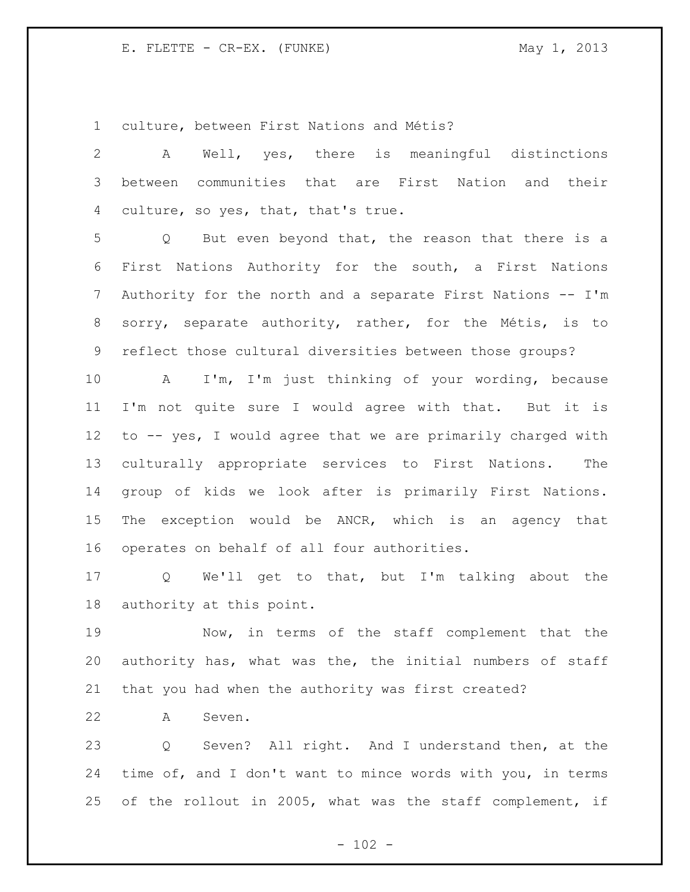culture, between First Nations and Métis?

 A Well, yes, there is meaningful distinctions between communities that are First Nation and their culture, so yes, that, that's true.

 Q But even beyond that, the reason that there is a First Nations Authority for the south, a First Nations 7 Authority for the north and a separate First Nations -- I'm sorry, separate authority, rather, for the Métis, is to reflect those cultural diversities between those groups?

 A I'm, I'm just thinking of your wording, because I'm not quite sure I would agree with that. But it is to -- yes, I would agree that we are primarily charged with culturally appropriate services to First Nations. The group of kids we look after is primarily First Nations. The exception would be ANCR, which is an agency that operates on behalf of all four authorities.

 Q We'll get to that, but I'm talking about the authority at this point.

 Now, in terms of the staff complement that the authority has, what was the, the initial numbers of staff that you had when the authority was first created?

A Seven.

 Q Seven? All right. And I understand then, at the time of, and I don't want to mince words with you, in terms of the rollout in 2005, what was the staff complement, if

 $- 102 -$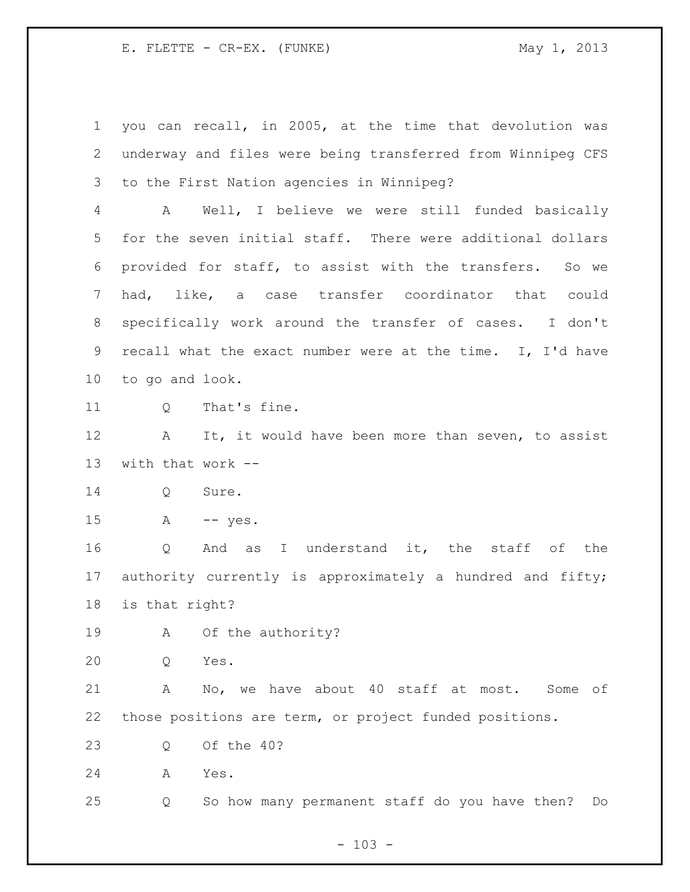you can recall, in 2005, at the time that devolution was underway and files were being transferred from Winnipeg CFS to the First Nation agencies in Winnipeg? A Well, I believe we were still funded basically for the seven initial staff. There were additional dollars provided for staff, to assist with the transfers. So we had, like, a case transfer coordinator that could specifically work around the transfer of cases. I don't recall what the exact number were at the time. I, I'd have to go and look. 11 0 That's fine. 12 A It, it would have been more than seven, to assist with that work -- Q Sure. A -- yes. Q And as I understand it, the staff of the authority currently is approximately a hundred and fifty; is that right? A Of the authority? Q Yes. A No, we have about 40 staff at most. Some of those positions are term, or project funded positions. Q Of the 40? A Yes. Q So how many permanent staff do you have then? Do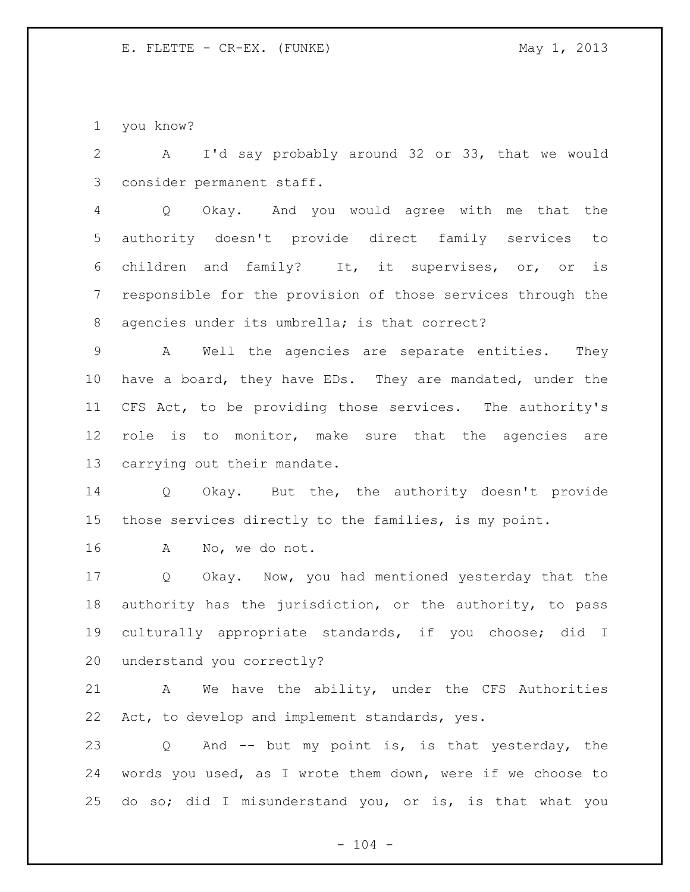you know?

 A I'd say probably around 32 or 33, that we would consider permanent staff.

 Q Okay. And you would agree with me that the authority doesn't provide direct family services to children and family? It, it supervises, or, or is responsible for the provision of those services through the agencies under its umbrella; is that correct?

 A Well the agencies are separate entities. They have a board, they have EDs. They are mandated, under the CFS Act, to be providing those services. The authority's role is to monitor, make sure that the agencies are carrying out their mandate.

 Q Okay. But the, the authority doesn't provide those services directly to the families, is my point.

A No, we do not.

 Q Okay. Now, you had mentioned yesterday that the authority has the jurisdiction, or the authority, to pass culturally appropriate standards, if you choose; did I understand you correctly?

 A We have the ability, under the CFS Authorities 22 Act, to develop and implement standards, yes.

 Q And -- but my point is, is that yesterday, the words you used, as I wrote them down, were if we choose to do so; did I misunderstand you, or is, is that what you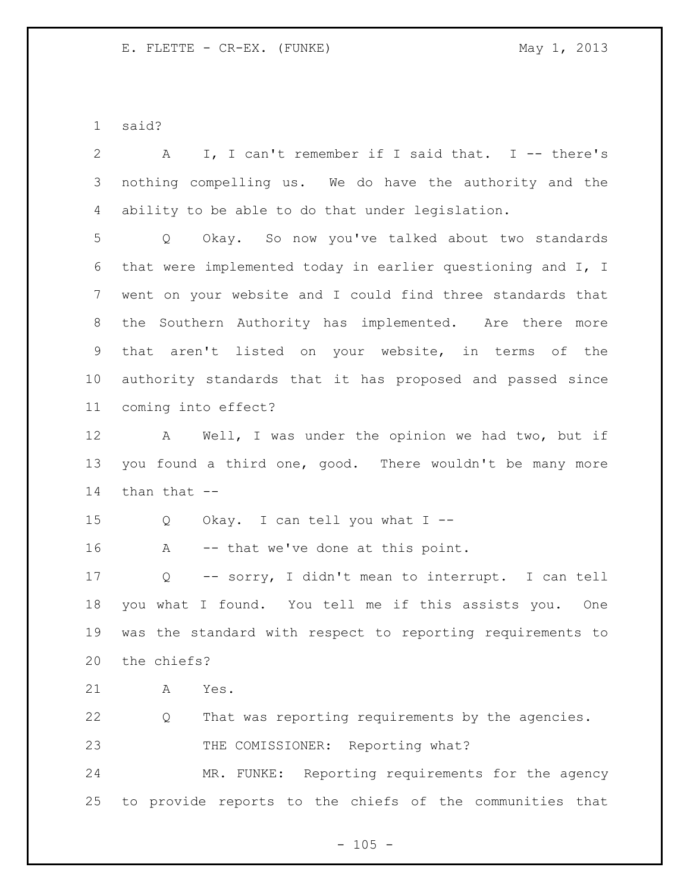said?

| $\overline{2}$  | I, I can't remember if I said that. I -- there's<br>A                 |
|-----------------|-----------------------------------------------------------------------|
| 3               | nothing compelling us. We do have the authority and the               |
| 4               | ability to be able to do that under legislation.                      |
| 5               | Q Okay. So now you've talked about two standards                      |
| 6               | that were implemented today in earlier questioning and I, I           |
| 7               | went on your website and I could find three standards that            |
| 8               | the Southern Authority has implemented. Are there more                |
| 9               | that aren't listed on your website, in terms of the                   |
| 10 <sub>o</sub> | authority standards that it has proposed and passed since             |
| 11              | coming into effect?                                                   |
| 12              | A Well, I was under the opinion we had two, but if                    |
| 13              | you found a third one, good. There wouldn't be many more              |
|                 |                                                                       |
| 14              | than that --                                                          |
| 15              | Okay. I can tell you what $I$ --<br>Q                                 |
| 16              | -- that we've done at this point.<br>A                                |
| 17              | -- sorry, I didn't mean to interrupt. I can tell<br>$Q \qquad \qquad$ |
| 18              | you what I found. You tell me if this assists you. One                |
| 19              | was the standard with respect to reporting requirements to            |
| 20              | the chiefs?                                                           |
| 21              | Yes.<br>А                                                             |
| 22              | That was reporting requirements by the agencies.<br>Q                 |
| 23              | THE COMISSIONER: Reporting what?                                      |
| 24              | MR. FUNKE: Reporting requirements for the agency                      |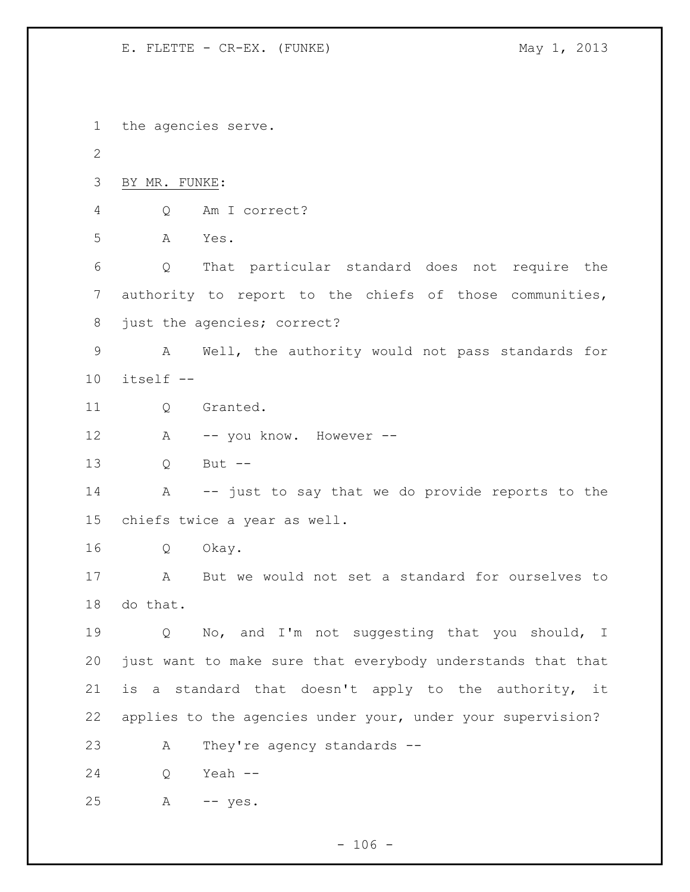the agencies serve. BY MR. FUNKE: Q Am I correct? A Yes. Q That particular standard does not require the authority to report to the chiefs of those communities, 8 just the agencies; correct? A Well, the authority would not pass standards for itself -- Q Granted. 12 A -- you know. However -- Q But -- A -- just to say that we do provide reports to the chiefs twice a year as well. Q Okay. A But we would not set a standard for ourselves to do that. Q No, and I'm not suggesting that you should, I just want to make sure that everybody understands that that is a standard that doesn't apply to the authority, it applies to the agencies under your, under your supervision? A They're agency standards -- Q Yeah -- A -- yes.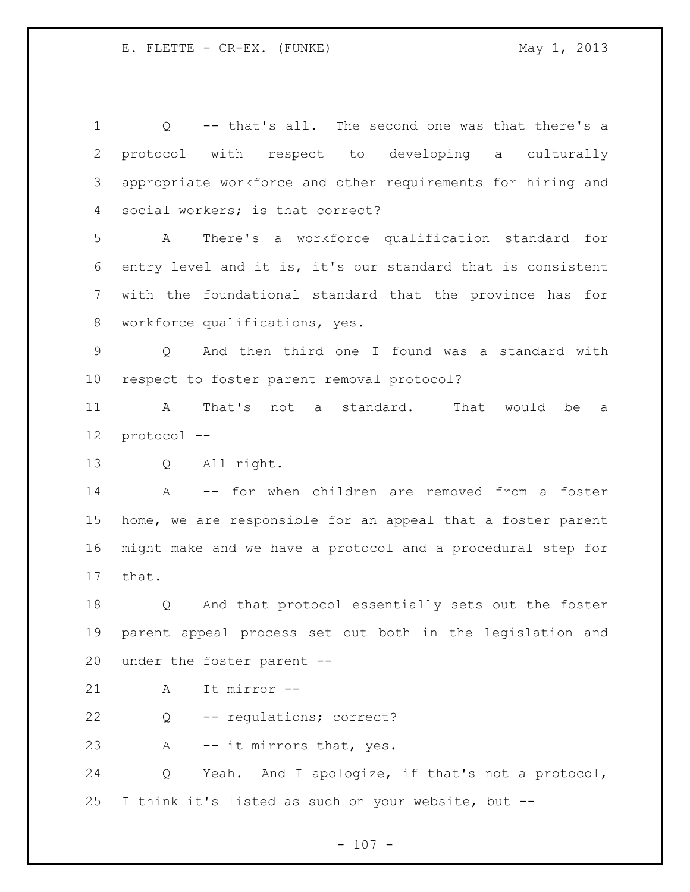Q -- that's all. The second one was that there's a protocol with respect to developing a culturally appropriate workforce and other requirements for hiring and social workers; is that correct? A There's a workforce qualification standard for entry level and it is, it's our standard that is consistent with the foundational standard that the province has for workforce qualifications, yes. Q And then third one I found was a standard with respect to foster parent removal protocol? A That's not a standard. That would be a protocol -- Q All right. A -- for when children are removed from a foster home, we are responsible for an appeal that a foster parent might make and we have a protocol and a procedural step for that. Q And that protocol essentially sets out the foster parent appeal process set out both in the legislation and under the foster parent -- A It mirror -- Q -- regulations; correct? 23 A -- it mirrors that, yes. Q Yeah. And I apologize, if that's not a protocol, I think it's listed as such on your website, but --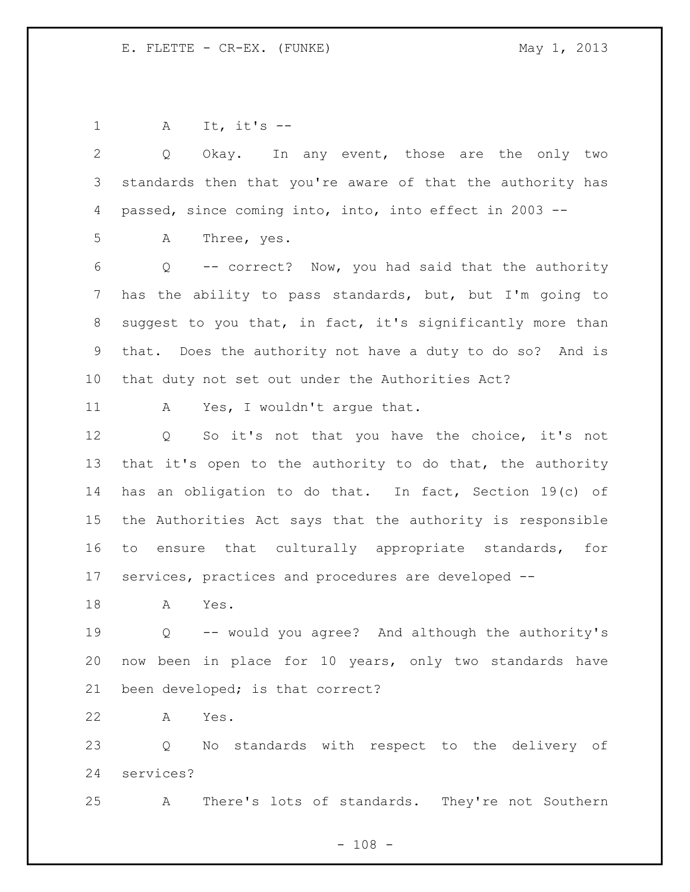A It, it's -- Q Okay. In any event, those are the only two standards then that you're aware of that the authority has passed, since coming into, into, into effect in 2003 -- A Three, yes. Q -- correct? Now, you had said that the authority has the ability to pass standards, but, but I'm going to suggest to you that, in fact, it's significantly more than that. Does the authority not have a duty to do so? And is that duty not set out under the Authorities Act? 11 A Yes, I wouldn't argue that. Q So it's not that you have the choice, it's not 13 that it's open to the authority to do that, the authority has an obligation to do that. In fact, Section 19(c) of the Authorities Act says that the authority is responsible to ensure that culturally appropriate standards, for services, practices and procedures are developed -- A Yes. Q -- would you agree? And although the authority's now been in place for 10 years, only two standards have been developed; is that correct? A Yes. Q No standards with respect to the delivery of services?

A There's lots of standards. They're not Southern

 $- 108 -$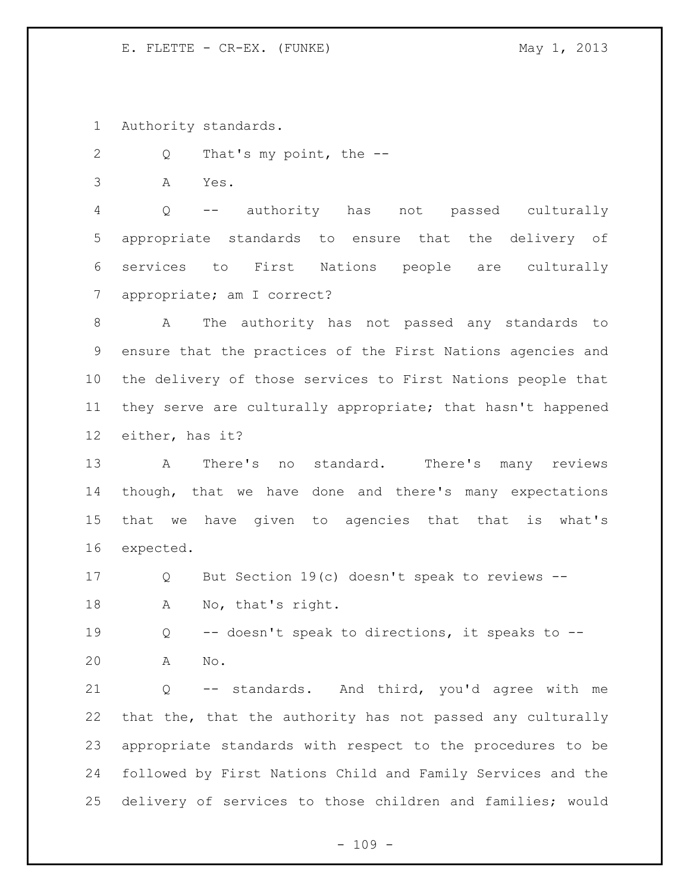Authority standards.

2 Q That's my point, the --

A Yes.

 Q -- authority has not passed culturally appropriate standards to ensure that the delivery of services to First Nations people are culturally appropriate; am I correct?

 A The authority has not passed any standards to ensure that the practices of the First Nations agencies and the delivery of those services to First Nations people that they serve are culturally appropriate; that hasn't happened either, has it?

 A There's no standard. There's many reviews though, that we have done and there's many expectations that we have given to agencies that that is what's expected.

 Q But Section 19(c) doesn't speak to reviews -- A No, that's right.

 Q -- doesn't speak to directions, it speaks to -- A No.

 Q -- standards. And third, you'd agree with me that the, that the authority has not passed any culturally appropriate standards with respect to the procedures to be followed by First Nations Child and Family Services and the delivery of services to those children and families; would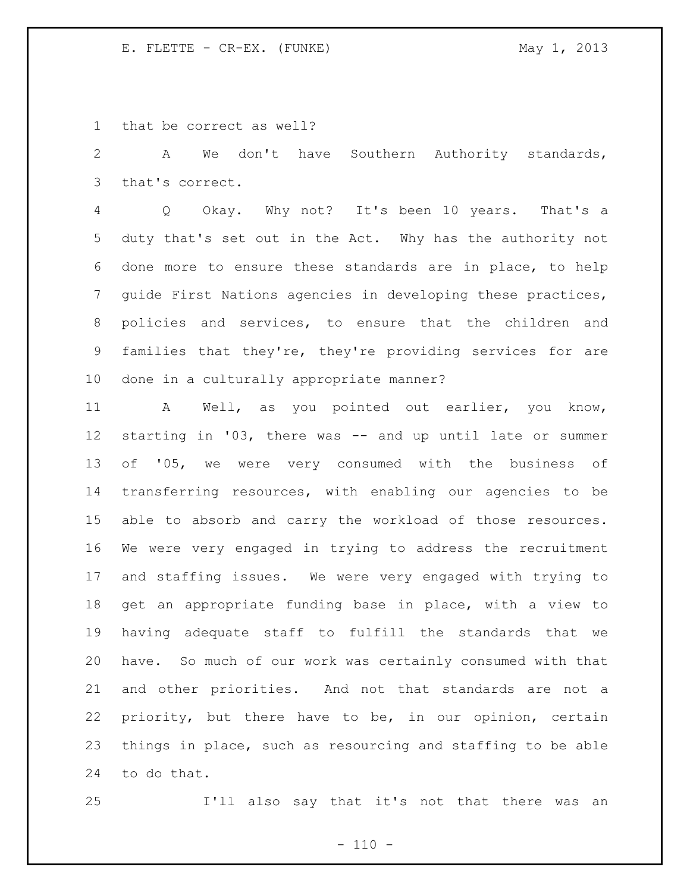that be correct as well?

 A We don't have Southern Authority standards, that's correct.

 Q Okay. Why not? It's been 10 years. That's a duty that's set out in the Act. Why has the authority not done more to ensure these standards are in place, to help guide First Nations agencies in developing these practices, policies and services, to ensure that the children and families that they're, they're providing services for are done in a culturally appropriate manner?

 A Well, as you pointed out earlier, you know, starting in '03, there was -- and up until late or summer of '05, we were very consumed with the business of transferring resources, with enabling our agencies to be able to absorb and carry the workload of those resources. We were very engaged in trying to address the recruitment and staffing issues. We were very engaged with trying to get an appropriate funding base in place, with a view to having adequate staff to fulfill the standards that we have. So much of our work was certainly consumed with that and other priorities. And not that standards are not a priority, but there have to be, in our opinion, certain things in place, such as resourcing and staffing to be able to do that.

I'll also say that it's not that there was an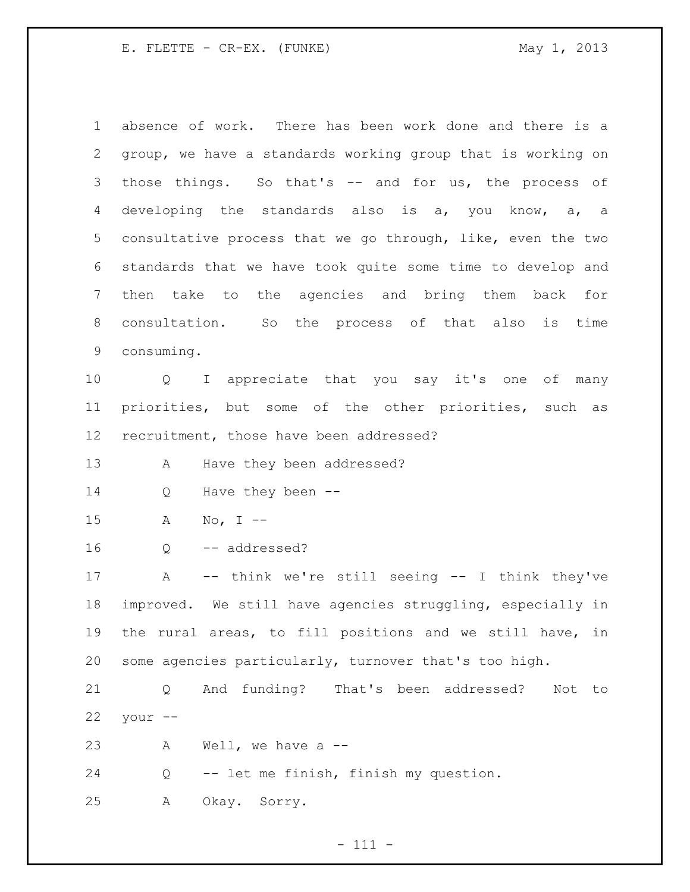| $\mathbf 1$ | absence of work. There has been work done and there is a      |
|-------------|---------------------------------------------------------------|
| 2           | group, we have a standards working group that is working on   |
| 3           | those things. So that's -- and for us, the process of         |
| 4           | developing the standards also is a, you know, a, a            |
| 5           | consultative process that we go through, like, even the two   |
| 6           | standards that we have took quite some time to develop and    |
| 7           | then take to the agencies and bring them back for             |
| 8           | consultation. So the process of that also is time             |
| 9           | consuming.                                                    |
| 10          | I appreciate that you say it's one of many<br>$Q \sim$        |
| 11          | priorities, but some of the other priorities, such as         |
| 12          | recruitment, those have been addressed?                       |
| 13          | Have they been addressed?<br>А                                |
| 14          | Have they been --<br>Q                                        |
| 15          | No, I $--$<br>Α                                               |
| 16          | -- addressed?<br>Q                                            |
| 17          | -- think we're still seeing -- I think they've<br>$\mathbb A$ |
| 18          | improved. We still have agencies struggling, especially in    |
| 19          | the rural areas, to fill positions and we still have, in      |
| 20          | some agencies particularly, turnover that's too high.         |
| 21          | And funding? That's been addressed?<br>Q<br>Not to            |
| 22          | your --                                                       |
| 23          | Well, we have a $-$<br>A                                      |
| 24          | -- let me finish, finish my question.<br>Q                    |
| 25          | Sorry.<br>А<br>Okay.                                          |

- 111 -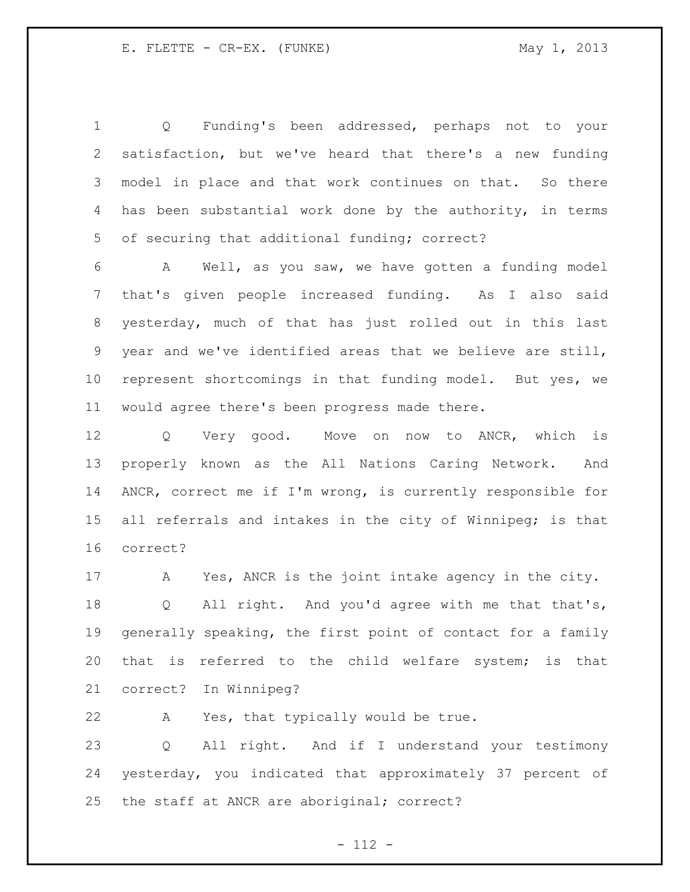Q Funding's been addressed, perhaps not to your satisfaction, but we've heard that there's a new funding model in place and that work continues on that. So there has been substantial work done by the authority, in terms of securing that additional funding; correct?

 A Well, as you saw, we have gotten a funding model that's given people increased funding. As I also said yesterday, much of that has just rolled out in this last year and we've identified areas that we believe are still, represent shortcomings in that funding model. But yes, we would agree there's been progress made there.

 Q Very good. Move on now to ANCR, which is properly known as the All Nations Caring Network. And ANCR, correct me if I'm wrong, is currently responsible for 15 all referrals and intakes in the city of Winnipeg; is that correct?

17 A Yes, ANCR is the joint intake agency in the city. Q All right. And you'd agree with me that that's, generally speaking, the first point of contact for a family that is referred to the child welfare system; is that correct? In Winnipeg?

A Yes, that typically would be true.

 Q All right. And if I understand your testimony yesterday, you indicated that approximately 37 percent of the staff at ANCR are aboriginal; correct?

- 112 -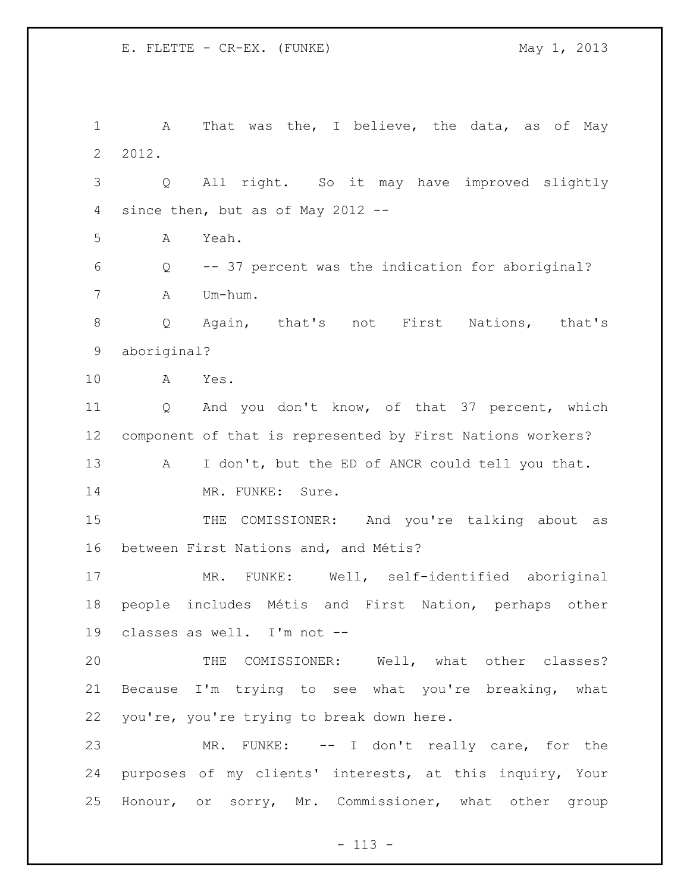A That was the, I believe, the data, as of May 2012. Q All right. So it may have improved slightly since then, but as of May 2012 -- A Yeah. Q -- 37 percent was the indication for aboriginal? A Um-hum. Q Again, that's not First Nations, that's aboriginal? A Yes. Q And you don't know, of that 37 percent, which component of that is represented by First Nations workers? 13 A I don't, but the ED of ANCR could tell you that. 14 MR. FUNKE: Sure. 15 THE COMISSIONER: And you're talking about as between First Nations and, and Métis? MR. FUNKE: Well, self-identified aboriginal people includes Métis and First Nation, perhaps other classes as well. I'm not -- THE COMISSIONER: Well, what other classes? Because I'm trying to see what you're breaking, what you're, you're trying to break down here. MR. FUNKE: -- I don't really care, for the purposes of my clients' interests, at this inquiry, Your Honour, or sorry, Mr. Commissioner, what other group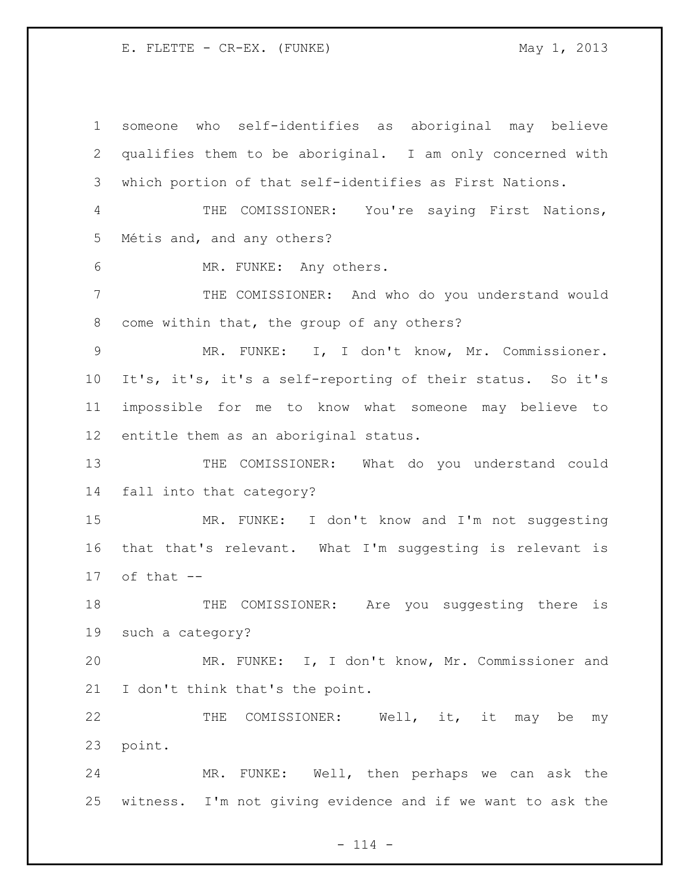someone who self-identifies as aboriginal may believe qualifies them to be aboriginal. I am only concerned with which portion of that self-identifies as First Nations. THE COMISSIONER: You're saying First Nations, Métis and, and any others? MR. FUNKE: Any others. THE COMISSIONER: And who do you understand would come within that, the group of any others? MR. FUNKE: I, I don't know, Mr. Commissioner. It's, it's, it's a self-reporting of their status. So it's impossible for me to know what someone may believe to entitle them as an aboriginal status. THE COMISSIONER: What do you understand could fall into that category? MR. FUNKE: I don't know and I'm not suggesting that that's relevant. What I'm suggesting is relevant is of that  $-$  THE COMISSIONER: Are you suggesting there is such a category? MR. FUNKE: I, I don't know, Mr. Commissioner and I don't think that's the point. 22 THE COMISSIONER: Well, it, it may be my point. MR. FUNKE: Well, then perhaps we can ask the witness. I'm not giving evidence and if we want to ask the

 $- 114 -$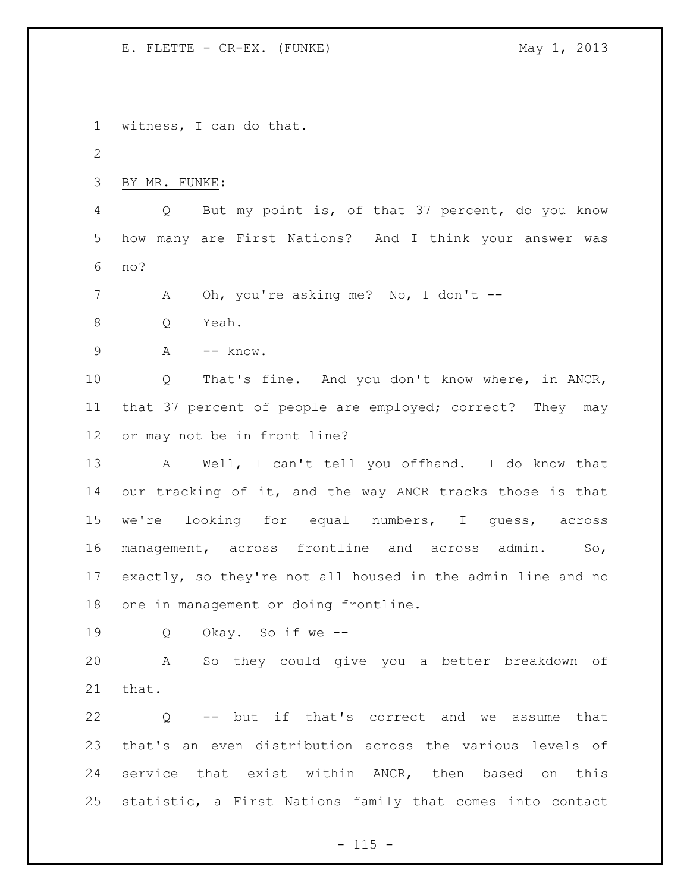witness, I can do that. BY MR. FUNKE: Q But my point is, of that 37 percent, do you know how many are First Nations? And I think your answer was no? 7 A Oh, you're asking me? No, I don't -- Q Yeah. 9 A -- know. Q That's fine. And you don't know where, in ANCR, that 37 percent of people are employed; correct? They may or may not be in front line? A Well, I can't tell you offhand. I do know that our tracking of it, and the way ANCR tracks those is that we're looking for equal numbers, I guess, across management, across frontline and across admin. So, exactly, so they're not all housed in the admin line and no one in management or doing frontline. Q Okay. So if we -- A So they could give you a better breakdown of that. Q -- but if that's correct and we assume that that's an even distribution across the various levels of service that exist within ANCR, then based on this statistic, a First Nations family that comes into contact

 $- 115 -$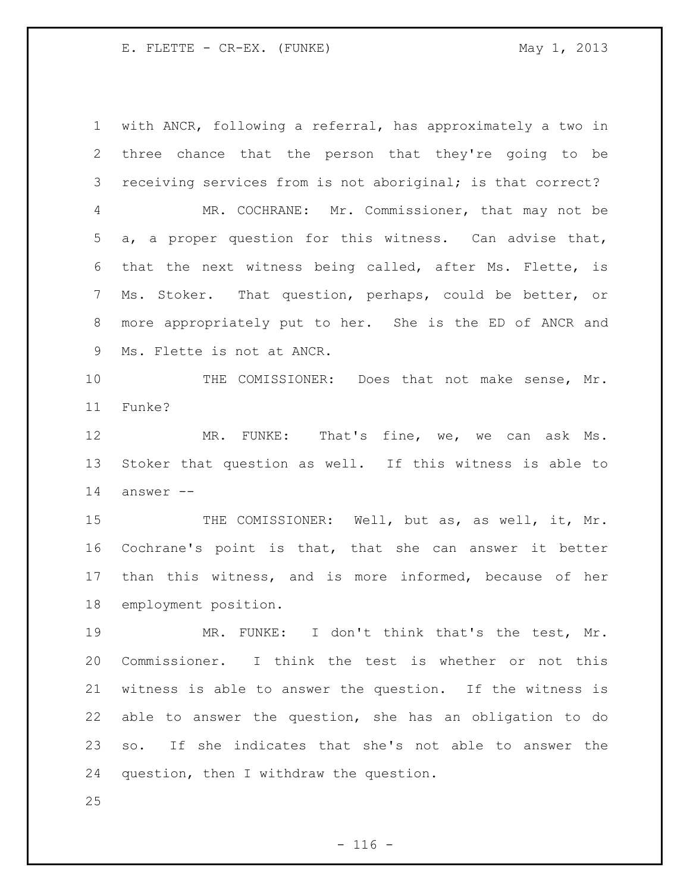with ANCR, following a referral, has approximately a two in three chance that the person that they're going to be receiving services from is not aboriginal; is that correct? MR. COCHRANE: Mr. Commissioner, that may not be a, a proper question for this witness. Can advise that, that the next witness being called, after Ms. Flette, is Ms. Stoker. That question, perhaps, could be better, or more appropriately put to her. She is the ED of ANCR and Ms. Flette is not at ANCR. THE COMISSIONER: Does that not make sense, Mr. Funke? MR. FUNKE: That's fine, we, we can ask Ms. Stoker that question as well. If this witness is able to answer -- 15 THE COMISSIONER: Well, but as, as well, it, Mr. Cochrane's point is that, that she can answer it better than this witness, and is more informed, because of her employment position. MR. FUNKE: I don't think that's the test, Mr. Commissioner. I think the test is whether or not this witness is able to answer the question. If the witness is able to answer the question, she has an obligation to do so. If she indicates that she's not able to answer the question, then I withdraw the question.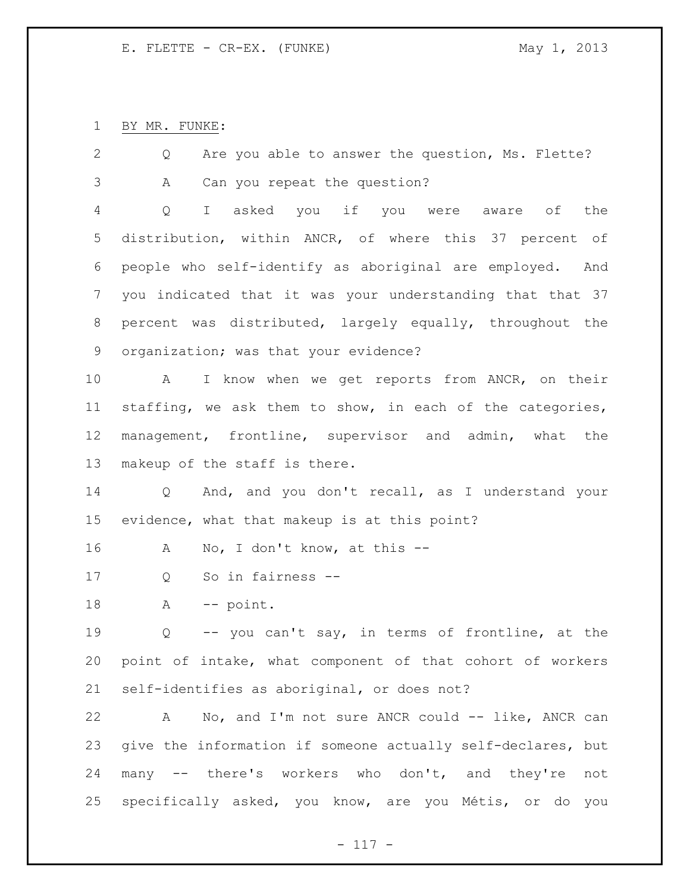BY MR. FUNKE:

| 2  | Are you able to answer the question, Ms. Flette?<br>Q         |
|----|---------------------------------------------------------------|
| 3  | Can you repeat the question?<br>Α                             |
| 4  | I asked you if you were aware of the<br>Q                     |
| 5  | distribution, within ANCR, of where this 37 percent of        |
| 6  | people who self-identify as aboriginal are employed. And      |
| 7  | you indicated that it was your understanding that that 37     |
| 8  | percent was distributed, largely equally, throughout the      |
| 9  | organization; was that your evidence?                         |
| 10 | I know when we get reports from ANCR, on their<br>A           |
| 11 | staffing, we ask them to show, in each of the categories,     |
| 12 | management, frontline, supervisor and admin, what the         |
| 13 | makeup of the staff is there.                                 |
| 14 | And, and you don't recall, as I understand your<br>$Q \qquad$ |
| 15 | evidence, what that makeup is at this point?                  |
| 16 | No, I don't know, at this --<br>A                             |
| 17 | So in fairness --<br>Q                                        |
| 18 | -- point.<br>A                                                |
| 19 | -- you can't say, in terms of frontline, at the<br>Q          |
| 20 | point of intake, what component of that cohort of workers     |
| 21 | self-identifies as aboriginal, or does not?                   |
| 22 | No, and I'm not sure ANCR could -- like, ANCR can<br>A        |
| 23 | give the information if someone actually self-declares, but   |
| 24 | many -- there's workers who don't, and they're not            |
| 25 | specifically asked, you know, are you Métis, or do you        |

- 117 -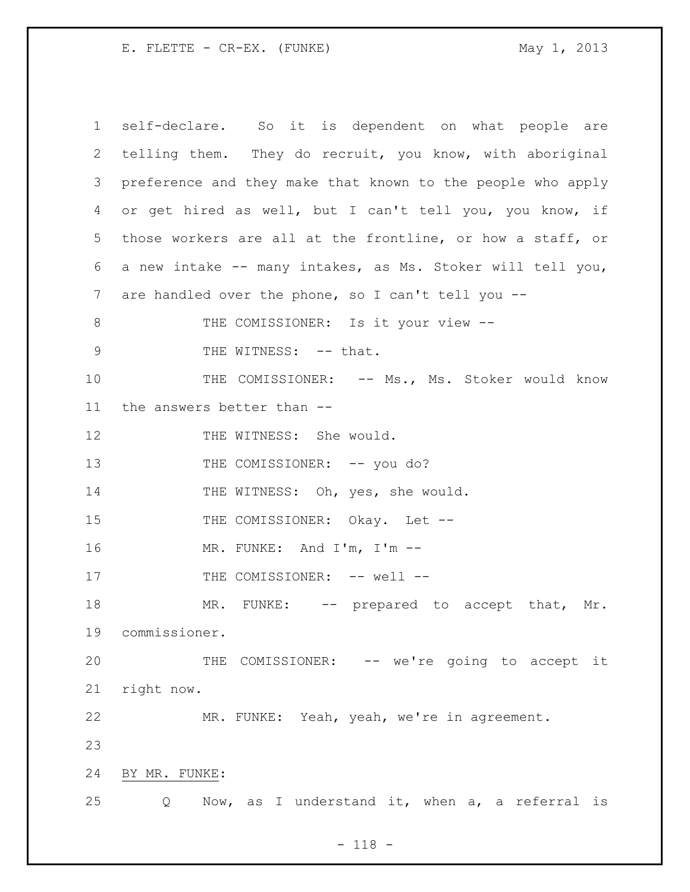1 self-declare. So it is dependent on what people are 2 telling them. They do recruit, you know, with aboriginal 3 preference and they make that known to the people who apply 4 or get hired as well, but I can't tell you, you know, if 5 those workers are all at the frontline, or how a staff, or 6 a new intake -- many intakes, as Ms. Stoker will tell you, 7 are handled over the phone, so I can't tell you -- 8 THE COMISSIONER: Is it your view --9 THE WITNESS: -- that. 10 THE COMISSIONER: -- Ms., Ms. Stoker would know 11 the answers better than -- 12 THE WITNESS: She would. 13 THE COMISSIONER: -- you do? 14 THE WITNESS: Oh, yes, she would. 15 THE COMISSIONER: Okay. Let --16 MR. FUNKE: And I'm, I'm -- 17 THE COMISSIONER: -- well --18 MR. FUNKE: -- prepared to accept that, Mr. 19 commissioner. 20 THE COMISSIONER: -- we're going to accept it 21 right now. 22 MR. FUNKE: Yeah, yeah, we're in agreement. 23 24 BY MR. FUNKE: 25 Q Now, as I understand it, when a, a referral is

- 118 -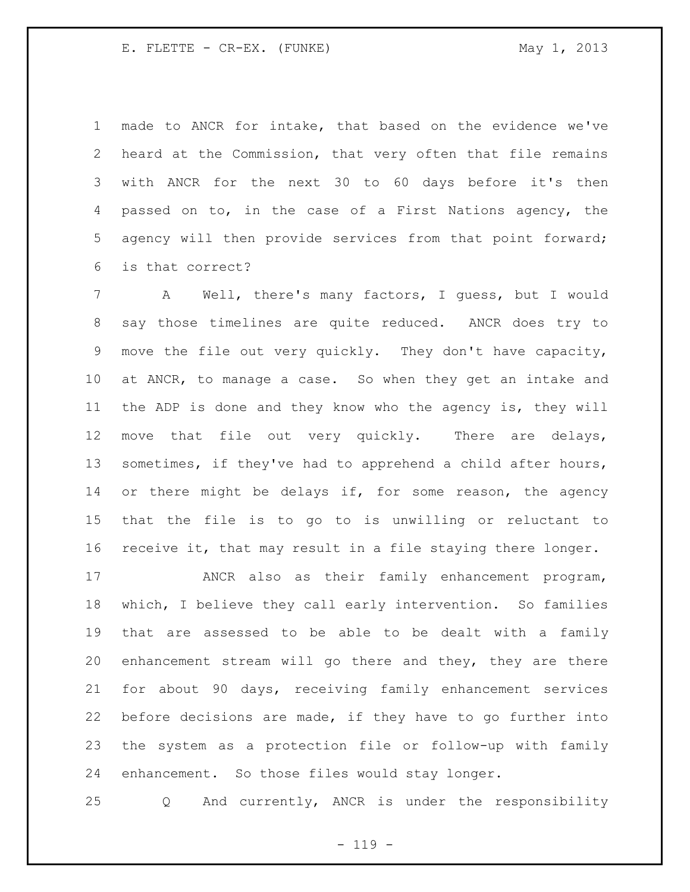made to ANCR for intake, that based on the evidence we've heard at the Commission, that very often that file remains with ANCR for the next 30 to 60 days before it's then passed on to, in the case of a First Nations agency, the agency will then provide services from that point forward; is that correct?

 A Well, there's many factors, I guess, but I would say those timelines are quite reduced. ANCR does try to move the file out very quickly. They don't have capacity, at ANCR, to manage a case. So when they get an intake and the ADP is done and they know who the agency is, they will move that file out very quickly. There are delays, sometimes, if they've had to apprehend a child after hours, 14 or there might be delays if, for some reason, the agency that the file is to go to is unwilling or reluctant to receive it, that may result in a file staying there longer.

 ANCR also as their family enhancement program, which, I believe they call early intervention. So families that are assessed to be able to be dealt with a family enhancement stream will go there and they, they are there for about 90 days, receiving family enhancement services before decisions are made, if they have to go further into the system as a protection file or follow-up with family enhancement. So those files would stay longer.

Q And currently, ANCR is under the responsibility

 $- 119 -$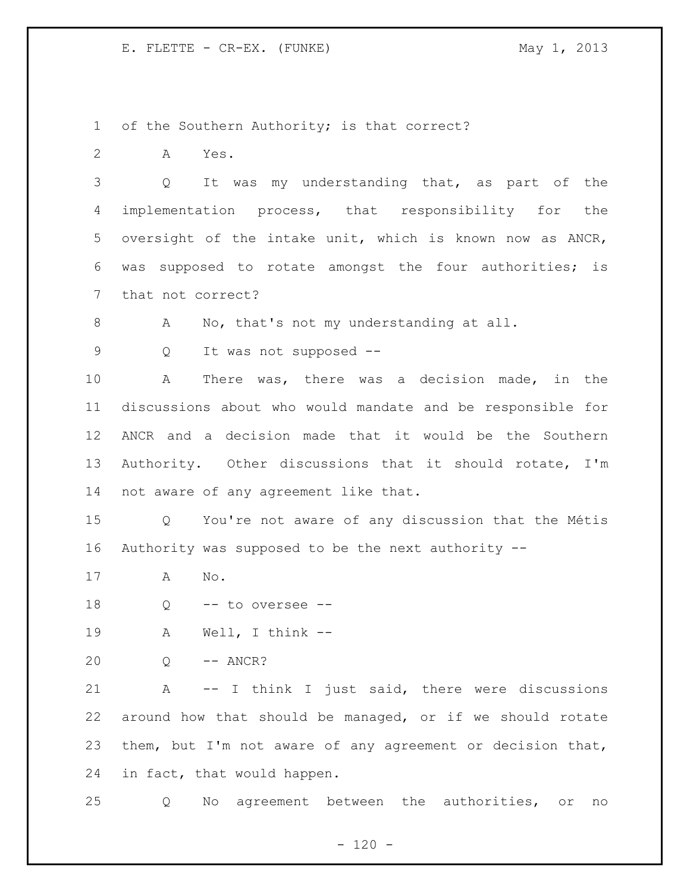of the Southern Authority; is that correct?

A Yes.

 Q It was my understanding that, as part of the implementation process, that responsibility for the oversight of the intake unit, which is known now as ANCR, was supposed to rotate amongst the four authorities; is that not correct?

8 A No, that's not my understanding at all.

Q It was not supposed --

 A There was, there was a decision made, in the discussions about who would mandate and be responsible for ANCR and a decision made that it would be the Southern Authority. Other discussions that it should rotate, I'm not aware of any agreement like that.

 Q You're not aware of any discussion that the Métis Authority was supposed to be the next authority --

- A No.
- Q -- to oversee --
- A Well, I think --
- Q -- ANCR?

 A -- I think I just said, there were discussions around how that should be managed, or if we should rotate them, but I'm not aware of any agreement or decision that, in fact, that would happen.

Q No agreement between the authorities, or no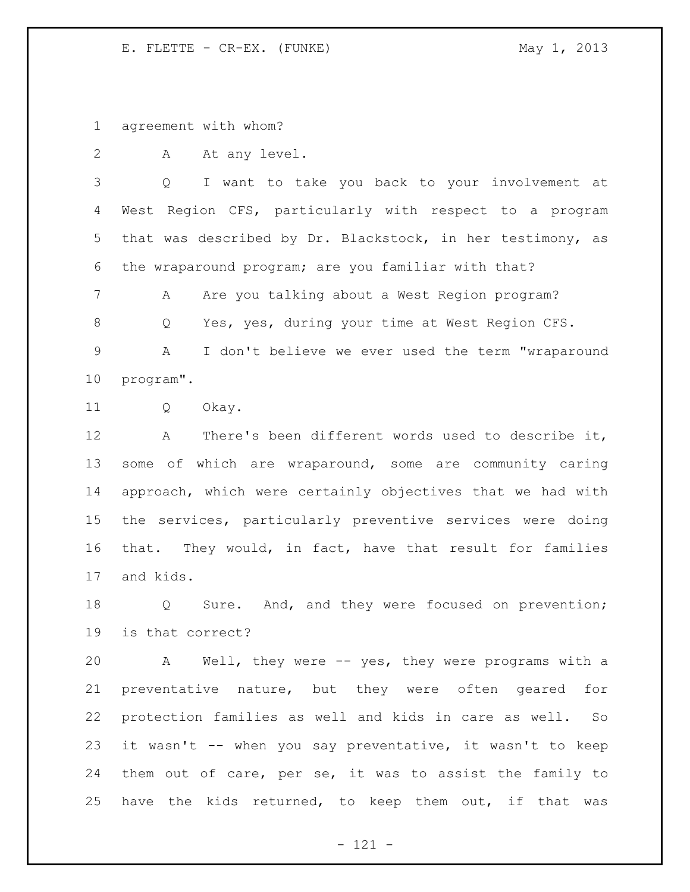agreement with whom?

2 A At any level.

 Q I want to take you back to your involvement at West Region CFS, particularly with respect to a program that was described by Dr. Blackstock, in her testimony, as the wraparound program; are you familiar with that?

7 A Are you talking about a West Region program?

Q Yes, yes, during your time at West Region CFS.

 A I don't believe we ever used the term "wraparound program".

Q Okay.

 A There's been different words used to describe it, some of which are wraparound, some are community caring approach, which were certainly objectives that we had with the services, particularly preventive services were doing that. They would, in fact, have that result for families and kids.

 Q Sure. And, and they were focused on prevention; is that correct?

 A Well, they were -- yes, they were programs with a preventative nature, but they were often geared for protection families as well and kids in care as well. So it wasn't -- when you say preventative, it wasn't to keep them out of care, per se, it was to assist the family to have the kids returned, to keep them out, if that was

- 121 -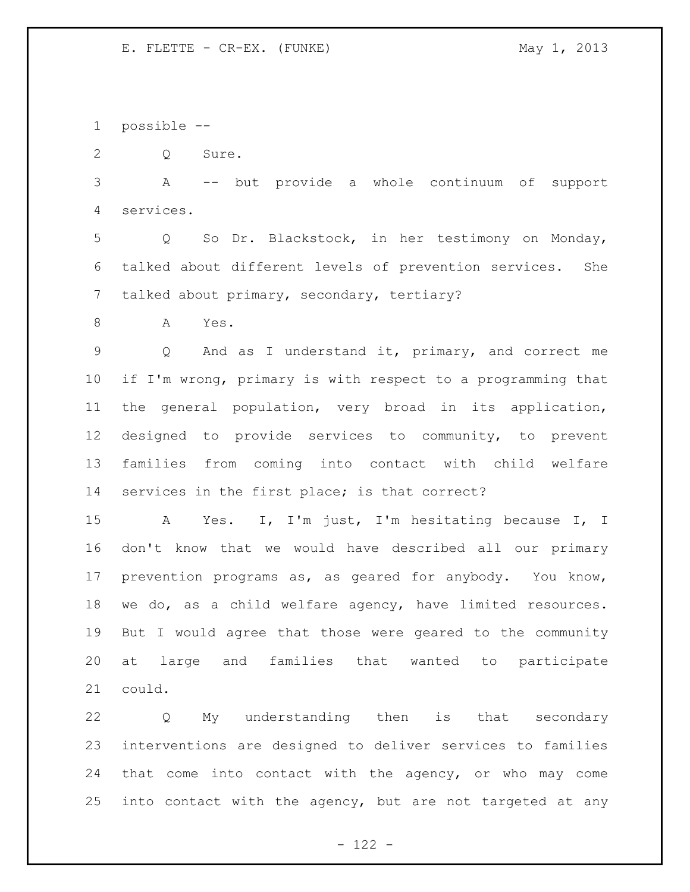possible --

Q Sure.

 A -- but provide a whole continuum of support services.

 Q So Dr. Blackstock, in her testimony on Monday, talked about different levels of prevention services. She talked about primary, secondary, tertiary?

A Yes.

 Q And as I understand it, primary, and correct me if I'm wrong, primary is with respect to a programming that the general population, very broad in its application, designed to provide services to community, to prevent families from coming into contact with child welfare services in the first place; is that correct?

 A Yes. I, I'm just, I'm hesitating because I, I don't know that we would have described all our primary prevention programs as, as geared for anybody. You know, we do, as a child welfare agency, have limited resources. But I would agree that those were geared to the community at large and families that wanted to participate could.

 Q My understanding then is that secondary interventions are designed to deliver services to families that come into contact with the agency, or who may come into contact with the agency, but are not targeted at any

 $- 122 -$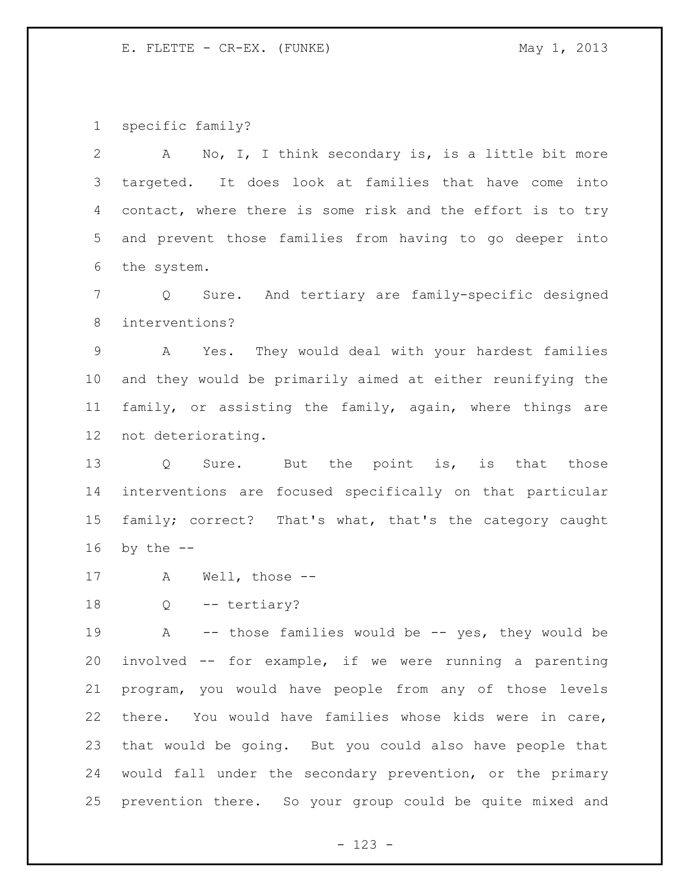specific family?

 A No, I, I think secondary is, is a little bit more targeted. It does look at families that have come into contact, where there is some risk and the effort is to try and prevent those families from having to go deeper into the system. Q Sure. And tertiary are family-specific designed interventions? A Yes. They would deal with your hardest families and they would be primarily aimed at either reunifying the family, or assisting the family, again, where things are not deteriorating. 13 Q Sure. But the point is, is that those interventions are focused specifically on that particular family; correct? That's what, that's the category caught by the  $-$  A Well, those -- 18 Q -- tertiary? A -- those families would be -- yes, they would be involved -- for example, if we were running a parenting program, you would have people from any of those levels there. You would have families whose kids were in care, that would be going. But you could also have people that

 would fall under the secondary prevention, or the primary prevention there. So your group could be quite mixed and

- 123 -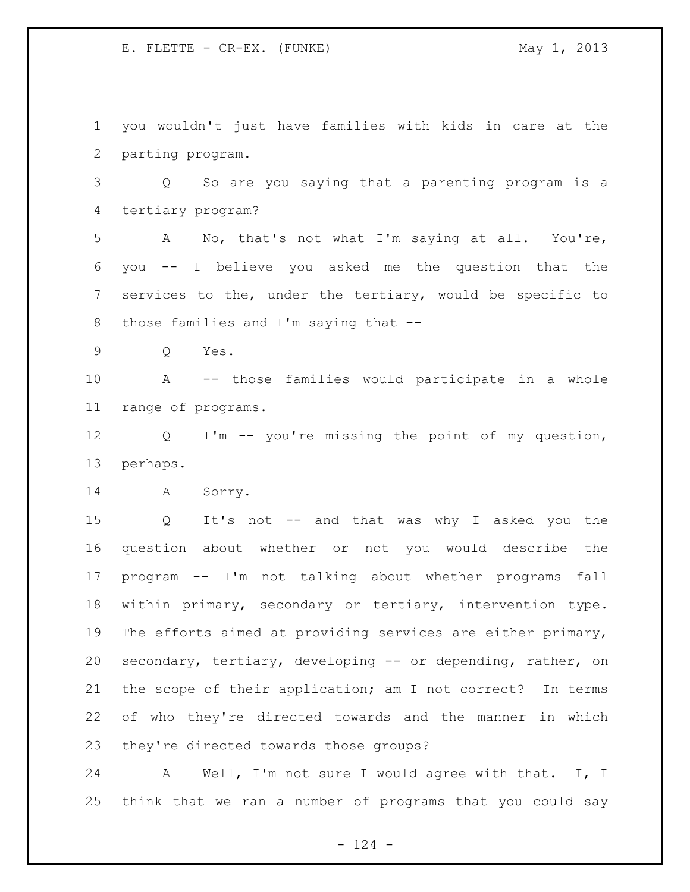you wouldn't just have families with kids in care at the parting program.

 Q So are you saying that a parenting program is a tertiary program?

 A No, that's not what I'm saying at all. You're, you -- I believe you asked me the question that the services to the, under the tertiary, would be specific to those families and I'm saying that --

Q Yes.

 A -- those families would participate in a whole range of programs.

 Q I'm -- you're missing the point of my question, perhaps.

A Sorry.

 Q It's not -- and that was why I asked you the question about whether or not you would describe the program -- I'm not talking about whether programs fall within primary, secondary or tertiary, intervention type. The efforts aimed at providing services are either primary, secondary, tertiary, developing -- or depending, rather, on the scope of their application; am I not correct? In terms of who they're directed towards and the manner in which they're directed towards those groups?

 A Well, I'm not sure I would agree with that. I, I think that we ran a number of programs that you could say

- 124 -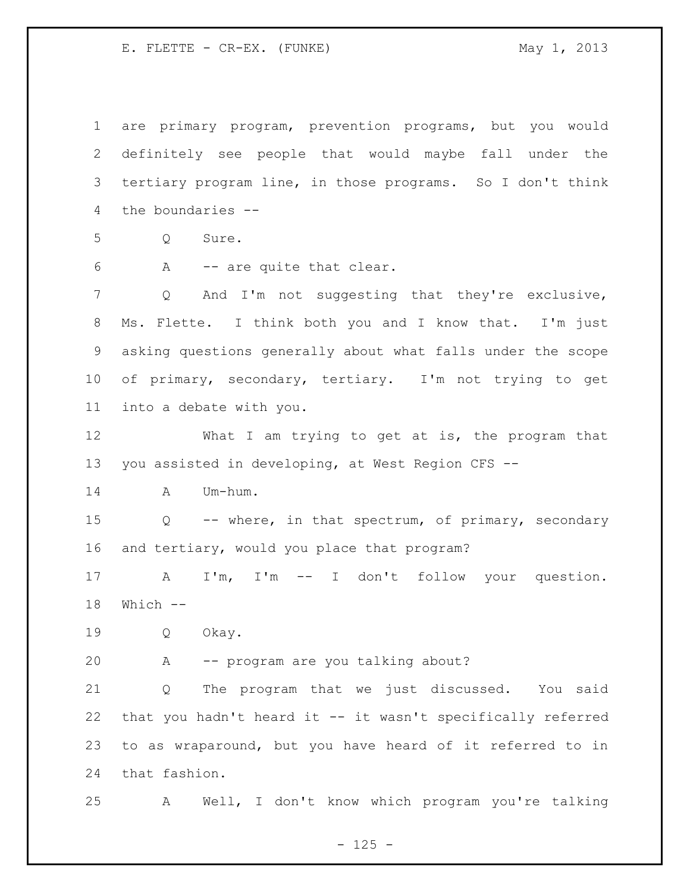are primary program, prevention programs, but you would definitely see people that would maybe fall under the tertiary program line, in those programs. So I don't think the boundaries -- Q Sure. A -- are quite that clear. Q And I'm not suggesting that they're exclusive, Ms. Flette. I think both you and I know that. I'm just asking questions generally about what falls under the scope of primary, secondary, tertiary. I'm not trying to get into a debate with you. 12 What I am trying to get at is, the program that you assisted in developing, at West Region CFS -- A Um-hum. Q -- where, in that spectrum, of primary, secondary and tertiary, would you place that program? A I'm, I'm -- I don't follow your question. Which -- Q Okay. A -- program are you talking about? Q The program that we just discussed. You said that you hadn't heard it -- it wasn't specifically referred to as wraparound, but you have heard of it referred to in that fashion. A Well, I don't know which program you're talking

 $- 125 -$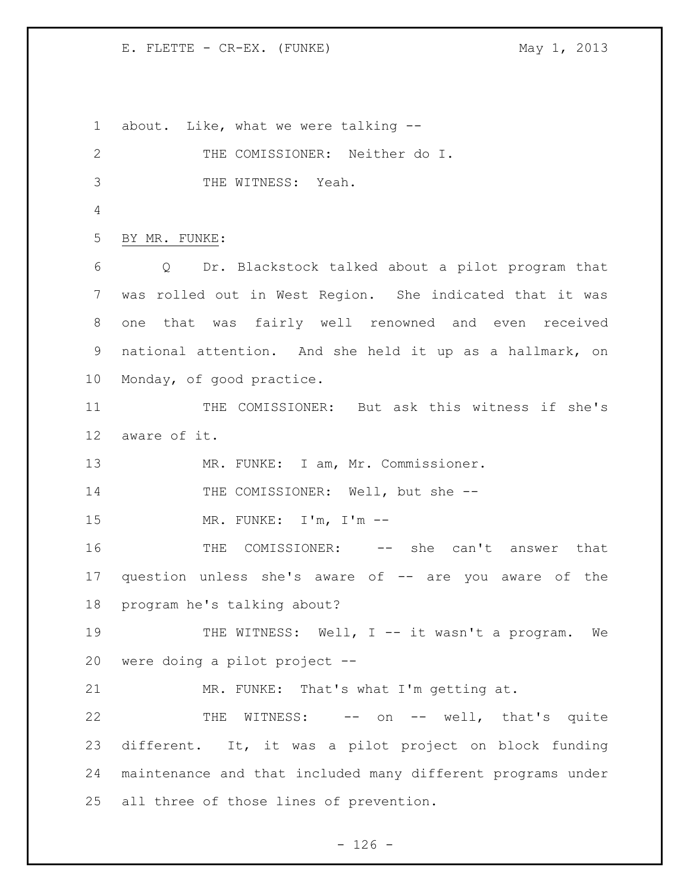about. Like, what we were talking -- THE COMISSIONER: Neither do I. THE WITNESS: Yeah. BY MR. FUNKE: Q Dr. Blackstock talked about a pilot program that was rolled out in West Region. She indicated that it was one that was fairly well renowned and even received national attention. And she held it up as a hallmark, on Monday, of good practice. THE COMISSIONER: But ask this witness if she's aware of it. 13 MR. FUNKE: I am, Mr. Commissioner. 14 THE COMISSIONER: Well, but she -- MR. FUNKE: I'm, I'm -- 16 THE COMISSIONER: -- she can't answer that question unless she's aware of -- are you aware of the program he's talking about? 19 THE WITNESS: Well, I -- it wasn't a program. We were doing a pilot project -- MR. FUNKE: That's what I'm getting at. THE WITNESS: -- on -- well, that's quite different. It, it was a pilot project on block funding maintenance and that included many different programs under all three of those lines of prevention.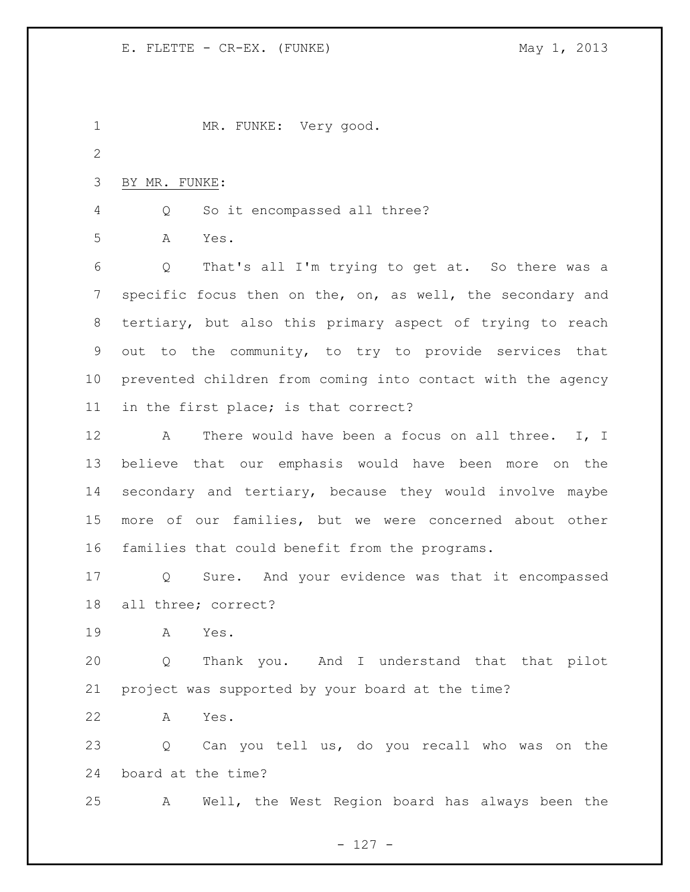MR. FUNKE: Very good. BY MR. FUNKE: Q So it encompassed all three? A Yes. Q That's all I'm trying to get at. So there was a specific focus then on the, on, as well, the secondary and tertiary, but also this primary aspect of trying to reach out to the community, to try to provide services that prevented children from coming into contact with the agency in the first place; is that correct? 12 A There would have been a focus on all three. I, I believe that our emphasis would have been more on the secondary and tertiary, because they would involve maybe more of our families, but we were concerned about other families that could benefit from the programs. Q Sure. And your evidence was that it encompassed all three; correct? A Yes. Q Thank you. And I understand that that pilot project was supported by your board at the time? A Yes. Q Can you tell us, do you recall who was on the board at the time? A Well, the West Region board has always been the

- 127 -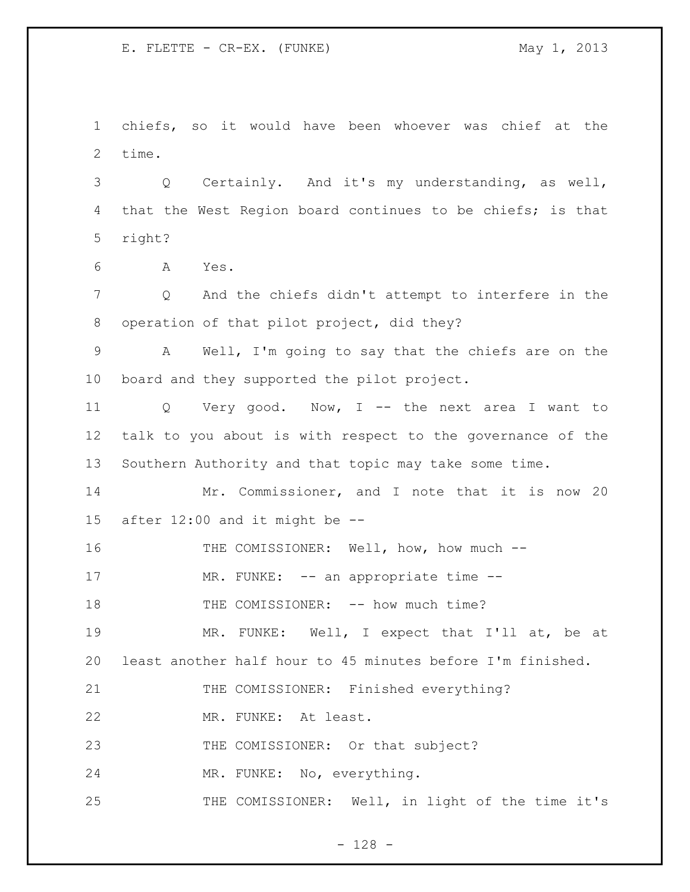chiefs, so it would have been whoever was chief at the time.

 Q Certainly. And it's my understanding, as well, that the West Region board continues to be chiefs; is that right?

A Yes.

 Q And the chiefs didn't attempt to interfere in the operation of that pilot project, did they?

 A Well, I'm going to say that the chiefs are on the board and they supported the pilot project.

 Q Very good. Now, I -- the next area I want to talk to you about is with respect to the governance of the Southern Authority and that topic may take some time.

 Mr. Commissioner, and I note that it is now 20 after 12:00 and it might be --

THE COMISSIONER: Well, how, how much --

17 MR. FUNKE: -- an appropriate time --

18 THE COMISSIONER: -- how much time?

 MR. FUNKE: Well, I expect that I'll at, be at least another half hour to 45 minutes before I'm finished.

THE COMISSIONER: Finished everything?

MR. FUNKE: At least.

23 THE COMISSIONER: Or that subject?

MR. FUNKE: No, everything.

THE COMISSIONER: Well, in light of the time it's

- 128 -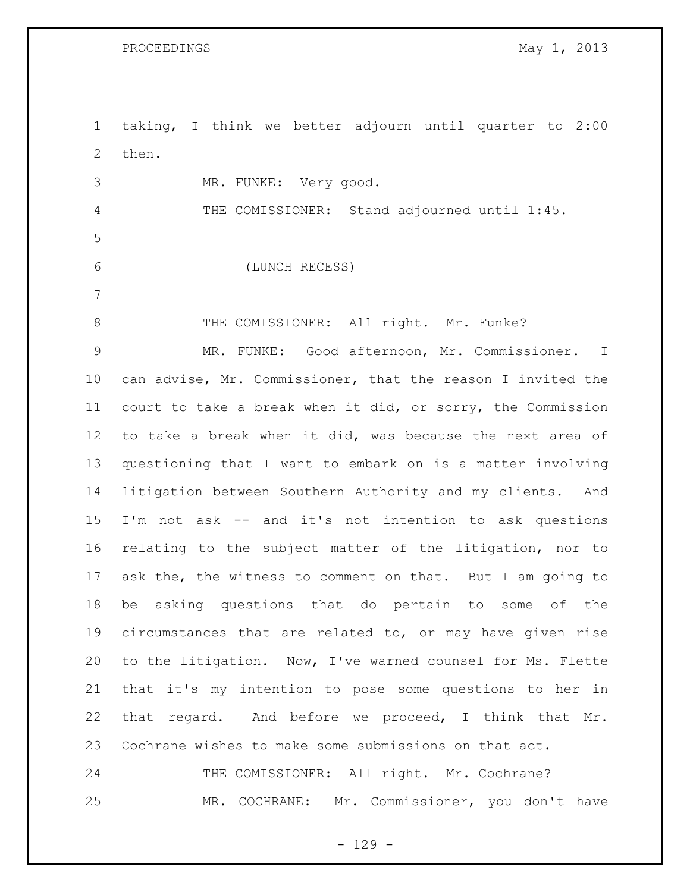taking, I think we better adjourn until quarter to 2:00 then. MR. FUNKE: Very good. THE COMISSIONER: Stand adjourned until 1:45. (LUNCH RECESS) 8 THE COMISSIONER: All right. Mr. Funke? MR. FUNKE: Good afternoon, Mr. Commissioner. I can advise, Mr. Commissioner, that the reason I invited the court to take a break when it did, or sorry, the Commission to take a break when it did, was because the next area of questioning that I want to embark on is a matter involving litigation between Southern Authority and my clients. And I'm not ask -- and it's not intention to ask questions relating to the subject matter of the litigation, nor to ask the, the witness to comment on that. But I am going to be asking questions that do pertain to some of the circumstances that are related to, or may have given rise to the litigation. Now, I've warned counsel for Ms. Flette that it's my intention to pose some questions to her in that regard. And before we proceed, I think that Mr. Cochrane wishes to make some submissions on that act. 24 THE COMISSIONER: All right. Mr. Cochrane? MR. COCHRANE: Mr. Commissioner, you don't have

 $- 129 -$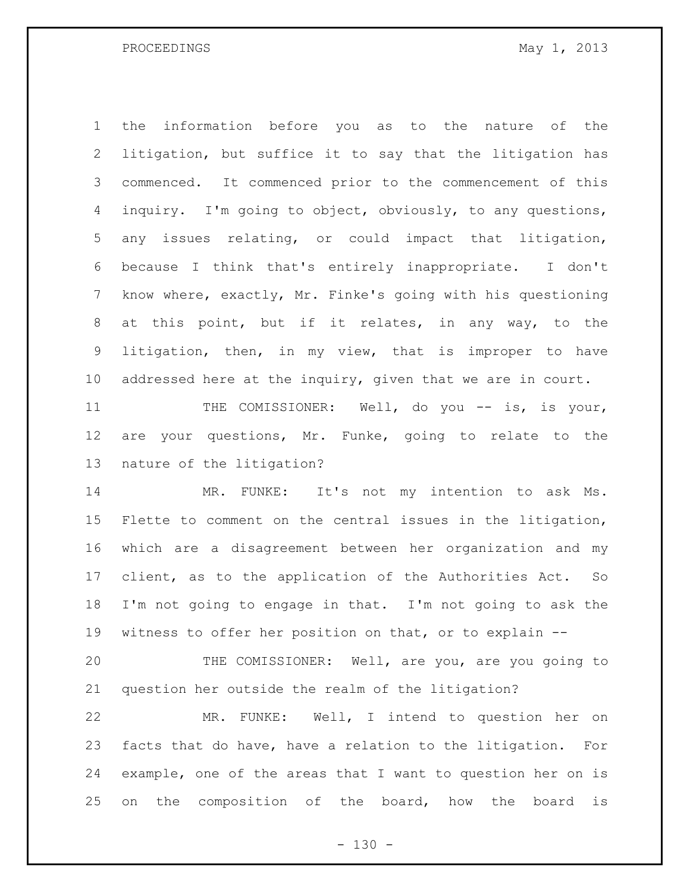PROCEEDINGS May 1, 2013

 the information before you as to the nature of the litigation, but suffice it to say that the litigation has commenced. It commenced prior to the commencement of this inquiry. I'm going to object, obviously, to any questions, any issues relating, or could impact that litigation, because I think that's entirely inappropriate. I don't know where, exactly, Mr. Finke's going with his questioning at this point, but if it relates, in any way, to the litigation, then, in my view, that is improper to have 10 addressed here at the inquiry, given that we are in court.

11 THE COMISSIONER: Well, do you -- is, is your, are your questions, Mr. Funke, going to relate to the nature of the litigation?

 MR. FUNKE: It's not my intention to ask Ms. Flette to comment on the central issues in the litigation, which are a disagreement between her organization and my client, as to the application of the Authorities Act. So I'm not going to engage in that. I'm not going to ask the witness to offer her position on that, or to explain --

 THE COMISSIONER: Well, are you, are you going to question her outside the realm of the litigation?

 MR. FUNKE: Well, I intend to question her on facts that do have, have a relation to the litigation. For example, one of the areas that I want to question her on is on the composition of the board, how the board is

 $- 130 -$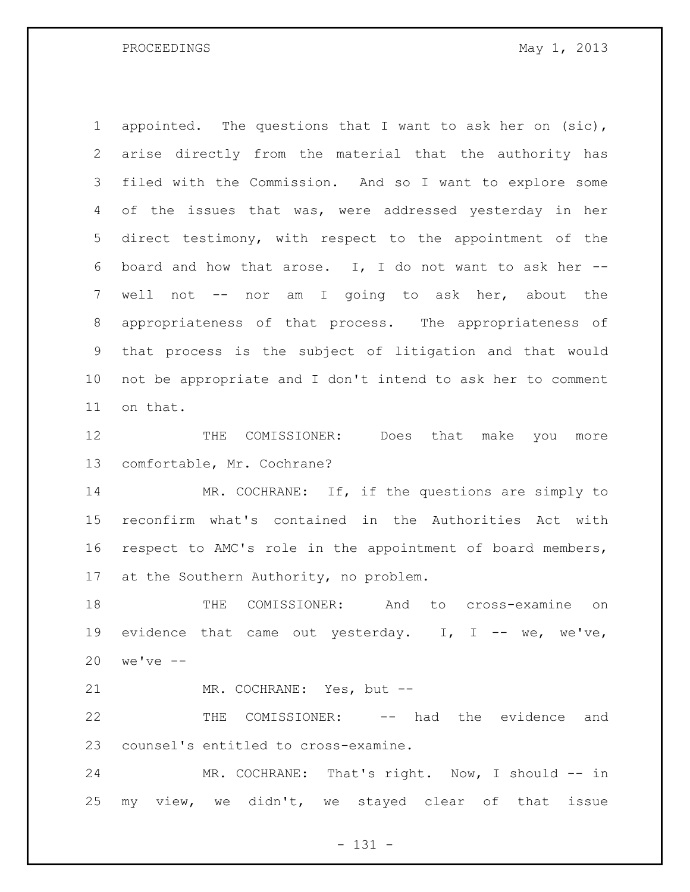PROCEEDINGS May 1, 2013

 appointed. The questions that I want to ask her on (sic), arise directly from the material that the authority has filed with the Commission. And so I want to explore some of the issues that was, were addressed yesterday in her direct testimony, with respect to the appointment of the board and how that arose. I, I do not want to ask her -- well not -- nor am I going to ask her, about the appropriateness of that process. The appropriateness of that process is the subject of litigation and that would not be appropriate and I don't intend to ask her to comment on that.

12 THE COMISSIONER: Does that make you more comfortable, Mr. Cochrane?

14 MR. COCHRANE: If, if the questions are simply to reconfirm what's contained in the Authorities Act with respect to AMC's role in the appointment of board members, at the Southern Authority, no problem.

 THE COMISSIONER: And to cross-examine on 19 evidence that came out yesterday. I, I -- we, we've, we've --

MR. COCHRANE: Yes, but --

 THE COMISSIONER: -- had the evidence and counsel's entitled to cross-examine.

 MR. COCHRANE: That's right. Now, I should -- in my view, we didn't, we stayed clear of that issue

 $- 131 -$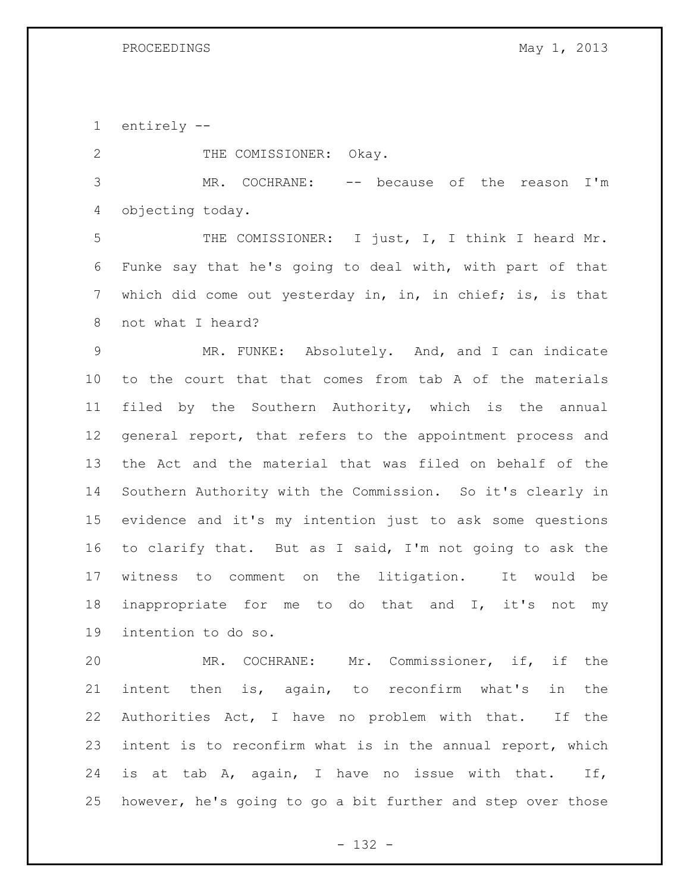entirely --

2 THE COMISSIONER: Okay.

 MR. COCHRANE: -- because of the reason I'm objecting today.

 THE COMISSIONER: I just, I, I think I heard Mr. Funke say that he's going to deal with, with part of that 7 which did come out yesterday in, in, in chief; is, is that not what I heard?

 MR. FUNKE: Absolutely. And, and I can indicate to the court that that comes from tab A of the materials filed by the Southern Authority, which is the annual general report, that refers to the appointment process and the Act and the material that was filed on behalf of the Southern Authority with the Commission. So it's clearly in evidence and it's my intention just to ask some questions to clarify that. But as I said, I'm not going to ask the witness to comment on the litigation. It would be inappropriate for me to do that and I, it's not my intention to do so.

 MR. COCHRANE: Mr. Commissioner, if, if the intent then is, again, to reconfirm what's in the Authorities Act, I have no problem with that. If the intent is to reconfirm what is in the annual report, which is at tab A, again, I have no issue with that. If, however, he's going to go a bit further and step over those

- 132 -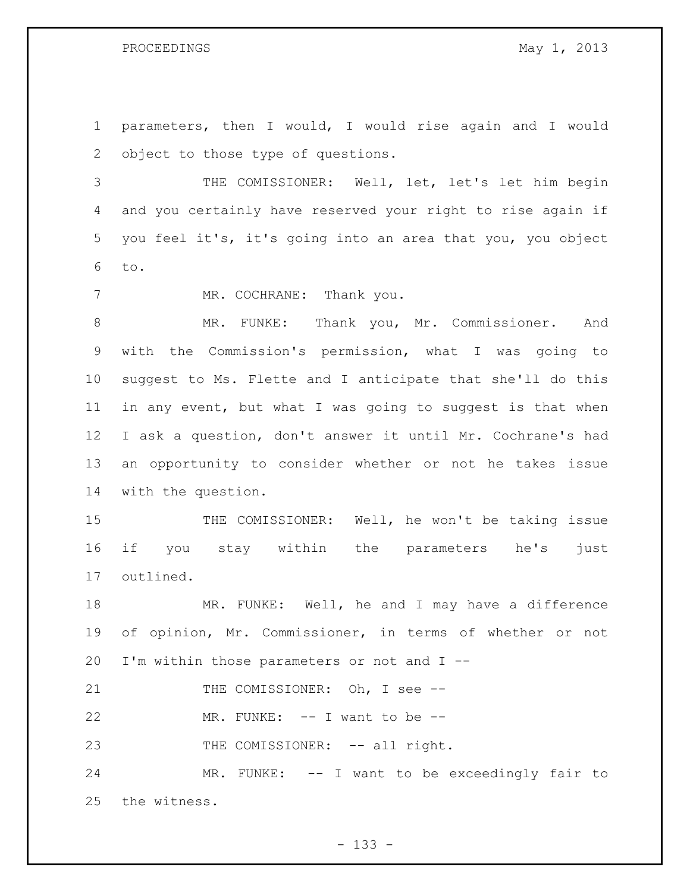parameters, then I would, I would rise again and I would object to those type of questions.

 THE COMISSIONER: Well, let, let's let him begin and you certainly have reserved your right to rise again if you feel it's, it's going into an area that you, you object to.

7 MR. COCHRANE: Thank you.

 MR. FUNKE: Thank you, Mr. Commissioner. And with the Commission's permission, what I was going to suggest to Ms. Flette and I anticipate that she'll do this in any event, but what I was going to suggest is that when I ask a question, don't answer it until Mr. Cochrane's had an opportunity to consider whether or not he takes issue with the question.

15 THE COMISSIONER: Well, he won't be taking issue if you stay within the parameters he's just outlined.

 MR. FUNKE: Well, he and I may have a difference of opinion, Mr. Commissioner, in terms of whether or not I'm within those parameters or not and I --

21 THE COMISSIONER: Oh, I see --

22 MR. FUNKE: -- I want to be --

23 THE COMISSIONER: -- all right.

24 MR. FUNKE: -- I want to be exceedingly fair to the witness.

- 133 -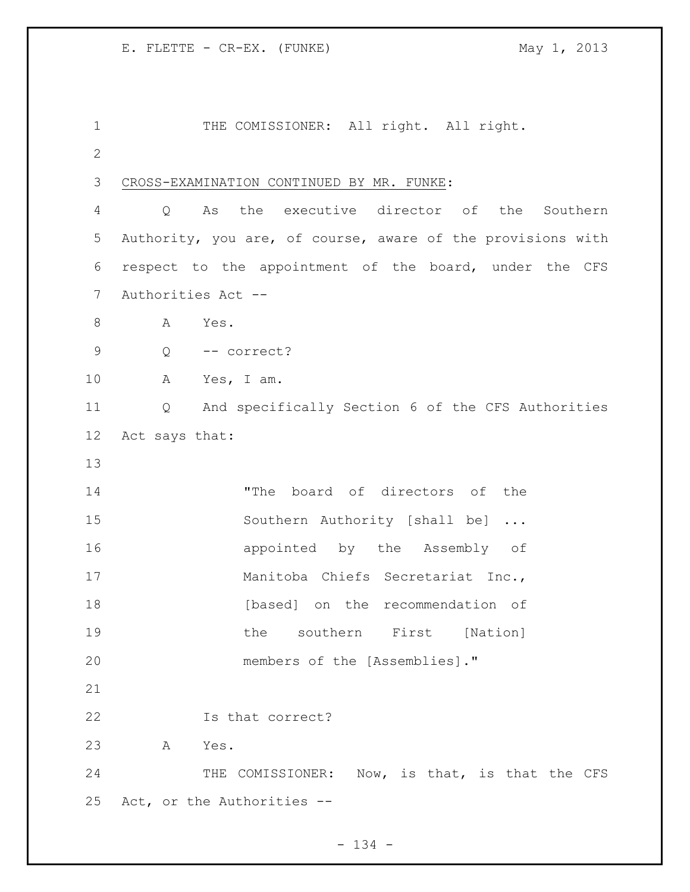1 THE COMISSIONER: All right. All right. CROSS-EXAMINATION CONTINUED BY MR. FUNKE: Q As the executive director of the Southern Authority, you are, of course, aware of the provisions with respect to the appointment of the board, under the CFS Authorities Act -- 8 A Yes. Q -- correct? A Yes, I am. Q And specifically Section 6 of the CFS Authorities Act says that: "The board of directors of the 15 Southern Authority [shall be] ... **appointed** by the Assembly of 17 Manitoba Chiefs Secretariat Inc., 18 [based] on the recommendation of the southern First [Nation] 20 members of the [Assemblies]." Is that correct? A Yes. 24 THE COMISSIONER: Now, is that, is that the CFS Act, or the Authorities --

 $- 134 -$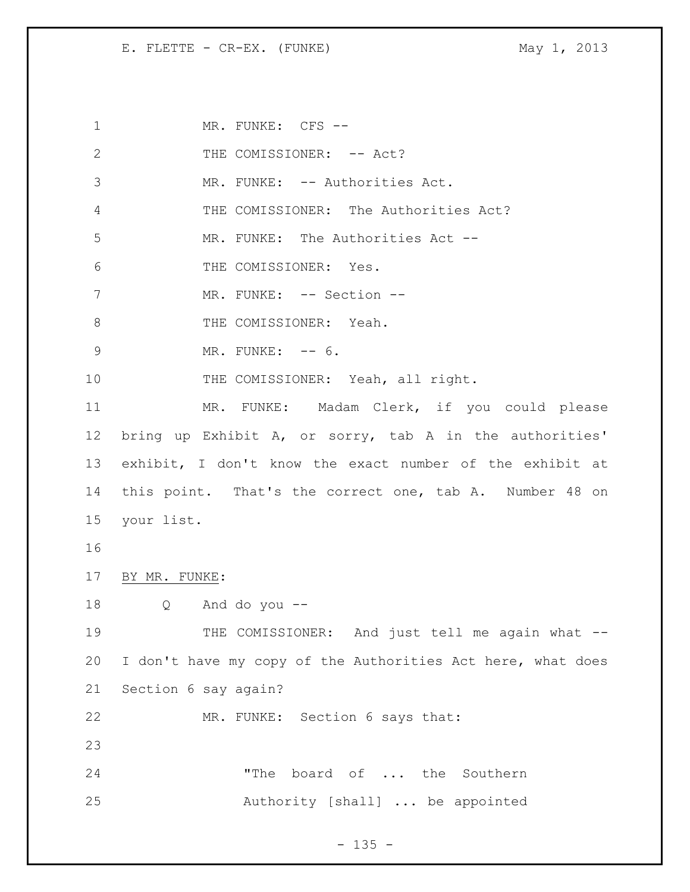1 MR. FUNKE: CFS --2 THE COMISSIONER: -- Act? 3 MR. FUNKE: -- Authorities Act. 4 THE COMISSIONER: The Authorities Act? 5 MR. FUNKE: The Authorities Act -- 6 THE COMISSIONER: Yes. 7 MR. FUNKE: -- Section --8 THE COMISSIONER: Yeah. 9 MR. FUNKE: -- 6. 10 THE COMISSIONER: Yeah, all right. 11 MR. FUNKE: Madam Clerk, if you could please 12 bring up Exhibit A, or sorry, tab A in the authorities' 13 exhibit, I don't know the exact number of the exhibit at 14 this point. That's the correct one, tab A. Number 48 on 15 your list. 16 17 BY MR. FUNKE: 18 Q And do you -- 19 THE COMISSIONER: And just tell me again what --20 I don't have my copy of the Authorities Act here, what does 21 Section 6 say again? 22 MR. FUNKE: Section 6 says that: 23 24 The board of ... the Southern 25 Authority [shall] ... be appointed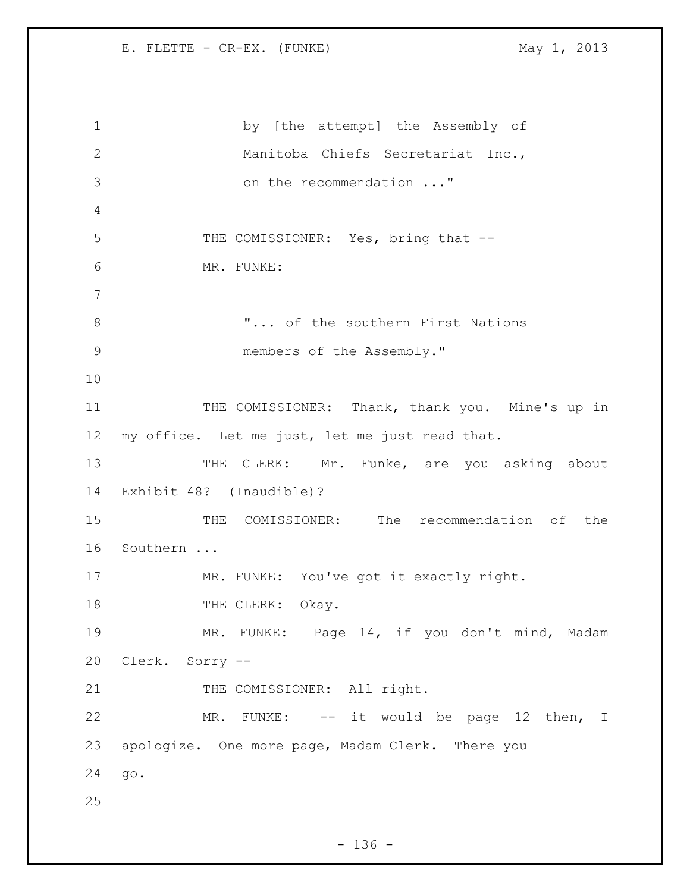1 by [the attempt] the Assembly of 2 Manitoba Chiefs Secretariat Inc., 3 on the recommendation ..." 4 5 THE COMISSIONER: Yes, bring that --6 MR. FUNKE: 7 8 T... of the southern First Nations 9 members of the Assembly." 10 11 THE COMISSIONER: Thank, thank you. Mine's up in 12 my office. Let me just, let me just read that. 13 THE CLERK: Mr. Funke, are you asking about 14 Exhibit 48? (Inaudible)? 15 THE COMISSIONER: The recommendation of the 16 Southern ... 17 MR. FUNKE: You've got it exactly right. 18 THE CLERK: Okay. 19 MR. FUNKE: Page 14, if you don't mind, Madam 20 Clerk. Sorry -- 21 THE COMISSIONER: All right. 22 MR. FUNKE: -- it would be page 12 then, I 23 apologize. One more page, Madam Clerk. There you 24 go. 25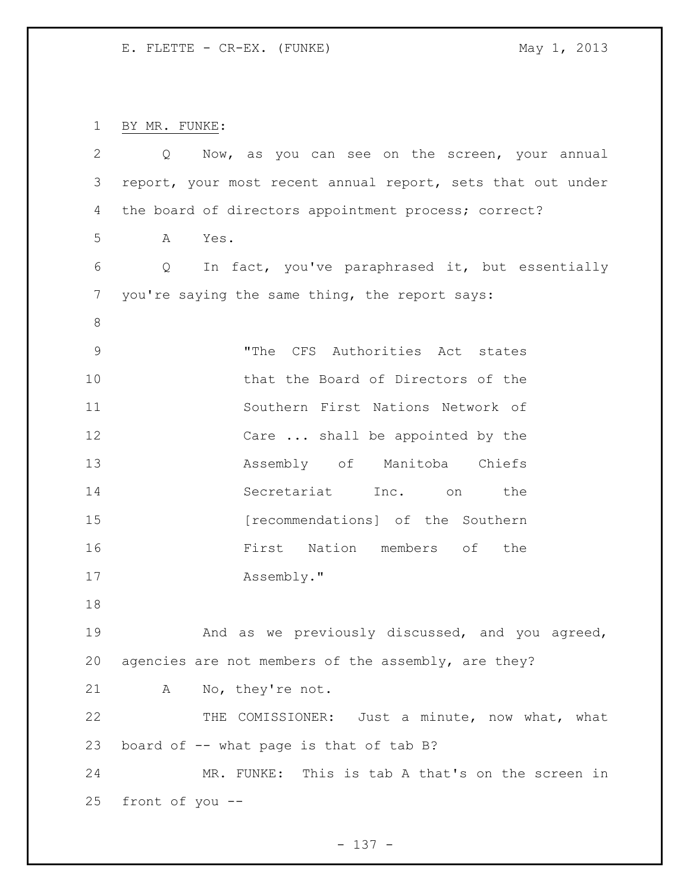BY MR. FUNKE:

| 2           | Now, as you can see on the screen, your annual<br>Q         |
|-------------|-------------------------------------------------------------|
| 3           | report, your most recent annual report, sets that out under |
| 4           | the board of directors appointment process; correct?        |
| 5           | Yes.<br>A                                                   |
| 6           | In fact, you've paraphrased it, but essentially<br>Q        |
| 7           | you're saying the same thing, the report says:              |
| $\,8\,$     |                                                             |
| $\mathsf 9$ | "The CFS Authorities Act states                             |
| 10          | that the Board of Directors of the                          |
| 11          | Southern First Nations Network of                           |
| 12          | Care  shall be appointed by the                             |
| 13          | Assembly of Manitoba Chiefs                                 |
| 14          | Secretariat Inc. on<br>the                                  |
| 15          | [recommendations] of the Southern                           |
| 16          | Nation members of<br>First<br>the                           |
| 17          | Assembly."                                                  |
| 18          |                                                             |
| 19          | And as we previously discussed, and you agreed,             |
| 20          | agencies are not members of the assembly, are they?         |
| 21          | No, they're not.<br>A                                       |
| 22          | THE COMISSIONER: Just a minute, now what, what              |
| 23          | board of -- what page is that of tab B?                     |
| 24          | MR. FUNKE: This is tab A that's on the screen in            |
| 25          | front of you --                                             |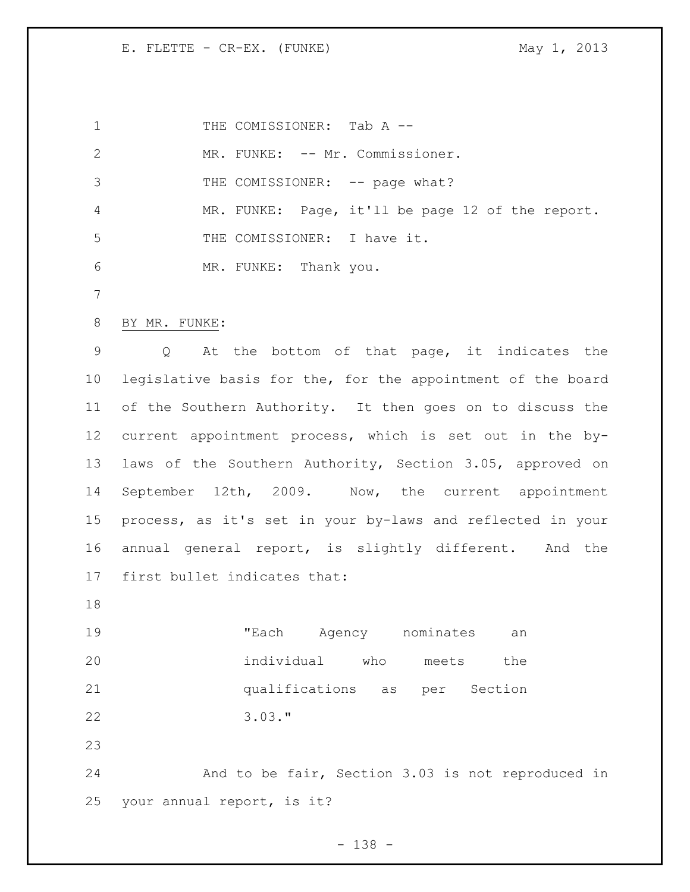1 THE COMISSIONER: Tab A --2 MR. FUNKE: -- Mr. Commissioner. 3 THE COMISSIONER: -- page what? MR. FUNKE: Page, it'll be page 12 of the report. THE COMISSIONER: I have it. MR. FUNKE: Thank you. BY MR. FUNKE: Q At the bottom of that page, it indicates the legislative basis for the, for the appointment of the board of the Southern Authority. It then goes on to discuss the current appointment process, which is set out in the by- laws of the Southern Authority, Section 3.05, approved on September 12th, 2009. Now, the current appointment process, as it's set in your by-laws and reflected in your annual general report, is slightly different. And the first bullet indicates that: "Each Agency nominates an individual who meets the qualifications as per Section 3.03." And to be fair, Section 3.03 is not reproduced in your annual report, is it?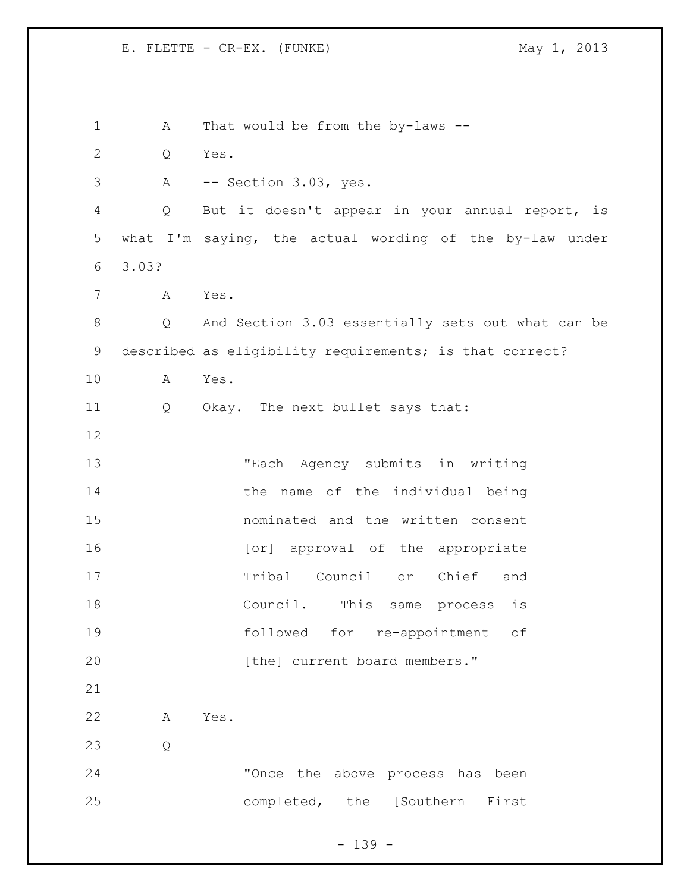A That would be from the by-laws -- Q Yes. A -- Section 3.03, yes. Q But it doesn't appear in your annual report, is what I'm saying, the actual wording of the by-law under 3.03? A Yes. Q And Section 3.03 essentially sets out what can be described as eligibility requirements; is that correct? A Yes. Q Okay. The next bullet says that: "Each Agency submits in writing 14 the name of the individual being nominated and the written consent 16 [or] approval of the appropriate Tribal Council or Chief and Council. This same process is followed for re-appointment of 20 [the] current board members." A Yes. Q "Once the above process has been completed, the [Southern First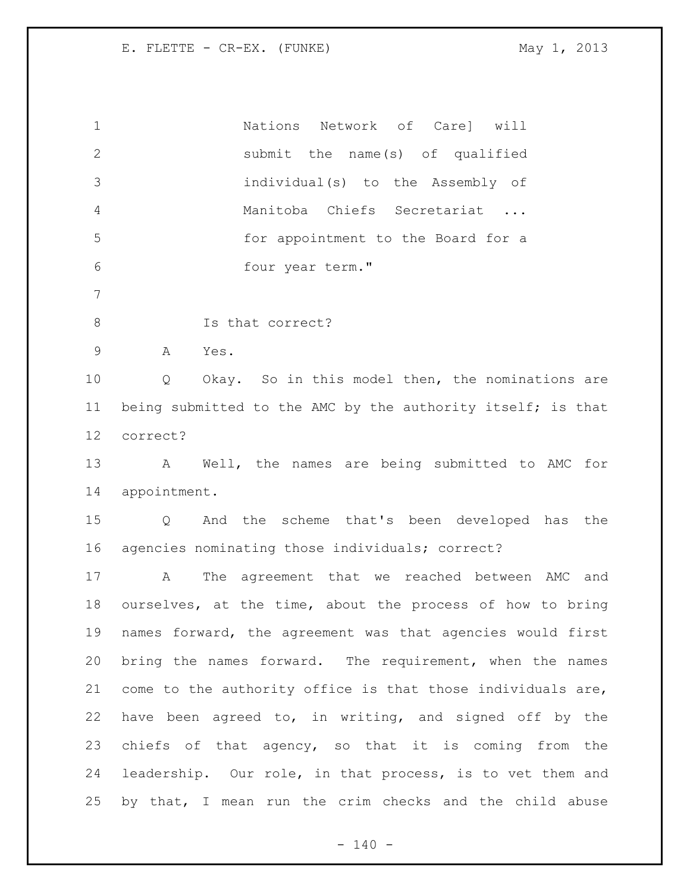Nations Network of Care] will submit the name(s) of qualified individual(s) to the Assembly of Manitoba Chiefs Secretariat ... for appointment to the Board for a four year term." 8 Is that correct? A Yes. Q Okay. So in this model then, the nominations are 11 being submitted to the AMC by the authority itself; is that correct? A Well, the names are being submitted to AMC for appointment. Q And the scheme that's been developed has the agencies nominating those individuals; correct? A The agreement that we reached between AMC and ourselves, at the time, about the process of how to bring names forward, the agreement was that agencies would first bring the names forward. The requirement, when the names come to the authority office is that those individuals are, have been agreed to, in writing, and signed off by the chiefs of that agency, so that it is coming from the leadership. Our role, in that process, is to vet them and by that, I mean run the crim checks and the child abuse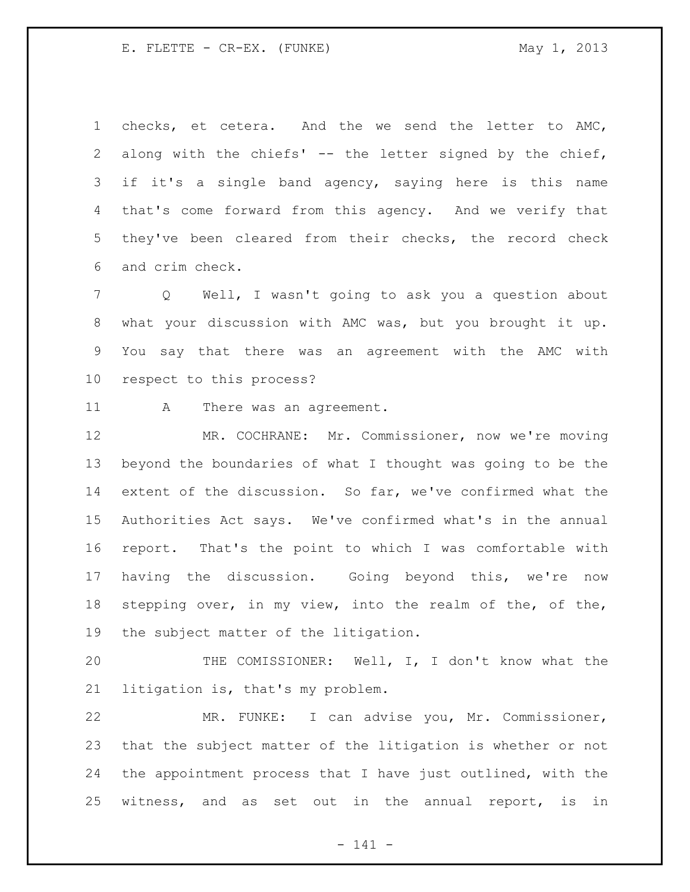checks, et cetera. And the we send the letter to AMC, along with the chiefs' -- the letter signed by the chief, if it's a single band agency, saying here is this name that's come forward from this agency. And we verify that they've been cleared from their checks, the record check and crim check.

 Q Well, I wasn't going to ask you a question about what your discussion with AMC was, but you brought it up. You say that there was an agreement with the AMC with respect to this process?

11 A There was an agreement.

 MR. COCHRANE: Mr. Commissioner, now we're moving beyond the boundaries of what I thought was going to be the extent of the discussion. So far, we've confirmed what the Authorities Act says. We've confirmed what's in the annual report. That's the point to which I was comfortable with having the discussion. Going beyond this, we're now stepping over, in my view, into the realm of the, of the, the subject matter of the litigation.

 THE COMISSIONER: Well, I, I don't know what the litigation is, that's my problem.

 MR. FUNKE: I can advise you, Mr. Commissioner, that the subject matter of the litigation is whether or not the appointment process that I have just outlined, with the witness, and as set out in the annual report, is in

- 141 -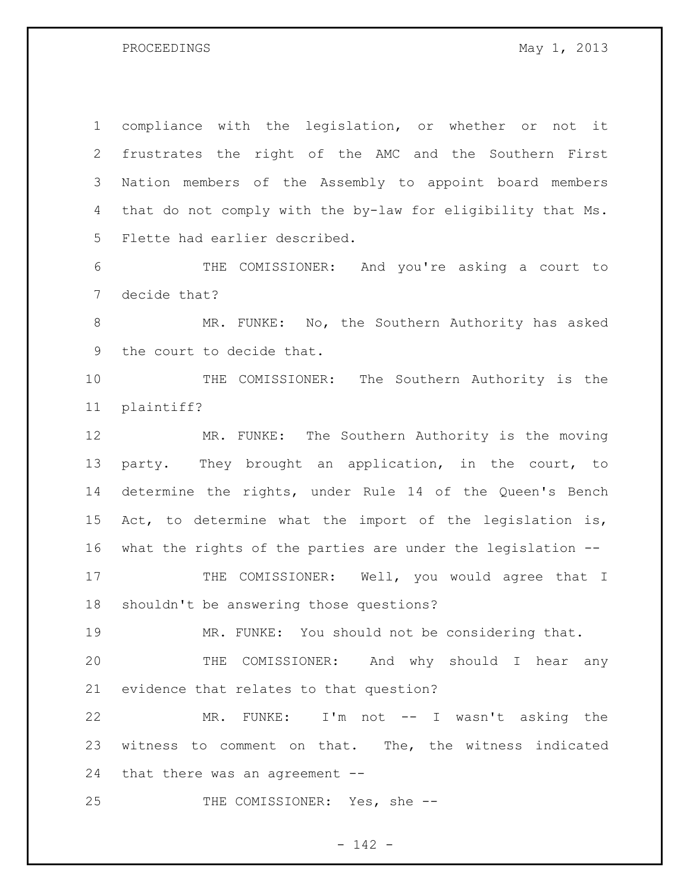PROCEEDINGS May 1, 2013

 compliance with the legislation, or whether or not it frustrates the right of the AMC and the Southern First Nation members of the Assembly to appoint board members that do not comply with the by-law for eligibility that Ms. Flette had earlier described.

 THE COMISSIONER: And you're asking a court to decide that?

 MR. FUNKE: No, the Southern Authority has asked the court to decide that.

 THE COMISSIONER: The Southern Authority is the plaintiff?

 MR. FUNKE: The Southern Authority is the moving party. They brought an application, in the court, to determine the rights, under Rule 14 of the Queen's Bench Act, to determine what the import of the legislation is, what the rights of the parties are under the legislation -- 17 THE COMISSIONER: Well, you would agree that I

shouldn't be answering those questions?

MR. FUNKE: You should not be considering that.

 THE COMISSIONER: And why should I hear any evidence that relates to that question?

 MR. FUNKE: I'm not -- I wasn't asking the witness to comment on that. The, the witness indicated that there was an agreement --

25 THE COMISSIONER: Yes, she --

- 142 -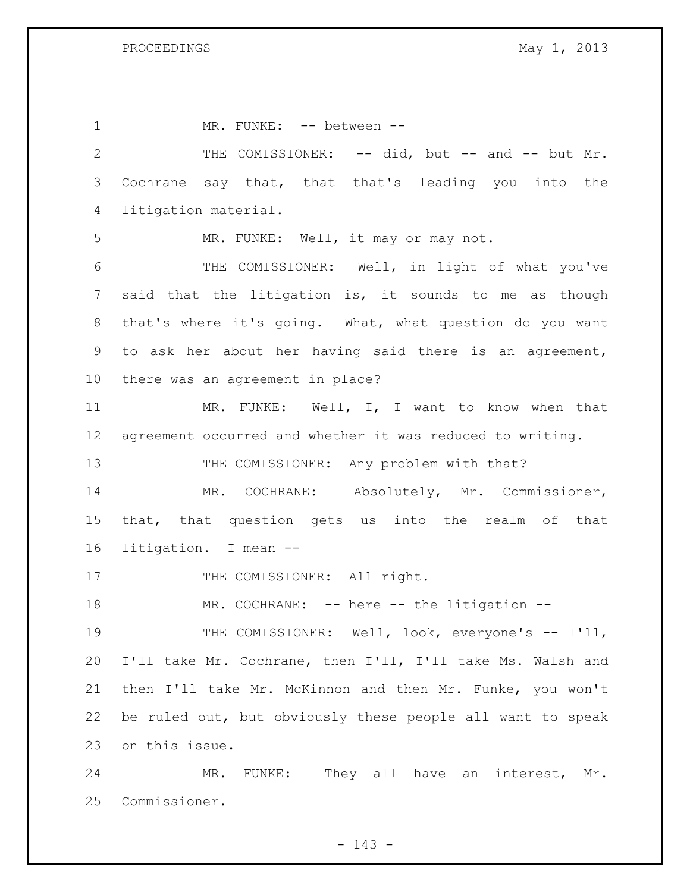1 MR. FUNKE: -- between --2 THE COMISSIONER: -- did, but -- and -- but Mr. Cochrane say that, that that's leading you into the litigation material. MR. FUNKE: Well, it may or may not. THE COMISSIONER: Well, in light of what you've said that the litigation is, it sounds to me as though that's where it's going. What, what question do you want to ask her about her having said there is an agreement, there was an agreement in place? 11 MR. FUNKE: Well, I, I want to know when that agreement occurred and whether it was reduced to writing. 13 THE COMISSIONER: Any problem with that? MR. COCHRANE: Absolutely, Mr. Commissioner, that, that question gets us into the realm of that litigation. I mean -- 17 THE COMISSIONER: All right. 18 MR. COCHRANE: -- here -- the litigation --19 THE COMISSIONER: Well, look, everyone's -- I'll, I'll take Mr. Cochrane, then I'll, I'll take Ms. Walsh and then I'll take Mr. McKinnon and then Mr. Funke, you won't be ruled out, but obviously these people all want to speak on this issue. MR. FUNKE: They all have an interest, Mr.

Commissioner.

- 143 -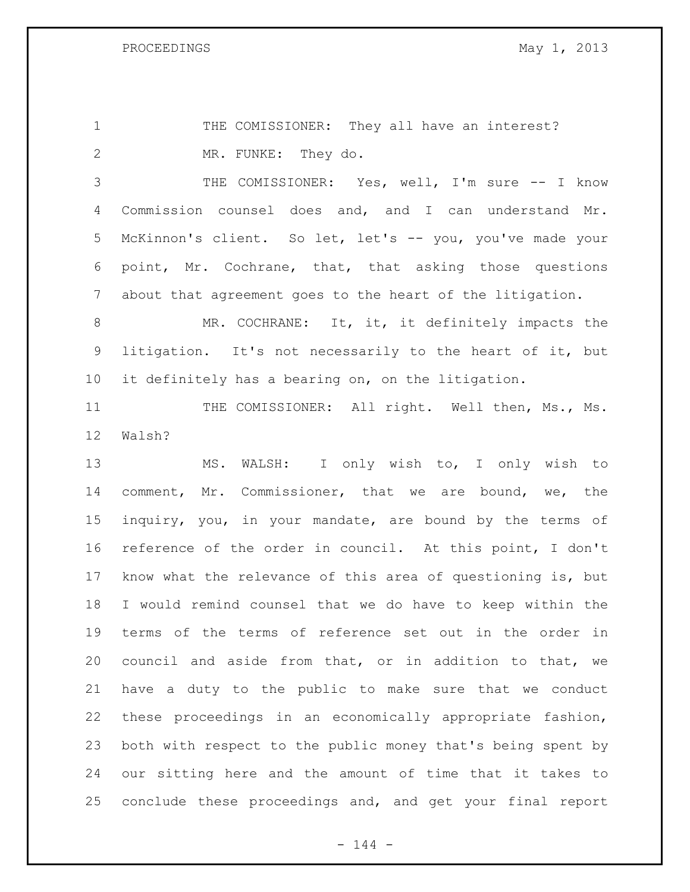1 THE COMISSIONER: They all have an interest? MR. FUNKE: They do.

 THE COMISSIONER: Yes, well, I'm sure -- I know Commission counsel does and, and I can understand Mr. McKinnon's client. So let, let's -- you, you've made your point, Mr. Cochrane, that, that asking those questions about that agreement goes to the heart of the litigation.

 MR. COCHRANE: It, it, it definitely impacts the litigation. It's not necessarily to the heart of it, but it definitely has a bearing on, on the litigation.

11 THE COMISSIONER: All right. Well then, Ms., Ms. Walsh?

 MS. WALSH: I only wish to, I only wish to comment, Mr. Commissioner, that we are bound, we, the inquiry, you, in your mandate, are bound by the terms of reference of the order in council. At this point, I don't know what the relevance of this area of questioning is, but I would remind counsel that we do have to keep within the terms of the terms of reference set out in the order in council and aside from that, or in addition to that, we have a duty to the public to make sure that we conduct these proceedings in an economically appropriate fashion, both with respect to the public money that's being spent by our sitting here and the amount of time that it takes to conclude these proceedings and, and get your final report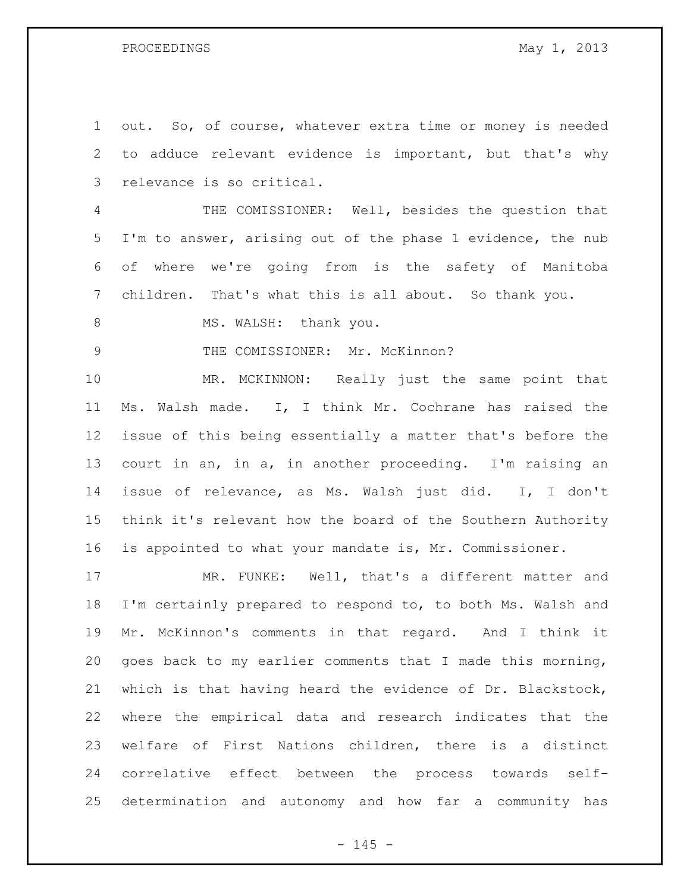out. So, of course, whatever extra time or money is needed to adduce relevant evidence is important, but that's why relevance is so critical.

 THE COMISSIONER: Well, besides the question that I'm to answer, arising out of the phase 1 evidence, the nub of where we're going from is the safety of Manitoba children. That's what this is all about. So thank you.

8 MS. WALSH: thank you.

9 THE COMISSIONER: Mr. McKinnon?

 MR. MCKINNON: Really just the same point that Ms. Walsh made. I, I think Mr. Cochrane has raised the issue of this being essentially a matter that's before the court in an, in a, in another proceeding. I'm raising an issue of relevance, as Ms. Walsh just did. I, I don't think it's relevant how the board of the Southern Authority is appointed to what your mandate is, Mr. Commissioner.

 MR. FUNKE: Well, that's a different matter and I'm certainly prepared to respond to, to both Ms. Walsh and Mr. McKinnon's comments in that regard. And I think it goes back to my earlier comments that I made this morning, which is that having heard the evidence of Dr. Blackstock, where the empirical data and research indicates that the welfare of First Nations children, there is a distinct correlative effect between the process towards self-determination and autonomy and how far a community has

 $- 145 -$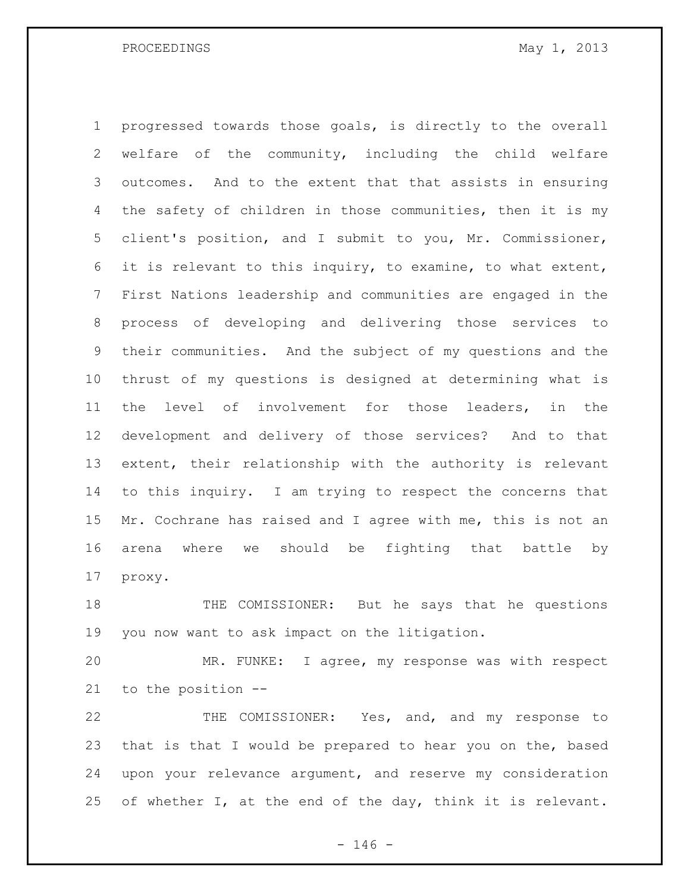PROCEEDINGS May 1, 2013

 progressed towards those goals, is directly to the overall welfare of the community, including the child welfare outcomes. And to the extent that that assists in ensuring the safety of children in those communities, then it is my client's position, and I submit to you, Mr. Commissioner, it is relevant to this inquiry, to examine, to what extent, First Nations leadership and communities are engaged in the process of developing and delivering those services to their communities. And the subject of my questions and the thrust of my questions is designed at determining what is the level of involvement for those leaders, in the development and delivery of those services? And to that extent, their relationship with the authority is relevant to this inquiry. I am trying to respect the concerns that 15 Mr. Cochrane has raised and I agree with me, this is not an arena where we should be fighting that battle by proxy.

 THE COMISSIONER: But he says that he questions you now want to ask impact on the litigation.

 MR. FUNKE: I agree, my response was with respect to the position --

 THE COMISSIONER: Yes, and, and my response to that is that I would be prepared to hear you on the, based upon your relevance argument, and reserve my consideration 25 of whether I, at the end of the day, think it is relevant.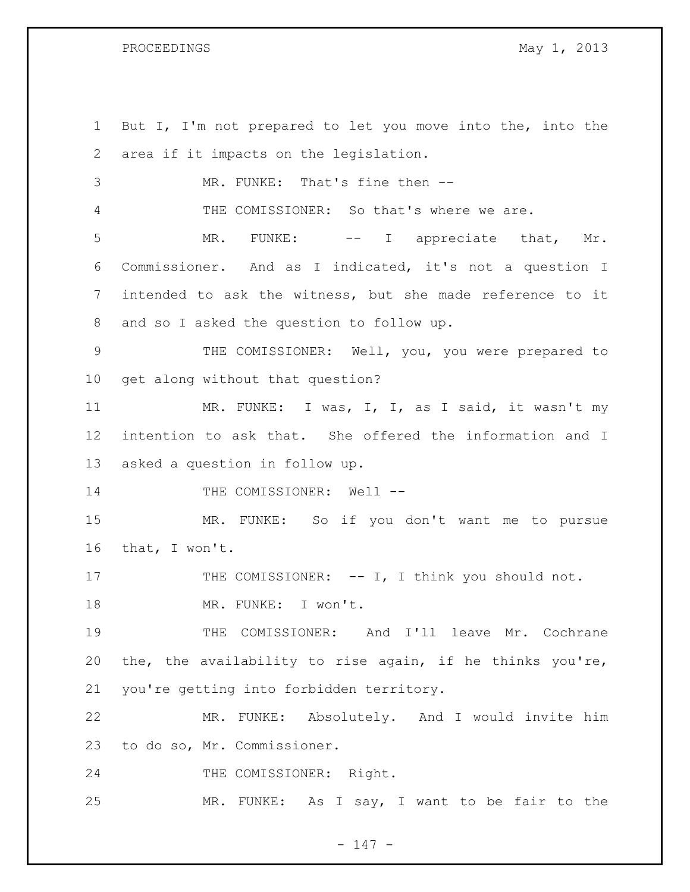But I, I'm not prepared to let you move into the, into the area if it impacts on the legislation. MR. FUNKE: That's fine then -- THE COMISSIONER: So that's where we are. 5 MR. FUNKE: -- I appreciate that, Mr. Commissioner. And as I indicated, it's not a question I intended to ask the witness, but she made reference to it and so I asked the question to follow up. THE COMISSIONER: Well, you, you were prepared to get along without that question? 11 MR. FUNKE: I was, I, I, as I said, it wasn't my intention to ask that. She offered the information and I asked a question in follow up. 14 THE COMISSIONER: Well -- MR. FUNKE: So if you don't want me to pursue that, I won't. 17 THE COMISSIONER: -- I, I think you should not. 18 MR. FUNKE: I won't. THE COMISSIONER: And I'll leave Mr. Cochrane the, the availability to rise again, if he thinks you're, you're getting into forbidden territory. MR. FUNKE: Absolutely. And I would invite him to do so, Mr. Commissioner. THE COMISSIONER: Right. MR. FUNKE: As I say, I want to be fair to the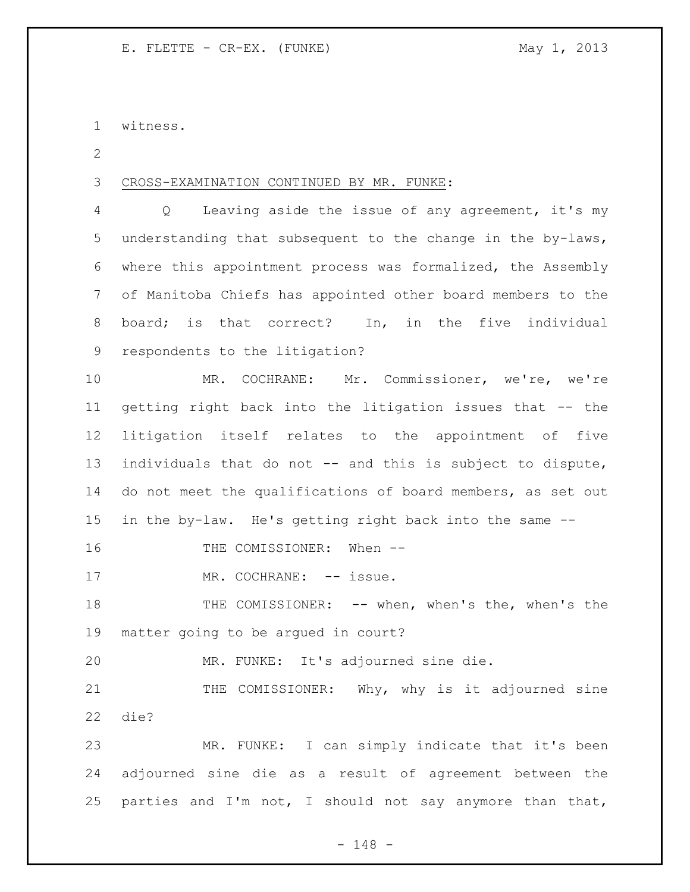witness.

CROSS-EXAMINATION CONTINUED BY MR. FUNKE:

 Q Leaving aside the issue of any agreement, it's my understanding that subsequent to the change in the by-laws, where this appointment process was formalized, the Assembly of Manitoba Chiefs has appointed other board members to the board; is that correct? In, in the five individual respondents to the litigation?

 MR. COCHRANE: Mr. Commissioner, we're, we're getting right back into the litigation issues that -- the litigation itself relates to the appointment of five individuals that do not -- and this is subject to dispute, do not meet the qualifications of board members, as set out in the by-law. He's getting right back into the same --

16 THE COMISSIONER: When --

17 MR. COCHRANE: -- issue.

 THE COMISSIONER: -- when, when's the, when's the matter going to be argued in court?

MR. FUNKE: It's adjourned sine die.

21 THE COMISSIONER: Why, why is it adjourned sine die?

 MR. FUNKE: I can simply indicate that it's been adjourned sine die as a result of agreement between the 25 parties and I'm not, I should not say anymore than that,

- 148 -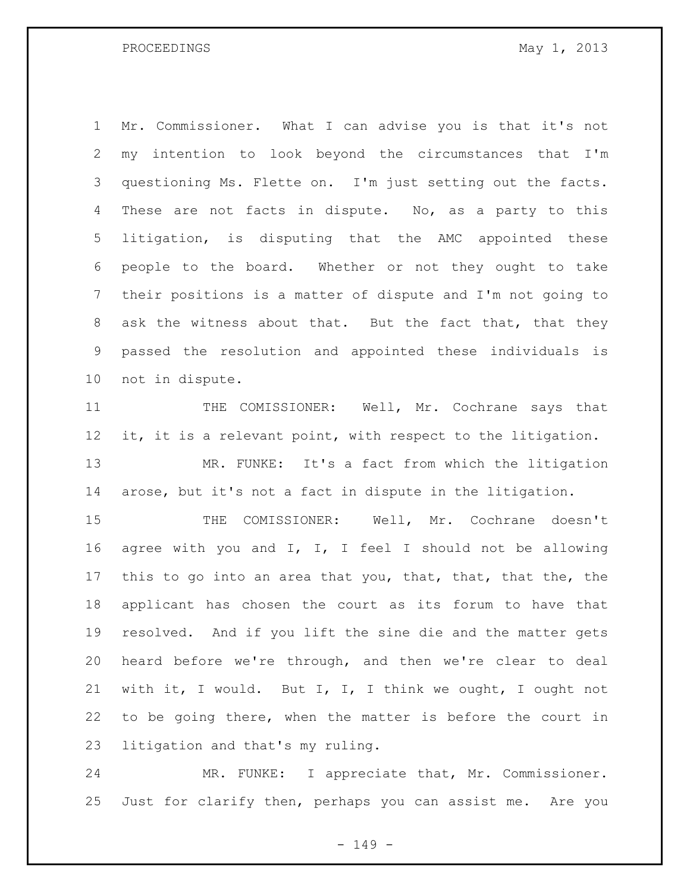Mr. Commissioner. What I can advise you is that it's not my intention to look beyond the circumstances that I'm questioning Ms. Flette on. I'm just setting out the facts. 4 These are not facts in dispute. No, as a party to this litigation, is disputing that the AMC appointed these people to the board. Whether or not they ought to take their positions is a matter of dispute and I'm not going to ask the witness about that. But the fact that, that they passed the resolution and appointed these individuals is not in dispute.

11 THE COMISSIONER: Well, Mr. Cochrane says that 12 it, it is a relevant point, with respect to the litigation. MR. FUNKE: It's a fact from which the litigation arose, but it's not a fact in dispute in the litigation.

 THE COMISSIONER: Well, Mr. Cochrane doesn't agree with you and I, I, I feel I should not be allowing this to go into an area that you, that, that, that the, the applicant has chosen the court as its forum to have that resolved. And if you lift the sine die and the matter gets heard before we're through, and then we're clear to deal with it, I would. But I, I, I think we ought, I ought not to be going there, when the matter is before the court in litigation and that's my ruling.

 MR. FUNKE: I appreciate that, Mr. Commissioner. Just for clarify then, perhaps you can assist me. Are you

- 149 -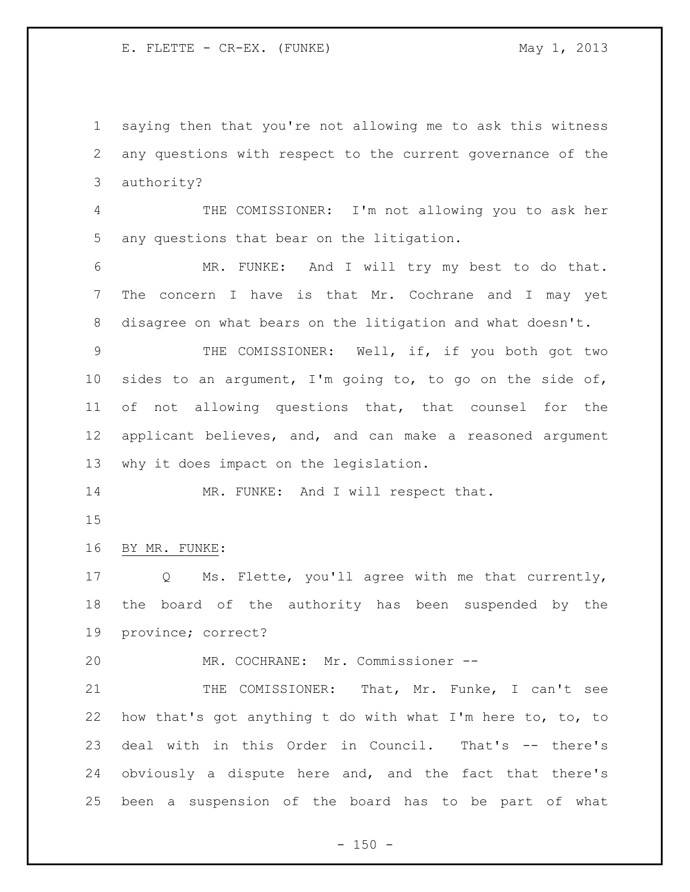saying then that you're not allowing me to ask this witness any questions with respect to the current governance of the authority?

 THE COMISSIONER: I'm not allowing you to ask her any questions that bear on the litigation.

 MR. FUNKE: And I will try my best to do that. The concern I have is that Mr. Cochrane and I may yet disagree on what bears on the litigation and what doesn't.

 THE COMISSIONER: Well, if, if you both got two sides to an argument, I'm going to, to go on the side of, of not allowing questions that, that counsel for the applicant believes, and, and can make a reasoned argument why it does impact on the legislation.

14 MR. FUNKE: And I will respect that.

BY MR. FUNKE:

 Q Ms. Flette, you'll agree with me that currently, the board of the authority has been suspended by the province; correct?

MR. COCHRANE: Mr. Commissioner --

21 THE COMISSIONER: That, Mr. Funke, I can't see how that's got anything t do with what I'm here to, to, to deal with in this Order in Council. That's -- there's obviously a dispute here and, and the fact that there's been a suspension of the board has to be part of what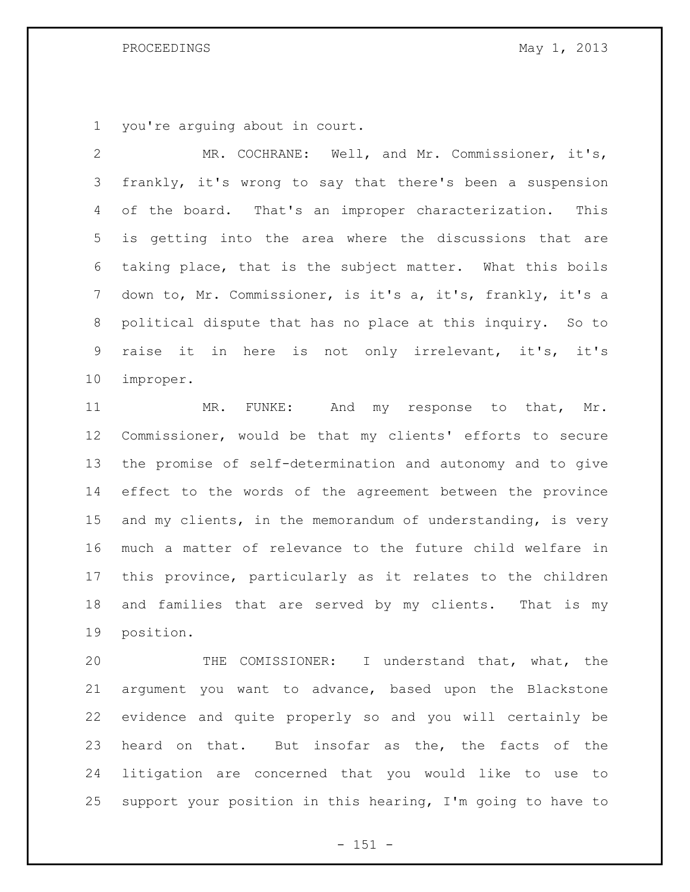## PROCEEDINGS May 1, 2013

you're arguing about in court.

 MR. COCHRANE: Well, and Mr. Commissioner, it's, frankly, it's wrong to say that there's been a suspension of the board. That's an improper characterization. This is getting into the area where the discussions that are taking place, that is the subject matter. What this boils down to, Mr. Commissioner, is it's a, it's, frankly, it's a political dispute that has no place at this inquiry. So to raise it in here is not only irrelevant, it's, it's improper.

11 MR. FUNKE: And my response to that, Mr. Commissioner, would be that my clients' efforts to secure the promise of self-determination and autonomy and to give effect to the words of the agreement between the province and my clients, in the memorandum of understanding, is very much a matter of relevance to the future child welfare in this province, particularly as it relates to the children and families that are served by my clients. That is my position.

 THE COMISSIONER: I understand that, what, the argument you want to advance, based upon the Blackstone evidence and quite properly so and you will certainly be heard on that. But insofar as the, the facts of the litigation are concerned that you would like to use to support your position in this hearing, I'm going to have to

 $- 151 -$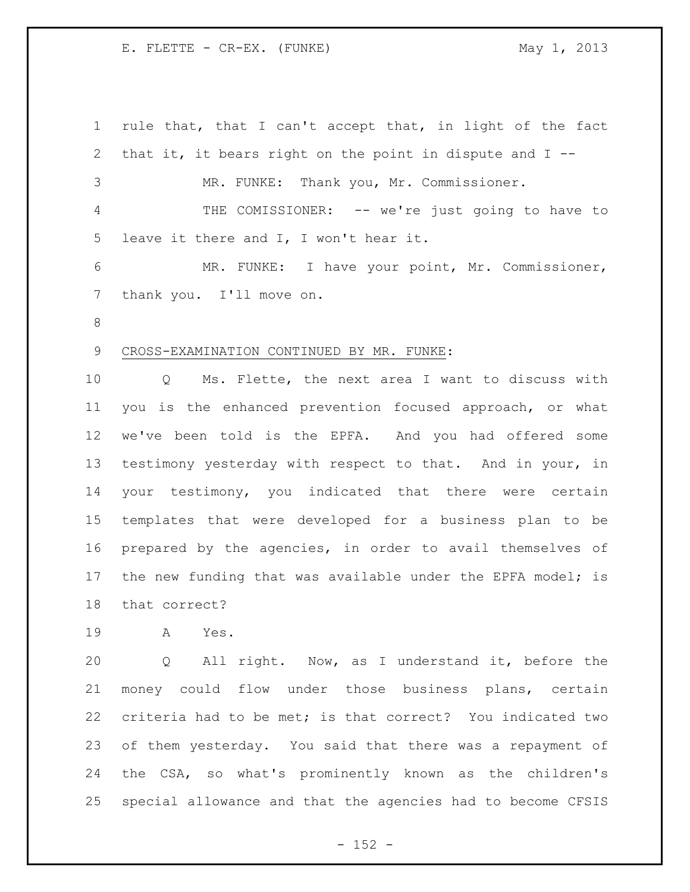rule that, that I can't accept that, in light of the fact that it, it bears right on the point in dispute and I -- MR. FUNKE: Thank you, Mr. Commissioner. THE COMISSIONER: -- we're just going to have to leave it there and I, I won't hear it. MR. FUNKE: I have your point, Mr. Commissioner, 7 thank you. I'll move on. CROSS-EXAMINATION CONTINUED BY MR. FUNKE: Q Ms. Flette, the next area I want to discuss with you is the enhanced prevention focused approach, or what we've been told is the EPFA. And you had offered some testimony yesterday with respect to that. And in your, in your testimony, you indicated that there were certain templates that were developed for a business plan to be prepared by the agencies, in order to avail themselves of 17 the new funding that was available under the EPFA model; is that correct? A Yes. Q All right. Now, as I understand it, before the money could flow under those business plans, certain criteria had to be met; is that correct? You indicated two of them yesterday. You said that there was a repayment of the CSA, so what's prominently known as the children's special allowance and that the agencies had to become CFSIS

 $- 152 -$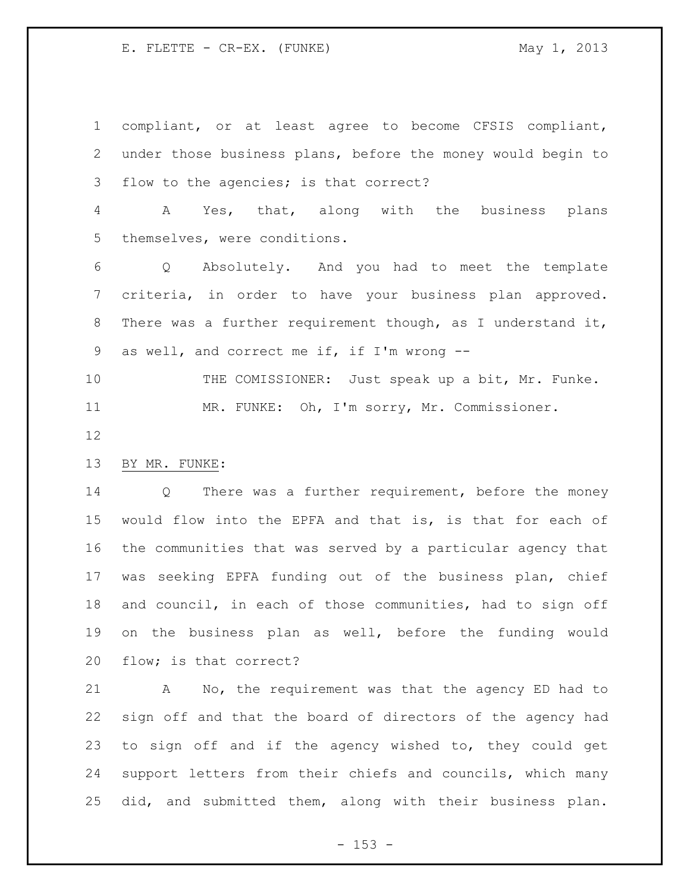compliant, or at least agree to become CFSIS compliant, under those business plans, before the money would begin to flow to the agencies; is that correct?

 A Yes, that, along with the business plans themselves, were conditions.

 Q Absolutely. And you had to meet the template criteria, in order to have your business plan approved. There was a further requirement though, as I understand it, as well, and correct me if, if I'm wrong --

10 THE COMISSIONER: Just speak up a bit, Mr. Funke. MR. FUNKE: Oh, I'm sorry, Mr. Commissioner.

# BY MR. FUNKE:

 Q There was a further requirement, before the money would flow into the EPFA and that is, is that for each of the communities that was served by a particular agency that was seeking EPFA funding out of the business plan, chief and council, in each of those communities, had to sign off on the business plan as well, before the funding would flow; is that correct?

 A No, the requirement was that the agency ED had to sign off and that the board of directors of the agency had to sign off and if the agency wished to, they could get support letters from their chiefs and councils, which many did, and submitted them, along with their business plan.

 $- 153 -$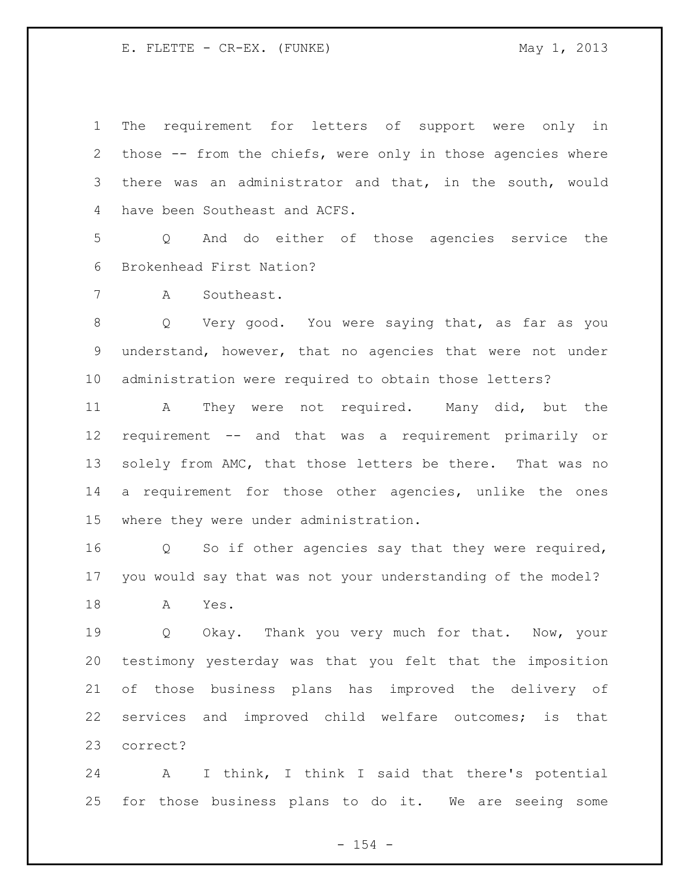The requirement for letters of support were only in those -- from the chiefs, were only in those agencies where there was an administrator and that, in the south, would have been Southeast and ACFS.

 Q And do either of those agencies service the Brokenhead First Nation?

A Southeast.

 Q Very good. You were saying that, as far as you understand, however, that no agencies that were not under administration were required to obtain those letters?

 A They were not required. Many did, but the requirement -- and that was a requirement primarily or 13 solely from AMC, that those letters be there. That was no a requirement for those other agencies, unlike the ones where they were under administration.

 Q So if other agencies say that they were required, you would say that was not your understanding of the model?

A Yes.

19 0 Okay. Thank you very much for that. Now, your testimony yesterday was that you felt that the imposition of those business plans has improved the delivery of services and improved child welfare outcomes; is that correct?

 A I think, I think I said that there's potential for those business plans to do it. We are seeing some

 $- 154 -$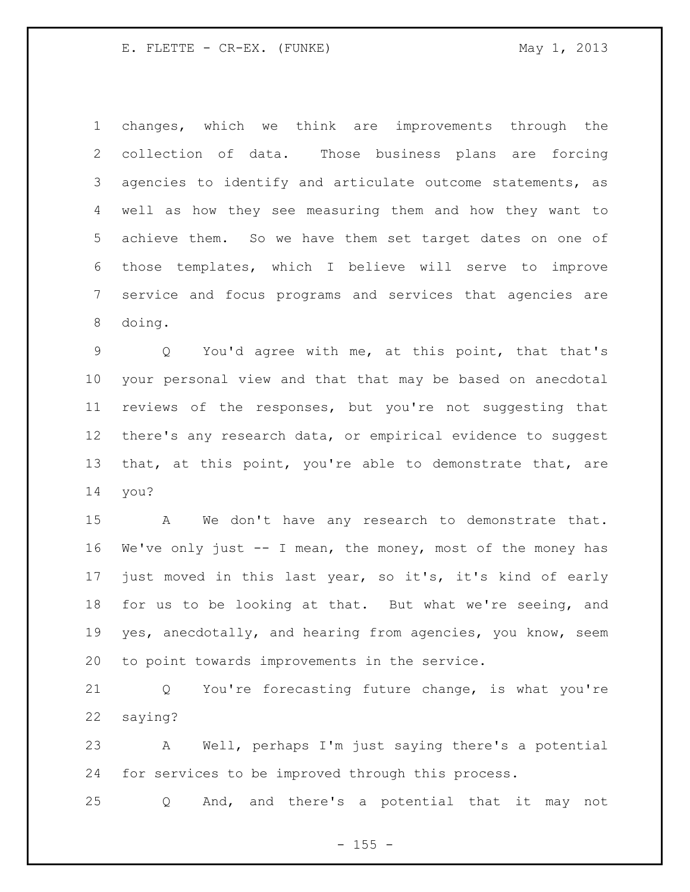changes, which we think are improvements through the collection of data. Those business plans are forcing agencies to identify and articulate outcome statements, as well as how they see measuring them and how they want to achieve them. So we have them set target dates on one of those templates, which I believe will serve to improve service and focus programs and services that agencies are doing.

 Q You'd agree with me, at this point, that that's your personal view and that that may be based on anecdotal reviews of the responses, but you're not suggesting that there's any research data, or empirical evidence to suggest that, at this point, you're able to demonstrate that, are you?

 A We don't have any research to demonstrate that. We've only just -- I mean, the money, most of the money has just moved in this last year, so it's, it's kind of early for us to be looking at that. But what we're seeing, and yes, anecdotally, and hearing from agencies, you know, seem to point towards improvements in the service.

 Q You're forecasting future change, is what you're saying?

 A Well, perhaps I'm just saying there's a potential for services to be improved through this process.

Q And, and there's a potential that it may not

 $- 155 -$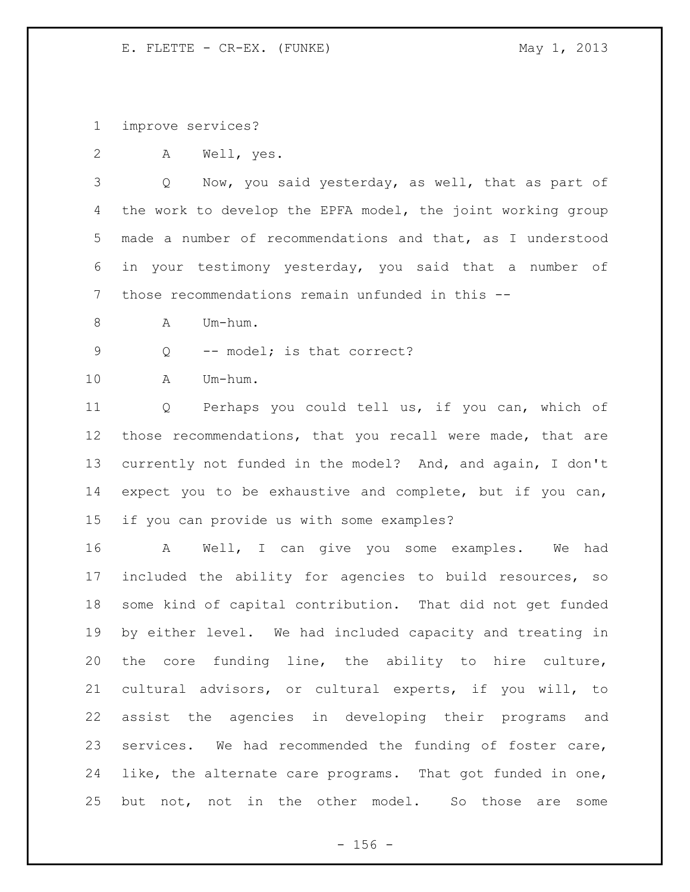improve services?

A Well, yes.

 Q Now, you said yesterday, as well, that as part of the work to develop the EPFA model, the joint working group made a number of recommendations and that, as I understood in your testimony yesterday, you said that a number of those recommendations remain unfunded in this --

- 8 A Um-hum.
- 9 Q -- model; is that correct?

A Um-hum.

 Q Perhaps you could tell us, if you can, which of those recommendations, that you recall were made, that are currently not funded in the model? And, and again, I don't expect you to be exhaustive and complete, but if you can, if you can provide us with some examples?

 A Well, I can give you some examples. We had included the ability for agencies to build resources, so some kind of capital contribution. That did not get funded by either level. We had included capacity and treating in the core funding line, the ability to hire culture, cultural advisors, or cultural experts, if you will, to assist the agencies in developing their programs and services. We had recommended the funding of foster care, like, the alternate care programs. That got funded in one, but not, not in the other model. So those are some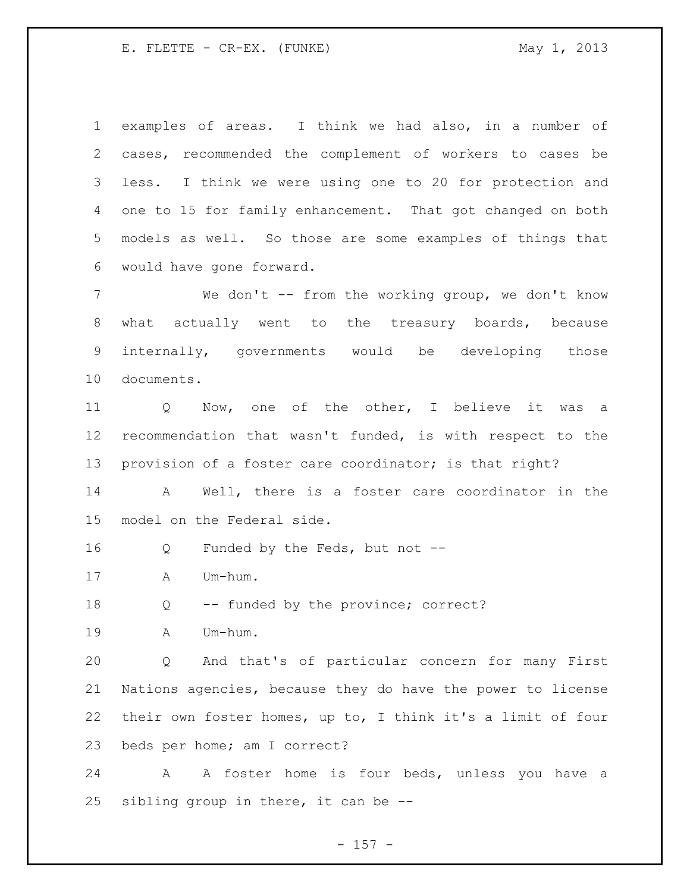examples of areas. I think we had also, in a number of cases, recommended the complement of workers to cases be less. I think we were using one to 20 for protection and 4 one to 15 for family enhancement. That got changed on both models as well. So those are some examples of things that would have gone forward.

 We don't -- from the working group, we don't know what actually went to the treasury boards, because internally, governments would be developing those documents.

 Q Now, one of the other, I believe it was a recommendation that wasn't funded, is with respect to the provision of a foster care coordinator; is that right?

 A Well, there is a foster care coordinator in the model on the Federal side.

Q Funded by the Feds, but not --

A Um-hum.

Q -- funded by the province; correct?

A Um-hum.

 Q And that's of particular concern for many First Nations agencies, because they do have the power to license their own foster homes, up to, I think it's a limit of four beds per home; am I correct?

 A A foster home is four beds, unless you have a sibling group in there, it can be --

 $- 157 -$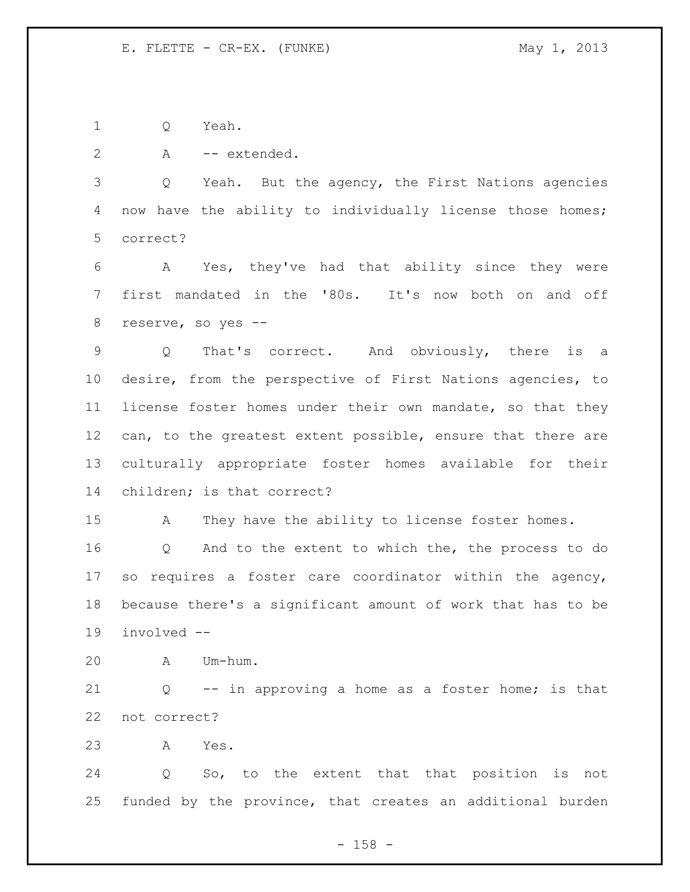Q Yeah.

A -- extended.

 Q Yeah. But the agency, the First Nations agencies now have the ability to individually license those homes; correct?

 A Yes, they've had that ability since they were first mandated in the '80s. It's now both on and off reserve, so yes --

 Q That's correct. And obviously, there is a desire, from the perspective of First Nations agencies, to license foster homes under their own mandate, so that they can, to the greatest extent possible, ensure that there are culturally appropriate foster homes available for their children; is that correct?

A They have the ability to license foster homes.

 Q And to the extent to which the, the process to do so requires a foster care coordinator within the agency, because there's a significant amount of work that has to be involved --

A Um-hum.

 Q -- in approving a home as a foster home; is that not correct?

A Yes.

 Q So, to the extent that that position is not funded by the province, that creates an additional burden

- 158 -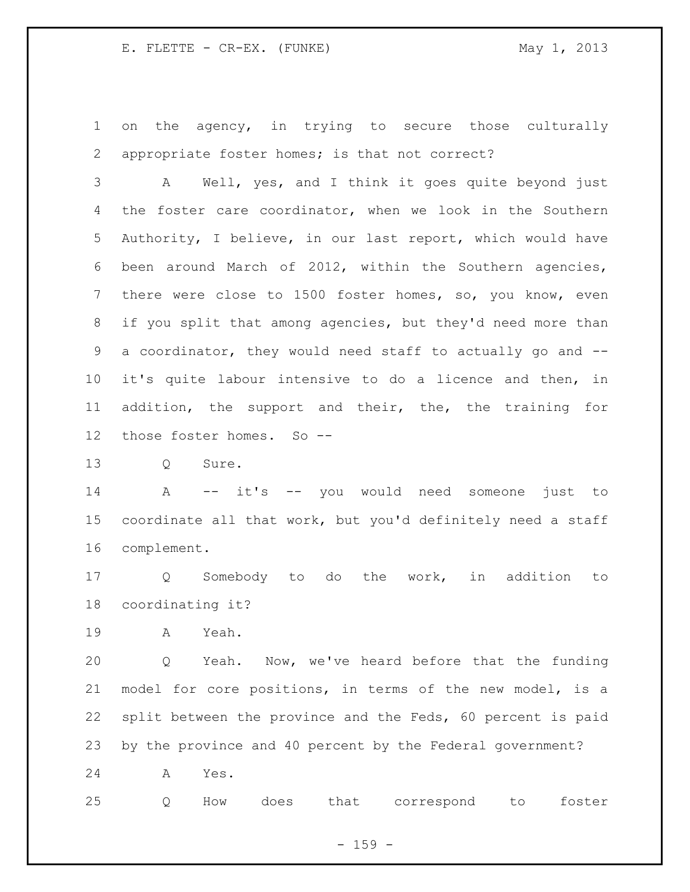on the agency, in trying to secure those culturally appropriate foster homes; is that not correct?

 A Well, yes, and I think it goes quite beyond just the foster care coordinator, when we look in the Southern Authority, I believe, in our last report, which would have been around March of 2012, within the Southern agencies, there were close to 1500 foster homes, so, you know, even if you split that among agencies, but they'd need more than a coordinator, they would need staff to actually go and -- it's quite labour intensive to do a licence and then, in addition, the support and their, the, the training for those foster homes. So --

13 O Sure.

 A -- it's -- you would need someone just to coordinate all that work, but you'd definitely need a staff complement.

 Q Somebody to do the work, in addition to coordinating it?

A Yeah.

 Q Yeah. Now, we've heard before that the funding model for core positions, in terms of the new model, is a split between the province and the Feds, 60 percent is paid by the province and 40 percent by the Federal government?

A Yes.

Q How does that correspond to foster

- 159 -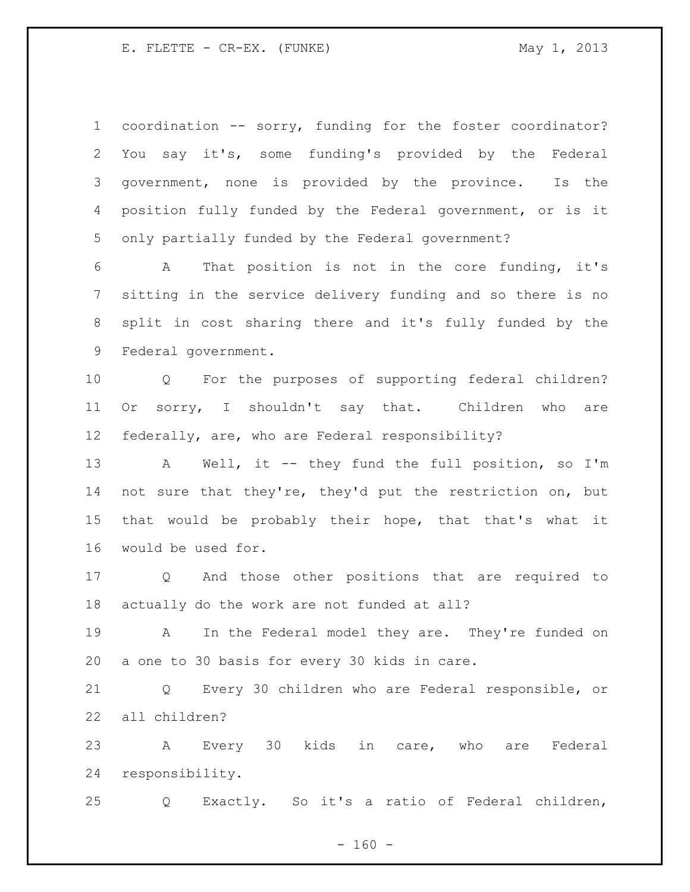coordination -- sorry, funding for the foster coordinator? You say it's, some funding's provided by the Federal government, none is provided by the province. Is the position fully funded by the Federal government, or is it only partially funded by the Federal government?

 A That position is not in the core funding, it's sitting in the service delivery funding and so there is no split in cost sharing there and it's fully funded by the Federal government.

 Q For the purposes of supporting federal children? Or sorry, I shouldn't say that. Children who are federally, are, who are Federal responsibility?

13 A Well, it -- they fund the full position, so I'm not sure that they're, they'd put the restriction on, but that would be probably their hope, that that's what it would be used for.

 Q And those other positions that are required to actually do the work are not funded at all?

 A In the Federal model they are. They're funded on a one to 30 basis for every 30 kids in care.

 Q Every 30 children who are Federal responsible, or all children?

 A Every 30 kids in care, who are Federal responsibility.

Q Exactly. So it's a ratio of Federal children,

 $- 160 -$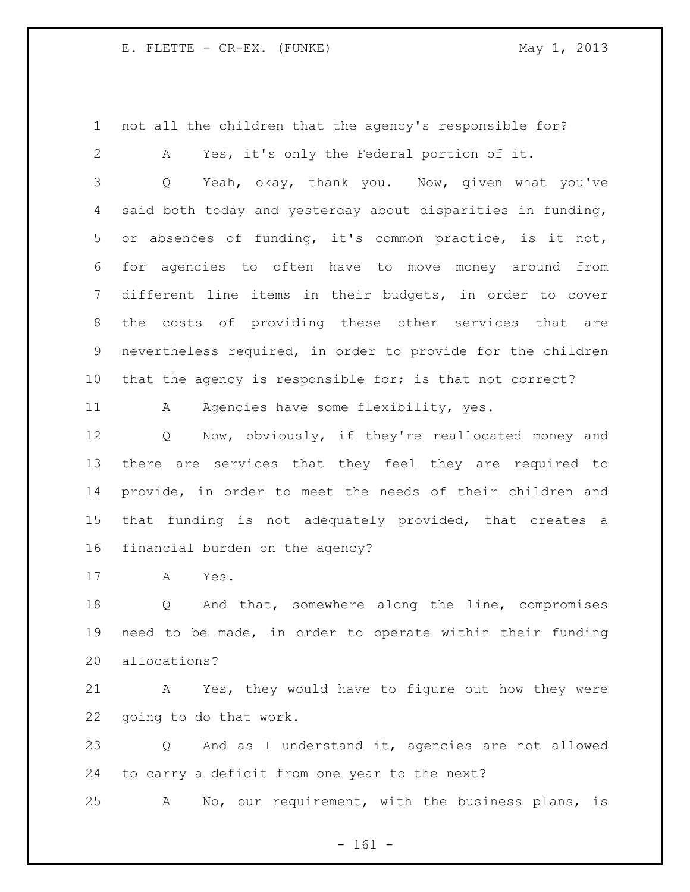not all the children that the agency's responsible for?

A Yes, it's only the Federal portion of it.

 Q Yeah, okay, thank you. Now, given what you've said both today and yesterday about disparities in funding, or absences of funding, it's common practice, is it not, for agencies to often have to move money around from different line items in their budgets, in order to cover the costs of providing these other services that are nevertheless required, in order to provide for the children that the agency is responsible for; is that not correct?

11 A Agencies have some flexibility, yes.

 Q Now, obviously, if they're reallocated money and there are services that they feel they are required to provide, in order to meet the needs of their children and that funding is not adequately provided, that creates a financial burden on the agency?

A Yes.

 Q And that, somewhere along the line, compromises need to be made, in order to operate within their funding allocations?

 A Yes, they would have to figure out how they were going to do that work.

 Q And as I understand it, agencies are not allowed to carry a deficit from one year to the next?

A No, our requirement, with the business plans, is

- 161 -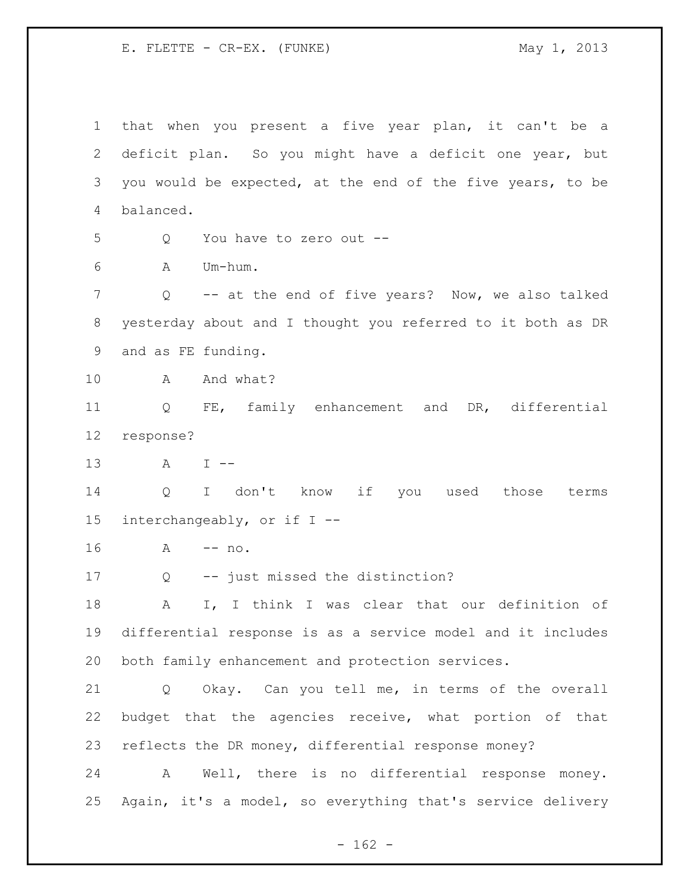that when you present a five year plan, it can't be a deficit plan. So you might have a deficit one year, but you would be expected, at the end of the five years, to be balanced. Q You have to zero out -- A Um-hum. Q -- at the end of five years? Now, we also talked yesterday about and I thought you referred to it both as DR and as FE funding. 10 A And what? Q FE, family enhancement and DR, differential response? A I -- Q I don't know if you used those terms interchangeably, or if I -- A -- no. Q -- just missed the distinction? A I, I think I was clear that our definition of differential response is as a service model and it includes both family enhancement and protection services. Q Okay. Can you tell me, in terms of the overall budget that the agencies receive, what portion of that reflects the DR money, differential response money? A Well, there is no differential response money. Again, it's a model, so everything that's service delivery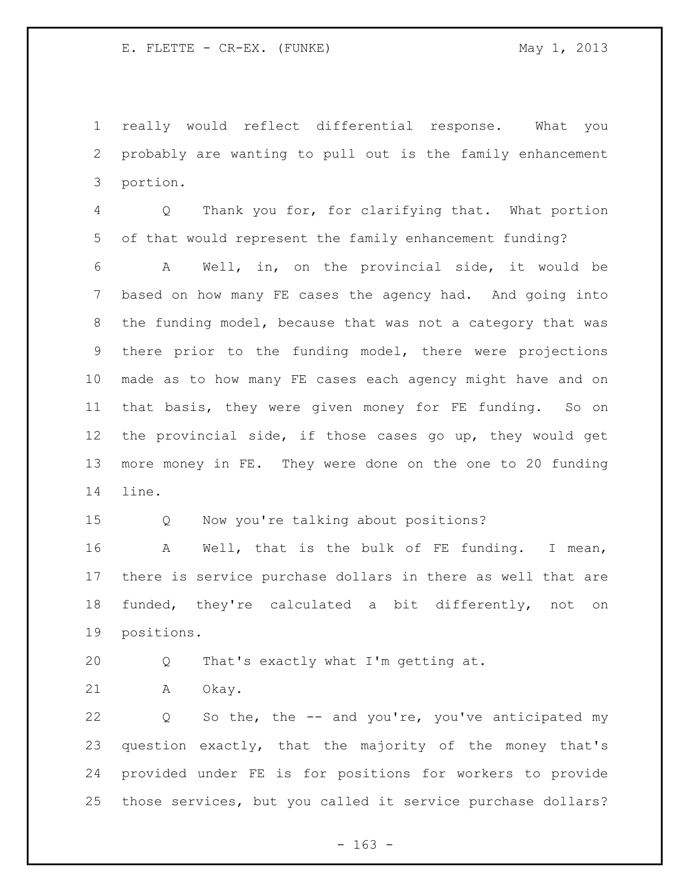really would reflect differential response. What you probably are wanting to pull out is the family enhancement portion.

 Q Thank you for, for clarifying that. What portion of that would represent the family enhancement funding?

 A Well, in, on the provincial side, it would be based on how many FE cases the agency had. And going into the funding model, because that was not a category that was there prior to the funding model, there were projections made as to how many FE cases each agency might have and on that basis, they were given money for FE funding. So on the provincial side, if those cases go up, they would get more money in FE. They were done on the one to 20 funding line.

Q Now you're talking about positions?

 A Well, that is the bulk of FE funding. I mean, there is service purchase dollars in there as well that are funded, they're calculated a bit differently, not on positions.

Q That's exactly what I'm getting at.

A Okay.

 Q So the, the -- and you're, you've anticipated my question exactly, that the majority of the money that's provided under FE is for positions for workers to provide those services, but you called it service purchase dollars?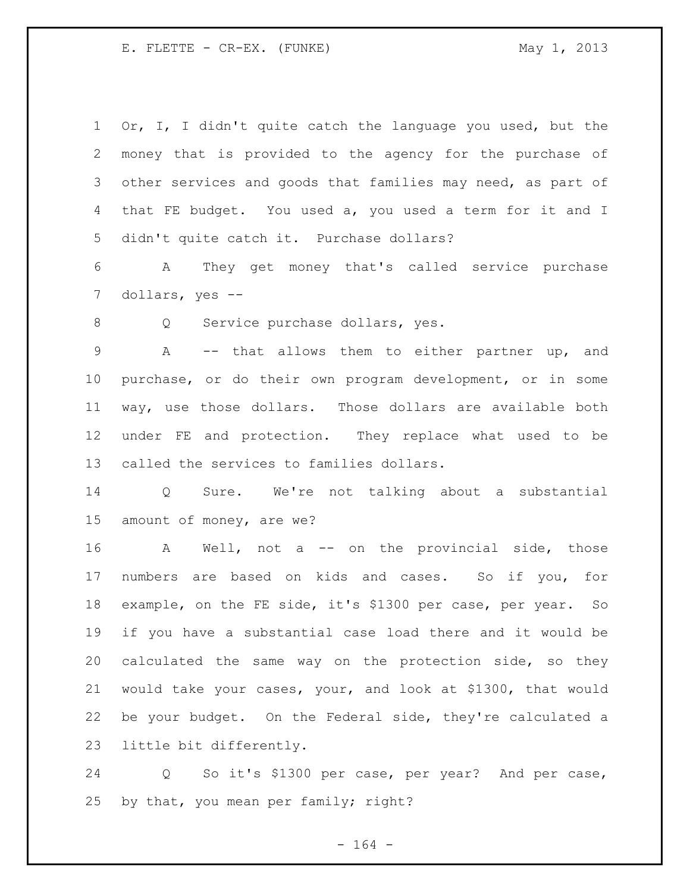Or, I, I didn't quite catch the language you used, but the money that is provided to the agency for the purchase of other services and goods that families may need, as part of that FE budget. You used a, you used a term for it and I didn't quite catch it. Purchase dollars?

 A They get money that's called service purchase dollars, yes --

Q Service purchase dollars, yes.

 A -- that allows them to either partner up, and purchase, or do their own program development, or in some way, use those dollars. Those dollars are available both under FE and protection. They replace what used to be called the services to families dollars.

 Q Sure. We're not talking about a substantial amount of money, are we?

 A Well, not a -- on the provincial side, those numbers are based on kids and cases. So if you, for example, on the FE side, it's \$1300 per case, per year. So if you have a substantial case load there and it would be calculated the same way on the protection side, so they would take your cases, your, and look at \$1300, that would be your budget. On the Federal side, they're calculated a little bit differently.

 Q So it's \$1300 per case, per year? And per case, by that, you mean per family; right?

- 164 -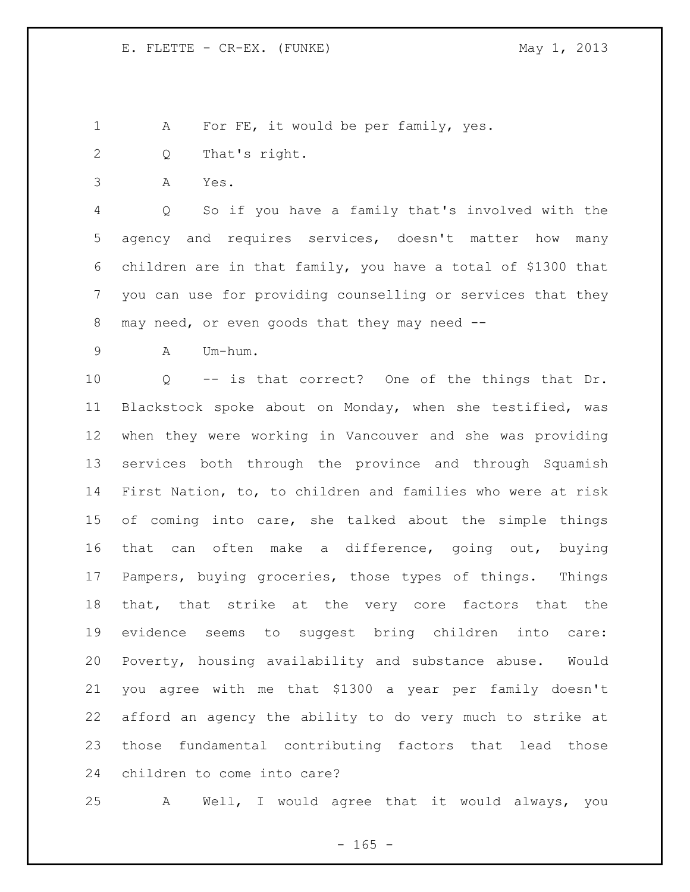1 A For FE, it would be per family, yes.

- Q That's right.
- A Yes.

 Q So if you have a family that's involved with the agency and requires services, doesn't matter how many children are in that family, you have a total of \$1300 that you can use for providing counselling or services that they may need, or even goods that they may need --

A Um-hum.

 Q -- is that correct? One of the things that Dr. Blackstock spoke about on Monday, when she testified, was when they were working in Vancouver and she was providing services both through the province and through Squamish First Nation, to, to children and families who were at risk of coming into care, she talked about the simple things that can often make a difference, going out, buying Pampers, buying groceries, those types of things. Things that, that strike at the very core factors that the evidence seems to suggest bring children into care: Poverty, housing availability and substance abuse. Would you agree with me that \$1300 a year per family doesn't afford an agency the ability to do very much to strike at those fundamental contributing factors that lead those children to come into care?

A Well, I would agree that it would always, you

 $- 165 -$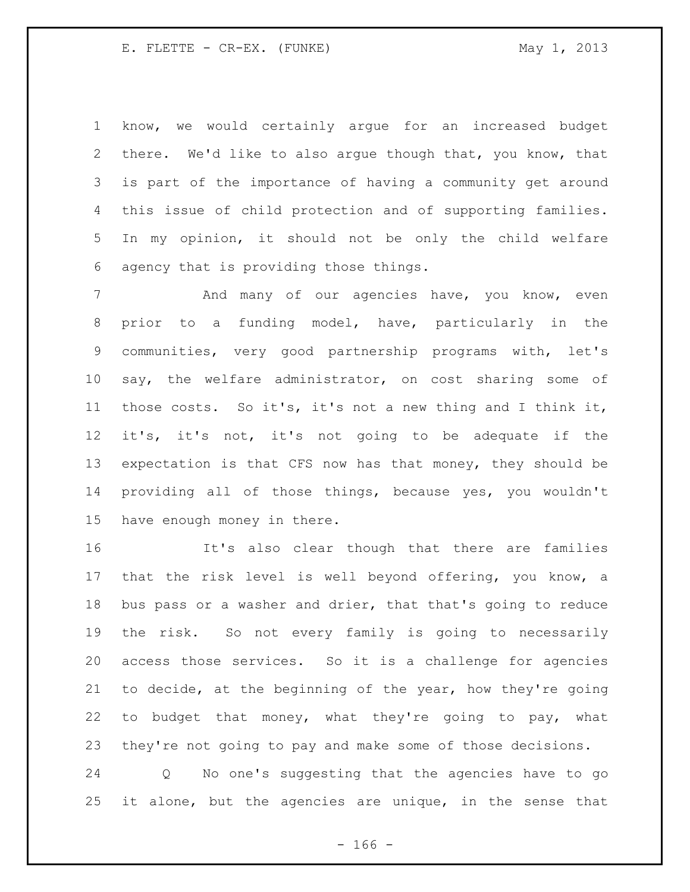know, we would certainly argue for an increased budget there. We'd like to also argue though that, you know, that is part of the importance of having a community get around this issue of child protection and of supporting families. In my opinion, it should not be only the child welfare agency that is providing those things.

7 And many of our agencies have, you know, even prior to a funding model, have, particularly in the communities, very good partnership programs with, let's say, the welfare administrator, on cost sharing some of those costs. So it's, it's not a new thing and I think it, it's, it's not, it's not going to be adequate if the expectation is that CFS now has that money, they should be providing all of those things, because yes, you wouldn't have enough money in there.

 It's also clear though that there are families that the risk level is well beyond offering, you know, a bus pass or a washer and drier, that that's going to reduce the risk. So not every family is going to necessarily access those services. So it is a challenge for agencies to decide, at the beginning of the year, how they're going to budget that money, what they're going to pay, what they're not going to pay and make some of those decisions.

 Q No one's suggesting that the agencies have to go it alone, but the agencies are unique, in the sense that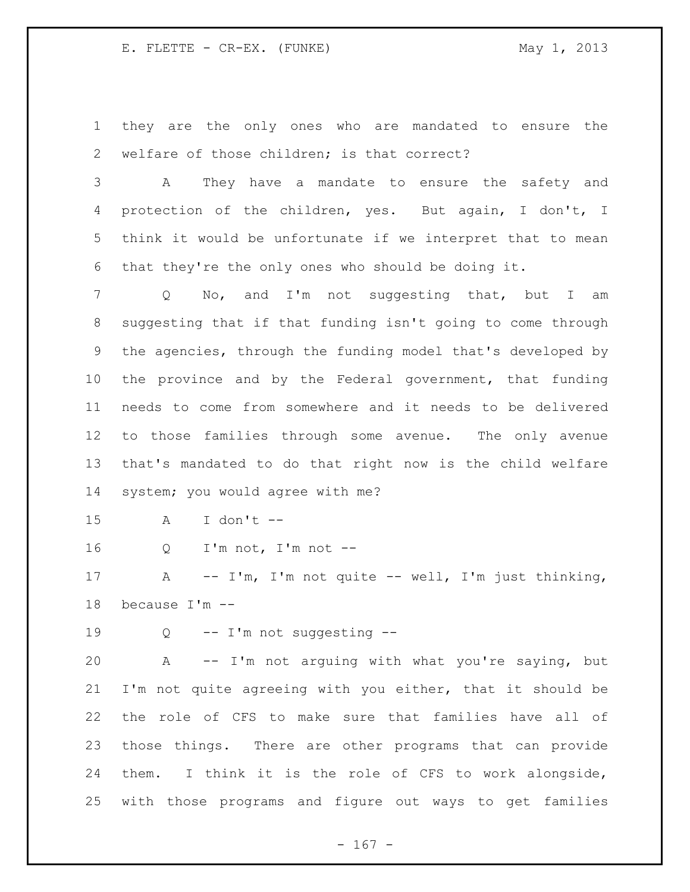they are the only ones who are mandated to ensure the welfare of those children; is that correct?

 A They have a mandate to ensure the safety and protection of the children, yes. But again, I don't, I think it would be unfortunate if we interpret that to mean that they're the only ones who should be doing it.

 Q No, and I'm not suggesting that, but I am suggesting that if that funding isn't going to come through the agencies, through the funding model that's developed by the province and by the Federal government, that funding needs to come from somewhere and it needs to be delivered to those families through some avenue. The only avenue that's mandated to do that right now is the child welfare system; you would agree with me?

A I don't --

Q I'm not, I'm not --

 A -- I'm, I'm not quite -- well, I'm just thinking, because I'm --

Q -- I'm not suggesting --

 A -- I'm not arguing with what you're saying, but I'm not quite agreeing with you either, that it should be the role of CFS to make sure that families have all of those things. There are other programs that can provide them. I think it is the role of CFS to work alongside, with those programs and figure out ways to get families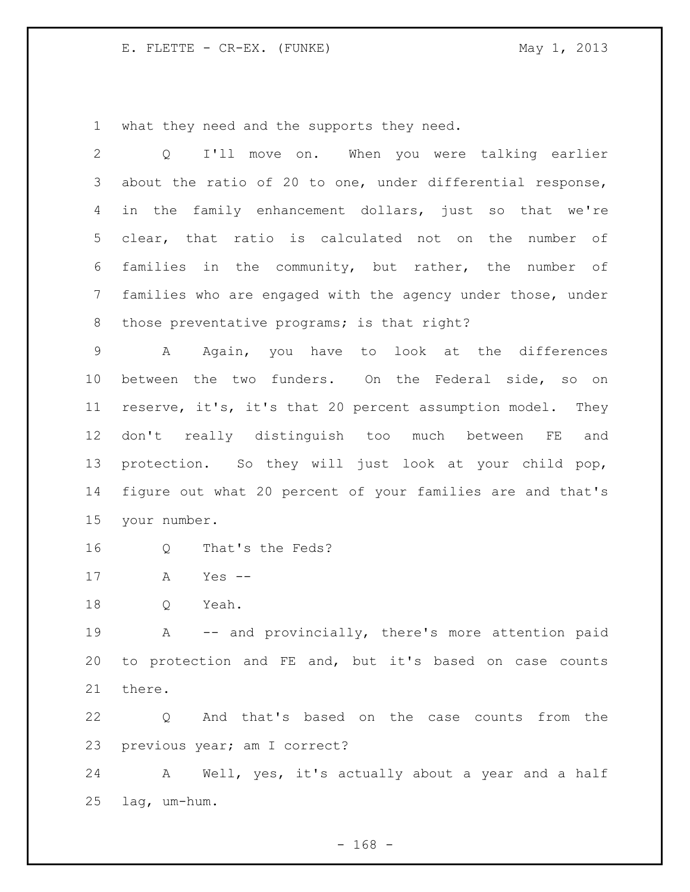what they need and the supports they need.

| $\mathbf{2}$ | I'll move on. When you were talking earlier<br>Q            |
|--------------|-------------------------------------------------------------|
| 3            | about the ratio of 20 to one, under differential response,  |
| 4            | in the family enhancement dollars, just so that we're       |
| 5            | clear, that ratio is calculated not on the<br>number of     |
| 6            | families in the community, but rather, the number of        |
| 7            | families who are engaged with the agency under those, under |
| 8            | those preventative programs; is that right?                 |
| 9            | Again, you have to look at the differences<br>A             |
| 10           | between the two funders. On the Federal side, so on         |
| 11           | reserve, it's, it's that 20 percent assumption model. They  |
| 12           | don't really distinguish too much between FE<br>and         |
| 13           | protection. So they will just look at your child pop,       |
| 14           | figure out what 20 percent of your families are and that's  |
| 15           | your number.                                                |
| 16           | That's the Feds?<br>Q                                       |
| 17           | Yes $--$<br>A                                               |
| 18           | Yeah.<br>Q                                                  |
| 19           | -- and provincially, there's more attention paid<br>Α       |
| 20           | to protection and FE and, but it's based on case counts     |
| 21           | there.                                                      |
| 22           | Q And that's based on the case counts from the              |
| 23           | previous year; am I correct?                                |
| 24           | A Well, yes, it's actually about a year and a half          |
| 25           | lag, um-hum.                                                |

- 168 -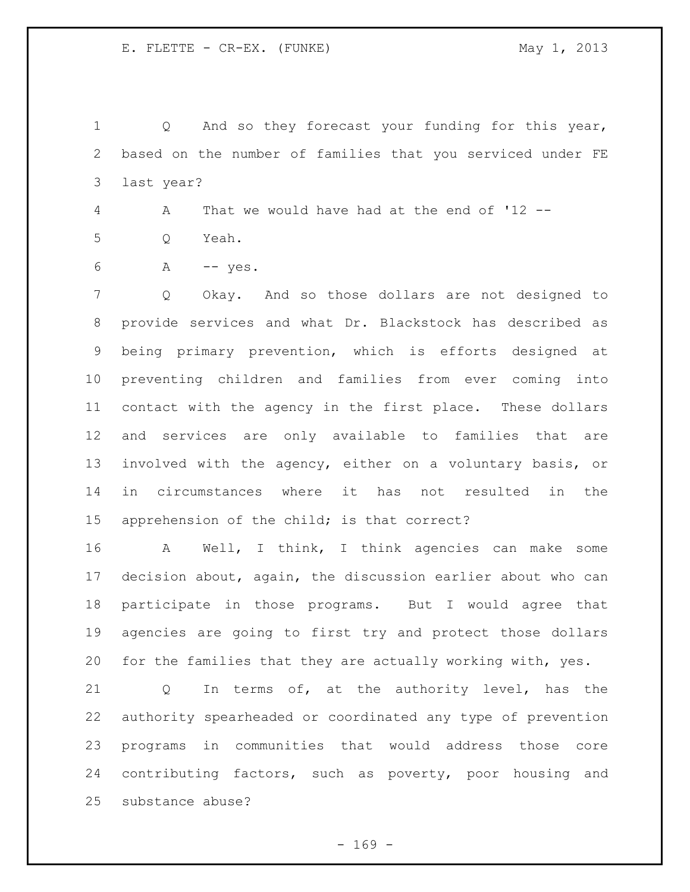Q And so they forecast your funding for this year, based on the number of families that you serviced under FE last year?

A That we would have had at the end of '12 --

- Q Yeah.
- A -- yes.

 Q Okay. And so those dollars are not designed to provide services and what Dr. Blackstock has described as being primary prevention, which is efforts designed at preventing children and families from ever coming into contact with the agency in the first place. These dollars and services are only available to families that are involved with the agency, either on a voluntary basis, or in circumstances where it has not resulted in the apprehension of the child; is that correct?

 A Well, I think, I think agencies can make some decision about, again, the discussion earlier about who can participate in those programs. But I would agree that agencies are going to first try and protect those dollars for the families that they are actually working with, yes.

 Q In terms of, at the authority level, has the authority spearheaded or coordinated any type of prevention programs in communities that would address those core contributing factors, such as poverty, poor housing and substance abuse?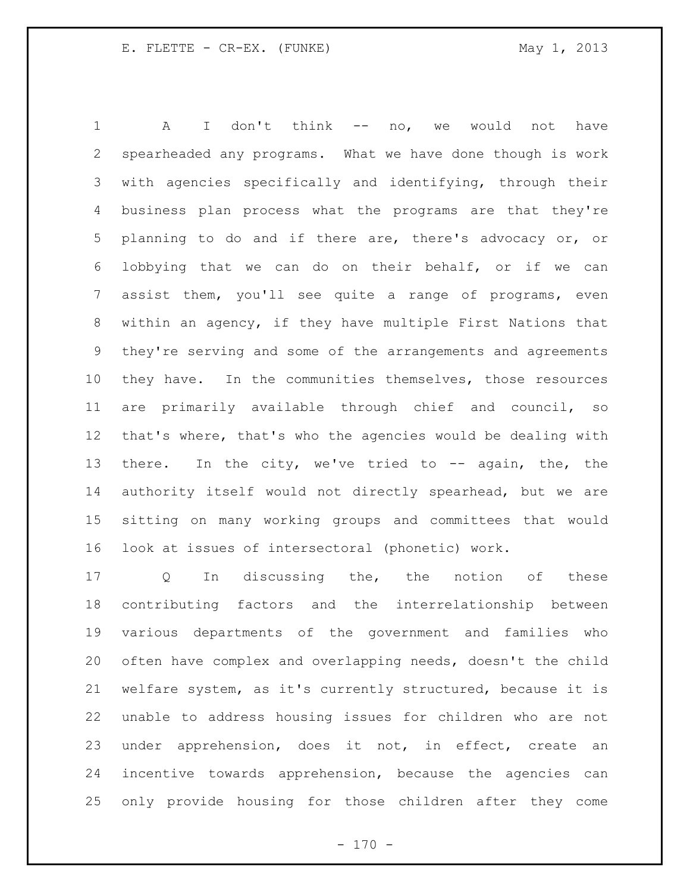A I don't think -- no, we would not have spearheaded any programs. What we have done though is work with agencies specifically and identifying, through their business plan process what the programs are that they're planning to do and if there are, there's advocacy or, or lobbying that we can do on their behalf, or if we can assist them, you'll see quite a range of programs, even within an agency, if they have multiple First Nations that they're serving and some of the arrangements and agreements they have. In the communities themselves, those resources are primarily available through chief and council, so that's where, that's who the agencies would be dealing with 13 there. In the city, we've tried to -- again, the, the authority itself would not directly spearhead, but we are sitting on many working groups and committees that would look at issues of intersectoral (phonetic) work.

17 Q In discussing the, the notion of these contributing factors and the interrelationship between various departments of the government and families who often have complex and overlapping needs, doesn't the child welfare system, as it's currently structured, because it is unable to address housing issues for children who are not under apprehension, does it not, in effect, create an incentive towards apprehension, because the agencies can only provide housing for those children after they come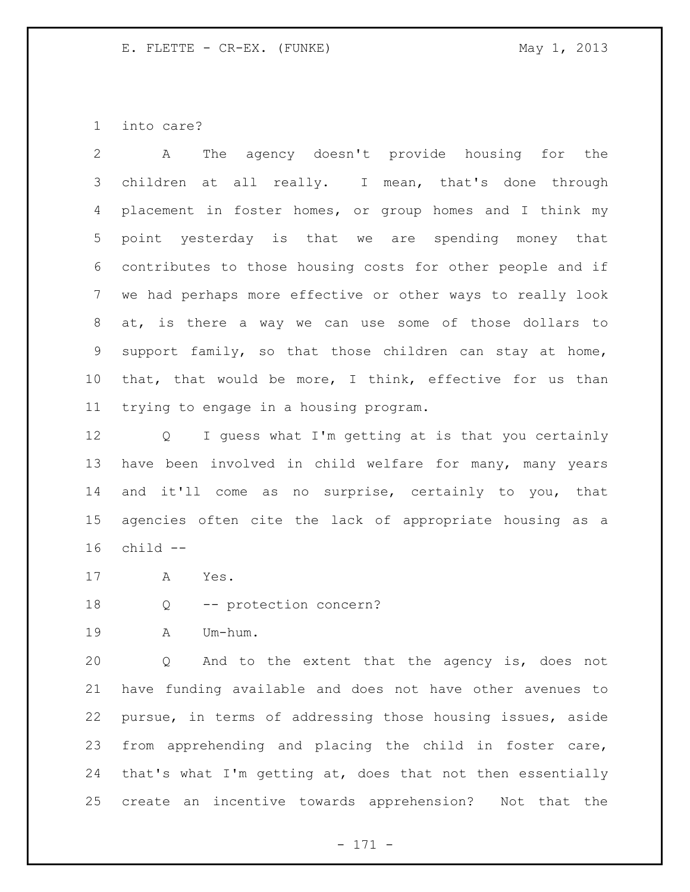into care?

 A The agency doesn't provide housing for the children at all really. I mean, that's done through placement in foster homes, or group homes and I think my point yesterday is that we are spending money that contributes to those housing costs for other people and if we had perhaps more effective or other ways to really look at, is there a way we can use some of those dollars to support family, so that those children can stay at home, that, that would be more, I think, effective for us than trying to engage in a housing program.

 Q I guess what I'm getting at is that you certainly have been involved in child welfare for many, many years and it'll come as no surprise, certainly to you, that agencies often cite the lack of appropriate housing as a child --

- A Yes.
- Q -- protection concern?
- A Um-hum.

 Q And to the extent that the agency is, does not have funding available and does not have other avenues to pursue, in terms of addressing those housing issues, aside from apprehending and placing the child in foster care, that's what I'm getting at, does that not then essentially create an incentive towards apprehension? Not that the

- 171 -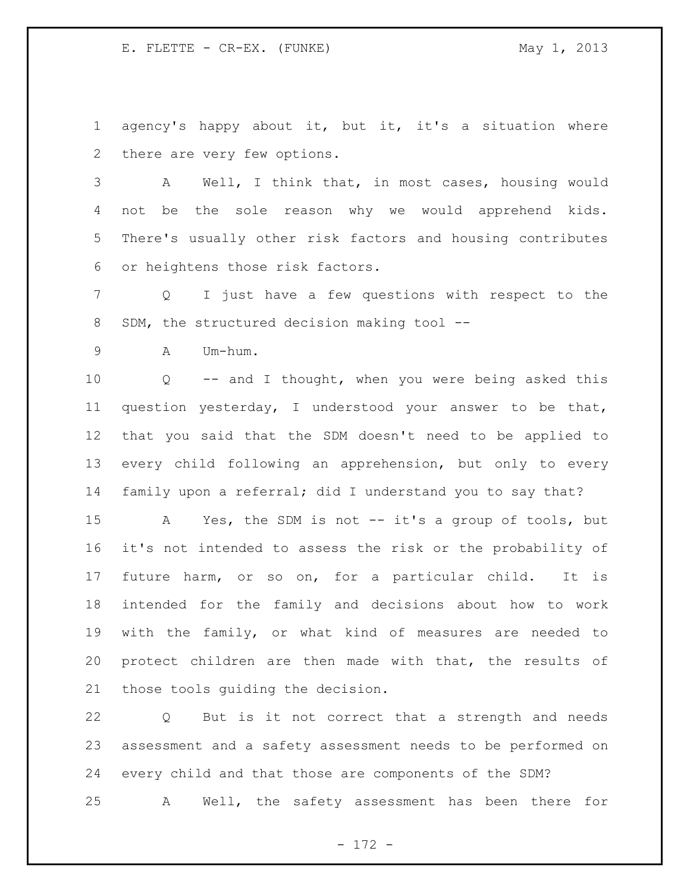agency's happy about it, but it, it's a situation where there are very few options.

 A Well, I think that, in most cases, housing would not be the sole reason why we would apprehend kids. There's usually other risk factors and housing contributes or heightens those risk factors.

 Q I just have a few questions with respect to the SDM, the structured decision making tool --

A Um-hum.

 Q -- and I thought, when you were being asked this question yesterday, I understood your answer to be that, that you said that the SDM doesn't need to be applied to every child following an apprehension, but only to every family upon a referral; did I understand you to say that?

 A Yes, the SDM is not -- it's a group of tools, but it's not intended to assess the risk or the probability of future harm, or so on, for a particular child. It is intended for the family and decisions about how to work with the family, or what kind of measures are needed to protect children are then made with that, the results of those tools guiding the decision.

 Q But is it not correct that a strength and needs assessment and a safety assessment needs to be performed on every child and that those are components of the SDM? A Well, the safety assessment has been there for

- 172 -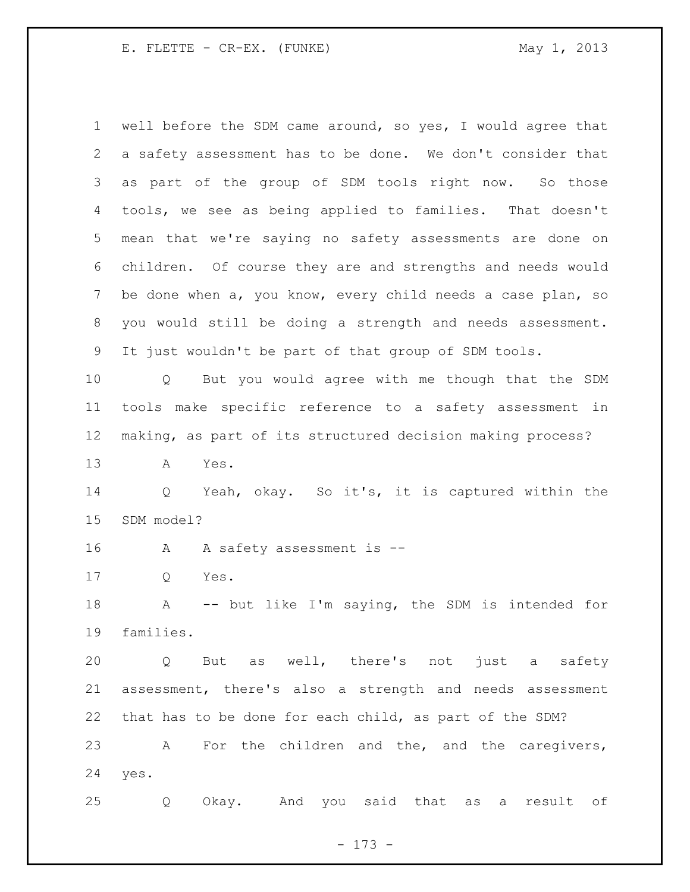well before the SDM came around, so yes, I would agree that a safety assessment has to be done. We don't consider that as part of the group of SDM tools right now. So those tools, we see as being applied to families. That doesn't mean that we're saying no safety assessments are done on children. Of course they are and strengths and needs would be done when a, you know, every child needs a case plan, so you would still be doing a strength and needs assessment. It just wouldn't be part of that group of SDM tools. Q But you would agree with me though that the SDM tools make specific reference to a safety assessment in making, as part of its structured decision making process? A Yes. Q Yeah, okay. So it's, it is captured within the SDM model? A A safety assessment is -- Q Yes. A -- but like I'm saying, the SDM is intended for families. Q But as well, there's not just a safety assessment, there's also a strength and needs assessment that has to be done for each child, as part of the SDM? A For the children and the, and the caregivers, yes. Q Okay. And you said that as a result of

- 173 -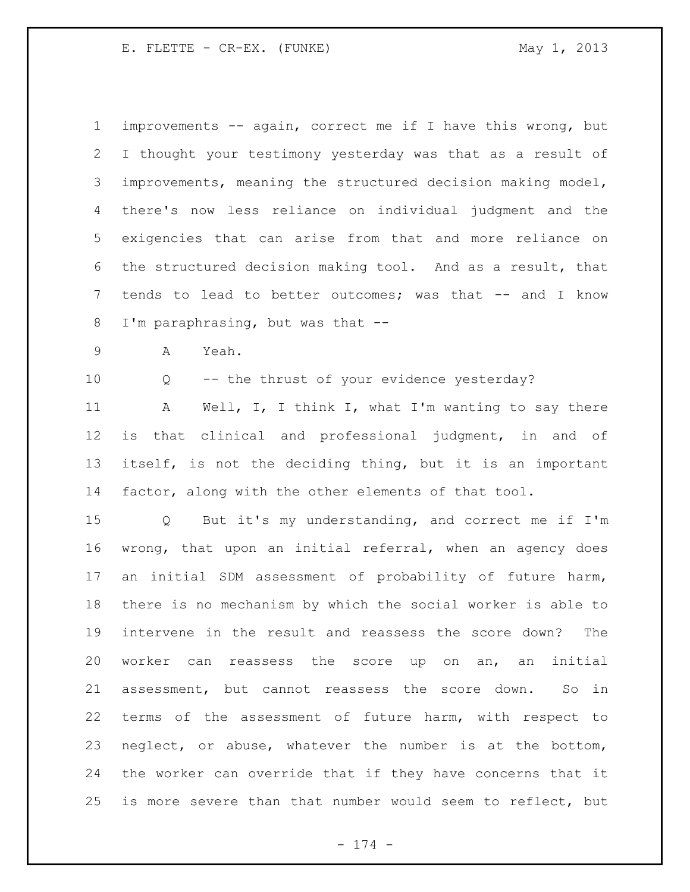improvements -- again, correct me if I have this wrong, but I thought your testimony yesterday was that as a result of improvements, meaning the structured decision making model, there's now less reliance on individual judgment and the exigencies that can arise from that and more reliance on the structured decision making tool. And as a result, that tends to lead to better outcomes; was that -- and I know I'm paraphrasing, but was that --

- A Yeah.
- 

Q -- the thrust of your evidence yesterday?

11 A Well, I, I think I, what I'm wanting to say there is that clinical and professional judgment, in and of itself, is not the deciding thing, but it is an important factor, along with the other elements of that tool.

 Q But it's my understanding, and correct me if I'm wrong, that upon an initial referral, when an agency does an initial SDM assessment of probability of future harm, there is no mechanism by which the social worker is able to intervene in the result and reassess the score down? The worker can reassess the score up on an, an initial assessment, but cannot reassess the score down. So in terms of the assessment of future harm, with respect to neglect, or abuse, whatever the number is at the bottom, the worker can override that if they have concerns that it is more severe than that number would seem to reflect, but

- 174 -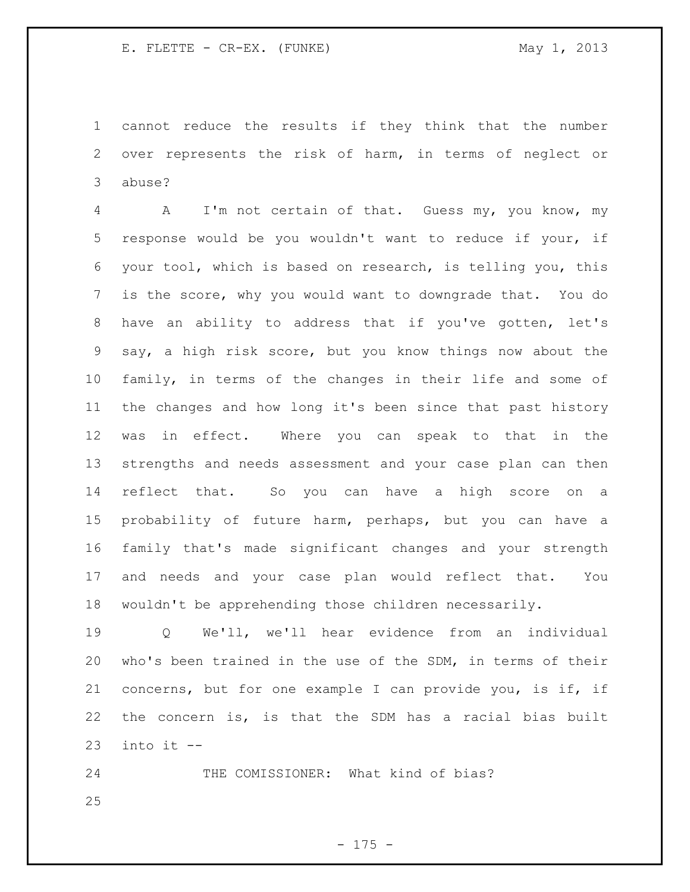cannot reduce the results if they think that the number over represents the risk of harm, in terms of neglect or abuse?

 A I'm not certain of that. Guess my, you know, my response would be you wouldn't want to reduce if your, if your tool, which is based on research, is telling you, this is the score, why you would want to downgrade that. You do have an ability to address that if you've gotten, let's say, a high risk score, but you know things now about the family, in terms of the changes in their life and some of the changes and how long it's been since that past history was in effect. Where you can speak to that in the strengths and needs assessment and your case plan can then reflect that. So you can have a high score on a probability of future harm, perhaps, but you can have a family that's made significant changes and your strength and needs and your case plan would reflect that. You wouldn't be apprehending those children necessarily.

 Q We'll, we'll hear evidence from an individual who's been trained in the use of the SDM, in terms of their concerns, but for one example I can provide you, is if, if the concern is, is that the SDM has a racial bias built into it  $-$ 

24 THE COMISSIONER: What kind of bias?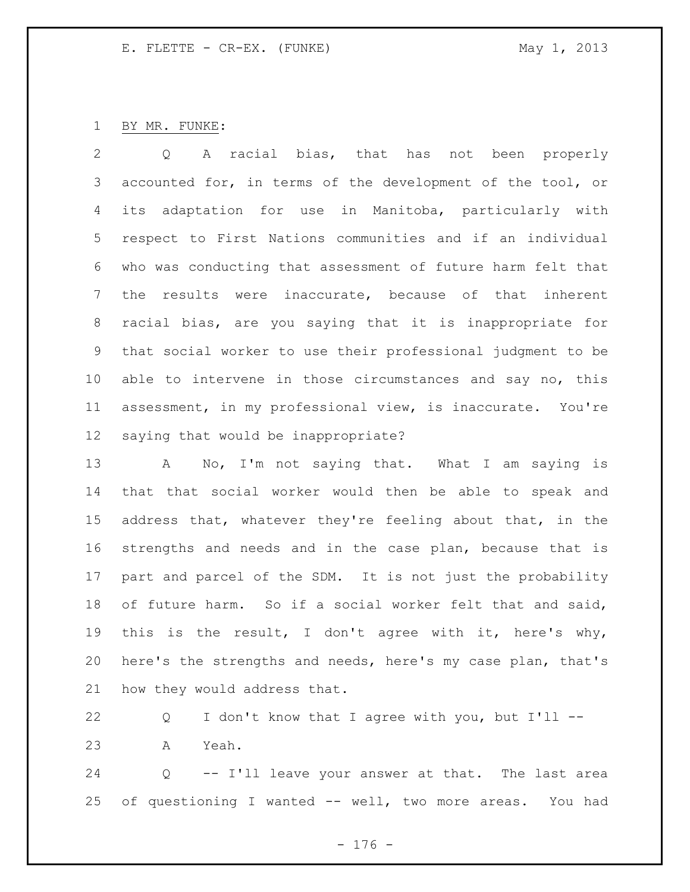BY MR. FUNKE:

 Q A racial bias, that has not been properly accounted for, in terms of the development of the tool, or its adaptation for use in Manitoba, particularly with respect to First Nations communities and if an individual who was conducting that assessment of future harm felt that the results were inaccurate, because of that inherent racial bias, are you saying that it is inappropriate for that social worker to use their professional judgment to be able to intervene in those circumstances and say no, this assessment, in my professional view, is inaccurate. You're saying that would be inappropriate?

13 A No, I'm not saying that. What I am saying is that that social worker would then be able to speak and address that, whatever they're feeling about that, in the strengths and needs and in the case plan, because that is part and parcel of the SDM. It is not just the probability of future harm. So if a social worker felt that and said, this is the result, I don't agree with it, here's why, here's the strengths and needs, here's my case plan, that's how they would address that.

 Q I don't know that I agree with you, but I'll -- A Yeah.

 Q -- I'll leave your answer at that. The last area of questioning I wanted -- well, two more areas. You had

- 176 -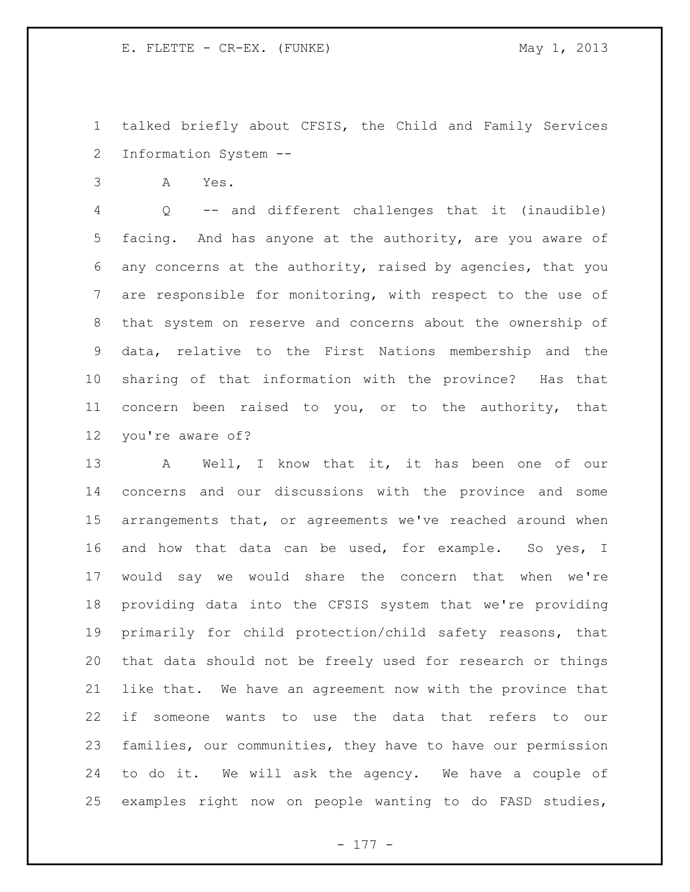talked briefly about CFSIS, the Child and Family Services Information System --

A Yes.

 Q -- and different challenges that it (inaudible) facing. And has anyone at the authority, are you aware of any concerns at the authority, raised by agencies, that you are responsible for monitoring, with respect to the use of that system on reserve and concerns about the ownership of data, relative to the First Nations membership and the sharing of that information with the province? Has that concern been raised to you, or to the authority, that you're aware of?

 A Well, I know that it, it has been one of our concerns and our discussions with the province and some arrangements that, or agreements we've reached around when 16 and how that data can be used, for example. So yes, I would say we would share the concern that when we're providing data into the CFSIS system that we're providing primarily for child protection/child safety reasons, that that data should not be freely used for research or things like that. We have an agreement now with the province that if someone wants to use the data that refers to our families, our communities, they have to have our permission to do it. We will ask the agency. We have a couple of examples right now on people wanting to do FASD studies,

- 177 -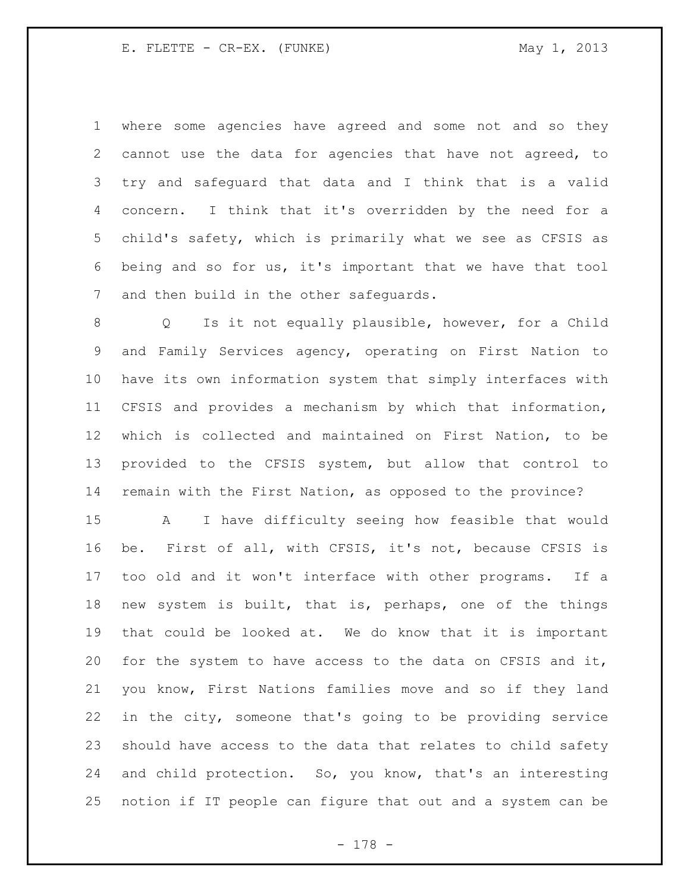where some agencies have agreed and some not and so they cannot use the data for agencies that have not agreed, to try and safeguard that data and I think that is a valid concern. I think that it's overridden by the need for a child's safety, which is primarily what we see as CFSIS as being and so for us, it's important that we have that tool and then build in the other safeguards.

 Q Is it not equally plausible, however, for a Child and Family Services agency, operating on First Nation to have its own information system that simply interfaces with CFSIS and provides a mechanism by which that information, which is collected and maintained on First Nation, to be provided to the CFSIS system, but allow that control to remain with the First Nation, as opposed to the province?

 A I have difficulty seeing how feasible that would be. First of all, with CFSIS, it's not, because CFSIS is too old and it won't interface with other programs. If a new system is built, that is, perhaps, one of the things that could be looked at. We do know that it is important for the system to have access to the data on CFSIS and it, you know, First Nations families move and so if they land in the city, someone that's going to be providing service should have access to the data that relates to child safety and child protection. So, you know, that's an interesting notion if IT people can figure that out and a system can be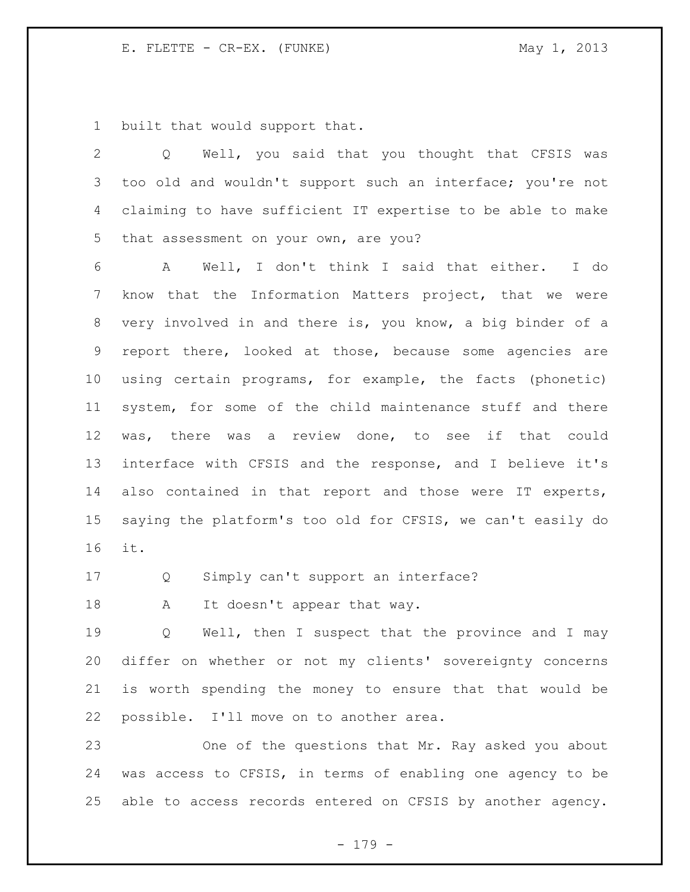built that would support that.

| $\overline{2}$ | Well, you said that you thought that CFSIS was<br>$Q \qquad \qquad$ |
|----------------|---------------------------------------------------------------------|
| 3              | too old and wouldn't support such an interface; you're not          |
| 4              | claiming to have sufficient IT expertise to be able to make         |
| 5              | that assessment on your own, are you?                               |
| 6              | A Well, I don't think I said that either. I do                      |
| 7              | know that the Information Matters project, that we were             |
| 8              | very involved in and there is, you know, a big binder of a          |
| 9              | report there, looked at those, because some agencies are            |
| 10             | using certain programs, for example, the facts (phonetic)           |
| 11             | system, for some of the child maintenance stuff and there           |
| 12             | was, there was a review done, to see if that could                  |
| 13             | interface with CFSIS and the response, and I believe it's           |
| 14             | also contained in that report and those were IT experts,            |
| 15             | saying the platform's too old for CFSIS, we can't easily do         |
| 16             | it.                                                                 |

Q Simply can't support an interface?

18 A It doesn't appear that way.

 Q Well, then I suspect that the province and I may differ on whether or not my clients' sovereignty concerns is worth spending the money to ensure that that would be possible. I'll move on to another area.

 One of the questions that Mr. Ray asked you about was access to CFSIS, in terms of enabling one agency to be able to access records entered on CFSIS by another agency.

- 179 -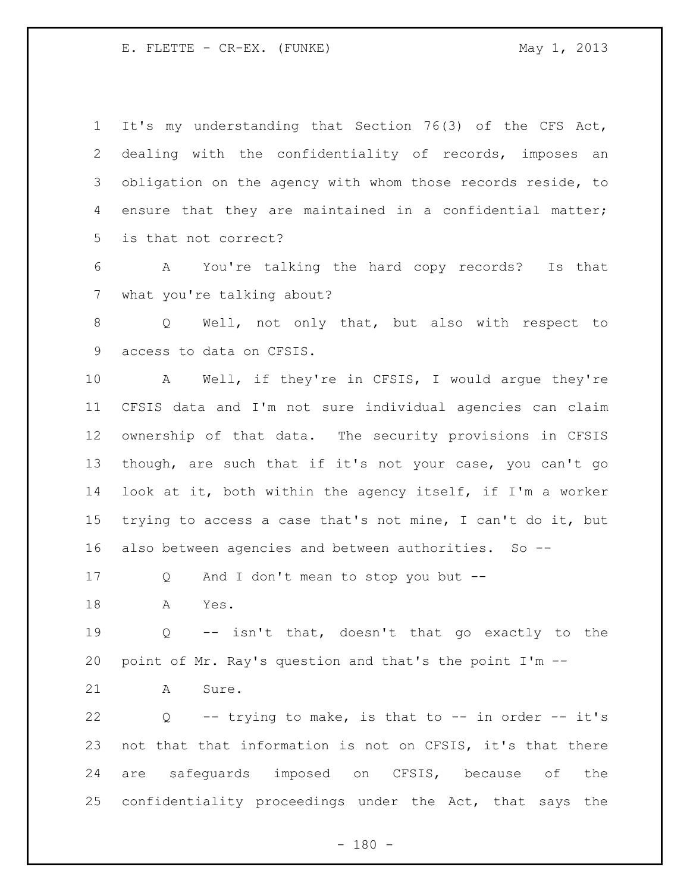It's my understanding that Section 76(3) of the CFS Act, dealing with the confidentiality of records, imposes an obligation on the agency with whom those records reside, to ensure that they are maintained in a confidential matter; is that not correct?

 A You're talking the hard copy records? Is that what you're talking about?

 Q Well, not only that, but also with respect to access to data on CFSIS.

 A Well, if they're in CFSIS, I would argue they're CFSIS data and I'm not sure individual agencies can claim ownership of that data. The security provisions in CFSIS though, are such that if it's not your case, you can't go look at it, both within the agency itself, if I'm a worker trying to access a case that's not mine, I can't do it, but also between agencies and between authorities. So --

Q And I don't mean to stop you but --

A Yes.

 Q -- isn't that, doesn't that go exactly to the point of Mr. Ray's question and that's the point I'm --

21 A Sure.

 Q -- trying to make, is that to -- in order -- it's not that that information is not on CFSIS, it's that there are safeguards imposed on CFSIS, because of the confidentiality proceedings under the Act, that says the

 $- 180 -$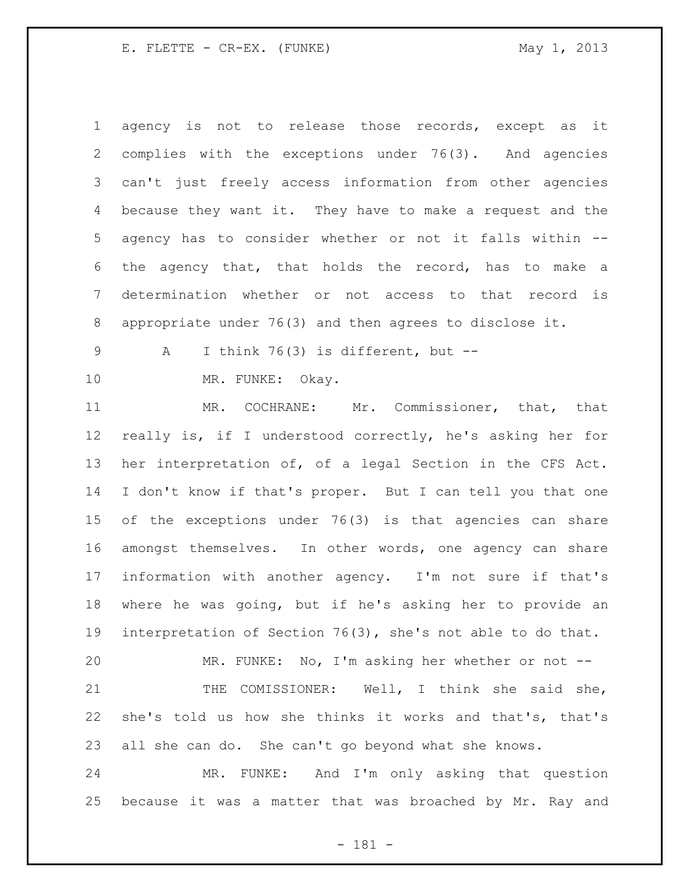agency is not to release those records, except as it complies with the exceptions under 76(3). And agencies can't just freely access information from other agencies because they want it. They have to make a request and the agency has to consider whether or not it falls within -- the agency that, that holds the record, has to make a determination whether or not access to that record is appropriate under 76(3) and then agrees to disclose it.

A I think 76(3) is different, but --

MR. FUNKE: Okay.

 MR. COCHRANE: Mr. Commissioner, that, that really is, if I understood correctly, he's asking her for her interpretation of, of a legal Section in the CFS Act. I don't know if that's proper. But I can tell you that one of the exceptions under 76(3) is that agencies can share amongst themselves. In other words, one agency can share information with another agency. I'm not sure if that's where he was going, but if he's asking her to provide an interpretation of Section 76(3), she's not able to do that.

 MR. FUNKE: No, I'm asking her whether or not -- THE COMISSIONER: Well, I think she said she, she's told us how she thinks it works and that's, that's all she can do. She can't go beyond what she knows.

 MR. FUNKE: And I'm only asking that question because it was a matter that was broached by Mr. Ray and

- 181 -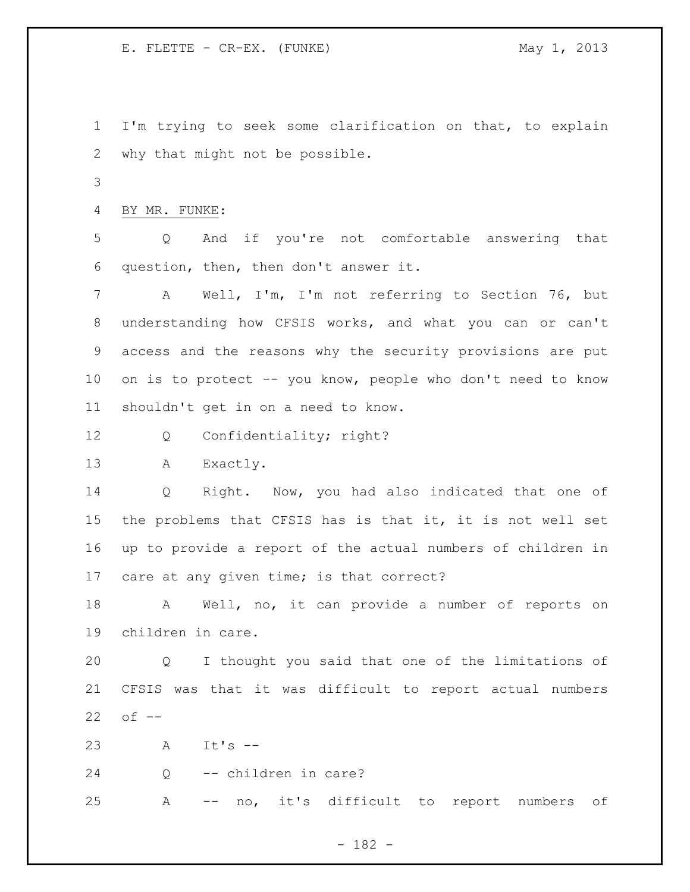I'm trying to seek some clarification on that, to explain why that might not be possible.

BY MR. FUNKE:

 Q And if you're not comfortable answering that question, then, then don't answer it.

 A Well, I'm, I'm not referring to Section 76, but understanding how CFSIS works, and what you can or can't access and the reasons why the security provisions are put on is to protect -- you know, people who don't need to know shouldn't get in on a need to know.

Q Confidentiality; right?

A Exactly.

 Q Right. Now, you had also indicated that one of the problems that CFSIS has is that it, it is not well set up to provide a report of the actual numbers of children in care at any given time; is that correct?

 A Well, no, it can provide a number of reports on children in care.

 Q I thought you said that one of the limitations of CFSIS was that it was difficult to report actual numbers of --

A It's --

Q -- children in care?

A -- no, it's difficult to report numbers of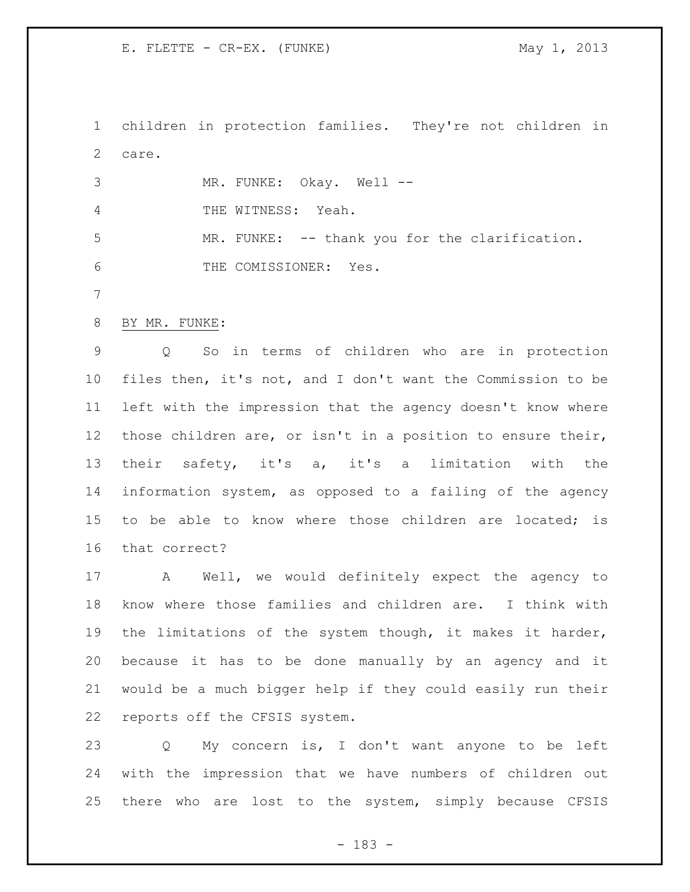children in protection families. They're not children in care.

3 MR. FUNKE: Okay. Well -- THE WITNESS: Yeah. MR. FUNKE: -- thank you for the clarification. THE COMISSIONER: Yes.

BY MR. FUNKE:

 Q So in terms of children who are in protection files then, it's not, and I don't want the Commission to be left with the impression that the agency doesn't know where those children are, or isn't in a position to ensure their, their safety, it's a, it's a limitation with the information system, as opposed to a failing of the agency to be able to know where those children are located; is that correct?

 A Well, we would definitely expect the agency to know where those families and children are. I think with the limitations of the system though, it makes it harder, because it has to be done manually by an agency and it would be a much bigger help if they could easily run their reports off the CFSIS system.

 Q My concern is, I don't want anyone to be left with the impression that we have numbers of children out there who are lost to the system, simply because CFSIS

- 183 -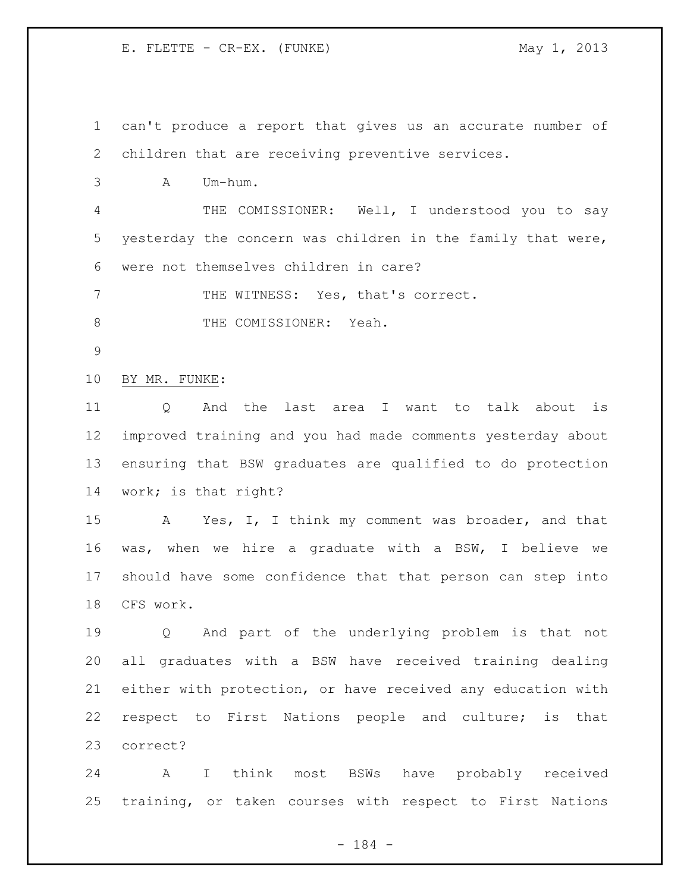can't produce a report that gives us an accurate number of children that are receiving preventive services.

A Um-hum.

 THE COMISSIONER: Well, I understood you to say yesterday the concern was children in the family that were, were not themselves children in care?

7 THE WITNESS: Yes, that's correct.

8 THE COMISSIONER: Yeah.

BY MR. FUNKE:

 Q And the last area I want to talk about is improved training and you had made comments yesterday about ensuring that BSW graduates are qualified to do protection work; is that right?

 A Yes, I, I think my comment was broader, and that was, when we hire a graduate with a BSW, I believe we should have some confidence that that person can step into CFS work.

 Q And part of the underlying problem is that not all graduates with a BSW have received training dealing either with protection, or have received any education with respect to First Nations people and culture; is that correct?

 A I think most BSWs have probably received training, or taken courses with respect to First Nations

- 184 -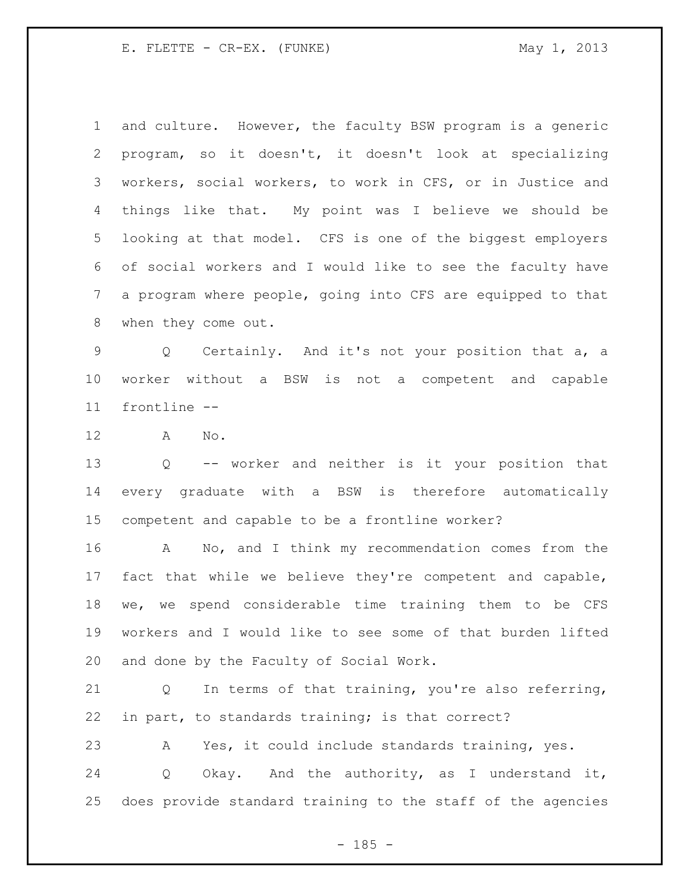and culture. However, the faculty BSW program is a generic program, so it doesn't, it doesn't look at specializing workers, social workers, to work in CFS, or in Justice and things like that. My point was I believe we should be looking at that model. CFS is one of the biggest employers of social workers and I would like to see the faculty have a program where people, going into CFS are equipped to that when they come out.

 Q Certainly. And it's not your position that a, a worker without a BSW is not a competent and capable frontline --

A No.

 Q -- worker and neither is it your position that every graduate with a BSW is therefore automatically competent and capable to be a frontline worker?

 A No, and I think my recommendation comes from the fact that while we believe they're competent and capable, we, we spend considerable time training them to be CFS workers and I would like to see some of that burden lifted and done by the Faculty of Social Work.

 Q In terms of that training, you're also referring, in part, to standards training; is that correct?

A Yes, it could include standards training, yes.

 Q Okay. And the authority, as I understand it, does provide standard training to the staff of the agencies

 $- 185 -$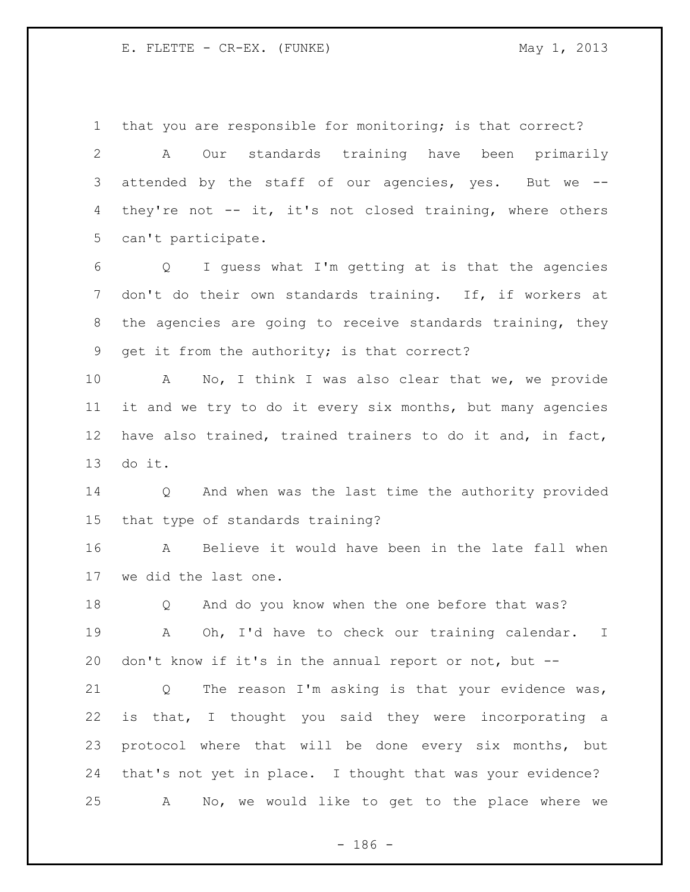that you are responsible for monitoring; is that correct?

 A Our standards training have been primarily attended by the staff of our agencies, yes. But we -- they're not -- it, it's not closed training, where others can't participate.

 Q I guess what I'm getting at is that the agencies don't do their own standards training. If, if workers at the agencies are going to receive standards training, they get it from the authority; is that correct?

 A No, I think I was also clear that we, we provide it and we try to do it every six months, but many agencies have also trained, trained trainers to do it and, in fact, do it.

 Q And when was the last time the authority provided that type of standards training?

 A Believe it would have been in the late fall when we did the last one.

 Q And do you know when the one before that was? A Oh, I'd have to check our training calendar. I don't know if it's in the annual report or not, but --

 Q The reason I'm asking is that your evidence was, is that, I thought you said they were incorporating a protocol where that will be done every six months, but that's not yet in place. I thought that was your evidence? A No, we would like to get to the place where we

 $- 186 -$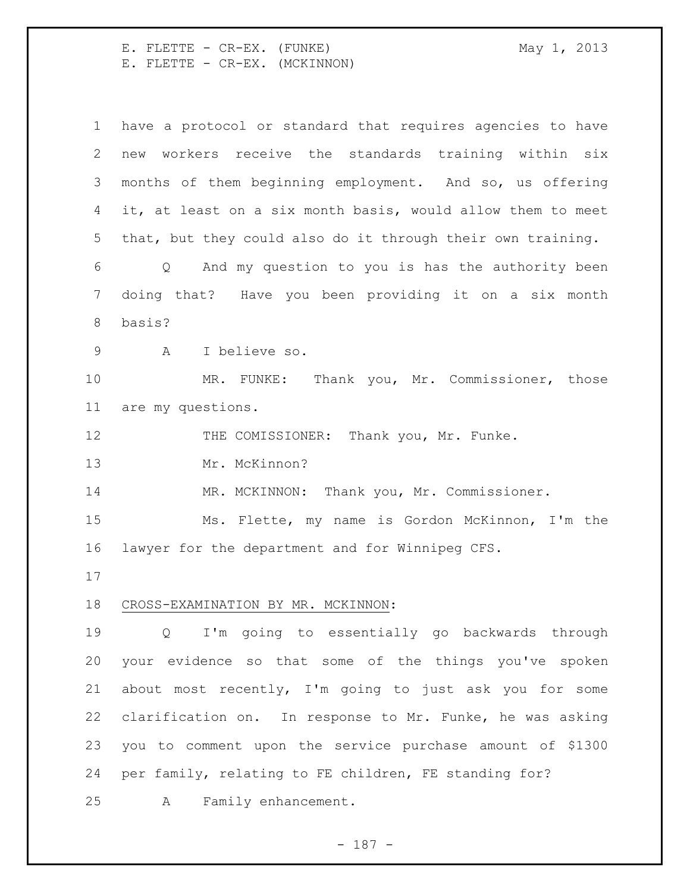E. FLETTE - CR-EX. (FUNKE) May 1, 2013 E. FLETTE - CR-EX. (MCKINNON)

 have a protocol or standard that requires agencies to have new workers receive the standards training within six months of them beginning employment. And so, us offering it, at least on a six month basis, would allow them to meet that, but they could also do it through their own training. Q And my question to you is has the authority been doing that? Have you been providing it on a six month basis? A I believe so. MR. FUNKE: Thank you, Mr. Commissioner, those are my questions. THE COMISSIONER: Thank you, Mr. Funke. Mr. McKinnon? 14 MR. MCKINNON: Thank you, Mr. Commissioner. Ms. Flette, my name is Gordon McKinnon, I'm the lawyer for the department and for Winnipeg CFS. CROSS-EXAMINATION BY MR. MCKINNON: Q I'm going to essentially go backwards through your evidence so that some of the things you've spoken about most recently, I'm going to just ask you for some clarification on. In response to Mr. Funke, he was asking you to comment upon the service purchase amount of \$1300 per family, relating to FE children, FE standing for? A Family enhancement.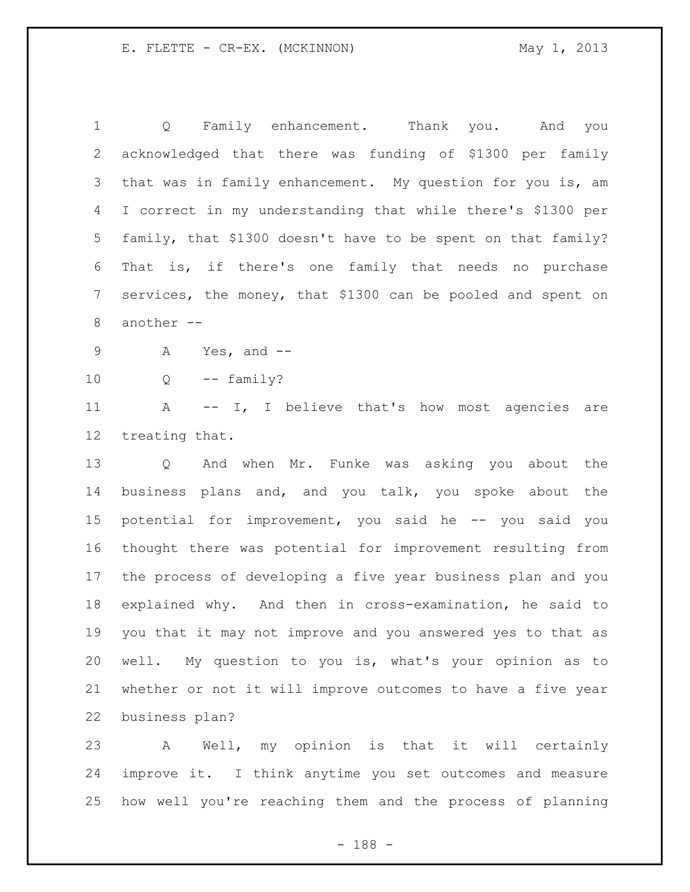Q Family enhancement. Thank you. And you acknowledged that there was funding of \$1300 per family that was in family enhancement. My question for you is, am I correct in my understanding that while there's \$1300 per family, that \$1300 doesn't have to be spent on that family? That is, if there's one family that needs no purchase services, the money, that \$1300 can be pooled and spent on another -- A Yes, and -- Q -- family? A -- I, I believe that's how most agencies are treating that. Q And when Mr. Funke was asking you about the business plans and, and you talk, you spoke about the potential for improvement, you said he -- you said you thought there was potential for improvement resulting from the process of developing a five year business plan and you explained why. And then in cross-examination, he said to you that it may not improve and you answered yes to that as well. My question to you is, what's your opinion as to whether or not it will improve outcomes to have a five year business plan?

 A Well, my opinion is that it will certainly improve it. I think anytime you set outcomes and measure how well you're reaching them and the process of planning

- 188 -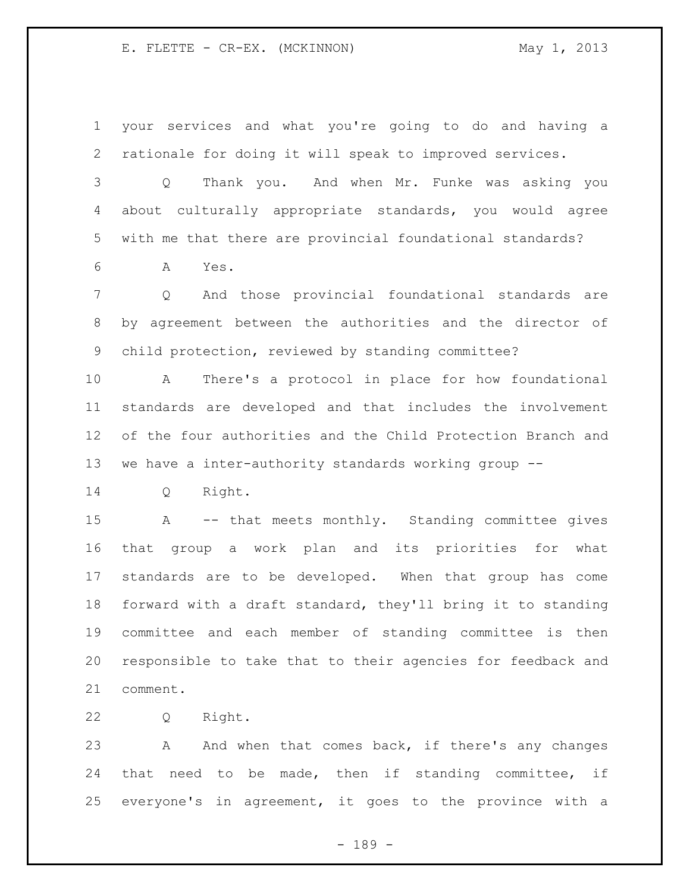your services and what you're going to do and having a rationale for doing it will speak to improved services.

 Q Thank you. And when Mr. Funke was asking you about culturally appropriate standards, you would agree with me that there are provincial foundational standards?

A Yes.

 Q And those provincial foundational standards are by agreement between the authorities and the director of child protection, reviewed by standing committee?

 A There's a protocol in place for how foundational standards are developed and that includes the involvement of the four authorities and the Child Protection Branch and we have a inter-authority standards working group --

Q Right.

 A -- that meets monthly. Standing committee gives that group a work plan and its priorities for what standards are to be developed. When that group has come forward with a draft standard, they'll bring it to standing committee and each member of standing committee is then responsible to take that to their agencies for feedback and comment.

Q Right.

23 A And when that comes back, if there's any changes that need to be made, then if standing committee, if everyone's in agreement, it goes to the province with a

- 189 -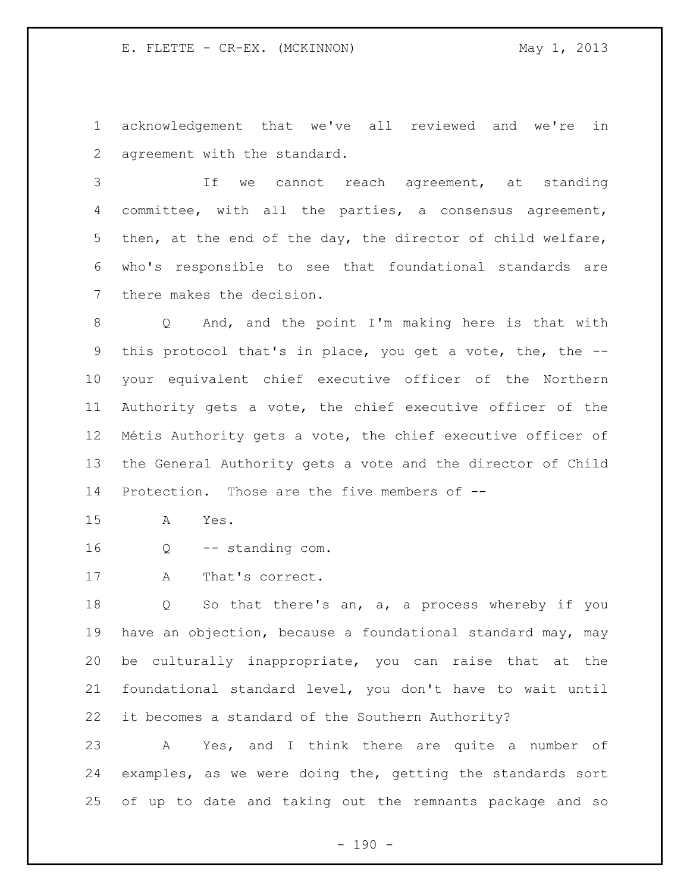acknowledgement that we've all reviewed and we're in agreement with the standard.

 If we cannot reach agreement, at standing committee, with all the parties, a consensus agreement, then, at the end of the day, the director of child welfare, who's responsible to see that foundational standards are there makes the decision.

 Q And, and the point I'm making here is that with this protocol that's in place, you get a vote, the, the -- your equivalent chief executive officer of the Northern Authority gets a vote, the chief executive officer of the Métis Authority gets a vote, the chief executive officer of the General Authority gets a vote and the director of Child Protection. Those are the five members of --

A Yes.

- Q -- standing com.
- A That's correct.

 Q So that there's an, a, a process whereby if you have an objection, because a foundational standard may, may be culturally inappropriate, you can raise that at the foundational standard level, you don't have to wait until it becomes a standard of the Southern Authority?

 A Yes, and I think there are quite a number of examples, as we were doing the, getting the standards sort of up to date and taking out the remnants package and so

 $- 190 -$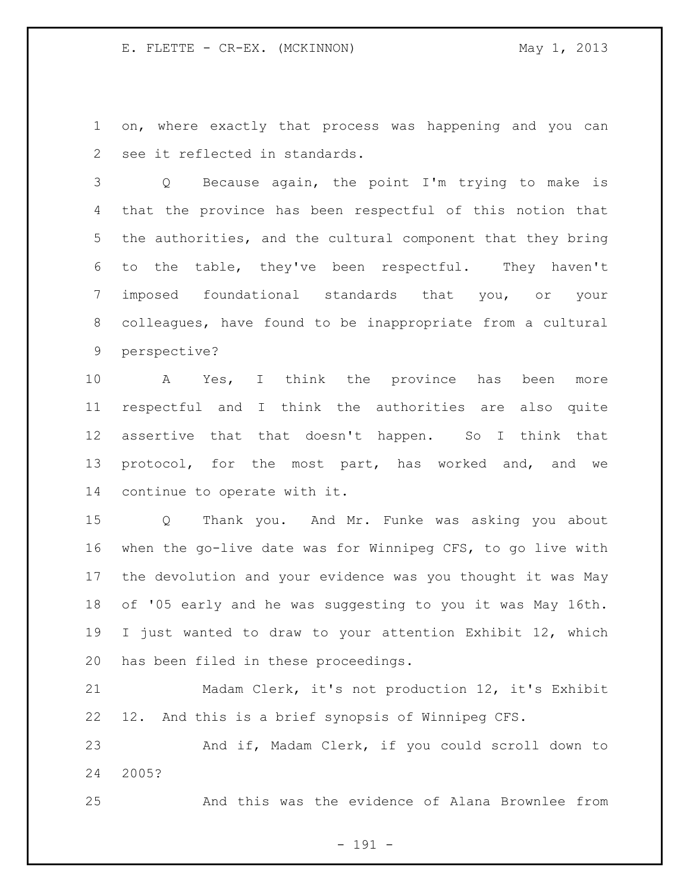on, where exactly that process was happening and you can see it reflected in standards.

 Q Because again, the point I'm trying to make is that the province has been respectful of this notion that the authorities, and the cultural component that they bring to the table, they've been respectful. They haven't imposed foundational standards that you, or your colleagues, have found to be inappropriate from a cultural perspective?

 A Yes, I think the province has been more respectful and I think the authorities are also quite assertive that that doesn't happen. So I think that protocol, for the most part, has worked and, and we continue to operate with it.

 Q Thank you. And Mr. Funke was asking you about when the go-live date was for Winnipeg CFS, to go live with the devolution and your evidence was you thought it was May of '05 early and he was suggesting to you it was May 16th. I just wanted to draw to your attention Exhibit 12, which has been filed in these proceedings.

 Madam Clerk, it's not production 12, it's Exhibit 12. And this is a brief synopsis of Winnipeg CFS.

 And if, Madam Clerk, if you could scroll down to 2005?

And this was the evidence of Alana Brownlee from

- 191 -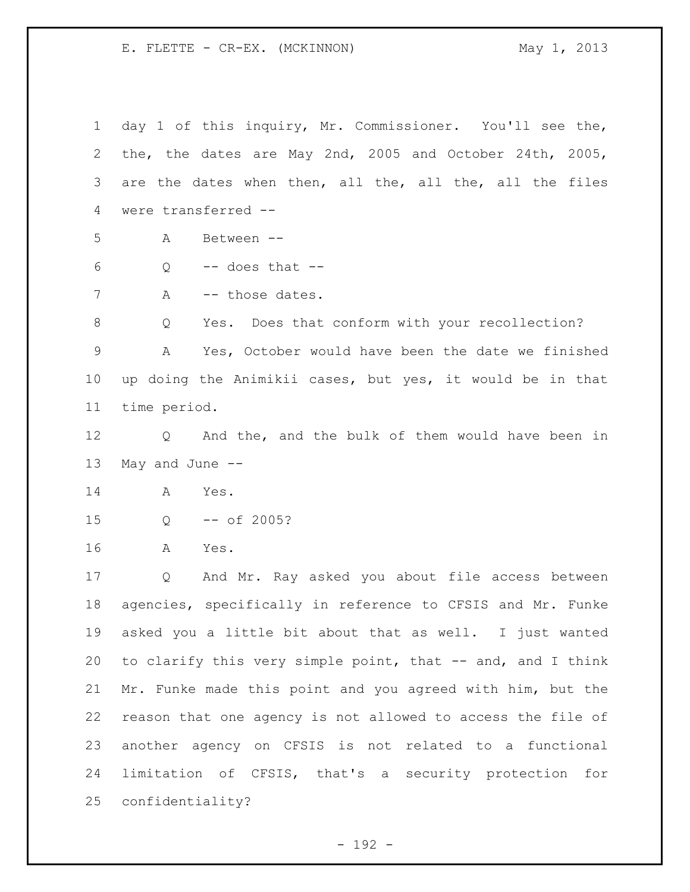day 1 of this inquiry, Mr. Commissioner. You'll see the, the, the dates are May 2nd, 2005 and October 24th, 2005, are the dates when then, all the, all the, all the files were transferred -- A Between -- Q  $-$  does that  $-$ 7 A -- those dates. 8 Q Yes. Does that conform with your recollection? A Yes, October would have been the date we finished up doing the Animikii cases, but yes, it would be in that time period. Q And the, and the bulk of them would have been in May and June -- A Yes. Q -- of 2005? A Yes. Q And Mr. Ray asked you about file access between agencies, specifically in reference to CFSIS and Mr. Funke asked you a little bit about that as well. I just wanted 20 to clarify this very simple point, that -- and, and I think Mr. Funke made this point and you agreed with him, but the reason that one agency is not allowed to access the file of another agency on CFSIS is not related to a functional limitation of CFSIS, that's a security protection for confidentiality?

- 192 -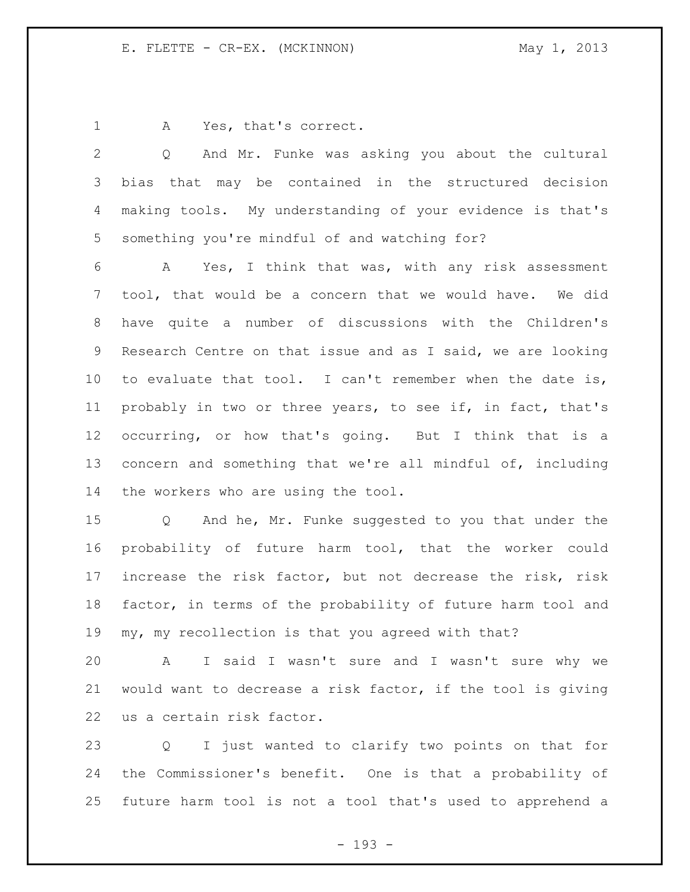1 A Yes, that's correct.

 Q And Mr. Funke was asking you about the cultural bias that may be contained in the structured decision making tools. My understanding of your evidence is that's something you're mindful of and watching for?

 A Yes, I think that was, with any risk assessment tool, that would be a concern that we would have. We did have quite a number of discussions with the Children's Research Centre on that issue and as I said, we are looking to evaluate that tool. I can't remember when the date is, probably in two or three years, to see if, in fact, that's occurring, or how that's going. But I think that is a concern and something that we're all mindful of, including the workers who are using the tool.

 Q And he, Mr. Funke suggested to you that under the probability of future harm tool, that the worker could increase the risk factor, but not decrease the risk, risk factor, in terms of the probability of future harm tool and my, my recollection is that you agreed with that?

 A I said I wasn't sure and I wasn't sure why we would want to decrease a risk factor, if the tool is giving us a certain risk factor.

 Q I just wanted to clarify two points on that for the Commissioner's benefit. One is that a probability of future harm tool is not a tool that's used to apprehend a

- 193 -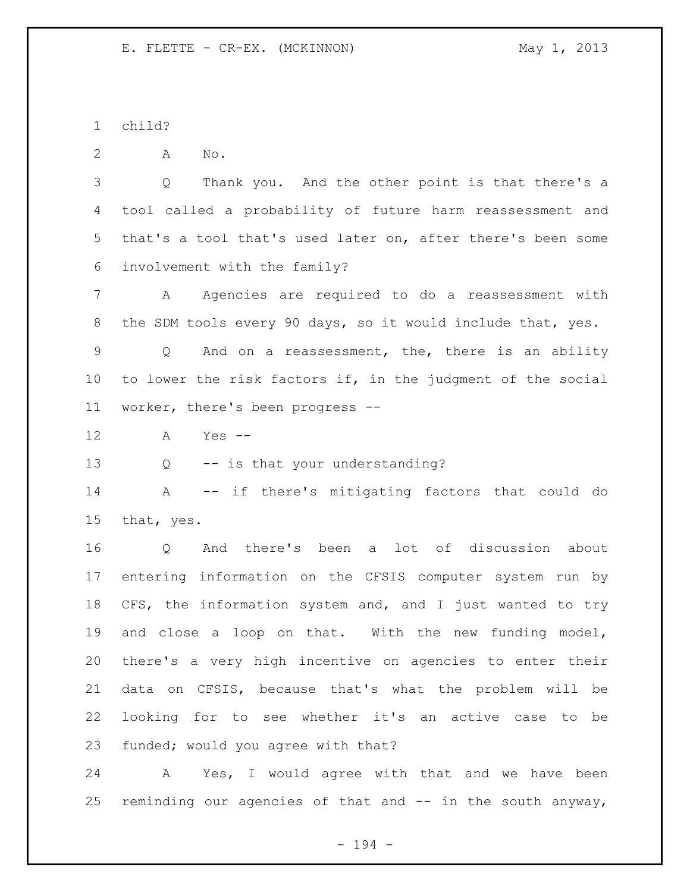child?

A No.

 Q Thank you. And the other point is that there's a tool called a probability of future harm reassessment and that's a tool that's used later on, after there's been some involvement with the family?

 A Agencies are required to do a reassessment with the SDM tools every 90 days, so it would include that, yes.

 Q And on a reassessment, the, there is an ability to lower the risk factors if, in the judgment of the social worker, there's been progress --

A Yes --

Q -- is that your understanding?

 A -- if there's mitigating factors that could do that, yes.

 Q And there's been a lot of discussion about entering information on the CFSIS computer system run by CFS, the information system and, and I just wanted to try and close a loop on that. With the new funding model, there's a very high incentive on agencies to enter their data on CFSIS, because that's what the problem will be looking for to see whether it's an active case to be funded; would you agree with that?

 A Yes, I would agree with that and we have been 25 reminding our agencies of that and  $-$  in the south anyway,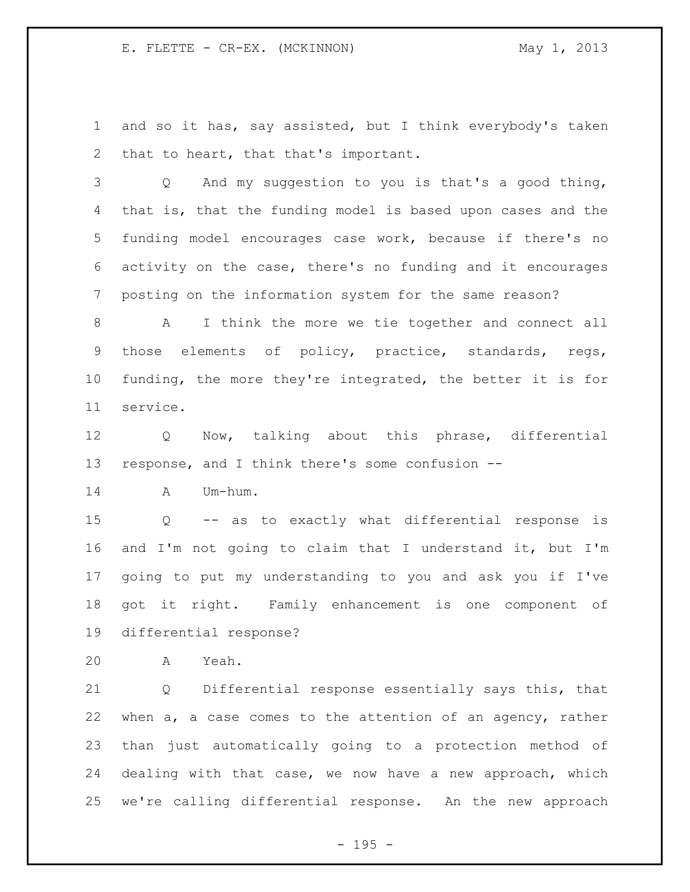and so it has, say assisted, but I think everybody's taken that to heart, that that's important.

 Q And my suggestion to you is that's a good thing, that is, that the funding model is based upon cases and the funding model encourages case work, because if there's no activity on the case, there's no funding and it encourages posting on the information system for the same reason?

 A I think the more we tie together and connect all those elements of policy, practice, standards, regs, funding, the more they're integrated, the better it is for service.

 Q Now, talking about this phrase, differential response, and I think there's some confusion --

A Um-hum.

 Q -- as to exactly what differential response is and I'm not going to claim that I understand it, but I'm going to put my understanding to you and ask you if I've got it right. Family enhancement is one component of differential response?

A Yeah.

 Q Differential response essentially says this, that when a, a case comes to the attention of an agency, rather than just automatically going to a protection method of dealing with that case, we now have a new approach, which we're calling differential response. An the new approach

- 195 -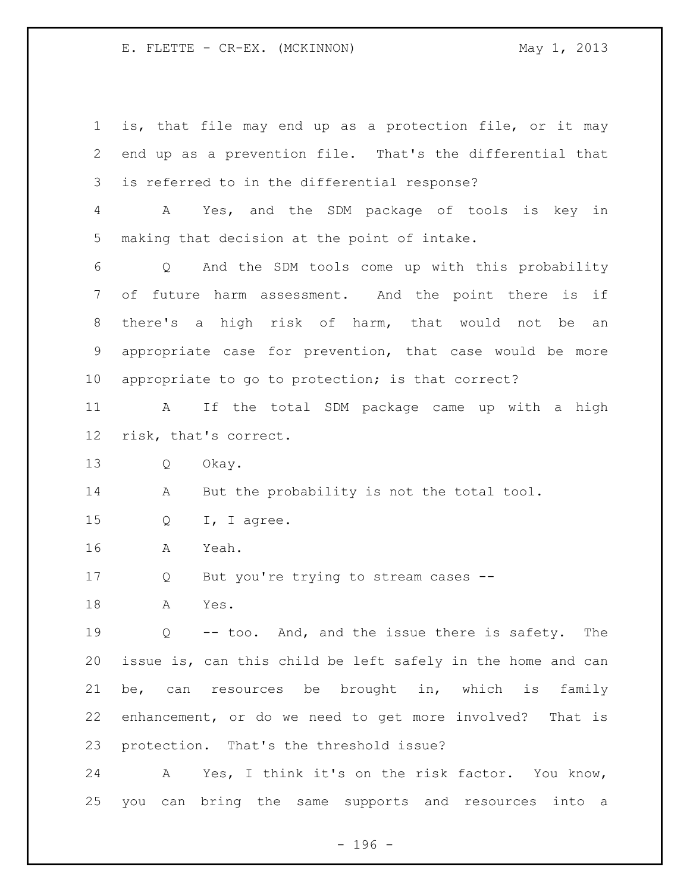| $\mathbf 1$ | is, that file may end up as a protection file, or it may             |
|-------------|----------------------------------------------------------------------|
| 2           | end up as a prevention file. That's the differential that            |
| 3           | is referred to in the differential response?                         |
| 4           | Yes, and the SDM package of tools is key in<br>A                     |
| 5           | making that decision at the point of intake.                         |
| 6           | And the SDM tools come up with this probability<br>$\overline{Q}$    |
| 7           | future harm assessment. And the point there is<br>of<br>if           |
| 8           | there's a high risk of harm, that would not be<br>an                 |
| 9           | appropriate case for prevention, that case would be more             |
| 10          | appropriate to go to protection; is that correct?                    |
| 11          | If the total SDM package came up with a high<br>A                    |
| 12          | risk, that's correct.                                                |
| 13          | Q<br>Okay.                                                           |
| 14          | But the probability is not the total tool.<br>A                      |
| 15          | I, I agree.<br>Q                                                     |
| 16          | Yeah.<br>Α                                                           |
| 17          | But you're trying to stream cases --<br>Q                            |
| 18          | Yes.<br>A                                                            |
| 19          | $Q \qquad \qquad$<br>-- too. And, and the issue there is safety. The |
| 20          | issue is, can this child be left safely in the home and can          |
| 21          | be, can resources be brought in, which is<br>family                  |
| 22          | enhancement, or do we need to get more involved? That is             |
| 23          | protection. That's the threshold issue?                              |
| 24          | Yes, I think it's on the risk factor. You know,<br>A                 |
| 25          | can bring the same supports and<br>into a<br>you<br>resources        |

- 196 -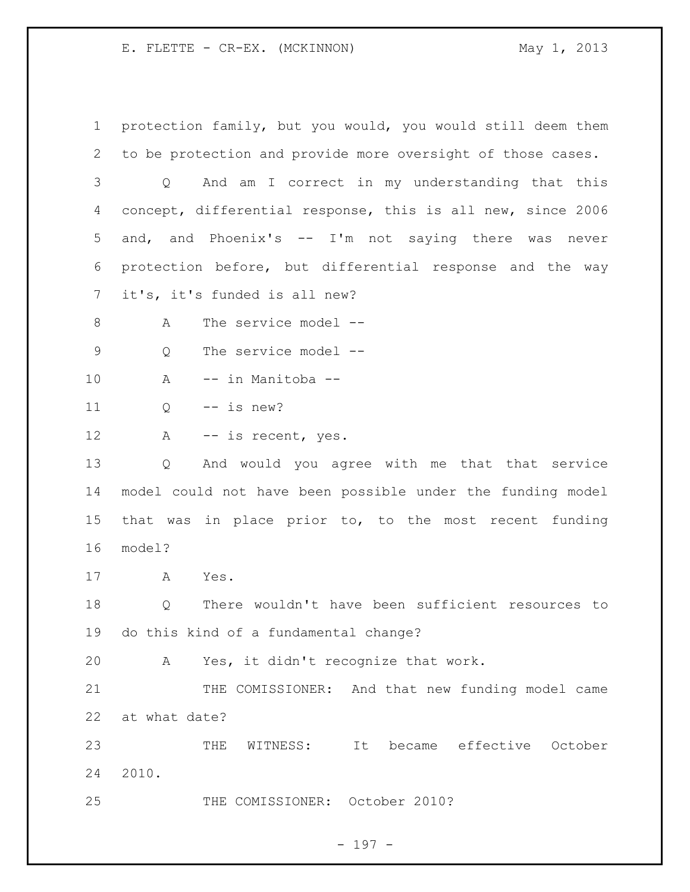protection family, but you would, you would still deem them to be protection and provide more oversight of those cases. Q And am I correct in my understanding that this concept, differential response, this is all new, since 2006 and, and Phoenix's -- I'm not saying there was never protection before, but differential response and the way it's, it's funded is all new? 8 A The service model -- Q The service model -- A -- in Manitoba -- Q -- is new? 12 A -- is recent, yes. Q And would you agree with me that that service model could not have been possible under the funding model that was in place prior to, to the most recent funding model? A Yes. Q There wouldn't have been sufficient resources to do this kind of a fundamental change? A Yes, it didn't recognize that work. 21 THE COMISSIONER: And that new funding model came at what date? THE WITNESS: It became effective October 2010. THE COMISSIONER: October 2010?

- 197 -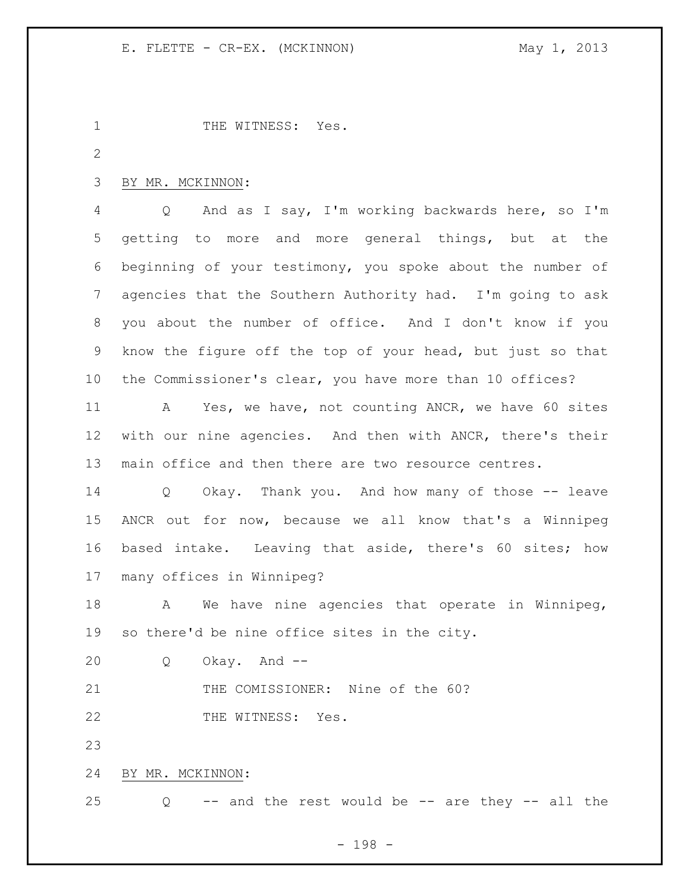| $\mathbf 1$     | THE WITNESS: Yes.                                                    |
|-----------------|----------------------------------------------------------------------|
| $\overline{2}$  |                                                                      |
| 3               | BY MR. MCKINNON:                                                     |
| 4               | And as I say, I'm working backwards here, so I'm<br>Q                |
| 5               | getting to more and more general things, but at the                  |
| 6               | beginning of your testimony, you spoke about the number of           |
| $7\phantom{.}$  | agencies that the Southern Authority had. I'm going to ask           |
| 8               | you about the number of office. And I don't know if you              |
| 9               | know the figure off the top of your head, but just so that           |
| 10              | the Commissioner's clear, you have more than 10 offices?             |
| 11              | Yes, we have, not counting ANCR, we have 60 sites<br>A               |
| 12 <sup>°</sup> | with our nine agencies. And then with ANCR, there's their            |
| 13              | main office and then there are two resource centres.                 |
| 14              | Okay. Thank you. And how many of those -- leave<br>$Q \qquad \qquad$ |
| 15              | ANCR out for now, because we all know that's a Winnipeg              |
| 16              | based intake. Leaving that aside, there's 60 sites; how              |
| 17              | many offices in Winnipeg?                                            |
| 18              | We have nine agencies that operate in Winnipeg,<br>A                 |
|                 | 19 so there'd be nine office sites in the city.                      |
| 20              | Okay. And --<br>Q                                                    |
| 21              | THE COMISSIONER: Nine of the 60?                                     |
| 22              | THE WITNESS: Yes.                                                    |
| 23              |                                                                      |
| 24              | BY MR. MCKINNON:                                                     |
| 25              | -- and the rest would be -- are they -- all the<br>$Q \qquad$        |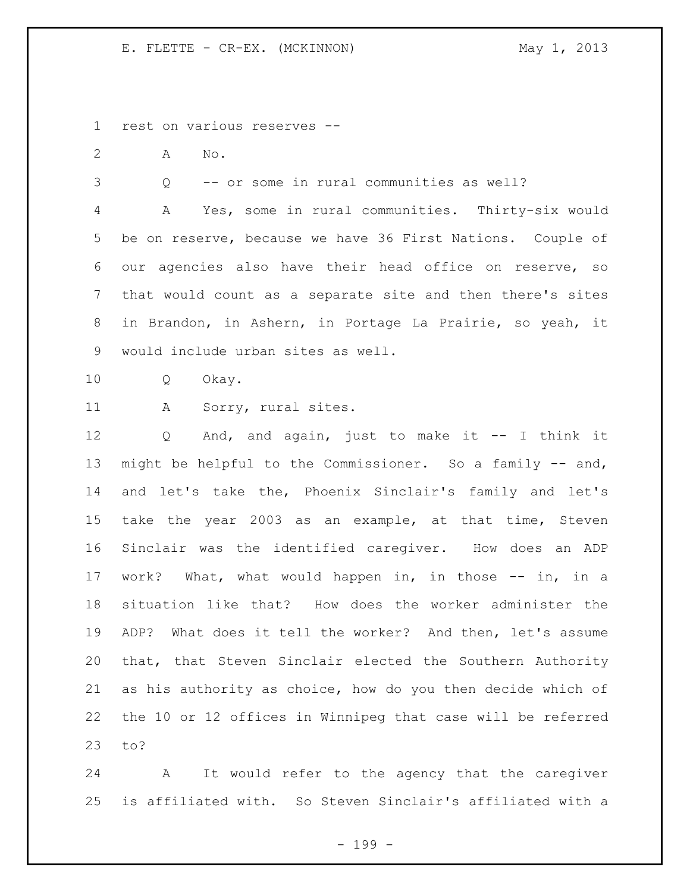rest on various reserves --

A No.

Q -- or some in rural communities as well?

 A Yes, some in rural communities. Thirty-six would be on reserve, because we have 36 First Nations. Couple of our agencies also have their head office on reserve, so that would count as a separate site and then there's sites in Brandon, in Ashern, in Portage La Prairie, so yeah, it would include urban sites as well.

Q Okay.

A Sorry, rural sites.

 Q And, and again, just to make it -- I think it might be helpful to the Commissioner. So a family -- and, and let's take the, Phoenix Sinclair's family and let's take the year 2003 as an example, at that time, Steven Sinclair was the identified caregiver. How does an ADP work? What, what would happen in, in those -- in, in a situation like that? How does the worker administer the ADP? What does it tell the worker? And then, let's assume that, that Steven Sinclair elected the Southern Authority as his authority as choice, how do you then decide which of the 10 or 12 offices in Winnipeg that case will be referred to?

 A It would refer to the agency that the caregiver is affiliated with. So Steven Sinclair's affiliated with a

- 199 -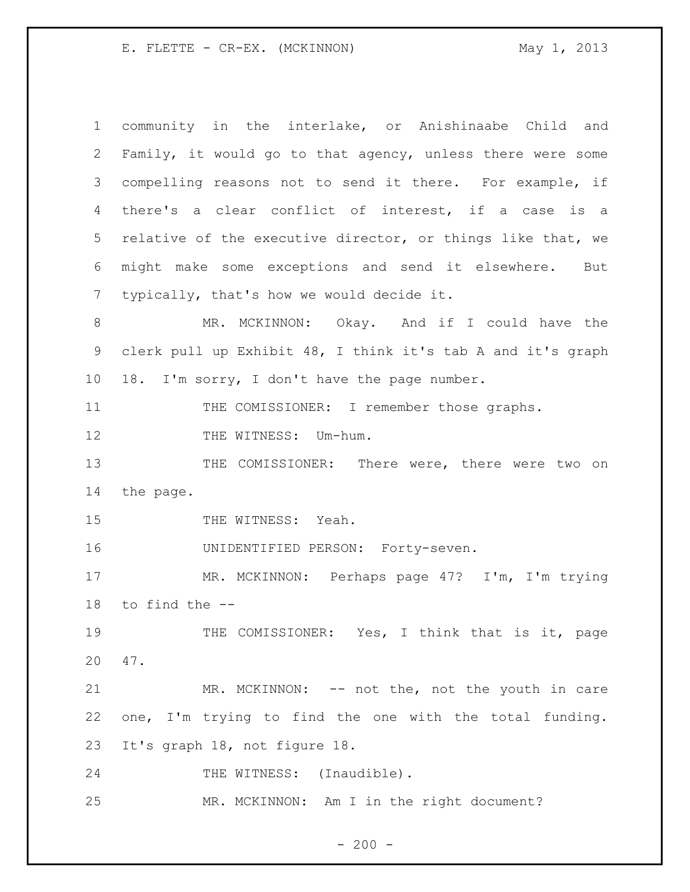community in the interlake, or Anishinaabe Child and Family, it would go to that agency, unless there were some compelling reasons not to send it there. For example, if there's a clear conflict of interest, if a case is a relative of the executive director, or things like that, we might make some exceptions and send it elsewhere. But typically, that's how we would decide it. 8 MR. MCKINNON: Okay. And if I could have the clerk pull up Exhibit 48, I think it's tab A and it's graph 18. I'm sorry, I don't have the page number. 11 THE COMISSIONER: I remember those graphs. 12 THE WITNESS: Um-hum. 13 THE COMISSIONER: There were, there were two on the page. 15 THE WITNESS: Yeah. UNIDENTIFIED PERSON: Forty-seven. MR. MCKINNON: Perhaps page 47? I'm, I'm trying to find the -- 19 THE COMISSIONER: Yes, I think that is it, page 47. 21 MR. MCKINNON: -- not the, not the youth in care one, I'm trying to find the one with the total funding. It's graph 18, not figure 18. 24 THE WITNESS: (Inaudible). MR. MCKINNON: Am I in the right document?

 $-200 -$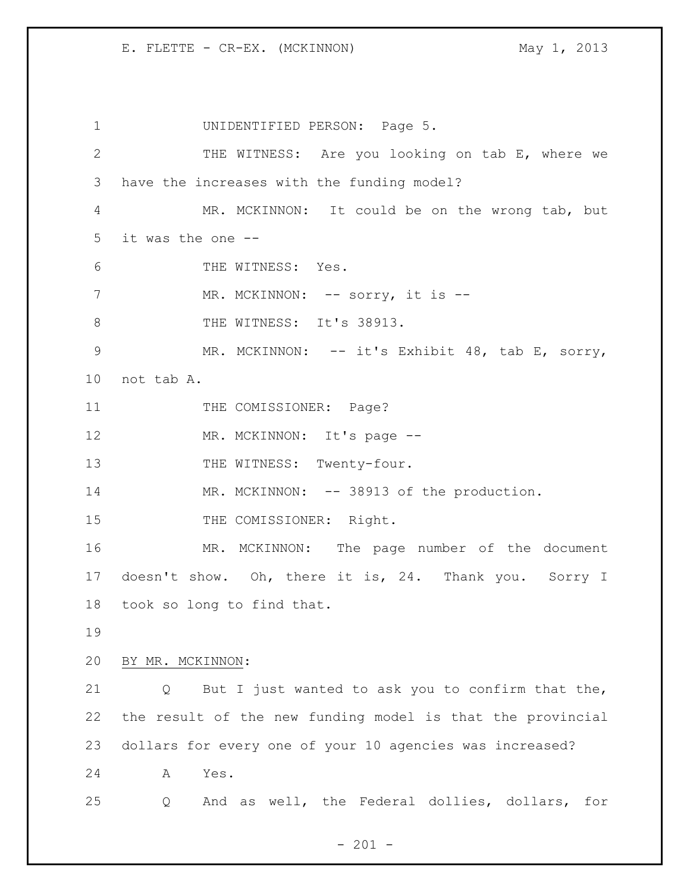1 UNIDENTIFIED PERSON: Page 5. 2 THE WITNESS: Are you looking on tab E, where we 3 have the increases with the funding model? 4 MR. MCKINNON: It could be on the wrong tab, but 5 it was the one -- 6 THE WITNESS: Yes. 7 MR. MCKINNON: -- sorry, it is --8 THE WITNESS: It's 38913. 9 MR. MCKINNON: -- it's Exhibit 48, tab E, sorry, 10 not tab A. 11 THE COMISSIONER: Page? 12 MR. MCKINNON: It's page --13 THE WITNESS: Twenty-four. 14 MR. MCKINNON: -- 38913 of the production. 15 THE COMISSIONER: Right. 16 MR. MCKINNON: The page number of the document 17 doesn't show. Oh, there it is, 24. Thank you. Sorry I 18 took so long to find that. 19 20 BY MR. MCKINNON: 21 Q But I just wanted to ask you to confirm that the, 22 the result of the new funding model is that the provincial 23 dollars for every one of your 10 agencies was increased? 24 A Yes. 25 Q And as well, the Federal dollies, dollars, for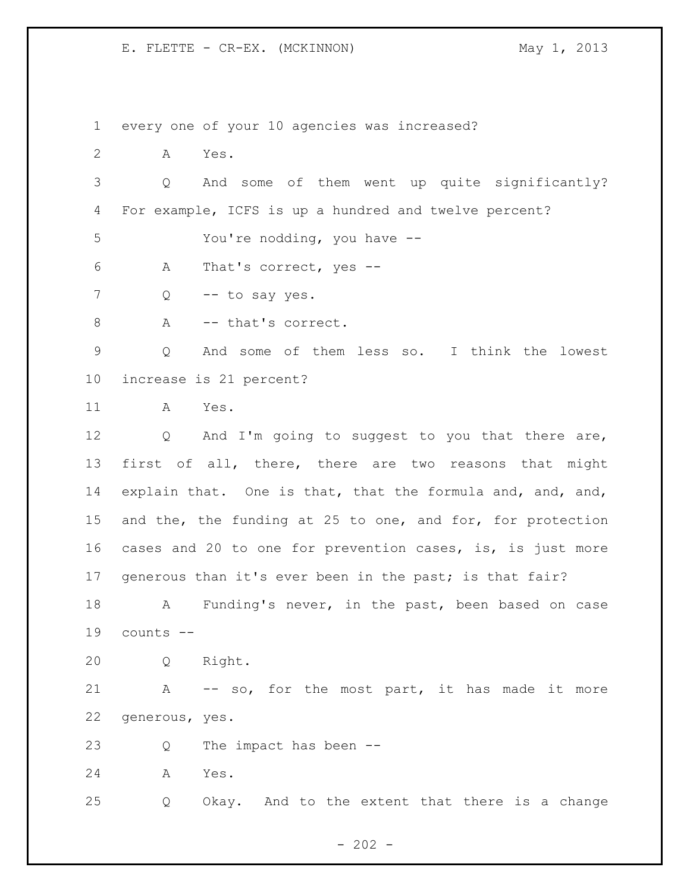every one of your 10 agencies was increased?

A Yes.

 Q And some of them went up quite significantly? For example, ICFS is up a hundred and twelve percent?

You're nodding, you have --

A That's correct, yes --

7 Q -- to say yes.

8 A -- that's correct.

 Q And some of them less so. I think the lowest increase is 21 percent?

A Yes.

12 Q And I'm going to suggest to you that there are, first of all, there, there are two reasons that might explain that. One is that, that the formula and, and, and, 15 and the, the funding at 25 to one, and for, for protection cases and 20 to one for prevention cases, is, is just more generous than it's ever been in the past; is that fair?

 A Funding's never, in the past, been based on case counts --

Q Right.

 A -- so, for the most part, it has made it more generous, yes.

Q The impact has been --

A Yes.

Q Okay. And to the extent that there is a change

- 202 -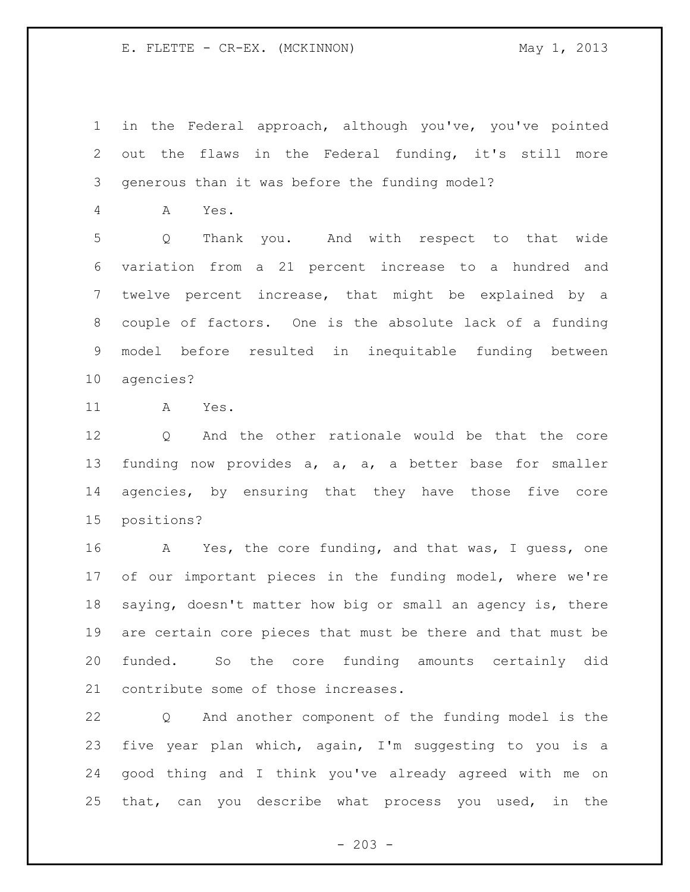in the Federal approach, although you've, you've pointed out the flaws in the Federal funding, it's still more generous than it was before the funding model?

A Yes.

 Q Thank you. And with respect to that wide variation from a 21 percent increase to a hundred and twelve percent increase, that might be explained by a couple of factors. One is the absolute lack of a funding model before resulted in inequitable funding between agencies?

A Yes.

 Q And the other rationale would be that the core funding now provides a, a, a, a better base for smaller agencies, by ensuring that they have those five core positions?

 A Yes, the core funding, and that was, I guess, one of our important pieces in the funding model, where we're saying, doesn't matter how big or small an agency is, there are certain core pieces that must be there and that must be funded. So the core funding amounts certainly did contribute some of those increases.

 Q And another component of the funding model is the five year plan which, again, I'm suggesting to you is a good thing and I think you've already agreed with me on that, can you describe what process you used, in the

 $-203 -$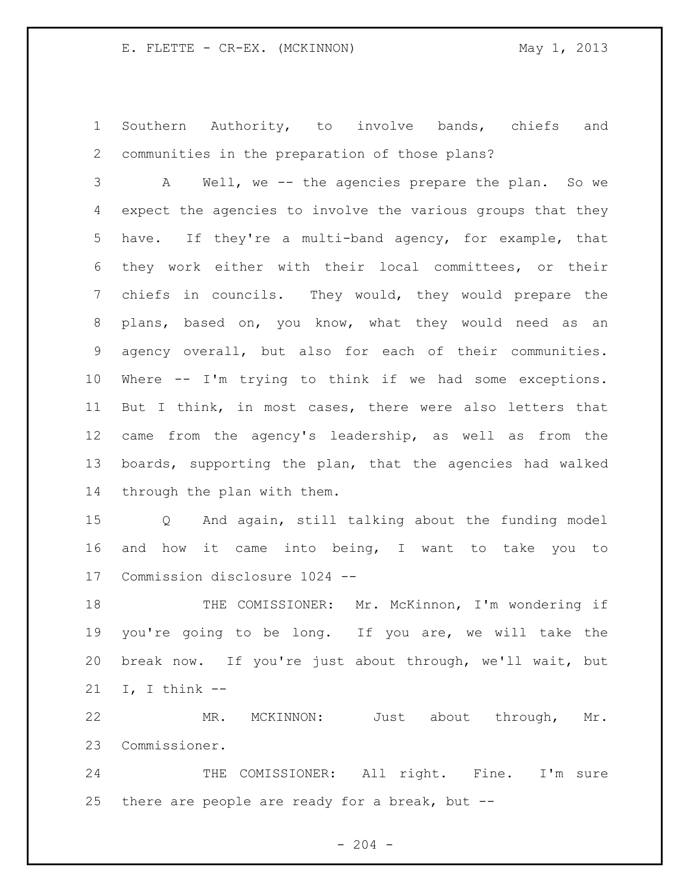Southern Authority, to involve bands, chiefs and communities in the preparation of those plans?

 A Well, we -- the agencies prepare the plan. So we expect the agencies to involve the various groups that they have. If they're a multi-band agency, for example, that they work either with their local committees, or their chiefs in councils. They would, they would prepare the plans, based on, you know, what they would need as an agency overall, but also for each of their communities. Where -- I'm trying to think if we had some exceptions. But I think, in most cases, there were also letters that came from the agency's leadership, as well as from the boards, supporting the plan, that the agencies had walked through the plan with them.

 Q And again, still talking about the funding model and how it came into being, I want to take you to Commission disclosure 1024 --

 THE COMISSIONER: Mr. McKinnon, I'm wondering if you're going to be long. If you are, we will take the break now. If you're just about through, we'll wait, but I, I think --

 MR. MCKINNON: Just about through, Mr. Commissioner.

24 THE COMISSIONER: All right. Fine. I'm sure there are people are ready for a break, but --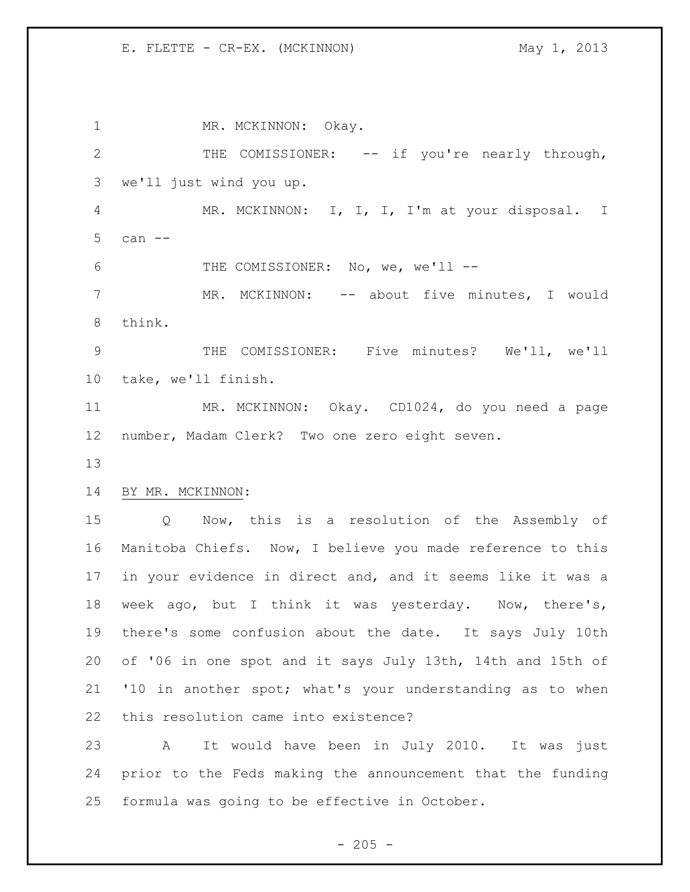1 MR. MCKINNON: Okay. THE COMISSIONER: -- if you're nearly through, we'll just wind you up. MR. MCKINNON: I, I, I, I'm at your disposal. I can -- 6 THE COMISSIONER: No, we, we'll -- MR. MCKINNON: -- about five minutes, I would think. THE COMISSIONER: Five minutes? We'll, we'll take, we'll finish. MR. MCKINNON: Okay. CD1024, do you need a page number, Madam Clerk? Two one zero eight seven. BY MR. MCKINNON: Q Now, this is a resolution of the Assembly of Manitoba Chiefs. Now, I believe you made reference to this in your evidence in direct and, and it seems like it was a week ago, but I think it was yesterday. Now, there's, there's some confusion about the date. It says July 10th of '06 in one spot and it says July 13th, 14th and 15th of '10 in another spot; what's your understanding as to when this resolution came into existence? A It would have been in July 2010. It was just prior to the Feds making the announcement that the funding formula was going to be effective in October.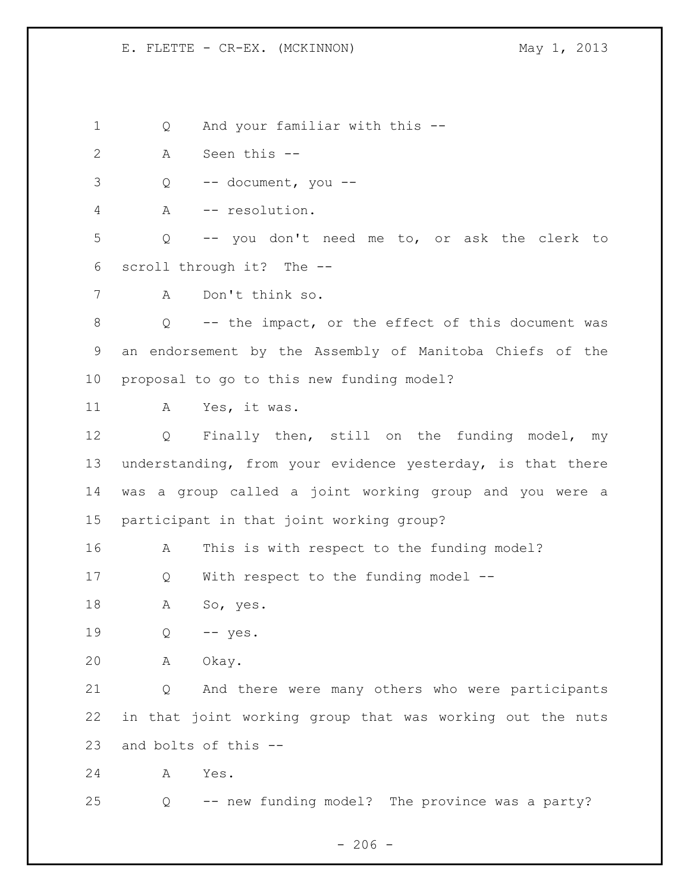Q And your familiar with this --

- A Seen this --
- Q -- document, you --
- A -- resolution.

 Q -- you don't need me to, or ask the clerk to scroll through it? The --

A Don't think so.

 Q -- the impact, or the effect of this document was an endorsement by the Assembly of Manitoba Chiefs of the proposal to go to this new funding model?

A Yes, it was.

 Q Finally then, still on the funding model, my understanding, from your evidence yesterday, is that there was a group called a joint working group and you were a participant in that joint working group?

A This is with respect to the funding model?

Q With respect to the funding model --

A So, yes.

Q -- yes.

A Okay.

 Q And there were many others who were participants in that joint working group that was working out the nuts and bolts of this --

A Yes.

Q -- new funding model? The province was a party?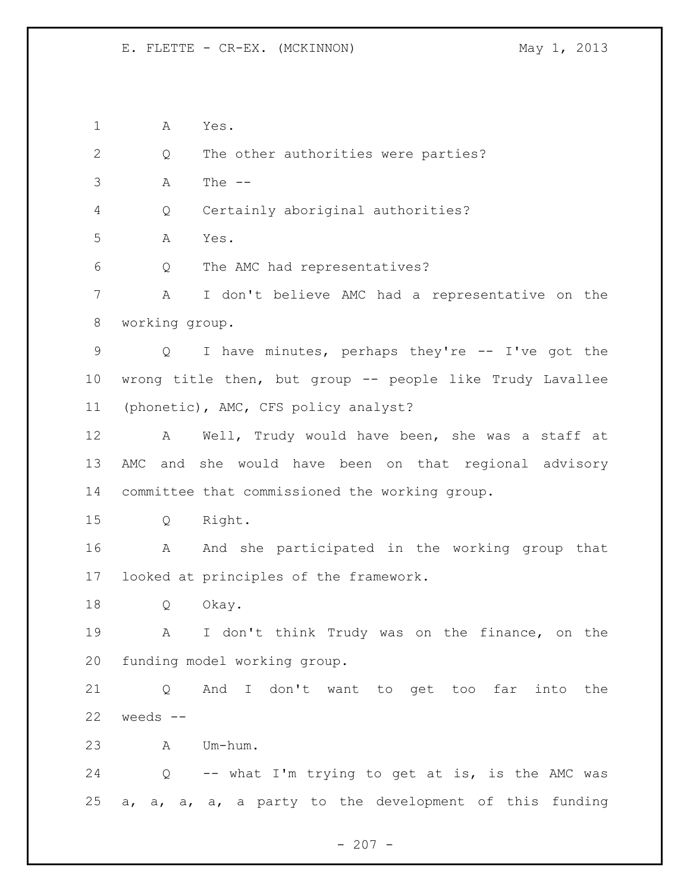A Yes. Q The other authorities were parties? A The -- Q Certainly aboriginal authorities? A Yes. Q The AMC had representatives? A I don't believe AMC had a representative on the working group. Q I have minutes, perhaps they're -- I've got the wrong title then, but group -- people like Trudy Lavallee (phonetic), AMC, CFS policy analyst? A Well, Trudy would have been, she was a staff at AMC and she would have been on that regional advisory committee that commissioned the working group. Q Right. A And she participated in the working group that looked at principles of the framework. Q Okay. A I don't think Trudy was on the finance, on the funding model working group. Q And I don't want to get too far into the weeds  $--$  A Um-hum. Q -- what I'm trying to get at is, is the AMC was a, a, a, a, a party to the development of this funding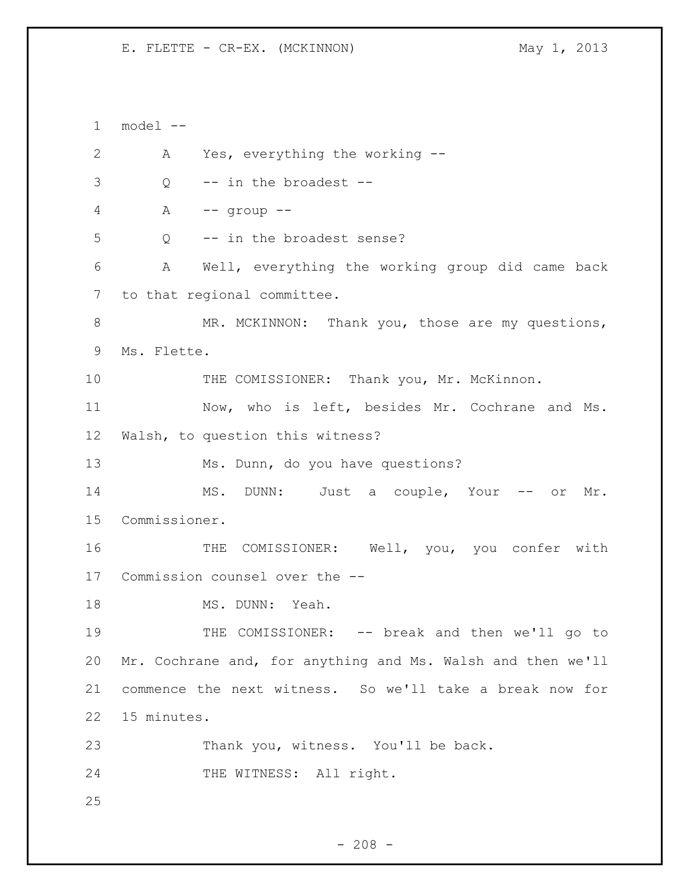1 model -- 2 A Yes, everything the working --  $\frac{3}{2}$  -- in the broadest --4 A -- group -- 5 Q -- in the broadest sense? 6 A Well, everything the working group did came back 7 to that regional committee. 8 MR. MCKINNON: Thank you, those are my questions, 9 Ms. Flette. 10 THE COMISSIONER: Thank you, Mr. McKinnon. 11 Now, who is left, besides Mr. Cochrane and Ms. 12 Walsh, to question this witness? 13 Ms. Dunn, do you have questions? 14 MS. DUNN: Just a couple, Your -- or Mr. 15 Commissioner. 16 THE COMISSIONER: Well, you, you confer with 17 Commission counsel over the -- 18 MS. DUNN: Yeah. 19 THE COMISSIONER: -- break and then we'll go to 20 Mr. Cochrane and, for anything and Ms. Walsh and then we'll 21 commence the next witness. So we'll take a break now for 22 15 minutes. 23 Thank you, witness. You'll be back. 24 THE WITNESS: All right. 25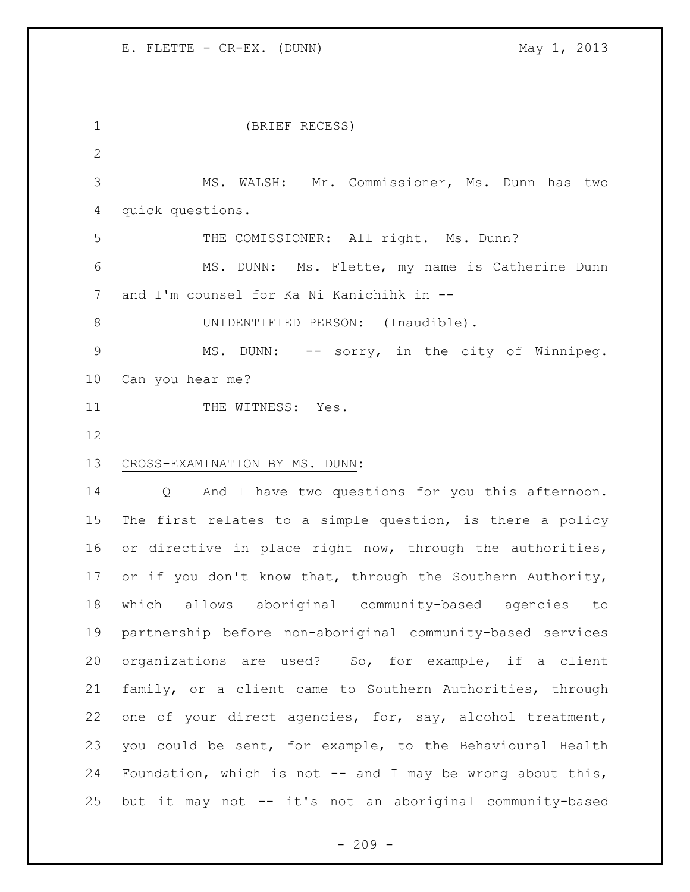(BRIEF RECESS) MS. WALSH: Mr. Commissioner, Ms. Dunn has two quick questions. THE COMISSIONER: All right. Ms. Dunn? MS. DUNN: Ms. Flette, my name is Catherine Dunn and I'm counsel for Ka Ni Kanichihk in -- 8 UNIDENTIFIED PERSON: (Inaudible). 9 MS. DUNN: -- sorry, in the city of Winnipeg. Can you hear me? 11 THE WITNESS: Yes. CROSS-EXAMINATION BY MS. DUNN: Q And I have two questions for you this afternoon. The first relates to a simple question, is there a policy or directive in place right now, through the authorities, 17 or if you don't know that, through the Southern Authority, which allows aboriginal community-based agencies to partnership before non-aboriginal community-based services organizations are used? So, for example, if a client family, or a client came to Southern Authorities, through one of your direct agencies, for, say, alcohol treatment, you could be sent, for example, to the Behavioural Health 24 Foundation, which is not -- and I may be wrong about this, but it may not -- it's not an aboriginal community-based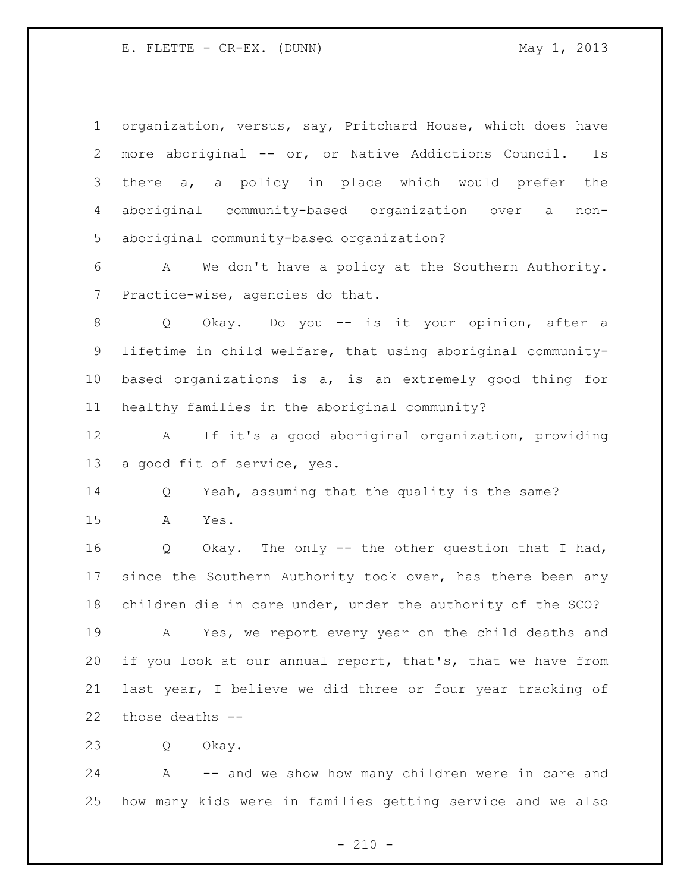| $\mathbf 1$ | organization, versus, say, Pritchard House, which does have |
|-------------|-------------------------------------------------------------|
| 2           | more aboriginal -- or, or Native Addictions Council.<br>Is  |
| 3           | there a, a policy in place which would prefer the           |
| 4           | aboriginal community-based organization over a<br>non-      |
| 5           | aboriginal community-based organization?                    |
| 6           | We don't have a policy at the Southern Authority.<br>A      |
| 7           | Practice-wise, agencies do that.                            |
| 8           | Okay. Do you -- is it your opinion, after a<br>Q            |
| 9           | lifetime in child welfare, that using aboriginal community- |
| 10          | based organizations is a, is an extremely good thing for    |
| 11          | healthy families in the aboriginal community?               |
| 12          | If it's a good aboriginal organization, providing<br>A      |
| 13          | a good fit of service, yes.                                 |
| 14          | Yeah, assuming that the quality is the same?<br>Q           |
| 15          | Α<br>Yes.                                                   |
| 16          | Okay. The only -- the other question that I had,<br>Q       |
| 17          | since the Southern Authority took over, has there been any  |
| 18          | children die in care under, under the authority of the SCO? |
| 19          | Yes, we report every year on the child deaths and<br>Α      |
| 20          | if you look at our annual report, that's, that we have from |
| 21          | last year, I believe we did three or four year tracking of  |
| 22          | those deaths --                                             |
| 23          | Okay.<br>Q                                                  |

 A -- and we show how many children were in care and how many kids were in families getting service and we also

- 210 -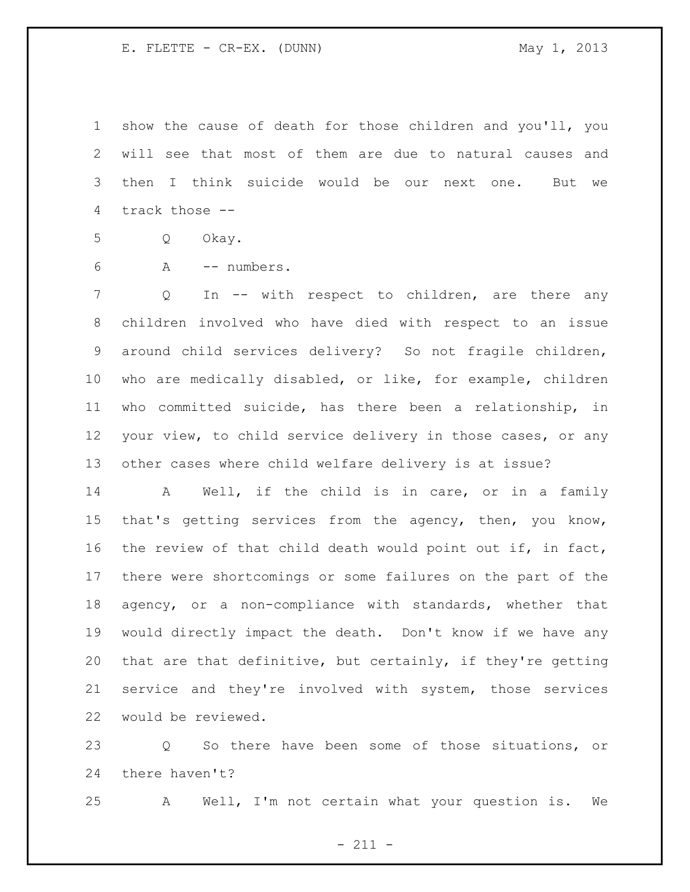show the cause of death for those children and you'll, you will see that most of them are due to natural causes and then I think suicide would be our next one. But we track those --

Q Okay.

A -- numbers.

 Q In -- with respect to children, are there any children involved who have died with respect to an issue around child services delivery? So not fragile children, who are medically disabled, or like, for example, children who committed suicide, has there been a relationship, in your view, to child service delivery in those cases, or any other cases where child welfare delivery is at issue?

 A Well, if the child is in care, or in a family that's getting services from the agency, then, you know, the review of that child death would point out if, in fact, there were shortcomings or some failures on the part of the agency, or a non-compliance with standards, whether that would directly impact the death. Don't know if we have any that are that definitive, but certainly, if they're getting service and they're involved with system, those services would be reviewed.

 Q So there have been some of those situations, or there haven't?

A Well, I'm not certain what your question is. We

- 211 -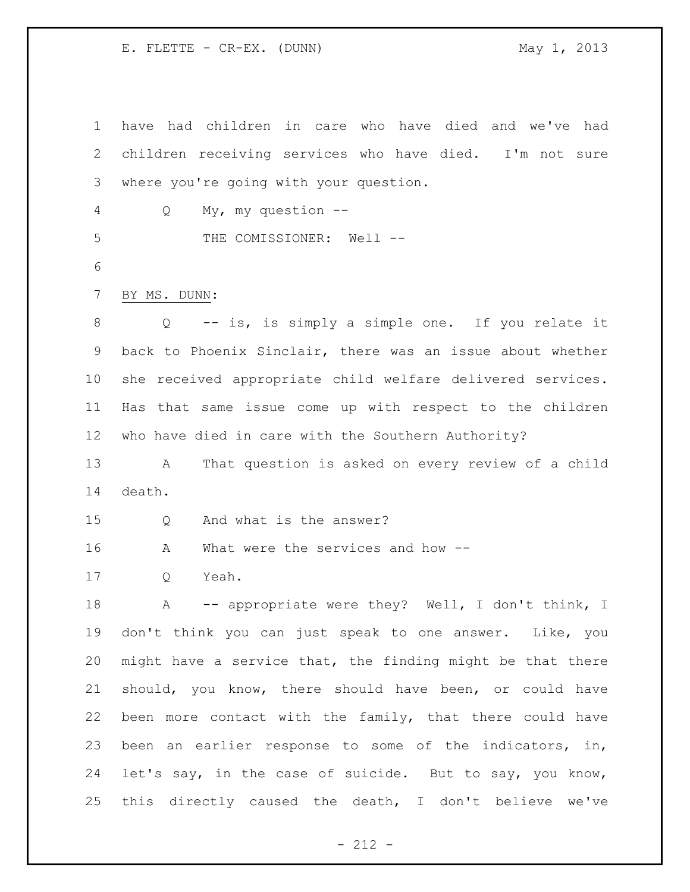have had children in care who have died and we've had children receiving services who have died. I'm not sure where you're going with your question. Q My, my question -- 5 THE COMISSIONER: Well -- BY MS. DUNN: Q -- is, is simply a simple one. If you relate it back to Phoenix Sinclair, there was an issue about whether she received appropriate child welfare delivered services. Has that same issue come up with respect to the children who have died in care with the Southern Authority? A That question is asked on every review of a child death. Q And what is the answer? A What were the services and how -- Q Yeah. 18 A -- appropriate were they? Well, I don't think, I don't think you can just speak to one answer. Like, you might have a service that, the finding might be that there should, you know, there should have been, or could have been more contact with the family, that there could have been an earlier response to some of the indicators, in, let's say, in the case of suicide. But to say, you know, this directly caused the death, I don't believe we've

- 212 -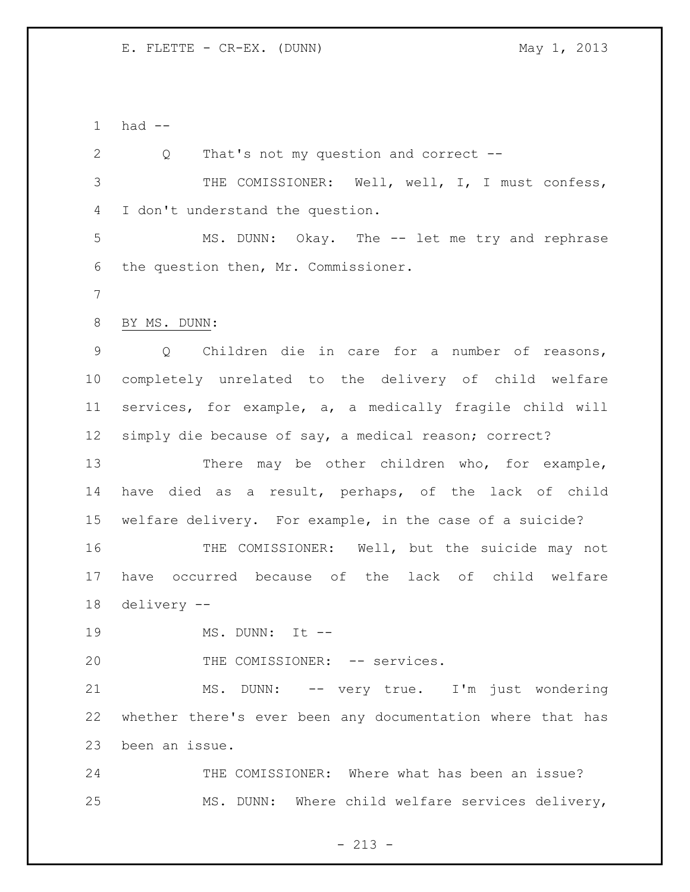had --

 Q That's not my question and correct -- THE COMISSIONER: Well, well, I, I must confess, I don't understand the question. MS. DUNN: Okay. The -- let me try and rephrase the question then, Mr. Commissioner. BY MS. DUNN: Q Children die in care for a number of reasons, completely unrelated to the delivery of child welfare services, for example, a, a medically fragile child will simply die because of say, a medical reason; correct? There may be other children who, for example, have died as a result, perhaps, of the lack of child welfare delivery. For example, in the case of a suicide? THE COMISSIONER: Well, but the suicide may not have occurred because of the lack of child welfare delivery -- MS. DUNN: It -- 20 THE COMISSIONER: -- services. 21 MS. DUNN: -- very true. I'm just wondering whether there's ever been any documentation where that has been an issue. THE COMISSIONER: Where what has been an issue? MS. DUNN: Where child welfare services delivery,

 $- 213 -$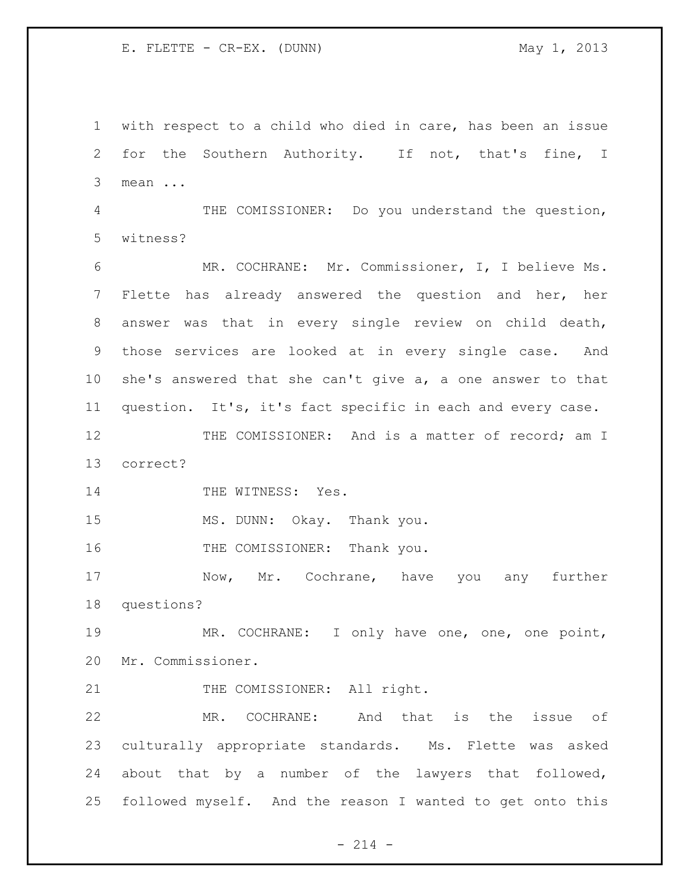E. FLETTE - CR-EX. (DUNN) May 1, 2013

 with respect to a child who died in care, has been an issue for the Southern Authority. If not, that's fine, I mean ...

 THE COMISSIONER: Do you understand the question, witness?

 MR. COCHRANE: Mr. Commissioner, I, I believe Ms. Flette has already answered the question and her, her answer was that in every single review on child death, those services are looked at in every single case. And she's answered that she can't give a, a one answer to that question. It's, it's fact specific in each and every case.

12 THE COMISSIONER: And is a matter of record; am I correct?

14 THE WITNESS: Yes.

MS. DUNN: Okay. Thank you.

16 THE COMISSIONER: Thank you.

17 Mow, Mr. Cochrane, have you any further questions?

 MR. COCHRANE: I only have one, one, one point, Mr. Commissioner.

21 THE COMISSIONER: All right.

 MR. COCHRANE: And that is the issue of culturally appropriate standards. Ms. Flette was asked about that by a number of the lawyers that followed, followed myself. And the reason I wanted to get onto this

 $- 214 -$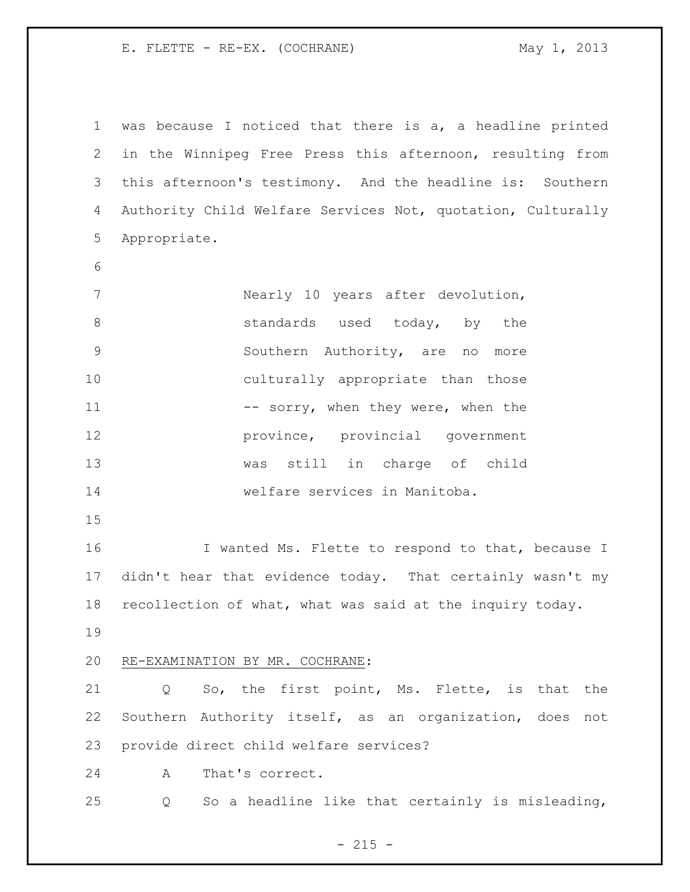E. FLETTE - RE-EX. (COCHRANE) May 1, 2013

 was because I noticed that there is a, a headline printed in the Winnipeg Free Press this afternoon, resulting from this afternoon's testimony. And the headline is: Southern Authority Child Welfare Services Not, quotation, Culturally Appropriate. 7 Nearly 10 years after devolution, 8 standards used today, by the Southern Authority, are no more culturally appropriate than those 11 -- sorry, when they were, when the province, provincial government was still in charge of child welfare services in Manitoba. **I** wanted Ms. Flette to respond to that, because I didn't hear that evidence today. That certainly wasn't my

recollection of what, what was said at the inquiry today.

## RE-EXAMINATION BY MR. COCHRANE:

 Q So, the first point, Ms. Flette, is that the Southern Authority itself, as an organization, does not provide direct child welfare services?

A That's correct.

Q So a headline like that certainly is misleading,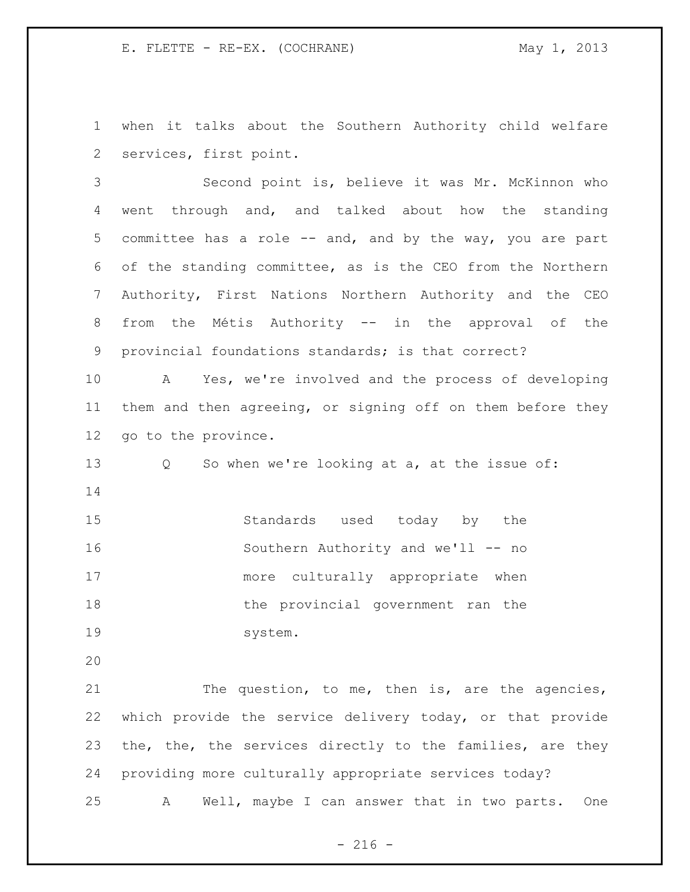E. FLETTE - RE-EX. (COCHRANE) May 1, 2013

 when it talks about the Southern Authority child welfare services, first point.

 Second point is, believe it was Mr. McKinnon who went through and, and talked about how the standing 5 committee has a role -- and, and by the way, you are part of the standing committee, as is the CEO from the Northern Authority, First Nations Northern Authority and the CEO from the Métis Authority -- in the approval of the provincial foundations standards; is that correct?

 A Yes, we're involved and the process of developing them and then agreeing, or signing off on them before they go to the province.

 Q So when we're looking at a, at the issue of: 

 Standards used today by the Southern Authority and we'll -- no more culturally appropriate when 18 the provincial government ran the system.

21 The question, to me, then is, are the agencies, which provide the service delivery today, or that provide the, the, the services directly to the families, are they providing more culturally appropriate services today? A Well, maybe I can answer that in two parts. One

 $-216 -$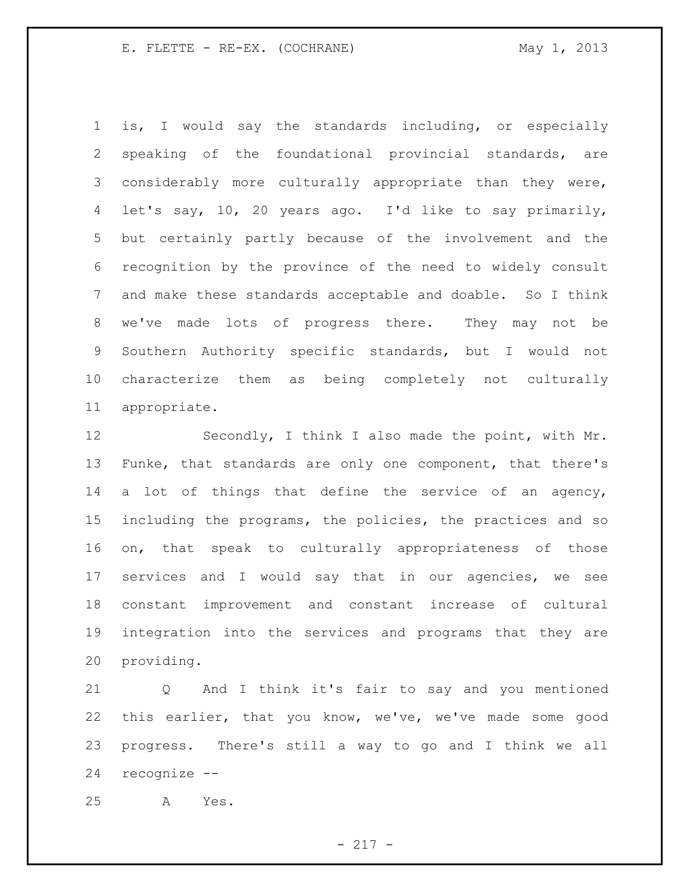E. FLETTE - RE-EX. (COCHRANE) May 1, 2013

 is, I would say the standards including, or especially speaking of the foundational provincial standards, are considerably more culturally appropriate than they were, let's say, 10, 20 years ago. I'd like to say primarily, but certainly partly because of the involvement and the recognition by the province of the need to widely consult and make these standards acceptable and doable. So I think we've made lots of progress there. They may not be Southern Authority specific standards, but I would not characterize them as being completely not culturally appropriate.

12 Secondly, I think I also made the point, with Mr. 13 Funke, that standards are only one component, that there's 14 a lot of things that define the service of an agency, including the programs, the policies, the practices and so on, that speak to culturally appropriateness of those services and I would say that in our agencies, we see constant improvement and constant increase of cultural integration into the services and programs that they are providing.

 Q And I think it's fair to say and you mentioned this earlier, that you know, we've, we've made some good progress. There's still a way to go and I think we all recognize --

A Yes.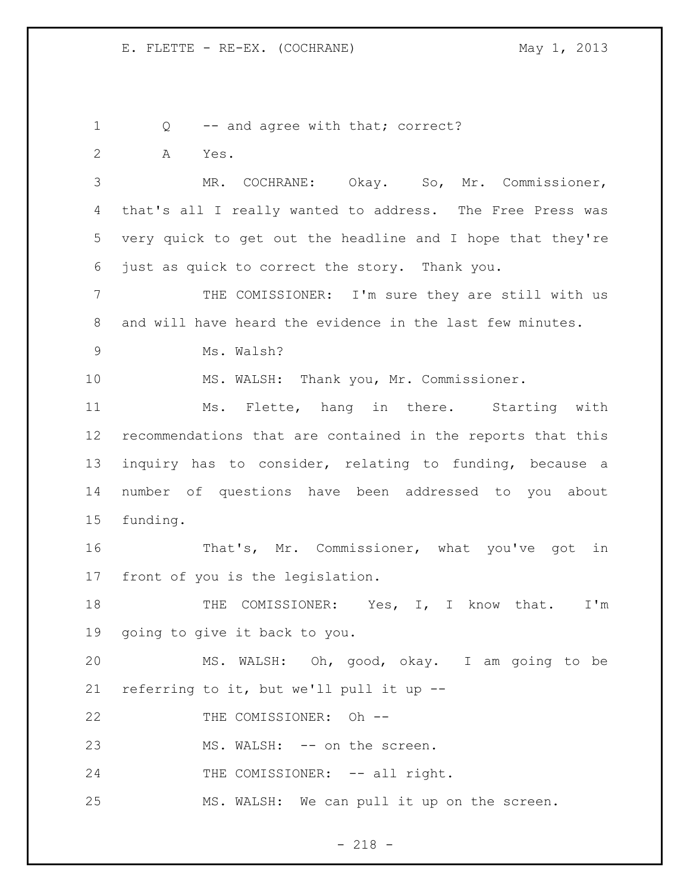1 Q -- and agree with that; correct? A Yes. MR. COCHRANE: Okay. So, Mr. Commissioner, that's all I really wanted to address. The Free Press was very quick to get out the headline and I hope that they're just as quick to correct the story. Thank you. THE COMISSIONER: I'm sure they are still with us and will have heard the evidence in the last few minutes. Ms. Walsh? MS. WALSH: Thank you, Mr. Commissioner. Ms. Flette, hang in there. Starting with recommendations that are contained in the reports that this inquiry has to consider, relating to funding, because a number of questions have been addressed to you about funding. That's, Mr. Commissioner, what you've got in front of you is the legislation. 18 THE COMISSIONER: Yes, I, I know that. I'm going to give it back to you. MS. WALSH: Oh, good, okay. I am going to be referring to it, but we'll pull it up -- 22 THE COMISSIONER: Oh --23 MS. WALSH: -- on the screen. 24 THE COMISSIONER: -- all right. MS. WALSH: We can pull it up on the screen.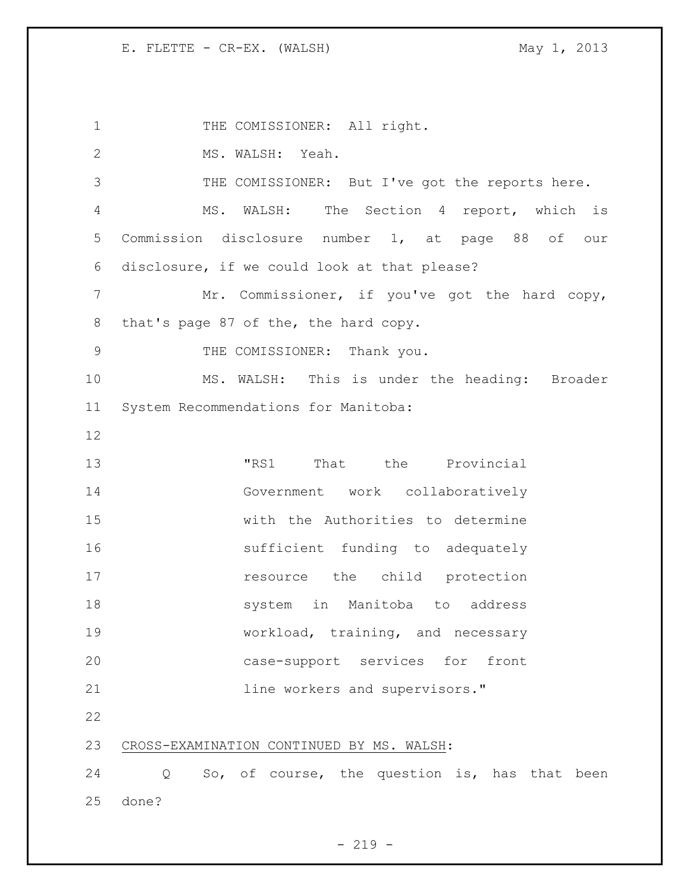1 THE COMISSIONER: All right. MS. WALSH: Yeah. THE COMISSIONER: But I've got the reports here. MS. WALSH: The Section 4 report, which is Commission disclosure number 1, at page 88 of our disclosure, if we could look at that please? 7 Mr. Commissioner, if you've got the hard copy, that's page 87 of the, the hard copy. THE COMISSIONER: Thank you. MS. WALSH: This is under the heading: Broader System Recommendations for Manitoba: "RS1 That the Provincial Government work collaboratively with the Authorities to determine sufficient funding to adequately **resource** the child protection system in Manitoba to address 19 workload, training, and necessary case-support services for front **11ne workers and supervisors.**" CROSS-EXAMINATION CONTINUED BY MS. WALSH: Q So, of course, the question is, has that been done?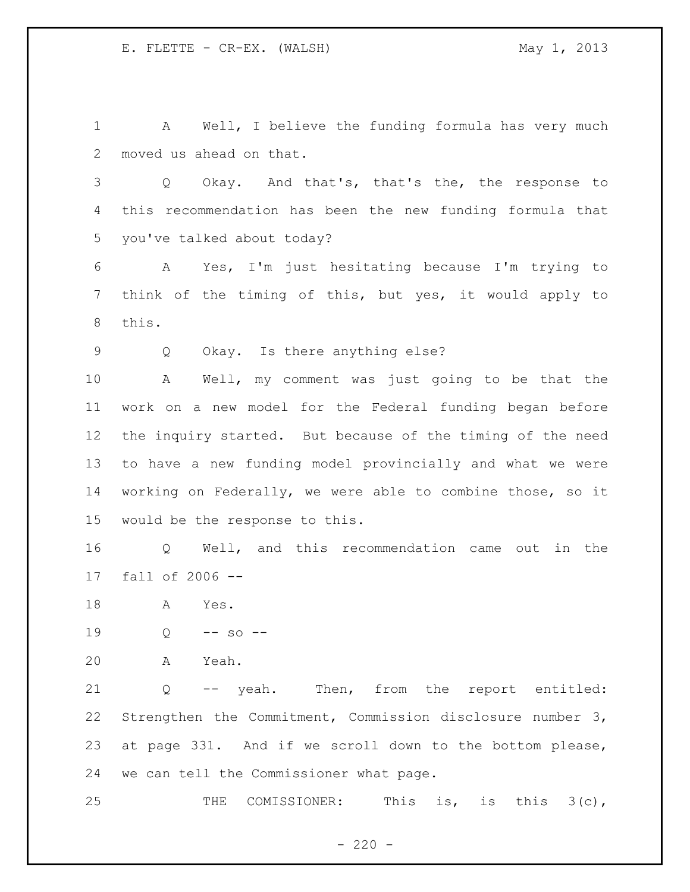A Well, I believe the funding formula has very much moved us ahead on that.

 Q Okay. And that's, that's the, the response to this recommendation has been the new funding formula that you've talked about today?

 A Yes, I'm just hesitating because I'm trying to think of the timing of this, but yes, it would apply to this.

Q Okay. Is there anything else?

 A Well, my comment was just going to be that the work on a new model for the Federal funding began before the inquiry started. But because of the timing of the need to have a new funding model provincially and what we were working on Federally, we were able to combine those, so it would be the response to this.

 Q Well, and this recommendation came out in the fall of 2006 --

A Yes.

Q -- so --

A Yeah.

 Q -- yeah. Then, from the report entitled: Strengthen the Commitment, Commission disclosure number 3, at page 331. And if we scroll down to the bottom please, we can tell the Commissioner what page.

25 THE COMISSIONER: This is, is this 3(c),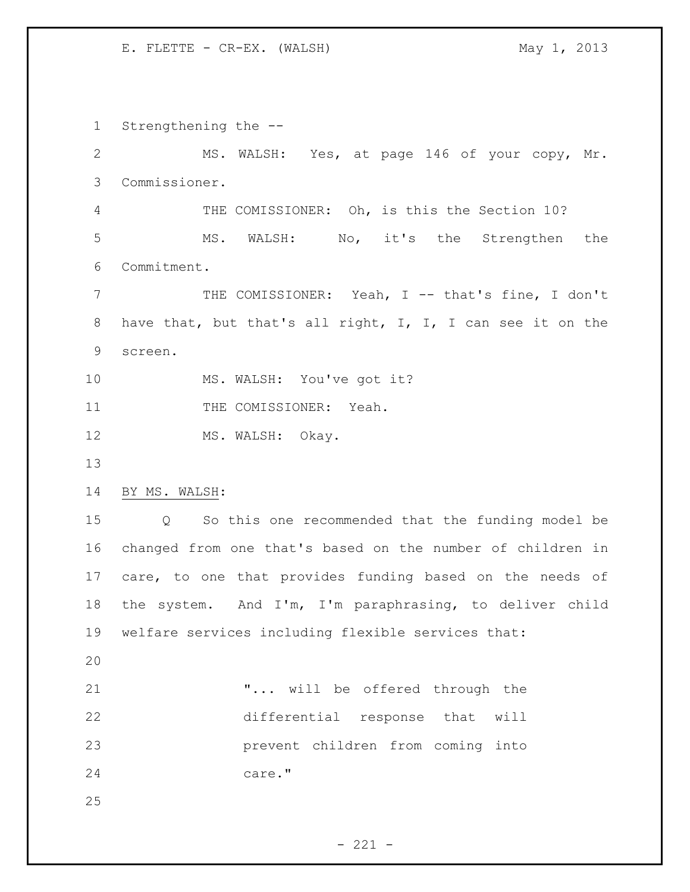Strengthening the -- MS. WALSH: Yes, at page 146 of your copy, Mr. Commissioner. THE COMISSIONER: Oh, is this the Section 10? MS. WALSH: No, it's the Strengthen the Commitment. 7 THE COMISSIONER: Yeah, I -- that's fine, I don't 8 have that, but that's all right, I, I, I can see it on the screen. MS. WALSH: You've got it? 11 THE COMISSIONER: Yeah. 12 MS. WALSH: Okay. BY MS. WALSH: Q So this one recommended that the funding model be changed from one that's based on the number of children in care, to one that provides funding based on the needs of the system. And I'm, I'm paraphrasing, to deliver child welfare services including flexible services that: "... will be offered through the differential response that will prevent children from coming into 24 care."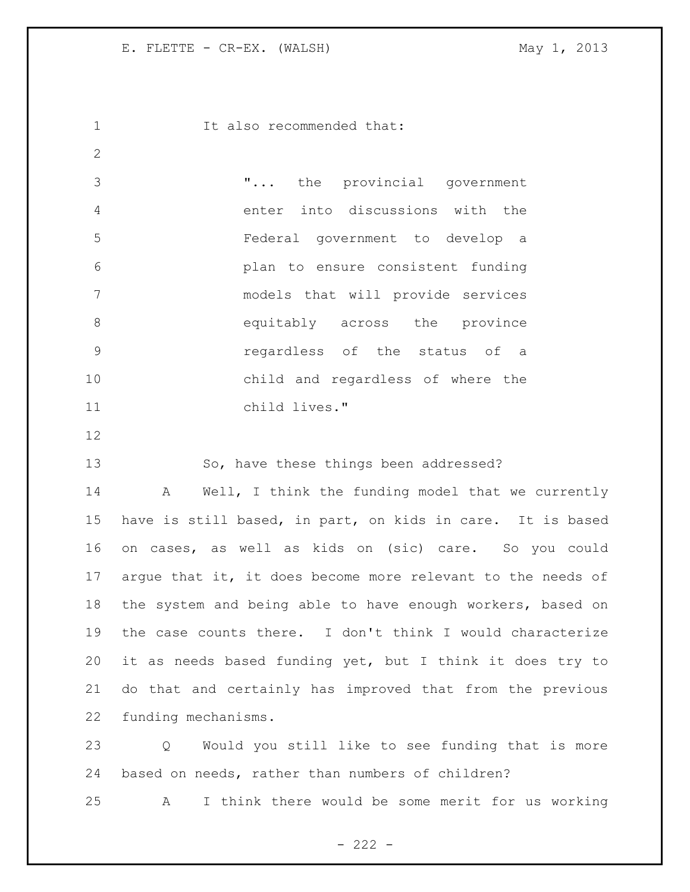It also recommended that: "... the provincial government enter into discussions with the Federal government to develop a plan to ensure consistent funding models that will provide services 8 across the province 8 regardless of the status of a child and regardless of where the child lives." So, have these things been addressed? 14 A Well, I think the funding model that we currently have is still based, in part, on kids in care. It is based on cases, as well as kids on (sic) care. So you could 17 argue that it, it does become more relevant to the needs of the system and being able to have enough workers, based on the case counts there. I don't think I would characterize it as needs based funding yet, but I think it does try to do that and certainly has improved that from the previous funding mechanisms. Q Would you still like to see funding that is more based on needs, rather than numbers of children?

A I think there would be some merit for us working

 $- 222 -$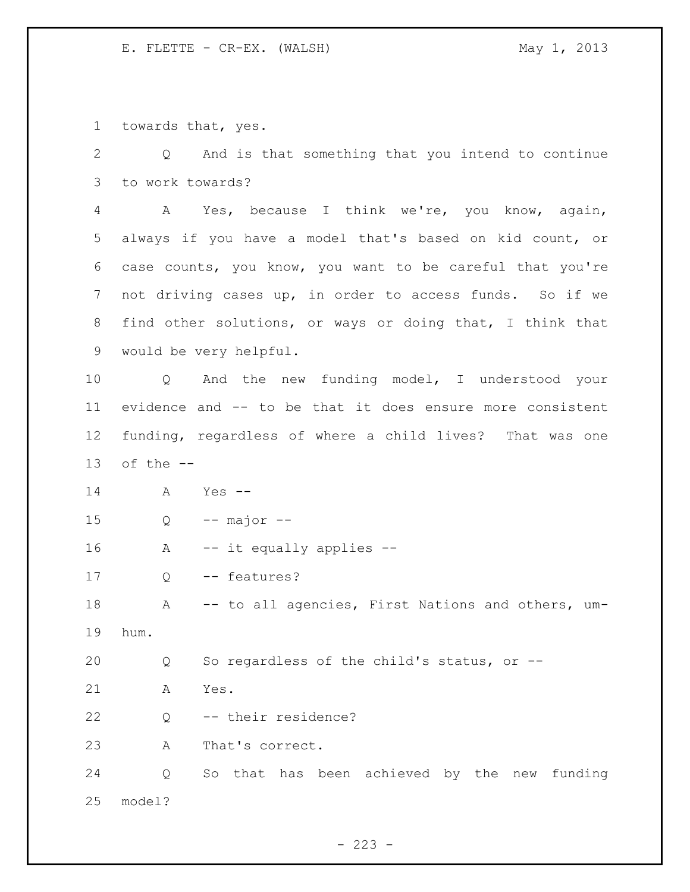towards that, yes.

 Q And is that something that you intend to continue to work towards?

 A Yes, because I think we're, you know, again, always if you have a model that's based on kid count, or case counts, you know, you want to be careful that you're not driving cases up, in order to access funds. So if we find other solutions, or ways or doing that, I think that would be very helpful.

 Q And the new funding model, I understood your evidence and -- to be that it does ensure more consistent funding, regardless of where a child lives? That was one 13 of the  $-$ 

 A Yes -- Q -- major -- A -- it equally applies -- 17 Q -- features? 18 A -- to all agencies, First Nations and others, um- hum. Q So regardless of the child's status, or -- A Yes. Q -- their residence? A That's correct. Q So that has been achieved by the new funding model?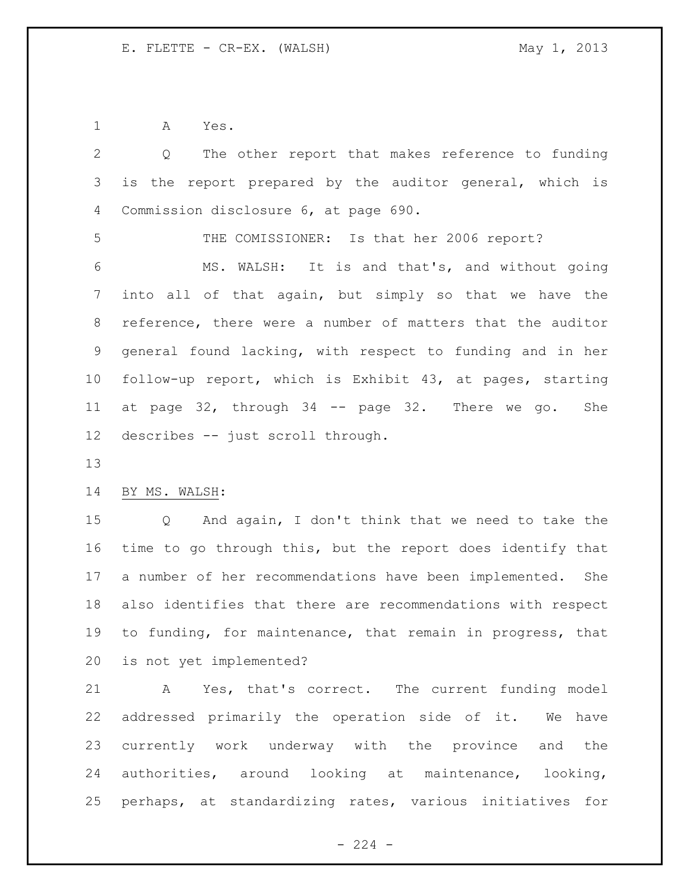A Yes.

| 2               | The other report that makes reference to funding<br>Q       |
|-----------------|-------------------------------------------------------------|
| 3               | report prepared by the auditor general, which is<br>is the  |
| 4               | Commission disclosure 6, at page 690.                       |
| 5               | THE COMISSIONER: Is that her 2006 report?                   |
| 6               | MS. WALSH: It is and that's, and without going              |
| 7               | into all of that again, but simply so that we have the      |
| 8               | reference, there were a number of matters that the auditor  |
| 9               | general found lacking, with respect to funding and in her   |
| 10 <sub>o</sub> | follow-up report, which is Exhibit 43, at pages, starting   |
| 11              | at page 32, through 34 -- page 32. There we go.<br>She      |
| 12 <sup>°</sup> | describes -- just scroll through.                           |
| 13              |                                                             |
| 14              | BY MS. WALSH:                                               |
| 15              | And again, I don't think that we need to take the<br>Q      |
| 16              | time to go through this, but the report does identify that  |
| 17              | a number of her recommendations have been implemented. She  |
| 18              | also identifies that there are recommendations with respect |
| 19              | to funding, for maintenance, that remain in progress, that  |
|                 | 20 is not yet implemented?                                  |
| 21              | A Yes, that's correct. The current funding model            |
| 22              | addressed primarily the operation side of it. We have       |
| 23              | currently work underway with the province and the           |
| 24              | authorities, around looking at maintenance, looking,        |
|                 | 25 perhaps, at standardizing rates, various initiatives for |
|                 |                                                             |

- 224 -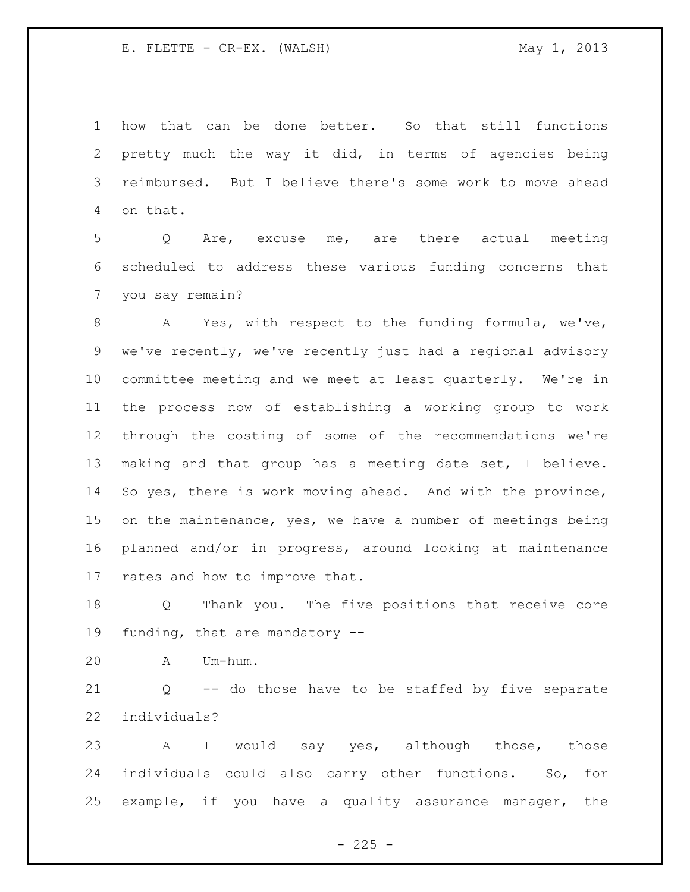how that can be done better. So that still functions pretty much the way it did, in terms of agencies being reimbursed. But I believe there's some work to move ahead on that.

 Q Are, excuse me, are there actual meeting scheduled to address these various funding concerns that you say remain?

 A Yes, with respect to the funding formula, we've, we've recently, we've recently just had a regional advisory committee meeting and we meet at least quarterly. We're in the process now of establishing a working group to work through the costing of some of the recommendations we're making and that group has a meeting date set, I believe. So yes, there is work moving ahead. And with the province, on the maintenance, yes, we have a number of meetings being planned and/or in progress, around looking at maintenance rates and how to improve that.

 Q Thank you. The five positions that receive core funding, that are mandatory --

A Um-hum.

 Q -- do those have to be staffed by five separate individuals?

23 A I would say yes, although those, those individuals could also carry other functions. So, for example, if you have a quality assurance manager, the

 $- 225 -$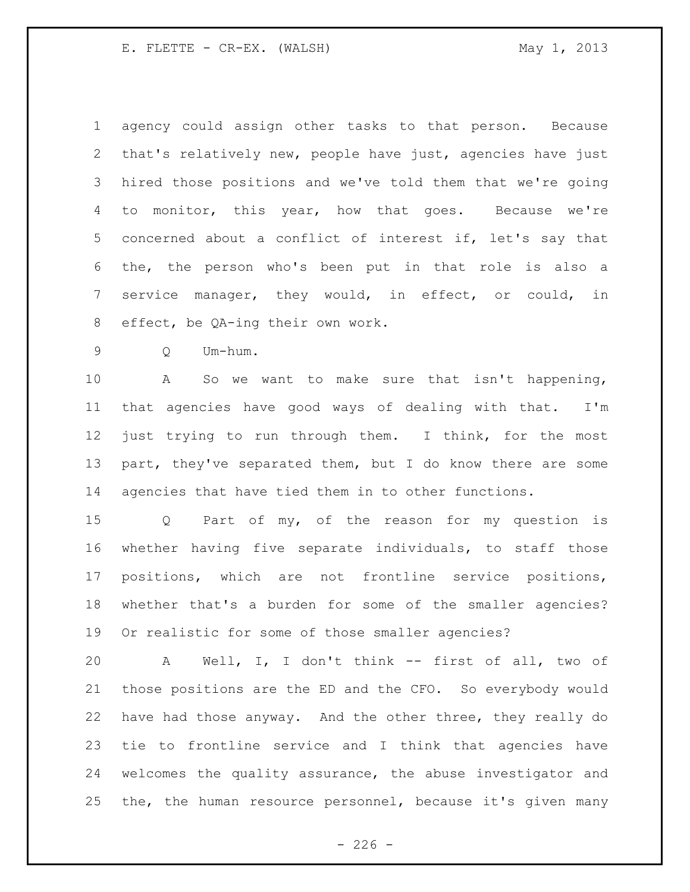agency could assign other tasks to that person. Because that's relatively new, people have just, agencies have just hired those positions and we've told them that we're going to monitor, this year, how that goes. Because we're concerned about a conflict of interest if, let's say that the, the person who's been put in that role is also a service manager, they would, in effect, or could, in effect, be QA-ing their own work.

Q Um-hum.

 A So we want to make sure that isn't happening, that agencies have good ways of dealing with that. I'm just trying to run through them. I think, for the most 13 part, they've separated them, but I do know there are some agencies that have tied them in to other functions.

 Q Part of my, of the reason for my question is whether having five separate individuals, to staff those positions, which are not frontline service positions, whether that's a burden for some of the smaller agencies? Or realistic for some of those smaller agencies?

 A Well, I, I don't think -- first of all, two of those positions are the ED and the CFO. So everybody would have had those anyway. And the other three, they really do tie to frontline service and I think that agencies have welcomes the quality assurance, the abuse investigator and the, the human resource personnel, because it's given many

 $-226 -$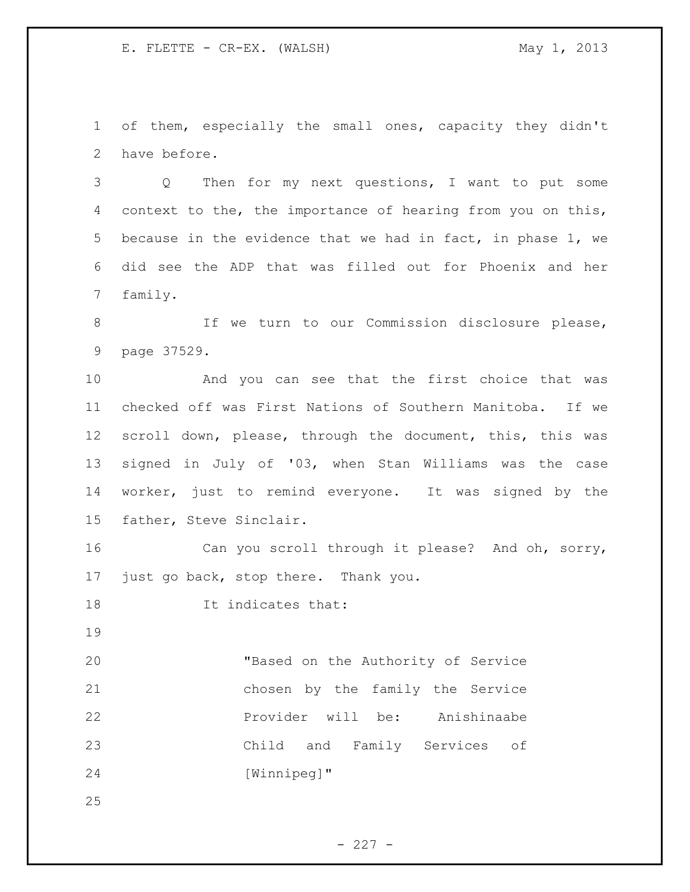of them, especially the small ones, capacity they didn't have before.

 Q Then for my next questions, I want to put some context to the, the importance of hearing from you on this, because in the evidence that we had in fact, in phase 1, we did see the ADP that was filled out for Phoenix and her family.

 If we turn to our Commission disclosure please, page 37529.

 And you can see that the first choice that was checked off was First Nations of Southern Manitoba. If we scroll down, please, through the document, this, this was signed in July of '03, when Stan Williams was the case worker, just to remind everyone. It was signed by the father, Steve Sinclair.

 Can you scroll through it please? And oh, sorry, just go back, stop there. Thank you.

18 It indicates that:

 "Based on the Authority of Service chosen by the family the Service **Provider will be:** Anishinaabe Child and Family Services of [Winnipeg]"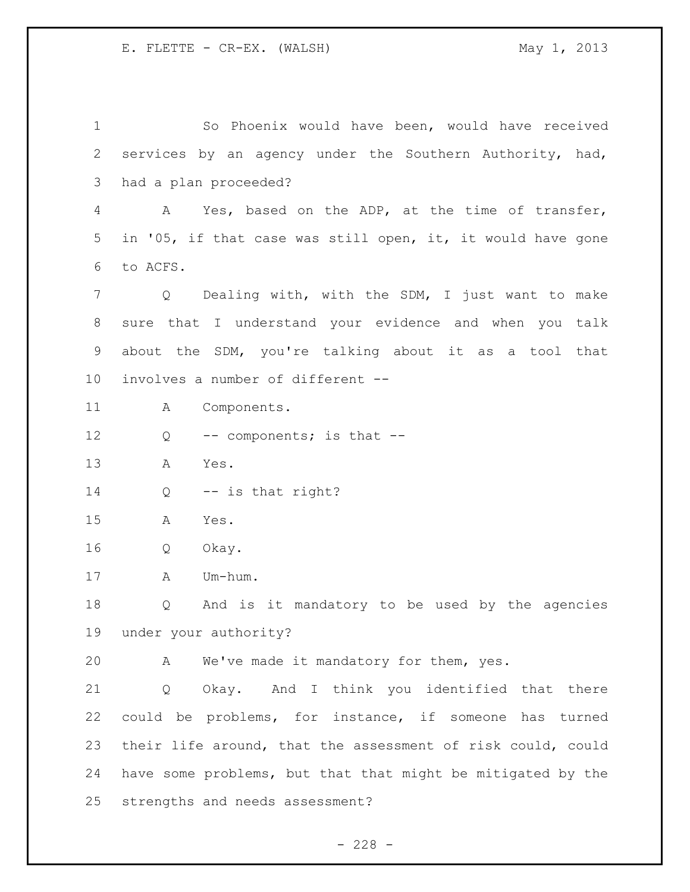So Phoenix would have been, would have received services by an agency under the Southern Authority, had, had a plan proceeded? A Yes, based on the ADP, at the time of transfer, in '05, if that case was still open, it, it would have gone to ACFS. Q Dealing with, with the SDM, I just want to make sure that I understand your evidence and when you talk about the SDM, you're talking about it as a tool that involves a number of different -- A Components. 12 Q -- components; is that -- A Yes. 14 Q -- is that right? A Yes. Q Okay. A Um-hum. Q And is it mandatory to be used by the agencies under your authority? A We've made it mandatory for them, yes. Q Okay. And I think you identified that there could be problems, for instance, if someone has turned their life around, that the assessment of risk could, could have some problems, but that that might be mitigated by the strengths and needs assessment?

 $- 228 -$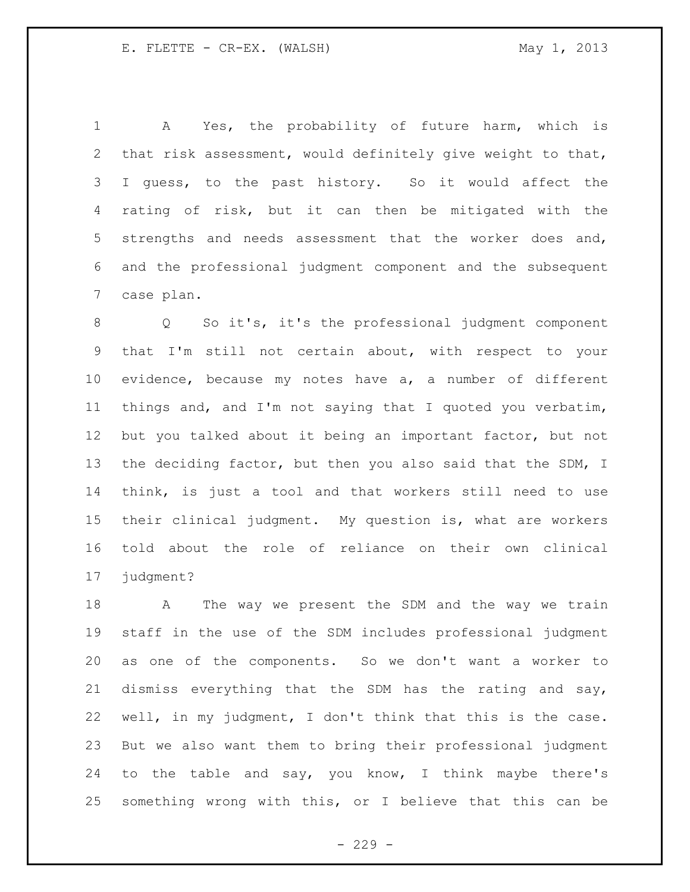A Yes, the probability of future harm, which is that risk assessment, would definitely give weight to that, I guess, to the past history. So it would affect the rating of risk, but it can then be mitigated with the strengths and needs assessment that the worker does and, and the professional judgment component and the subsequent case plan.

 Q So it's, it's the professional judgment component that I'm still not certain about, with respect to your evidence, because my notes have a, a number of different things and, and I'm not saying that I quoted you verbatim, but you talked about it being an important factor, but not 13 the deciding factor, but then you also said that the SDM, I think, is just a tool and that workers still need to use their clinical judgment. My question is, what are workers told about the role of reliance on their own clinical judgment?

18 A The way we present the SDM and the way we train staff in the use of the SDM includes professional judgment as one of the components. So we don't want a worker to dismiss everything that the SDM has the rating and say, well, in my judgment, I don't think that this is the case. But we also want them to bring their professional judgment to the table and say, you know, I think maybe there's something wrong with this, or I believe that this can be

 $-229 -$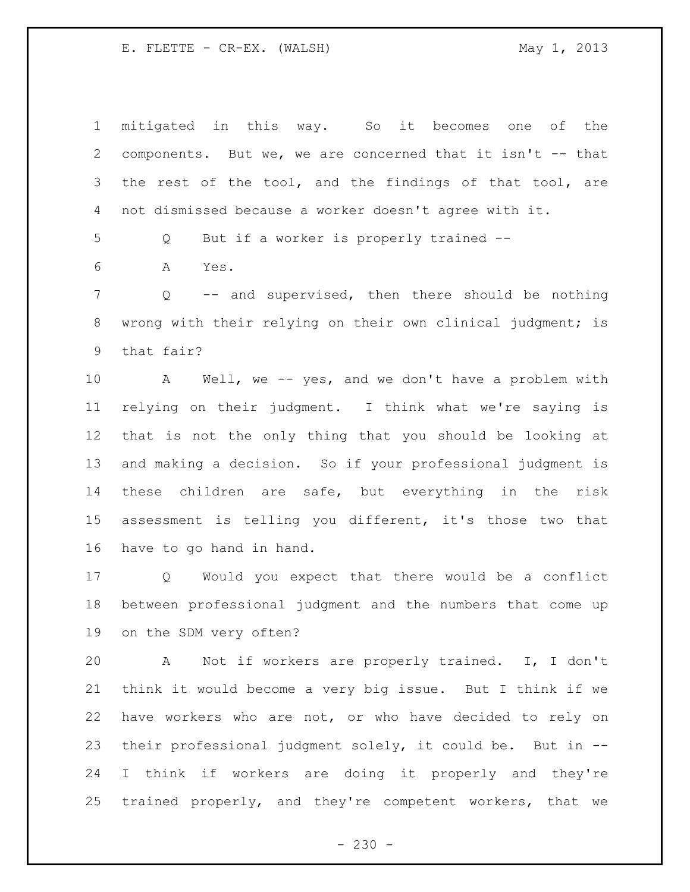mitigated in this way. So it becomes one of the components. But we, we are concerned that it isn't -- that the rest of the tool, and the findings of that tool, are not dismissed because a worker doesn't agree with it. Q But if a worker is properly trained -- A Yes. Q -- and supervised, then there should be nothing wrong with their relying on their own clinical judgment; is that fair? A Well, we -- yes, and we don't have a problem with relying on their judgment. I think what we're saying is that is not the only thing that you should be looking at and making a decision. So if your professional judgment is these children are safe, but everything in the risk assessment is telling you different, it's those two that have to go hand in hand. Q Would you expect that there would be a conflict between professional judgment and the numbers that come up on the SDM very often? A Not if workers are properly trained. I, I don't think it would become a very big issue. But I think if we have workers who are not, or who have decided to rely on their professional judgment solely, it could be. But in -- I think if workers are doing it properly and they're trained properly, and they're competent workers, that we

 $- 230 -$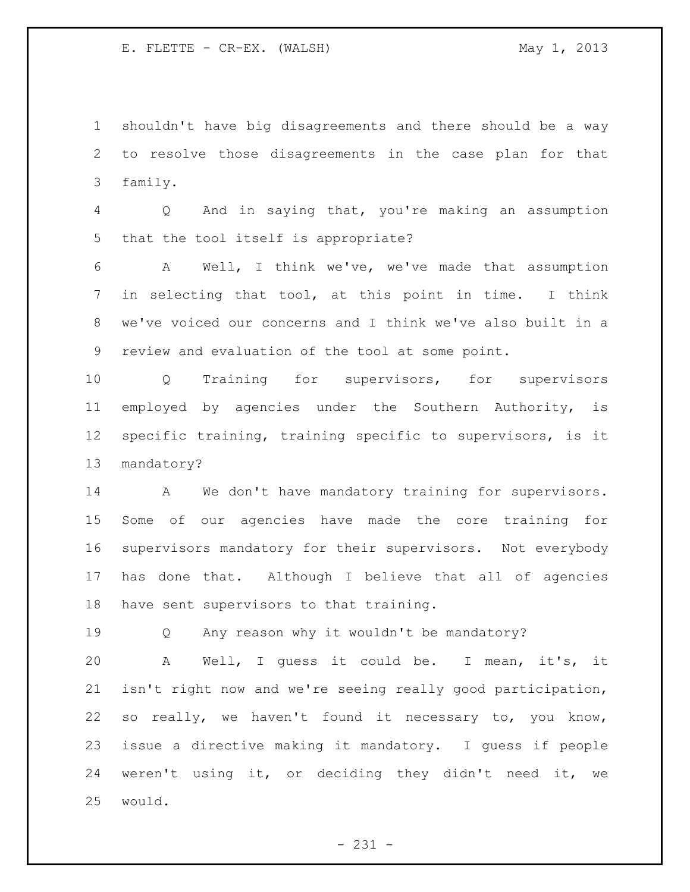shouldn't have big disagreements and there should be a way to resolve those disagreements in the case plan for that family.

 Q And in saying that, you're making an assumption that the tool itself is appropriate?

 A Well, I think we've, we've made that assumption in selecting that tool, at this point in time. I think we've voiced our concerns and I think we've also built in a review and evaluation of the tool at some point.

 Q Training for supervisors, for supervisors employed by agencies under the Southern Authority, is specific training, training specific to supervisors, is it mandatory?

14 A We don't have mandatory training for supervisors. Some of our agencies have made the core training for supervisors mandatory for their supervisors. Not everybody has done that. Although I believe that all of agencies have sent supervisors to that training.

Q Any reason why it wouldn't be mandatory?

 A Well, I guess it could be. I mean, it's, it isn't right now and we're seeing really good participation, so really, we haven't found it necessary to, you know, issue a directive making it mandatory. I guess if people weren't using it, or deciding they didn't need it, we would.

- 231 -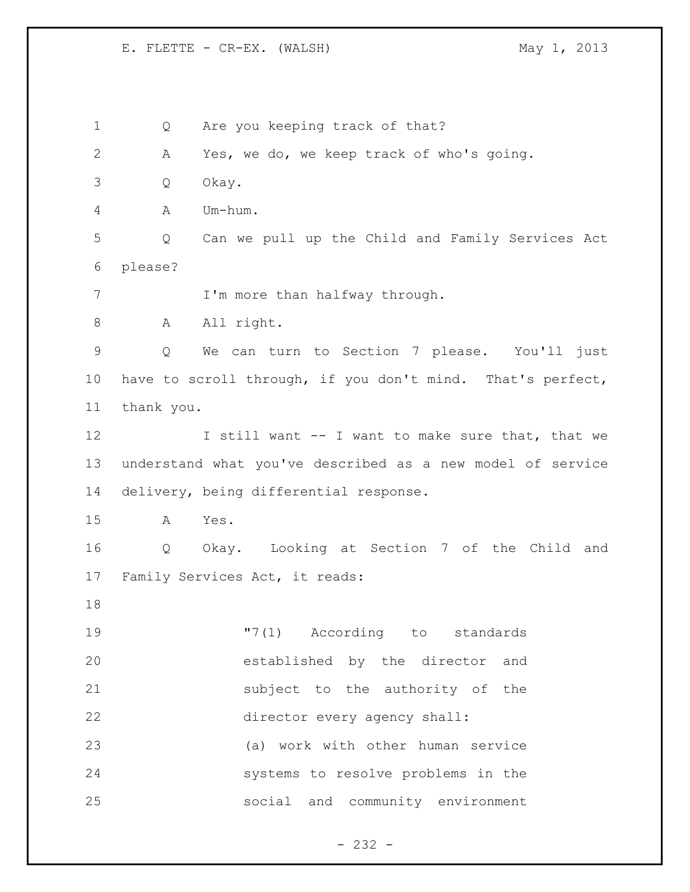1 Q Are you keeping track of that? A Yes, we do, we keep track of who's going. Q Okay. A Um-hum. Q Can we pull up the Child and Family Services Act please? 7 I'm more than halfway through. 8 A All right. Q We can turn to Section 7 please. You'll just have to scroll through, if you don't mind. That's perfect, thank you. 12 I still want -- I want to make sure that, that we understand what you've described as a new model of service delivery, being differential response. A Yes. Q Okay. Looking at Section 7 of the Child and Family Services Act, it reads: "7(1) According to standards established by the director and subject to the authority of the director every agency shall: (a) work with other human service systems to resolve problems in the social and community environment

- 232 -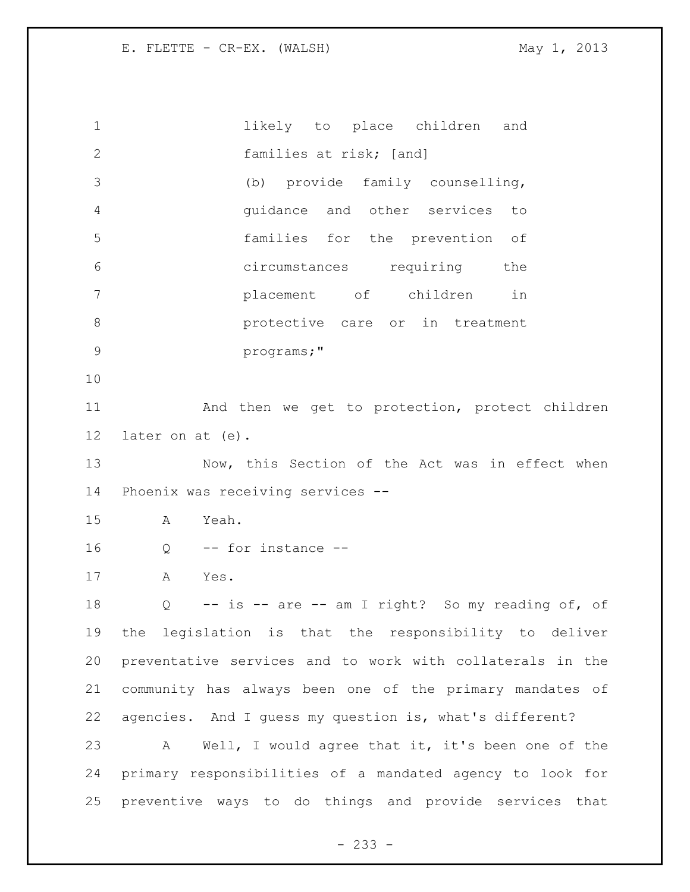1 likely to place children and families at risk; [and] (b) provide family counselling, guidance and other services to families for the prevention of circumstances requiring the placement of children in protective care or in treatment programs;" 11 And then we get to protection, protect children later on at (e). 13 Now, this Section of the Act was in effect when Phoenix was receiving services -- A Yeah. Q -- for instance -- A Yes. Q -- is -- are -- am I right? So my reading of, of the legislation is that the responsibility to deliver preventative services and to work with collaterals in the community has always been one of the primary mandates of agencies. And I guess my question is, what's different? A Well, I would agree that it, it's been one of the primary responsibilities of a mandated agency to look for preventive ways to do things and provide services that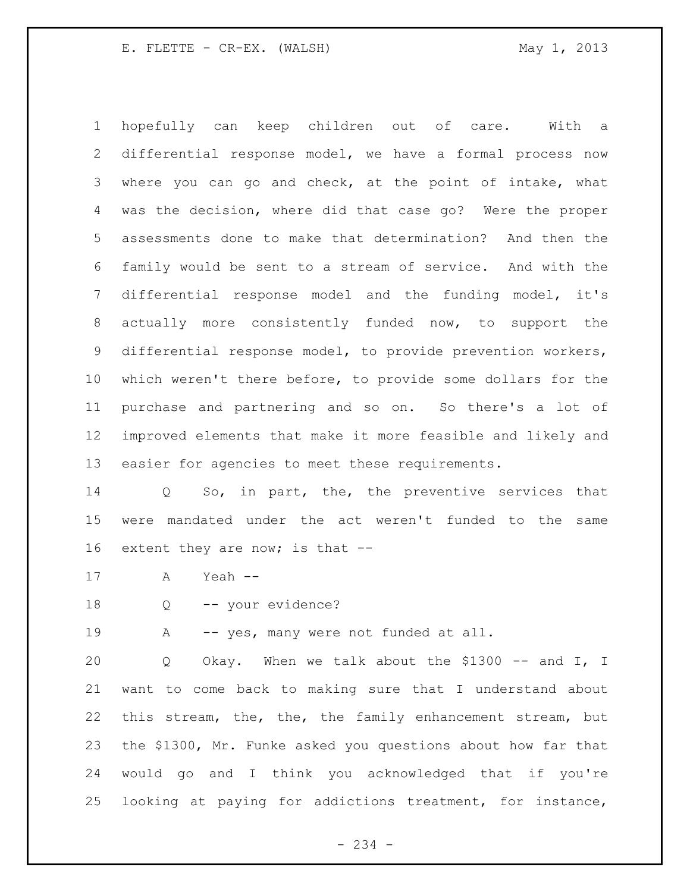hopefully can keep children out of care. With a differential response model, we have a formal process now where you can go and check, at the point of intake, what was the decision, where did that case go? Were the proper assessments done to make that determination? And then the family would be sent to a stream of service. And with the differential response model and the funding model, it's actually more consistently funded now, to support the differential response model, to provide prevention workers, which weren't there before, to provide some dollars for the purchase and partnering and so on. So there's a lot of improved elements that make it more feasible and likely and easier for agencies to meet these requirements.

 Q So, in part, the, the preventive services that were mandated under the act weren't funded to the same extent they are now; is that --

- A Yeah --
- Q -- your evidence?

19 A -- yes, many were not funded at all.

20 Q Okay. When we talk about the \$1300 -- and I, I want to come back to making sure that I understand about this stream, the, the, the family enhancement stream, but the \$1300, Mr. Funke asked you questions about how far that would go and I think you acknowledged that if you're looking at paying for addictions treatment, for instance,

- 234 -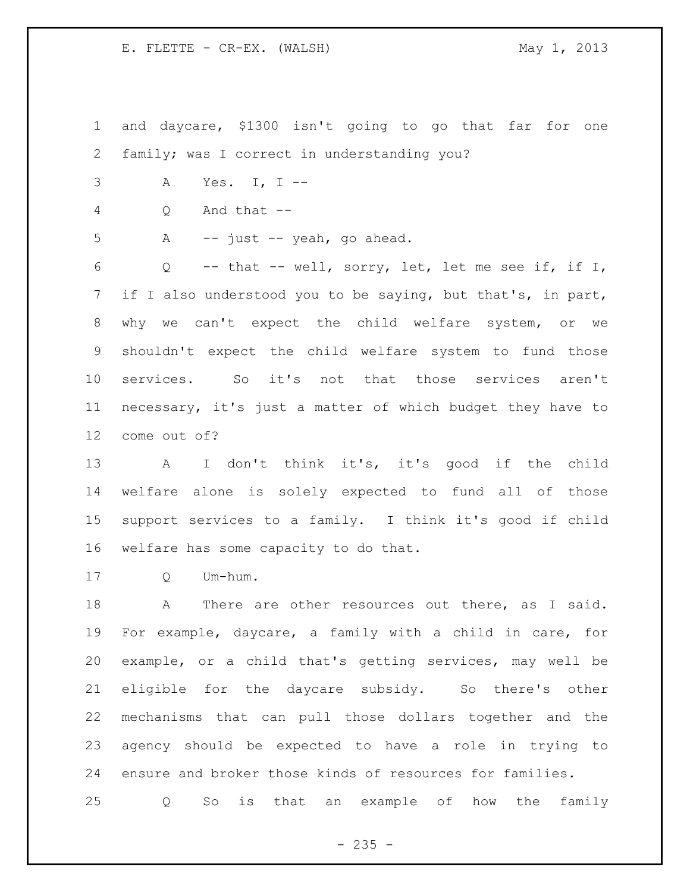and daycare, \$1300 isn't going to go that far for one family; was I correct in understanding you?

A Yes. I, I --

Q And that --

A -- just -- yeah, go ahead.

 Q -- that -- well, sorry, let, let me see if, if I, if I also understood you to be saying, but that's, in part, why we can't expect the child welfare system, or we shouldn't expect the child welfare system to fund those services. So it's not that those services aren't necessary, it's just a matter of which budget they have to come out of?

 A I don't think it's, it's good if the child welfare alone is solely expected to fund all of those support services to a family. I think it's good if child welfare has some capacity to do that.

Q Um-hum.

18 A There are other resources out there, as I said. For example, daycare, a family with a child in care, for example, or a child that's getting services, may well be eligible for the daycare subsidy. So there's other mechanisms that can pull those dollars together and the agency should be expected to have a role in trying to ensure and broker those kinds of resources for families.

Q So is that an example of how the family

 $- 235 -$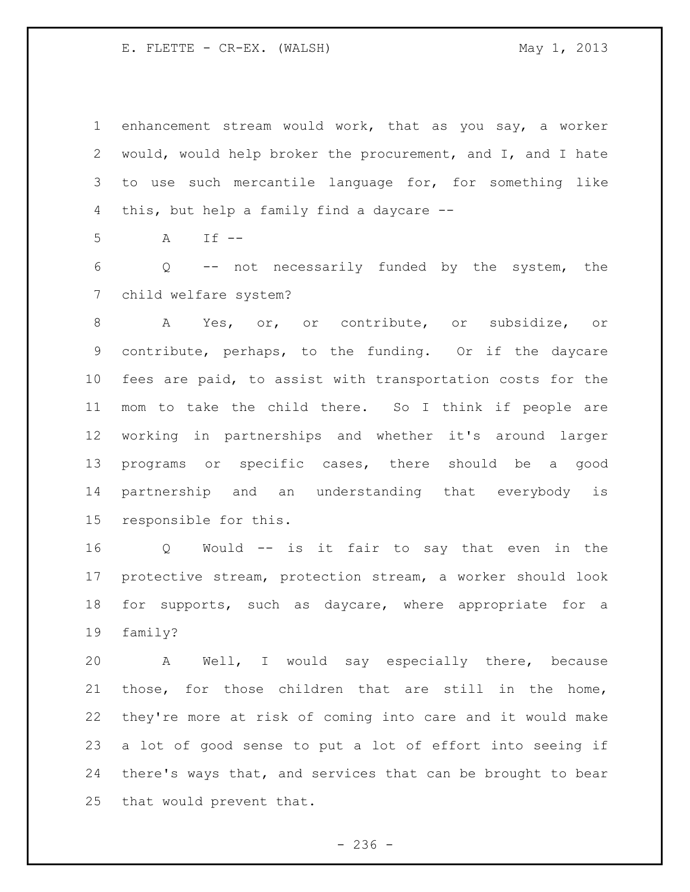enhancement stream would work, that as you say, a worker would, would help broker the procurement, and I, and I hate to use such mercantile language for, for something like this, but help a family find a daycare --

A If --

 Q -- not necessarily funded by the system, the child welfare system?

 A Yes, or, or contribute, or subsidize, or contribute, perhaps, to the funding. Or if the daycare fees are paid, to assist with transportation costs for the mom to take the child there. So I think if people are working in partnerships and whether it's around larger programs or specific cases, there should be a good partnership and an understanding that everybody is responsible for this.

 Q Would -- is it fair to say that even in the protective stream, protection stream, a worker should look for supports, such as daycare, where appropriate for a family?

 A Well, I would say especially there, because those, for those children that are still in the home, they're more at risk of coming into care and it would make a lot of good sense to put a lot of effort into seeing if there's ways that, and services that can be brought to bear that would prevent that.

 $-236 -$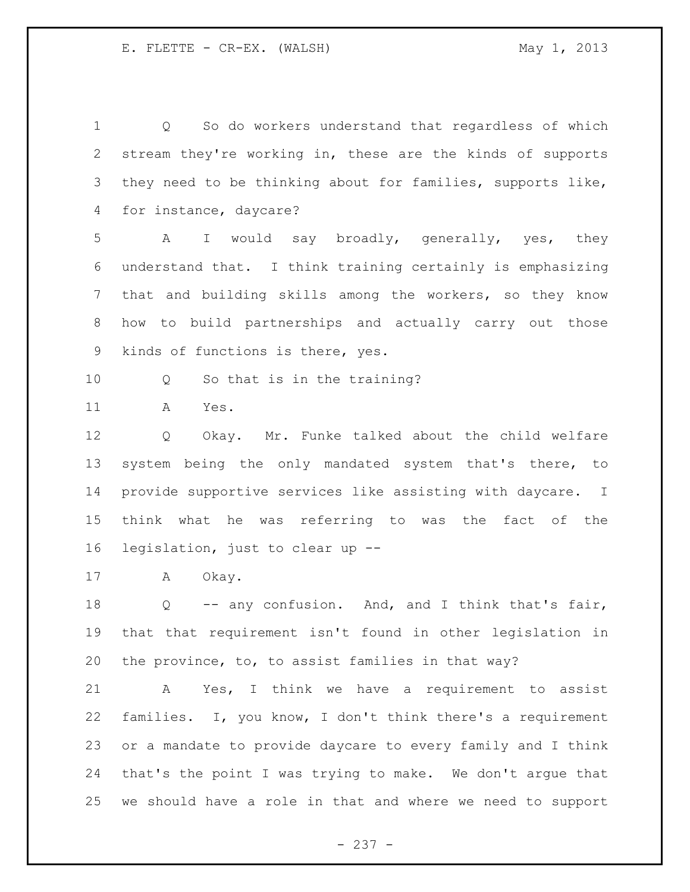Q So do workers understand that regardless of which stream they're working in, these are the kinds of supports they need to be thinking about for families, supports like, for instance, daycare? A I would say broadly, generally, yes, they understand that. I think training certainly is emphasizing that and building skills among the workers, so they know how to build partnerships and actually carry out those kinds of functions is there, yes. Q So that is in the training? A Yes. Q Okay. Mr. Funke talked about the child welfare system being the only mandated system that's there, to provide supportive services like assisting with daycare. I think what he was referring to was the fact of the legislation, just to clear up -- A Okay. Q -- any confusion. And, and I think that's fair, that that requirement isn't found in other legislation in the province, to, to assist families in that way? A Yes, I think we have a requirement to assist families. I, you know, I don't think there's a requirement or a mandate to provide daycare to every family and I think that's the point I was trying to make. We don't argue that we should have a role in that and where we need to support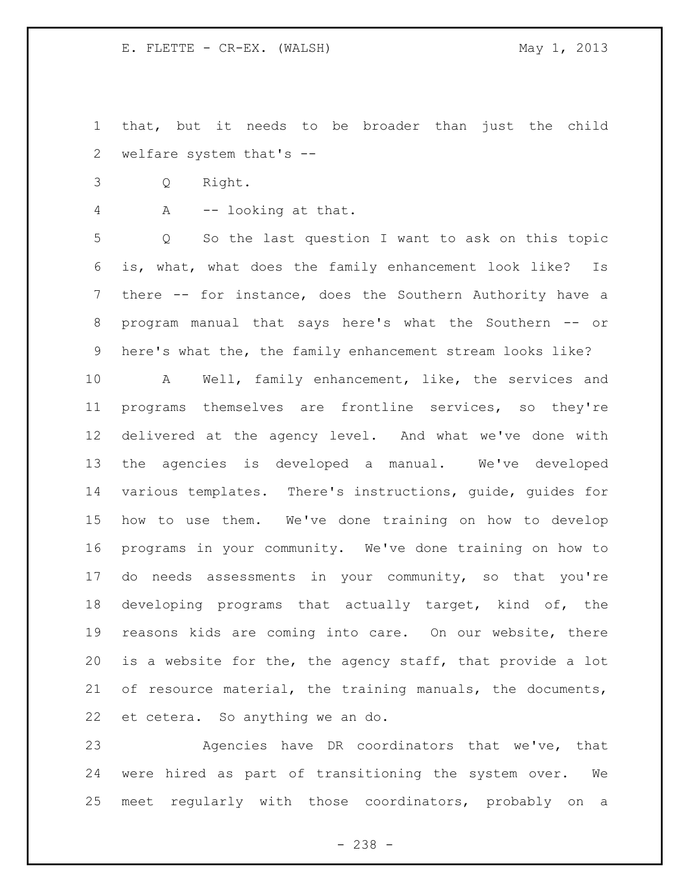that, but it needs to be broader than just the child welfare system that's --

Q Right.

A -- looking at that.

 Q So the last question I want to ask on this topic is, what, what does the family enhancement look like? Is there -- for instance, does the Southern Authority have a program manual that says here's what the Southern -- or here's what the, the family enhancement stream looks like?

 A Well, family enhancement, like, the services and programs themselves are frontline services, so they're delivered at the agency level. And what we've done with the agencies is developed a manual. We've developed various templates. There's instructions, guide, guides for how to use them. We've done training on how to develop programs in your community. We've done training on how to do needs assessments in your community, so that you're developing programs that actually target, kind of, the reasons kids are coming into care. On our website, there is a website for the, the agency staff, that provide a lot of resource material, the training manuals, the documents, et cetera. So anything we an do.

 Agencies have DR coordinators that we've, that were hired as part of transitioning the system over. We meet regularly with those coordinators, probably on a

- 238 -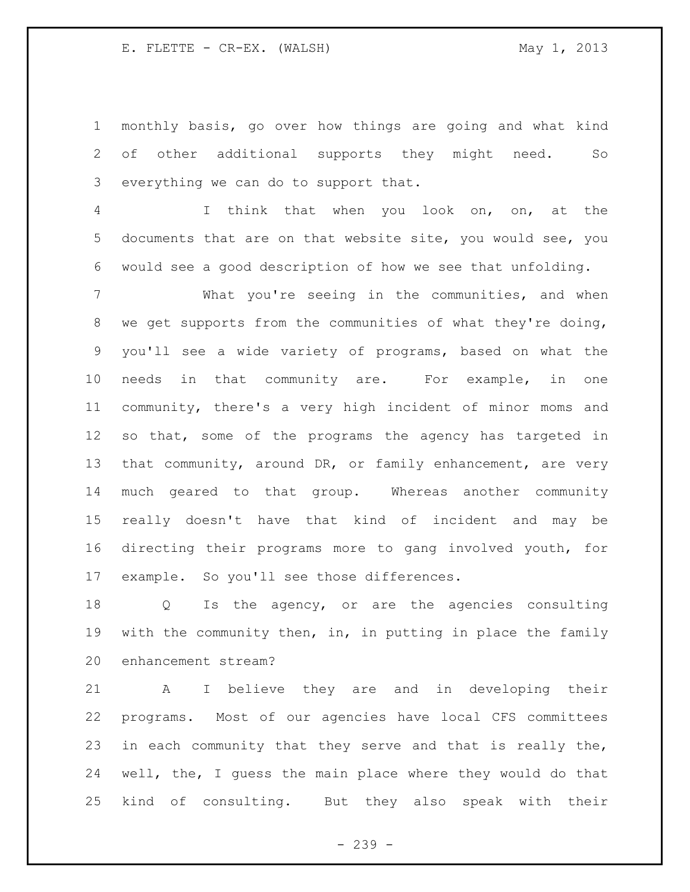monthly basis, go over how things are going and what kind of other additional supports they might need. So everything we can do to support that.

 I think that when you look on, on, at the documents that are on that website site, you would see, you would see a good description of how we see that unfolding.

 What you're seeing in the communities, and when we get supports from the communities of what they're doing, you'll see a wide variety of programs, based on what the needs in that community are. For example, in one community, there's a very high incident of minor moms and so that, some of the programs the agency has targeted in 13 that community, around DR, or family enhancement, are very much geared to that group. Whereas another community really doesn't have that kind of incident and may be directing their programs more to gang involved youth, for example. So you'll see those differences.

 Q Is the agency, or are the agencies consulting with the community then, in, in putting in place the family enhancement stream?

 A I believe they are and in developing their programs. Most of our agencies have local CFS committees 23 in each community that they serve and that is really the, well, the, I guess the main place where they would do that kind of consulting. But they also speak with their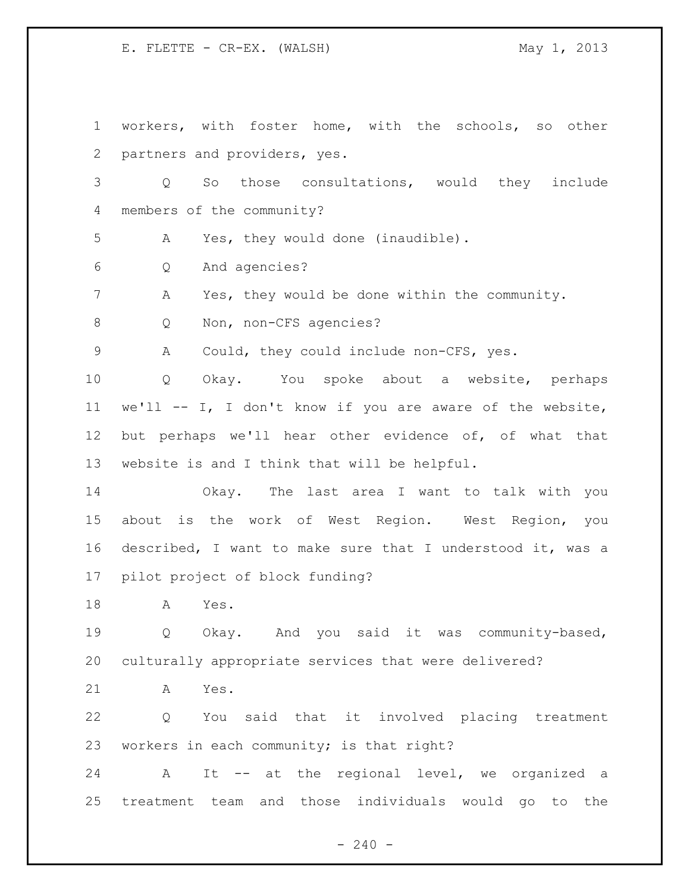workers, with foster home, with the schools, so other partners and providers, yes. Q So those consultations, would they include members of the community? A Yes, they would done (inaudible). Q And agencies? A Yes, they would be done within the community. 8 Q Non, non-CFS agencies? A Could, they could include non-CFS, yes. Q Okay. You spoke about a website, perhaps we'll -- I, I don't know if you are aware of the website, but perhaps we'll hear other evidence of, of what that website is and I think that will be helpful. Okay. The last area I want to talk with you about is the work of West Region. West Region, you described, I want to make sure that I understood it, was a pilot project of block funding? A Yes. Q Okay. And you said it was community-based, culturally appropriate services that were delivered? A Yes. Q You said that it involved placing treatment workers in each community; is that right? A It -- at the regional level, we organized a treatment team and those individuals would go to the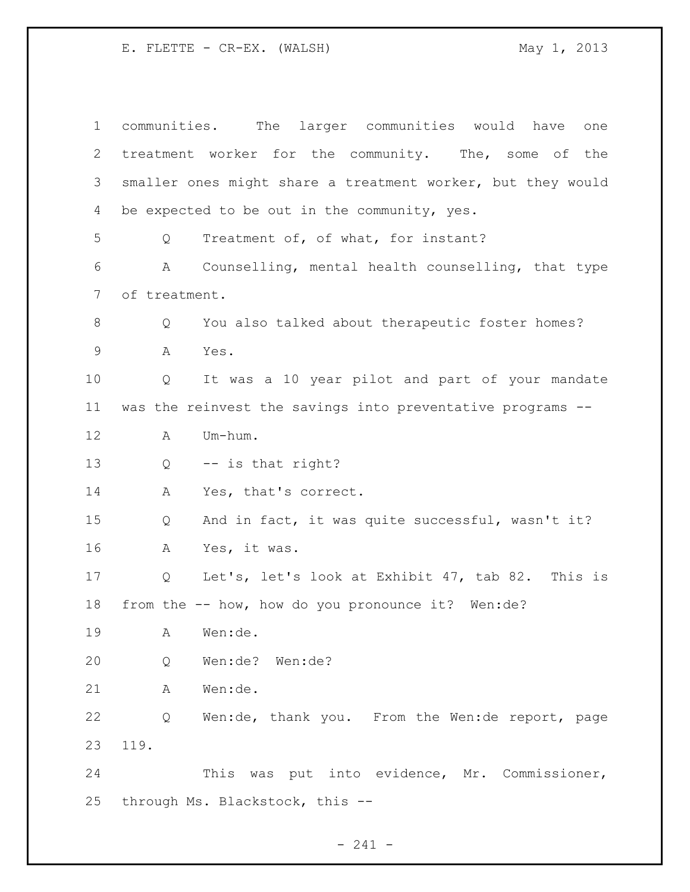communities. The larger communities would have one treatment worker for the community. The, some of the smaller ones might share a treatment worker, but they would be expected to be out in the community, yes. Q Treatment of, of what, for instant? A Counselling, mental health counselling, that type of treatment. Q You also talked about therapeutic foster homes? A Yes. Q It was a 10 year pilot and part of your mandate was the reinvest the savings into preventative programs -- A Um-hum. Q -- is that right? A Yes, that's correct. Q And in fact, it was quite successful, wasn't it? A Yes, it was. Q Let's, let's look at Exhibit 47, tab 82. This is from the -- how, how do you pronounce it? Wen:de? A Wen:de. Q Wen:de? Wen:de? A Wen:de. Q Wen:de, thank you. From the Wen:de report, page 119. This was put into evidence, Mr. Commissioner, through Ms. Blackstock, this --

- 241 -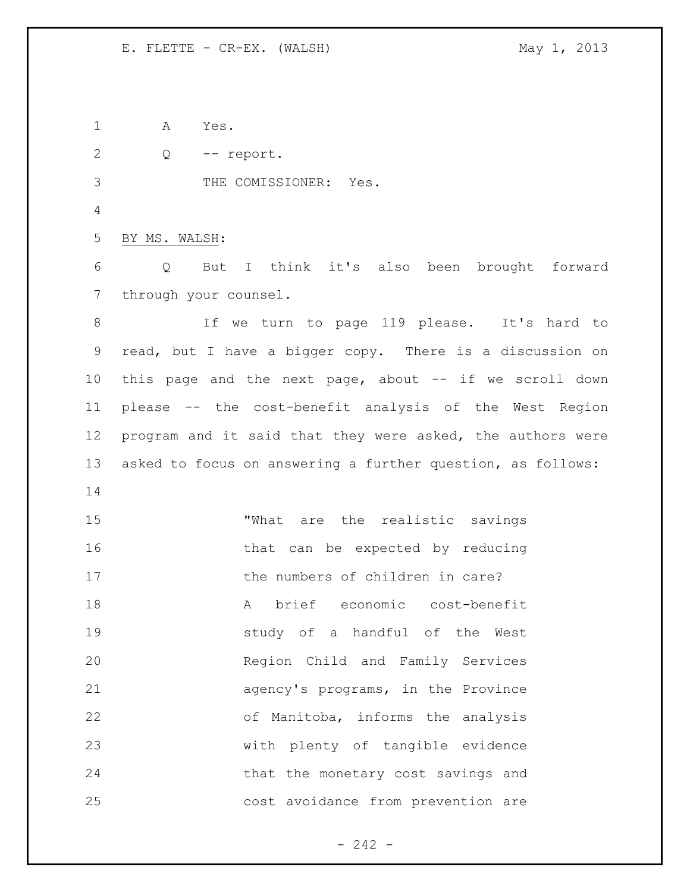A Yes.

Q -- report.

THE COMISSIONER: Yes.

BY MS. WALSH:

 Q But I think it's also been brought forward through your counsel.

8 1f we turn to page 119 please. It's hard to read, but I have a bigger copy. There is a discussion on this page and the next page, about -- if we scroll down please -- the cost-benefit analysis of the West Region 12 program and it said that they were asked, the authors were asked to focus on answering a further question, as follows: 

 "What are the realistic savings 16 that can be expected by reducing 17 the numbers of children in care? A brief economic cost-benefit study of a handful of the West Region Child and Family Services agency's programs, in the Province of Manitoba, informs the analysis with plenty of tangible evidence 24 that the monetary cost savings and cost avoidance from prevention are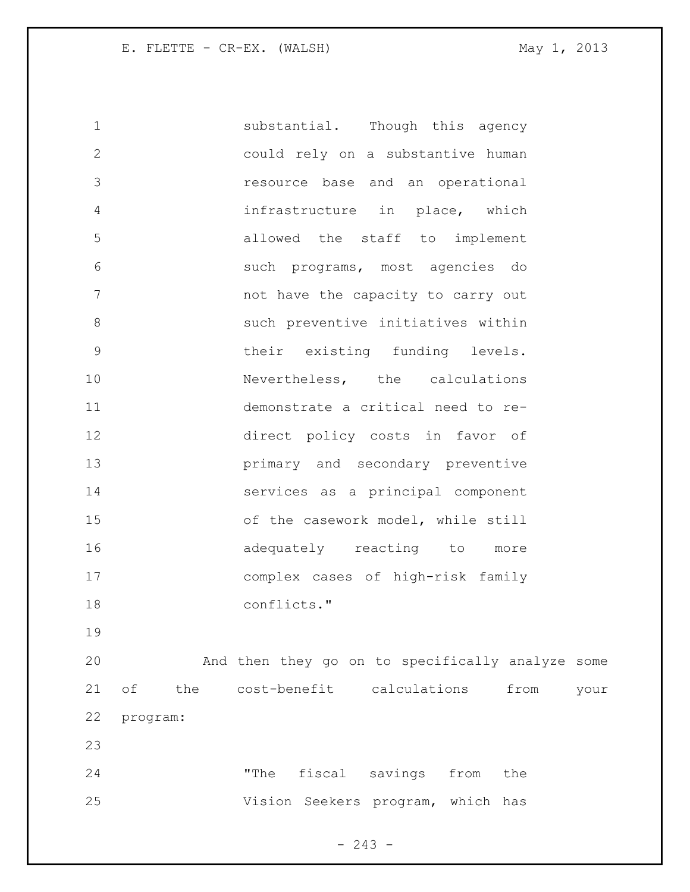1 substantial. Though this agency could rely on a substantive human resource base and an operational infrastructure in place, which allowed the staff to implement such programs, most agencies do 7 have the capacity to carry out such preventive initiatives within their existing funding levels. 10 Nevertheless, the calculations demonstrate a critical need to re- direct policy costs in favor of primary and secondary preventive services as a principal component of the casework model, while still 16 adequately reacting to more complex cases of high-risk family conflicts." And then they go on to specifically analyze some of the cost-benefit calculations from your program: "The fiscal savings from the Vision Seekers program, which has

 $- 243 -$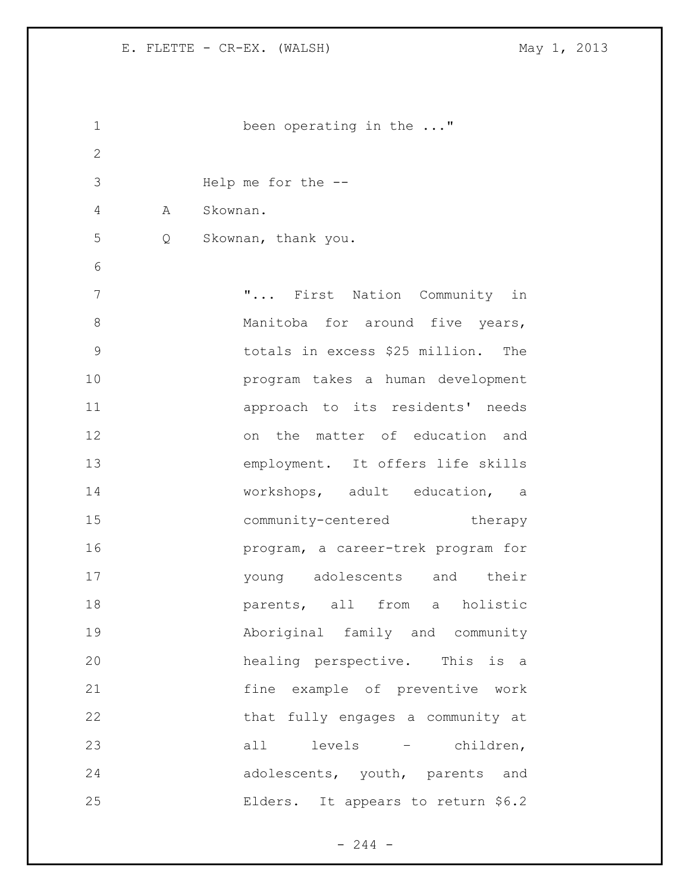```
1 been operating in the ..."
2
3 Help me for the --
4 A Skownan.
5 Q Skownan, thank you.
6
7 The Times of The Times of The Times Times of Times In Times In Times In Times In Times In Times In Times In
8 Manitoba for around five years,
9 totals in excess $25 million. The 
10 program takes a human development 
11 approach to its residents' needs 
12 on the matter of education and 
13 employment. It offers life skills 
14 workshops, adult education, a 
15 community-centered therapy
16 program, a career-trek program for 
17 young adolescents and their 
18 parents, all from a holistic
19 Aboriginal family and community 
20 healing perspective. This is a 
21 fine example of preventive work 
22 that fully engages a community at
23 all levels – children, 
24 adolescents, youth, parents and 
25 Elders. It appears to return $6.2
```
 $- 244 -$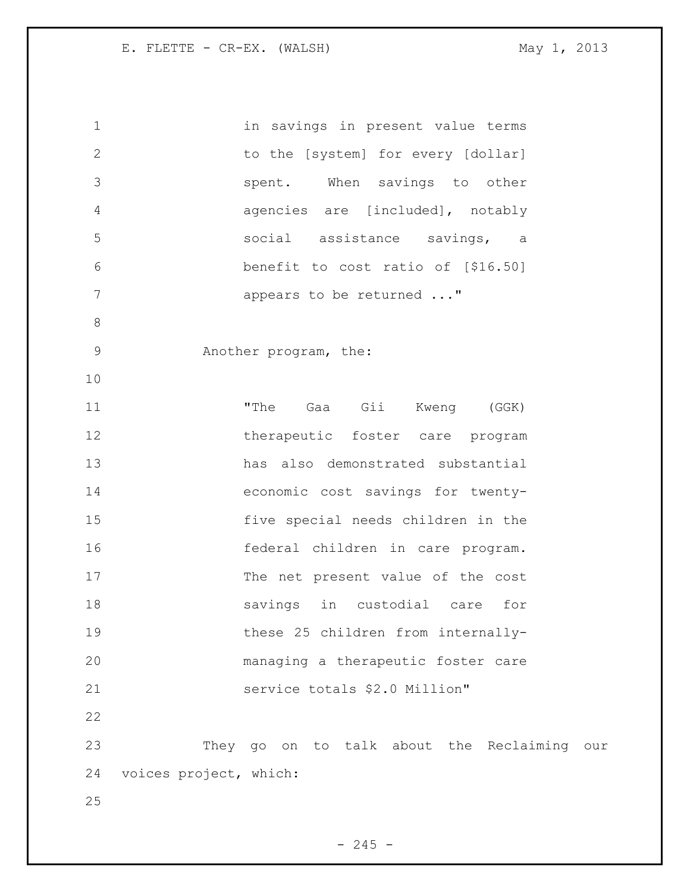| $\mathbf 1$  | in savings in present value terms           |
|--------------|---------------------------------------------|
| $\mathbf{2}$ | to the [system] for every [dollar]          |
| 3            | spent. When savings to other                |
| 4            | agencies are [included], notably            |
| 5            | social assistance savings, a                |
| 6            | benefit to cost ratio of [\$16.50]          |
| 7            | appears to be returned "                    |
| 8            |                                             |
| $\mathsf 9$  | Another program, the:                       |
| 10           |                                             |
| 11           | "The Gaa Gii Kweng (GGK)                    |
| 12           | therapeutic foster care program             |
| 13           | has also demonstrated substantial           |
| 14           | economic cost savings for twenty-           |
| 15           | five special needs children in the          |
| 16           | federal children in care program.           |
| 17           | The net present value of the cost           |
| 18           | savings in custodial care<br>for            |
| 19           | these 25 children from internally-          |
| 20           | managing a therapeutic foster care          |
| 21           | service totals \$2.0 Million"               |
| 22           |                                             |
| 23           | They go on to talk about the Reclaiming our |
| 24           | voices project, which:                      |
| 25           |                                             |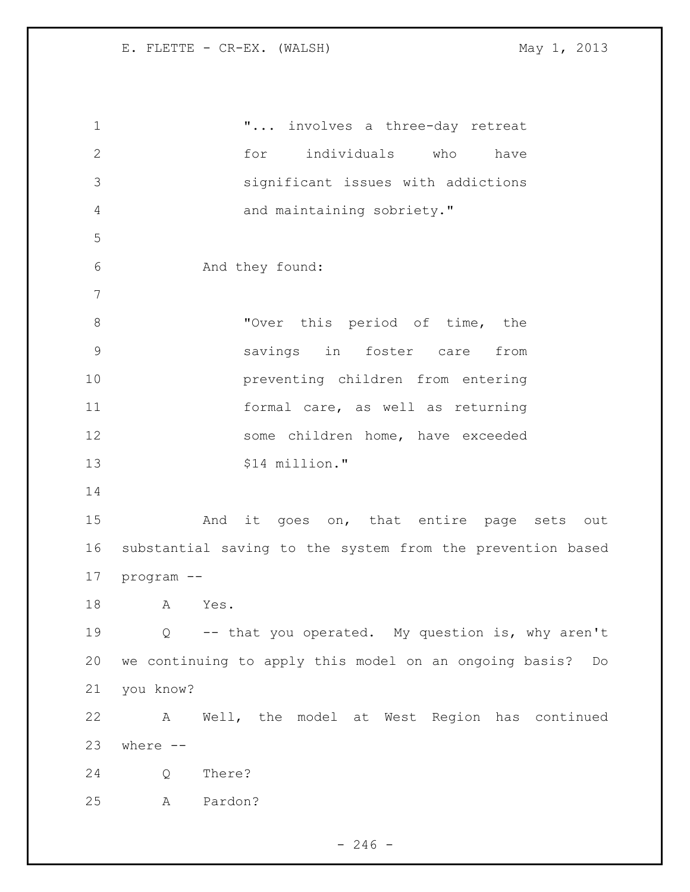**"...** involves a three-day retreat for individuals who have significant issues with addictions and maintaining sobriety." And they found: 8 Tover this period of time, the savings in foster care from preventing children from entering formal care, as well as returning some children home, have exceeded 13 \$14 million." 15 And it goes on, that entire page sets out substantial saving to the system from the prevention based program -- A Yes. Q -- that you operated. My question is, why aren't we continuing to apply this model on an ongoing basis? Do you know? A Well, the model at West Region has continued where  $-$  Q There? A Pardon?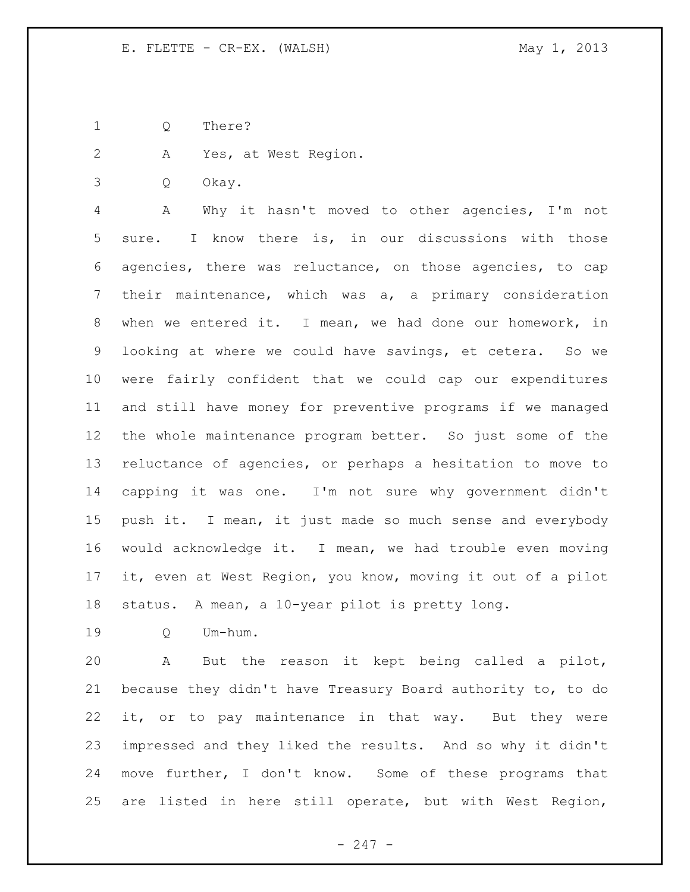Q There?

A Yes, at West Region.

Q Okay.

 A Why it hasn't moved to other agencies, I'm not sure. I know there is, in our discussions with those agencies, there was reluctance, on those agencies, to cap their maintenance, which was a, a primary consideration when we entered it. I mean, we had done our homework, in looking at where we could have savings, et cetera. So we were fairly confident that we could cap our expenditures and still have money for preventive programs if we managed the whole maintenance program better. So just some of the reluctance of agencies, or perhaps a hesitation to move to capping it was one. I'm not sure why government didn't push it. I mean, it just made so much sense and everybody would acknowledge it. I mean, we had trouble even moving it, even at West Region, you know, moving it out of a pilot status. A mean, a 10-year pilot is pretty long.

Q Um-hum.

 A But the reason it kept being called a pilot, because they didn't have Treasury Board authority to, to do it, or to pay maintenance in that way. But they were impressed and they liked the results. And so why it didn't move further, I don't know. Some of these programs that are listed in here still operate, but with West Region,

- 247 -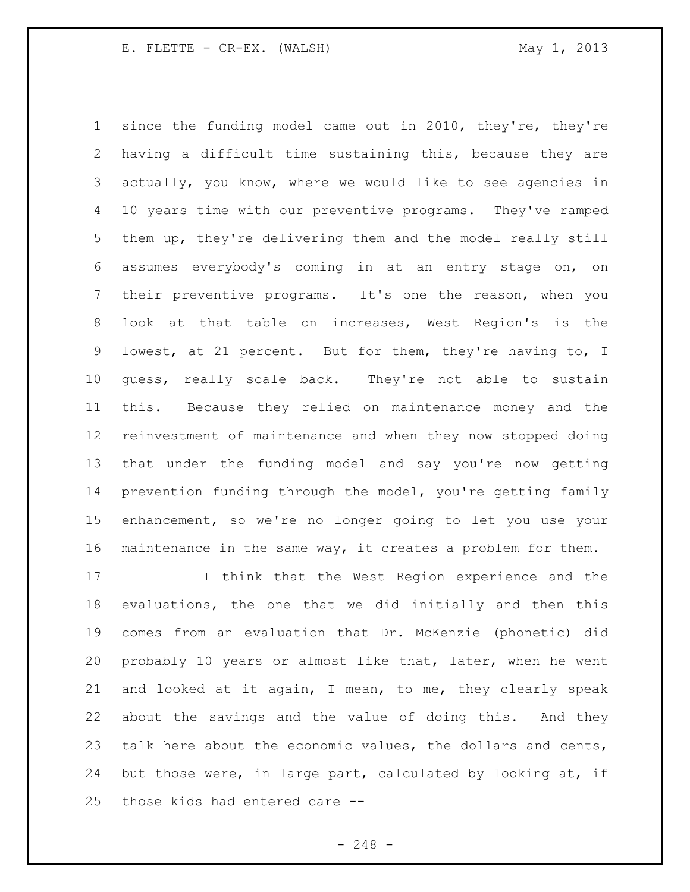since the funding model came out in 2010, they're, they're having a difficult time sustaining this, because they are actually, you know, where we would like to see agencies in 10 years time with our preventive programs. They've ramped them up, they're delivering them and the model really still assumes everybody's coming in at an entry stage on, on their preventive programs. It's one the reason, when you look at that table on increases, West Region's is the lowest, at 21 percent. But for them, they're having to, I guess, really scale back. They're not able to sustain this. Because they relied on maintenance money and the reinvestment of maintenance and when they now stopped doing that under the funding model and say you're now getting prevention funding through the model, you're getting family enhancement, so we're no longer going to let you use your maintenance in the same way, it creates a problem for them.

 I think that the West Region experience and the evaluations, the one that we did initially and then this comes from an evaluation that Dr. McKenzie (phonetic) did probably 10 years or almost like that, later, when he went and looked at it again, I mean, to me, they clearly speak about the savings and the value of doing this. And they 23 talk here about the economic values, the dollars and cents, but those were, in large part, calculated by looking at, if those kids had entered care --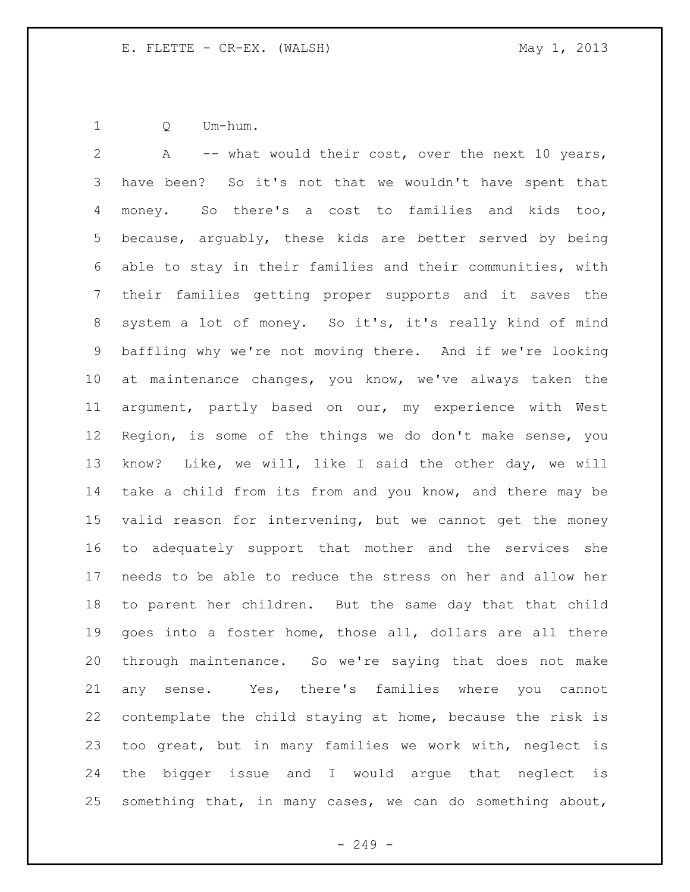Q Um-hum.

 A -- what would their cost, over the next 10 years, have been? So it's not that we wouldn't have spent that money. So there's a cost to families and kids too, because, arguably, these kids are better served by being able to stay in their families and their communities, with their families getting proper supports and it saves the system a lot of money. So it's, it's really kind of mind baffling why we're not moving there. And if we're looking at maintenance changes, you know, we've always taken the argument, partly based on our, my experience with West Region, is some of the things we do don't make sense, you know? Like, we will, like I said the other day, we will take a child from its from and you know, and there may be valid reason for intervening, but we cannot get the money to adequately support that mother and the services she needs to be able to reduce the stress on her and allow her to parent her children. But the same day that that child goes into a foster home, those all, dollars are all there through maintenance. So we're saying that does not make any sense. Yes, there's families where you cannot contemplate the child staying at home, because the risk is too great, but in many families we work with, neglect is the bigger issue and I would argue that neglect is something that, in many cases, we can do something about,

 $-249 -$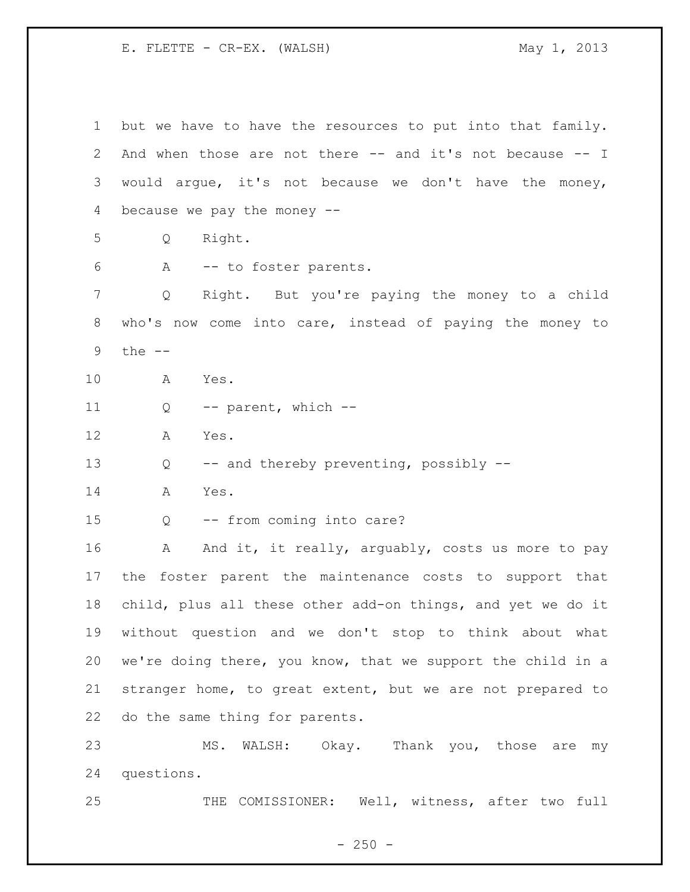E. FLETTE - CR-EX. (WALSH) May 1, 2013

 but we have to have the resources to put into that family. And when those are not there -- and it's not because -- I would argue, it's not because we don't have the money, because we pay the money -- Q Right. A -- to foster parents. Q Right. But you're paying the money to a child who's now come into care, instead of paying the money to the -- A Yes. 11 Q -- parent, which -- A Yes. Q -- and thereby preventing, possibly -- A Yes. Q -- from coming into care? 16 A And it, it really, arguably, costs us more to pay the foster parent the maintenance costs to support that child, plus all these other add-on things, and yet we do it without question and we don't stop to think about what we're doing there, you know, that we support the child in a stranger home, to great extent, but we are not prepared to do the same thing for parents. MS. WALSH: Okay. Thank you, those are my questions. THE COMISSIONER: Well, witness, after two full

 $- 250 -$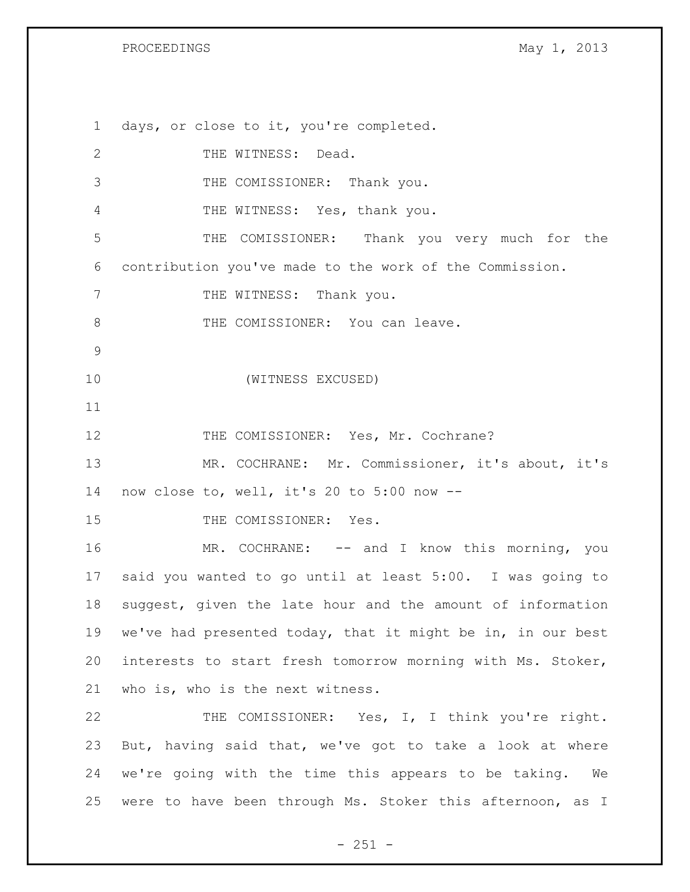days, or close to it, you're completed. 2 THE WITNESS: Dead. THE COMISSIONER: Thank you. THE WITNESS: Yes, thank you. THE COMISSIONER: Thank you very much for the contribution you've made to the work of the Commission. 7 THE WITNESS: Thank you. 8 THE COMISSIONER: You can leave. (WITNESS EXCUSED) 12 THE COMISSIONER: Yes, Mr. Cochrane? MR. COCHRANE: Mr. Commissioner, it's about, it's now close to, well, it's 20 to 5:00 now -- 15 THE COMISSIONER: Yes. MR. COCHRANE: -- and I know this morning, you said you wanted to go until at least 5:00. I was going to suggest, given the late hour and the amount of information we've had presented today, that it might be in, in our best interests to start fresh tomorrow morning with Ms. Stoker, who is, who is the next witness. THE COMISSIONER: Yes, I, I think you're right. But, having said that, we've got to take a look at where we're going with the time this appears to be taking. We were to have been through Ms. Stoker this afternoon, as I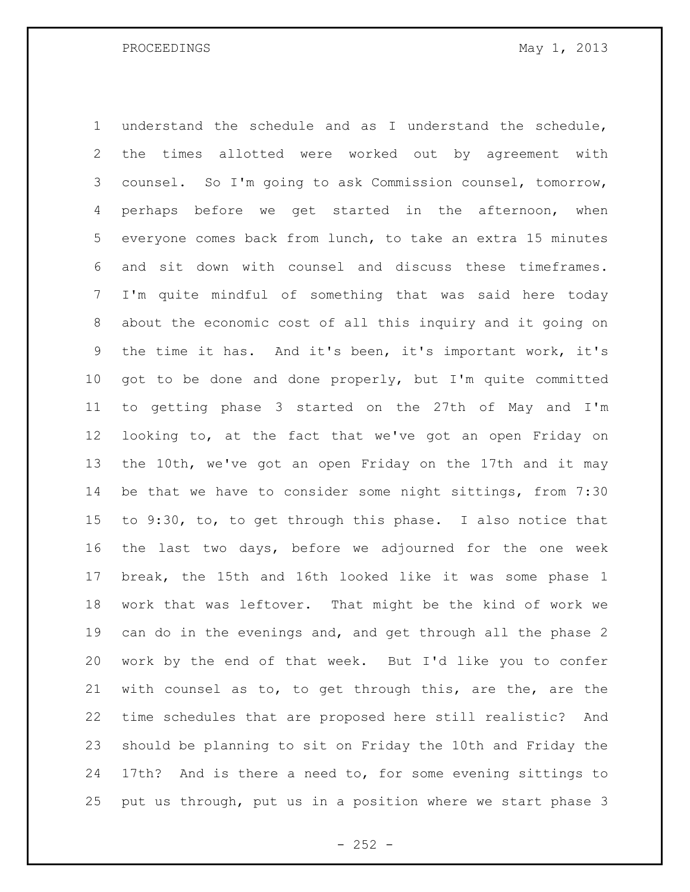PROCEEDINGS May 1, 2013

 understand the schedule and as I understand the schedule, the times allotted were worked out by agreement with counsel. So I'm going to ask Commission counsel, tomorrow, perhaps before we get started in the afternoon, when everyone comes back from lunch, to take an extra 15 minutes and sit down with counsel and discuss these timeframes. I'm quite mindful of something that was said here today about the economic cost of all this inquiry and it going on the time it has. And it's been, it's important work, it's got to be done and done properly, but I'm quite committed to getting phase 3 started on the 27th of May and I'm looking to, at the fact that we've got an open Friday on the 10th, we've got an open Friday on the 17th and it may be that we have to consider some night sittings, from 7:30 to 9:30, to, to get through this phase. I also notice that the last two days, before we adjourned for the one week break, the 15th and 16th looked like it was some phase 1 work that was leftover. That might be the kind of work we can do in the evenings and, and get through all the phase 2 work by the end of that week. But I'd like you to confer with counsel as to, to get through this, are the, are the time schedules that are proposed here still realistic? And should be planning to sit on Friday the 10th and Friday the 17th? And is there a need to, for some evening sittings to put us through, put us in a position where we start phase 3

 $- 252 -$